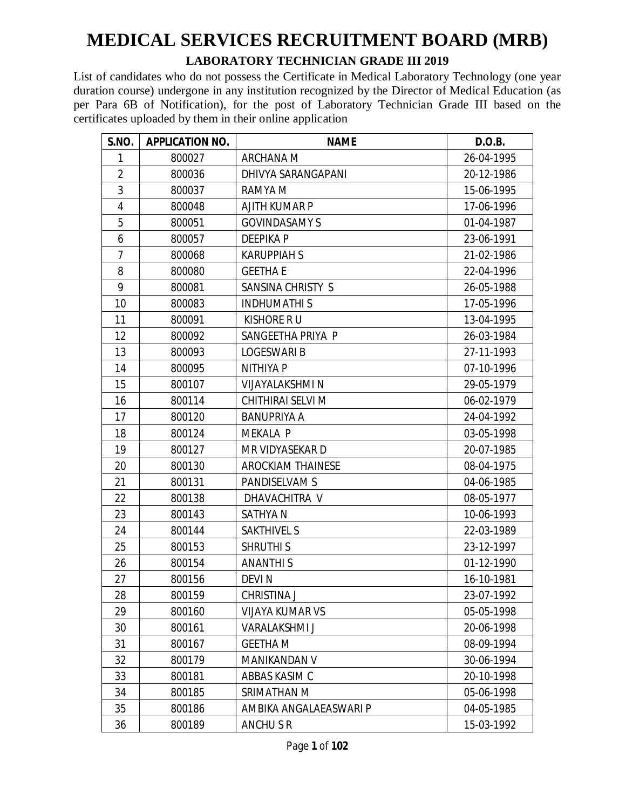#### **LABORATORY TECHNICIAN GRADE III 2019**

| <b>S.NO.</b>   | <b>APPLICATION NO.</b> | <b>NAME</b>              | D.O.B.     |
|----------------|------------------------|--------------------------|------------|
| 1              | 800027                 | ARCHANA M                | 26-04-1995 |
| $\overline{2}$ | 800036                 | DHIVYA SARANGAPANI       | 20-12-1986 |
| 3              | 800037                 | RAMYA M                  | 15-06-1995 |
| 4              | 800048                 | AJITH KUMAR P            | 17-06-1996 |
| 5              | 800051                 | <b>GOVINDASAMY S</b>     | 01-04-1987 |
| 6              | 800057                 | <b>DEEPIKAP</b>          | 23-06-1991 |
| 7              | 800068                 | <b>KARUPPIAH S</b>       | 21-02-1986 |
| 8              | 800080                 | <b>GEETHA E</b>          | 22-04-1996 |
| 9              | 800081                 | SANSINA CHRISTY S        | 26-05-1988 |
| 10             | 800083                 | <b>INDHUMATHIS</b>       | 17-05-1996 |
| 11             | 800091                 | KISHORE R U              | 13-04-1995 |
| 12             | 800092                 | SANGEETHA PRIYA P        | 26-03-1984 |
| 13             | 800093                 | <b>LOGESWARI B</b>       | 27-11-1993 |
| 14             | 800095                 | <b>NITHIYA P</b>         | 07-10-1996 |
| 15             | 800107                 | <b>VIJAYALAKSHMI N</b>   | 29-05-1979 |
| 16             | 800114                 | CHITHIRAI SELVI M        | 06-02-1979 |
| 17             | 800120                 | <b>BANUPRIYA A</b>       | 24-04-1992 |
| 18             | 800124                 | <b>MEKALA P</b>          | 03-05-1998 |
| 19             | 800127                 | MR VIDYASEKAR D          | 20-07-1985 |
| 20             | 800130                 | <b>AROCKIAM THAINESE</b> | 08-04-1975 |
| 21             | 800131                 | PANDISELVAM S            | 04-06-1985 |
| 22             | 800138                 | DHAVACHITRA V            | 08-05-1977 |
| 23             | 800143                 | <b>SATHYAN</b>           | 10-06-1993 |
| 24             | 800144                 | <b>SAKTHIVEL S</b>       | 22-03-1989 |
| 25             | 800153                 | <b>SHRUTHI S</b>         | 23-12-1997 |
| 26             | 800154                 | <b>ANANTHIS</b>          | 01-12-1990 |
| 27             | 800156                 | <b>DEVIN</b>             | 16-10-1981 |
| 28             | 800159                 | CHRISTINA J              | 23-07-1992 |
| 29             | 800160                 | <b>VIJAYA KUMAR VS</b>   | 05-05-1998 |
| 30             | 800161                 | VARALAKSHMI J            | 20-06-1998 |
| 31             | 800167                 | <b>GEETHA M</b>          | 08-09-1994 |
| 32             | 800179                 | MANIKANDAN V             | 30-06-1994 |
| 33             | 800181                 | ABBAS KASIM C            | 20-10-1998 |
| 34             | 800185                 | SRIMATHAN M              | 05-06-1998 |
| 35             | 800186                 | AMBIKA ANGALAEASWARI P   | 04-05-1985 |
| 36             | 800189                 | ANCHU S R                | 15-03-1992 |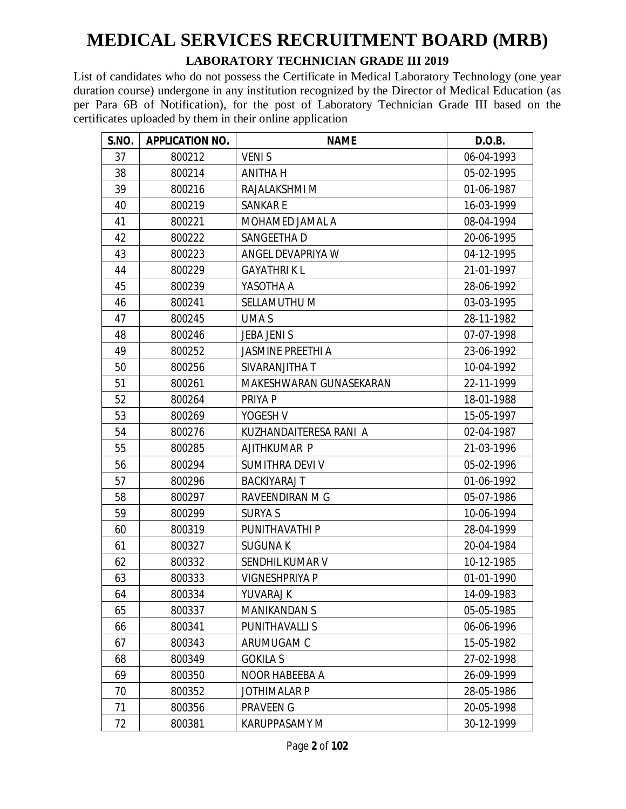#### **LABORATORY TECHNICIAN GRADE III 2019**

| S.NO. | <b>APPLICATION NO.</b> | <b>NAME</b>              | D.O.B.     |
|-------|------------------------|--------------------------|------------|
| 37    | 800212                 | <b>VENIS</b>             | 06-04-1993 |
| 38    | 800214                 | <b>ANITHA H</b>          | 05-02-1995 |
| 39    | 800216                 | RAJALAKSHMI M            | 01-06-1987 |
| 40    | 800219                 | <b>SANKARE</b>           | 16-03-1999 |
| 41    | 800221                 | MOHAMED JAMAL A          | 08-04-1994 |
| 42    | 800222                 | SANGEETHA D              | 20-06-1995 |
| 43    | 800223                 | ANGEL DEVAPRIYA W        | 04-12-1995 |
| 44    | 800229                 | <b>GAYATHRIKL</b>        | 21-01-1997 |
| 45    | 800239                 | YASOTHA A                | 28-06-1992 |
| 46    | 800241                 | SELLAMUTHU M             | 03-03-1995 |
| 47    | 800245                 | UMA S                    | 28-11-1982 |
| 48    | 800246                 | <b>JEBA JENI S</b>       | 07-07-1998 |
| 49    | 800252                 | <b>JASMINE PREETHI A</b> | 23-06-1992 |
| 50    | 800256                 | SIVARANJITHA T           | 10-04-1992 |
| 51    | 800261                 | MAKESHWARAN GUNASEKARAN  | 22-11-1999 |
| 52    | 800264                 | PRIYA P                  | 18-01-1988 |
| 53    | 800269                 | YOGESH V                 | 15-05-1997 |
| 54    | 800276                 | KUZHANDAITERESA RANI A   | 02-04-1987 |
| 55    | 800285                 | AJITHKUMAR P             | 21-03-1996 |
| 56    | 800294                 | SUMITHRA DEVI V          | 05-02-1996 |
| 57    | 800296                 | <b>BACKIYARAJ T</b>      | 01-06-1992 |
| 58    | 800297                 | RAVEENDIRAN M G          | 05-07-1986 |
| 59    | 800299                 | <b>SURYA S</b>           | 10-06-1994 |
| 60    | 800319                 | PUNITHAVATHI P           | 28-04-1999 |
| 61    | 800327                 | <b>SUGUNAK</b>           | 20-04-1984 |
| 62    | 800332                 | SENDHIL KUMAR V          | 10-12-1985 |
| 63    | 800333                 | <b>VIGNESHPRIYA P</b>    | 01-01-1990 |
| 64    | 800334                 | YUVARAJ K                | 14-09-1983 |
| 65    | 800337                 | <b>MANIKANDAN S</b>      | 05-05-1985 |
| 66    | 800341                 | PUNITHAVALLI S           | 06-06-1996 |
| 67    | 800343                 | ARUMUGAM C               | 15-05-1982 |
| 68    | 800349                 | <b>GOKILA S</b>          | 27-02-1998 |
| 69    | 800350                 | NOOR HABEEBA A           | 26-09-1999 |
| 70    | 800352                 | <b>JOTHIMALAR P</b>      | 28-05-1986 |
| 71    | 800356                 | PRAVEEN G                | 20-05-1998 |
| 72    | 800381                 | <b>KARUPPASAMY M</b>     | 30-12-1999 |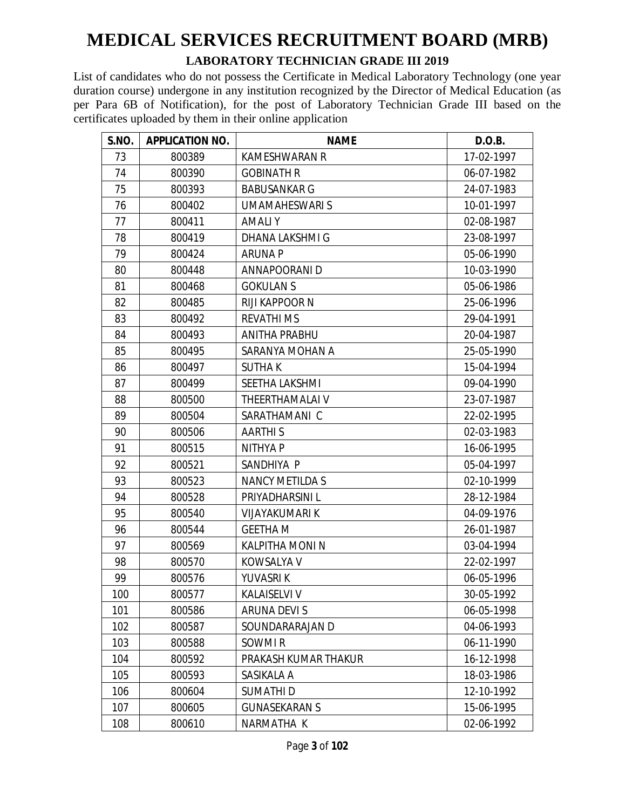#### **LABORATORY TECHNICIAN GRADE III 2019**

| S.NO. | <b>APPLICATION NO.</b> | <b>NAME</b>            | D.O.B.     |
|-------|------------------------|------------------------|------------|
| 73    | 800389                 | <b>KAMESHWARAN R</b>   | 17-02-1997 |
| 74    | 800390                 | <b>GOBINATH R</b>      | 06-07-1982 |
| 75    | 800393                 | <b>BABUSANKAR G</b>    | 24-07-1983 |
| 76    | 800402                 | <b>UMAMAHESWARI S</b>  | 10-01-1997 |
| 77    | 800411                 | <b>AMALIY</b>          | 02-08-1987 |
| 78    | 800419                 | DHANA LAKSHMI G        | 23-08-1997 |
| 79    | 800424                 | <b>ARUNA P</b>         | 05-06-1990 |
| 80    | 800448                 | ANNAPOORANI D          | 10-03-1990 |
| 81    | 800468                 | <b>GOKULAN S</b>       | 05-06-1986 |
| 82    | 800485                 | RIJI KAPPOOR N         | 25-06-1996 |
| 83    | 800492                 | <b>REVATHI MS</b>      | 29-04-1991 |
| 84    | 800493                 | <b>ANITHA PRABHU</b>   | 20-04-1987 |
| 85    | 800495                 | SARANYA MOHAN A        | 25-05-1990 |
| 86    | 800497                 | <b>SUTHAK</b>          | 15-04-1994 |
| 87    | 800499                 | SEETHA LAKSHMI         | 09-04-1990 |
| 88    | 800500                 | THEERTHAMALAI V        | 23-07-1987 |
| 89    | 800504                 | SARATHAMANI C          | 22-02-1995 |
| 90    | 800506                 | <b>AARTHIS</b>         | 02-03-1983 |
| 91    | 800515                 | NITHYA P               | 16-06-1995 |
| 92    | 800521                 | SANDHIYA P             | 05-04-1997 |
| 93    | 800523                 | <b>NANCY METILDA S</b> | 02-10-1999 |
| 94    | 800528                 | PRIYADHARSINI L        | 28-12-1984 |
| 95    | 800540                 | <b>VIJAYAKUMARI K</b>  | 04-09-1976 |
| 96    | 800544                 | <b>GEETHA M</b>        | 26-01-1987 |
| 97    | 800569                 | KALPITHA MONI N        | 03-04-1994 |
| 98    | 800570                 | <b>KOWSALYA V</b>      | 22-02-1997 |
| 99    | 800576                 | YUVASRI K              | 06-05-1996 |
| 100   | 800577                 | KALAISELVI V           | 30-05-1992 |
| 101   | 800586                 | <b>ARUNA DEVIS</b>     | 06-05-1998 |
| 102   | 800587                 | SOUNDARARAJAN D        | 04-06-1993 |
| 103   | 800588                 | SOWMI R                | 06-11-1990 |
| 104   | 800592                 | PRAKASH KUMAR THAKUR   | 16-12-1998 |
| 105   | 800593                 | SASIKALA A             | 18-03-1986 |
| 106   | 800604                 | <b>SUMATHID</b>        | 12-10-1992 |
| 107   | 800605                 | <b>GUNASEKARAN S</b>   | 15-06-1995 |
| 108   | 800610                 | NARMATHA K             | 02-06-1992 |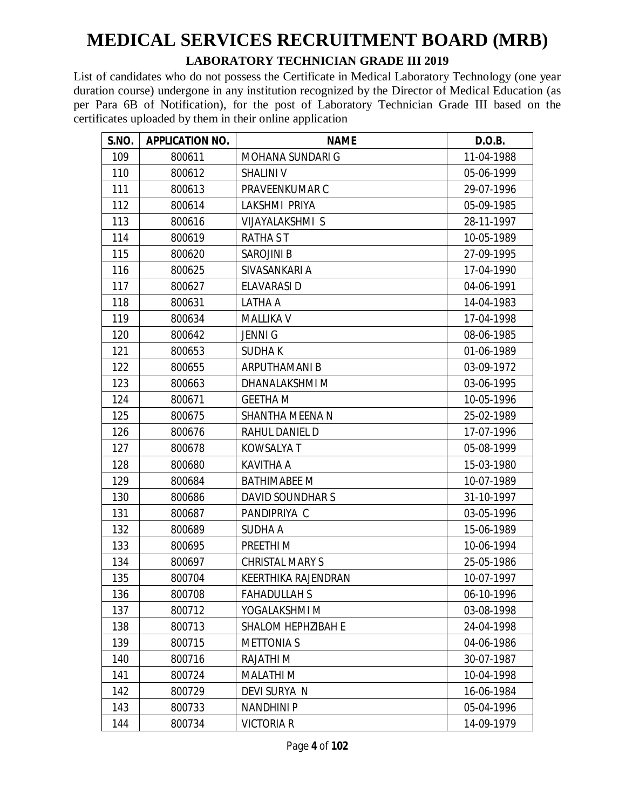#### **LABORATORY TECHNICIAN GRADE III 2019**

| <b>S.NO.</b> | <b>APPLICATION NO.</b> | <b>NAME</b>               | D.O.B.     |
|--------------|------------------------|---------------------------|------------|
| 109          | 800611                 | MOHANA SUNDARI G          | 11-04-1988 |
| 110          | 800612                 | <b>SHALINI V</b>          | 05-06-1999 |
| 111          | 800613                 | PRAVEENKUMAR C            | 29-07-1996 |
| 112          | 800614                 | LAKSHMI PRIYA             | 05-09-1985 |
| 113          | 800616                 | VIJAYALAKSHMI S           | 28-11-1997 |
| 114          | 800619                 | <b>RATHA ST</b>           | 10-05-1989 |
| 115          | 800620                 | <b>SAROJINI B</b>         | 27-09-1995 |
| 116          | 800625                 | SIVASANKARI A             | 17-04-1990 |
| 117          | 800627                 | <b>ELAVARASI D</b>        | 04-06-1991 |
| 118          | 800631                 | LATHA A                   | 14-04-1983 |
| 119          | 800634                 | <b>MALLIKA V</b>          | 17-04-1998 |
| 120          | 800642                 | <b>JENNIG</b>             | 08-06-1985 |
| 121          | 800653                 | <b>SUDHAK</b>             | 01-06-1989 |
| 122          | 800655                 | <b>ARPUTHAMANI B</b>      | 03-09-1972 |
| 123          | 800663                 | DHANALAKSHMI M            | 03-06-1995 |
| 124          | 800671                 | <b>GEETHA M</b>           | 10-05-1996 |
| 125          | 800675                 | SHANTHA MEENA N           | 25-02-1989 |
| 126          | 800676                 | RAHUL DANIEL D            | 17-07-1996 |
| 127          | 800678                 | KOWSALYA T                | 05-08-1999 |
| 128          | 800680                 | <b>KAVITHA A</b>          | 15-03-1980 |
| 129          | 800684                 | <b>BATHIMABEE M</b>       | 10-07-1989 |
| 130          | 800686                 | DAVID SOUNDHAR S          | 31-10-1997 |
| 131          | 800687                 | PANDIPRIYA C              | 03-05-1996 |
| 132          | 800689                 | <b>SUDHA A</b>            | 15-06-1989 |
| 133          | 800695                 | PREETHI M                 | 10-06-1994 |
| 134          | 800697                 | <b>CHRISTAL MARY S</b>    | 25-05-1986 |
| 135          | 800704                 | KEERTHIKA RAJENDRAN       | 10-07-1997 |
| 136          | 800708                 | <b>FAHADULLAH S</b>       | 06-10-1996 |
| 137          | 800712                 | YOGALAKSHMI M             | 03-08-1998 |
| 138          | 800713                 | <b>SHALOM HEPHZIBAH E</b> | 24-04-1998 |
| 139          | 800715                 | <b>METTONIAS</b>          | 04-06-1986 |
| 140          | 800716                 | <b>RAJATHIM</b>           | 30-07-1987 |
| 141          | 800724                 | <b>MALATHI M</b>          | 10-04-1998 |
| 142          | 800729                 | DEVI SURYA N              | 16-06-1984 |
| 143          | 800733                 | <b>NANDHINI P</b>         | 05-04-1996 |
| 144          | 800734                 | <b>VICTORIA R</b>         | 14-09-1979 |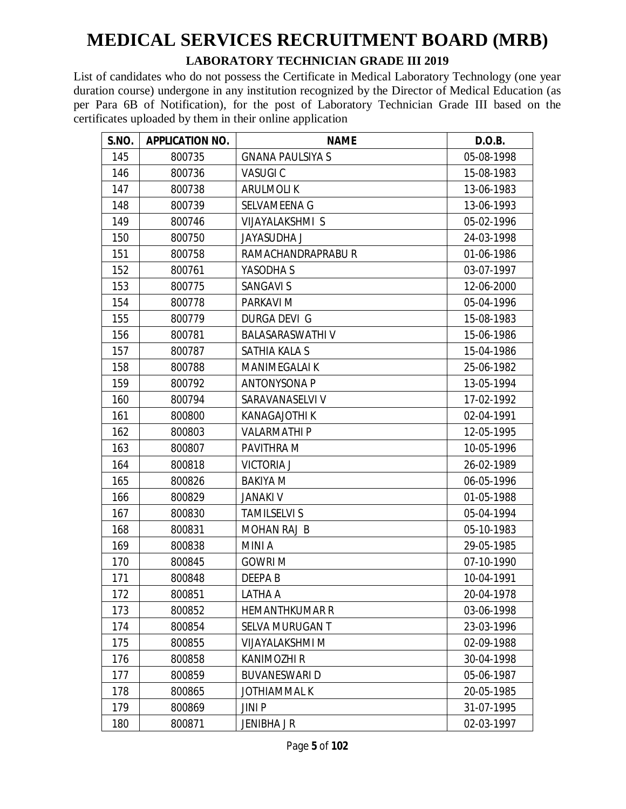#### **LABORATORY TECHNICIAN GRADE III 2019**

| S.NO. | <b>APPLICATION NO.</b> | <b>NAME</b>             | D.O.B.     |
|-------|------------------------|-------------------------|------------|
| 145   | 800735                 | <b>GNANA PAULSIYA S</b> | 05-08-1998 |
| 146   | 800736                 | <b>VASUGIC</b>          | 15-08-1983 |
| 147   | 800738                 | <b>ARULMOLIK</b>        | 13-06-1983 |
| 148   | 800739                 | SELVAMEENA G            | 13-06-1993 |
| 149   | 800746                 | VIJAYALAKSHMI S         | 05-02-1996 |
| 150   | 800750                 | <b>JAYASUDHA J</b>      | 24-03-1998 |
| 151   | 800758                 | RAMACHANDRAPRABUR       | 01-06-1986 |
| 152   | 800761                 | YASODHA S               | 03-07-1997 |
| 153   | 800775                 | <b>SANGAVI S</b>        | 12-06-2000 |
| 154   | 800778                 | <b>PARKAVI M</b>        | 05-04-1996 |
| 155   | 800779                 | DURGA DEVI G            | 15-08-1983 |
| 156   | 800781                 | <b>BALASARASWATHIV</b>  | 15-06-1986 |
| 157   | 800787                 | SATHIA KALA S           | 15-04-1986 |
| 158   | 800788                 | <b>MANIMEGALAI K</b>    | 25-06-1982 |
| 159   | 800792                 | <b>ANTONYSONA P</b>     | 13-05-1994 |
| 160   | 800794                 | SARAVANASELVI V         | 17-02-1992 |
| 161   | 800800                 | <b>KANAGAJOTHI K</b>    | 02-04-1991 |
| 162   | 800803                 | <b>VALARMATHIP</b>      | 12-05-1995 |
| 163   | 800807                 | PAVITHRA M              | 10-05-1996 |
| 164   | 800818                 | <b>VICTORIA J</b>       | 26-02-1989 |
| 165   | 800826                 | <b>BAKIYA M</b>         | 06-05-1996 |
| 166   | 800829                 | <b>JANAKI V</b>         | 01-05-1988 |
| 167   | 800830                 | <b>TAMILSELVI S</b>     | 05-04-1994 |
| 168   | 800831                 | <b>MOHAN RAJ B</b>      | 05-10-1983 |
| 169   | 800838                 | <b>MINIA</b>            | 29-05-1985 |
| 170   | 800845                 | <b>GOWRI M</b>          | 07-10-1990 |
| 171   | 800848                 | <b>DEEPAB</b>           | 10-04-1991 |
| 172   | 800851                 | LATHA A                 | 20-04-1978 |
| 173   | 800852                 | <b>HEMANTHKUMAR R</b>   | 03-06-1998 |
| 174   | 800854                 | SELVA MURUGAN T         | 23-03-1996 |
| 175   | 800855                 | VIJAYALAKSHMI M         | 02-09-1988 |
| 176   | 800858                 | <b>KANIMOZHI R</b>      | 30-04-1998 |
| 177   | 800859                 | <b>BUVANESWARI D</b>    | 05-06-1987 |
| 178   | 800865                 | <b>JOTHIAMMAL K</b>     | 20-05-1985 |
| 179   | 800869                 | JINI P                  | 31-07-1995 |
| 180   | 800871                 | JENIBHA J R             | 02-03-1997 |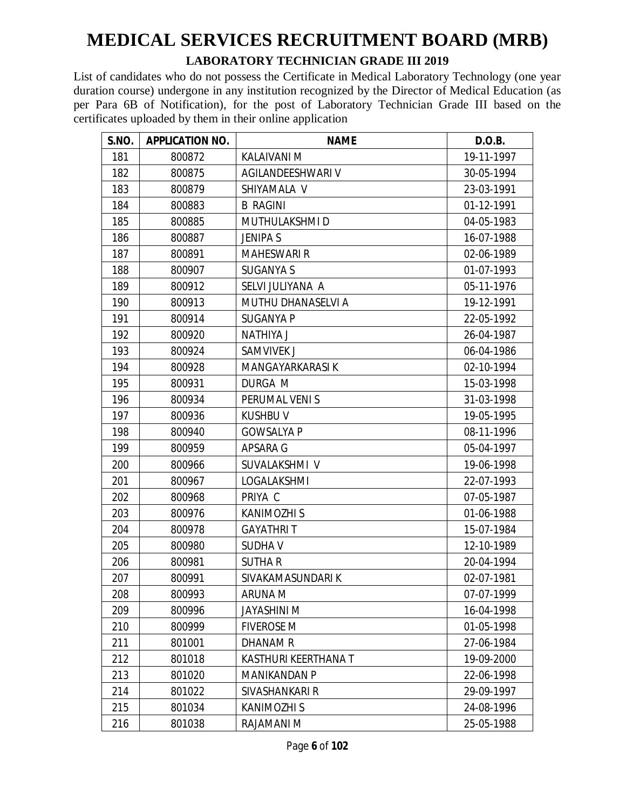#### **LABORATORY TECHNICIAN GRADE III 2019**

| S.NO. | <b>APPLICATION NO.</b> | <b>NAME</b>          | D.O.B.     |
|-------|------------------------|----------------------|------------|
| 181   | 800872                 | <b>KALAIVANI M</b>   | 19-11-1997 |
| 182   | 800875                 | AGILANDEESHWARI V    | 30-05-1994 |
| 183   | 800879                 | SHIYAMALA V          | 23-03-1991 |
| 184   | 800883                 | <b>B RAGINI</b>      | 01-12-1991 |
| 185   | 800885                 | MUTHULAKSHMI D       | 04-05-1983 |
| 186   | 800887                 | <b>JENIPA S</b>      | 16-07-1988 |
| 187   | 800891                 | <b>MAHESWARI R</b>   | 02-06-1989 |
| 188   | 800907                 | <b>SUGANYA S</b>     | 01-07-1993 |
| 189   | 800912                 | SELVI JULIYANA A     | 05-11-1976 |
| 190   | 800913                 | MUTHU DHANASELVI A   | 19-12-1991 |
| 191   | 800914                 | <b>SUGANYA P</b>     | 22-05-1992 |
| 192   | 800920                 | <b>NATHIYA J</b>     | 26-04-1987 |
| 193   | 800924                 | SAMVIVEK J           | 06-04-1986 |
| 194   | 800928                 | MANGAYARKARASI K     | 02-10-1994 |
| 195   | 800931                 | DURGA M              | 15-03-1998 |
| 196   | 800934                 | PERUMAL VENIS        | 31-03-1998 |
| 197   | 800936                 | <b>KUSHBU V</b>      | 19-05-1995 |
| 198   | 800940                 | <b>GOWSALYA P</b>    | 08-11-1996 |
| 199   | 800959                 | APSARA G             | 05-04-1997 |
| 200   | 800966                 | SUVALAKSHMI V        | 19-06-1998 |
| 201   | 800967                 | LOGALAKSHMI          | 22-07-1993 |
| 202   | 800968                 | PRIYA C              | 07-05-1987 |
| 203   | 800976                 | <b>KANIMOZHI S</b>   | 01-06-1988 |
| 204   | 800978                 | <b>GAYATHRIT</b>     | 15-07-1984 |
| 205   | 800980                 | <b>SUDHAV</b>        | 12-10-1989 |
| 206   | 800981                 | <b>SUTHAR</b>        | 20-04-1994 |
| 207   | 800991                 | SIVAKAMASUNDARI K    | 02-07-1981 |
| 208   | 800993                 | ARUNA M              | 07-07-1999 |
| 209   | 800996                 | JAYASHINI M          | 16-04-1998 |
| 210   | 800999                 | <b>FIVEROSE M</b>    | 01-05-1998 |
| 211   | 801001                 | DHANAM R             | 27-06-1984 |
| 212   | 801018                 | KASTHURI KEERTHANA T | 19-09-2000 |
| 213   | 801020                 | <b>MANIKANDAN P</b>  | 22-06-1998 |
| 214   | 801022                 | SIVASHANKARI R       | 29-09-1997 |
| 215   | 801034                 | <b>KANIMOZHI S</b>   | 24-08-1996 |
| 216   | 801038                 | RAJAMANI M           | 25-05-1988 |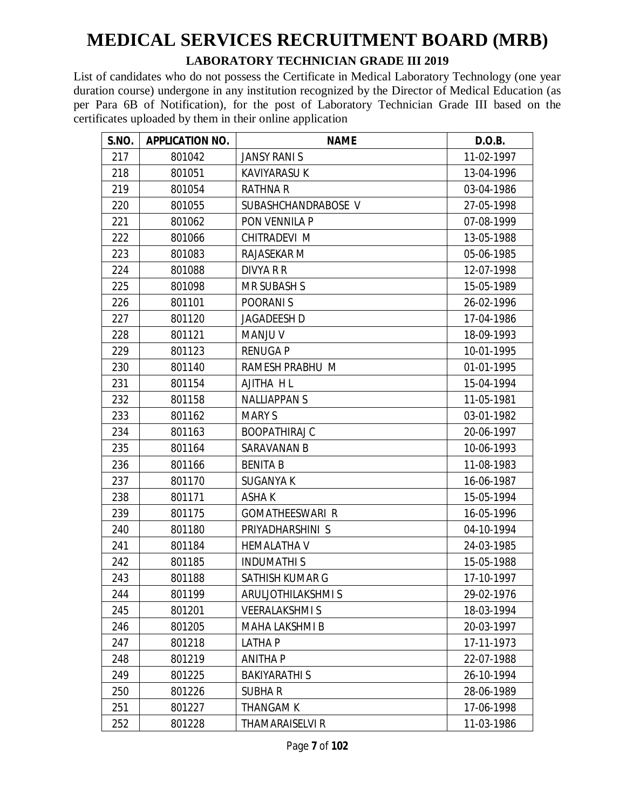#### **LABORATORY TECHNICIAN GRADE III 2019**

| S.NO. | <b>APPLICATION NO.</b> | <b>NAME</b>            | D.O.B.     |
|-------|------------------------|------------------------|------------|
| 217   | 801042                 | <b>JANSY RANIS</b>     | 11-02-1997 |
| 218   | 801051                 | <b>KAVIYARASU K</b>    | 13-04-1996 |
| 219   | 801054                 | <b>RATHNA R</b>        | 03-04-1986 |
| 220   | 801055                 | SUBASHCHANDRABOSE V    | 27-05-1998 |
| 221   | 801062                 | PON VENNILA P          | 07-08-1999 |
| 222   | 801066                 | CHITRADEVI M           | 13-05-1988 |
| 223   | 801083                 | RAJASEKAR M            | 05-06-1985 |
| 224   | 801088                 | DIVYA R R              | 12-07-1998 |
| 225   | 801098                 | <b>MR SUBASH S</b>     | 15-05-1989 |
| 226   | 801101                 | POORANI S              | 26-02-1996 |
| 227   | 801120                 | <b>JAGADEESH D</b>     | 17-04-1986 |
| 228   | 801121                 | <b>MANJU V</b>         | 18-09-1993 |
| 229   | 801123                 | <b>RENUGA P</b>        | 10-01-1995 |
| 230   | 801140                 | RAMESH PRABHU M        | 01-01-1995 |
| 231   | 801154                 | AJITHA HL              | 15-04-1994 |
| 232   | 801158                 | <b>NALLIAPPANS</b>     | 11-05-1981 |
| 233   | 801162                 | <b>MARY S</b>          | 03-01-1982 |
| 234   | 801163                 | <b>BOOPATHIRAJ C</b>   | 20-06-1997 |
| 235   | 801164                 | SARAVANAN B            | 10-06-1993 |
| 236   | 801166                 | <b>BENITA B</b>        | 11-08-1983 |
| 237   | 801170                 | <b>SUGANYA K</b>       | 16-06-1987 |
| 238   | 801171                 | ASHA K                 | 15-05-1994 |
| 239   | 801175                 | <b>GOMATHEESWARI R</b> | 16-05-1996 |
| 240   | 801180                 | PRIYADHARSHINI S       | 04-10-1994 |
| 241   | 801184                 | <b>HEMALATHA V</b>     | 24-03-1985 |
| 242   | 801185                 | <b>INDUMATHIS</b>      | 15-05-1988 |
| 243   | 801188                 | SATHISH KUMAR G        | 17-10-1997 |
| 244   | 801199                 | ARULJOTHILAKSHMI S     | 29-02-1976 |
| 245   | 801201                 | <b>VEERALAKSHMIS</b>   | 18-03-1994 |
| 246   | 801205                 | MAHA LAKSHMI B         | 20-03-1997 |
| 247   | 801218                 | <b>LATHAP</b>          | 17-11-1973 |
| 248   | 801219                 | <b>ANITHAP</b>         | 22-07-1988 |
| 249   | 801225                 | <b>BAKIYARATHI S</b>   | 26-10-1994 |
| 250   | 801226                 | <b>SUBHAR</b>          | 28-06-1989 |
| 251   | 801227                 | THANGAM K              | 17-06-1998 |
| 252   | 801228                 | <b>THAMARAISELVI R</b> | 11-03-1986 |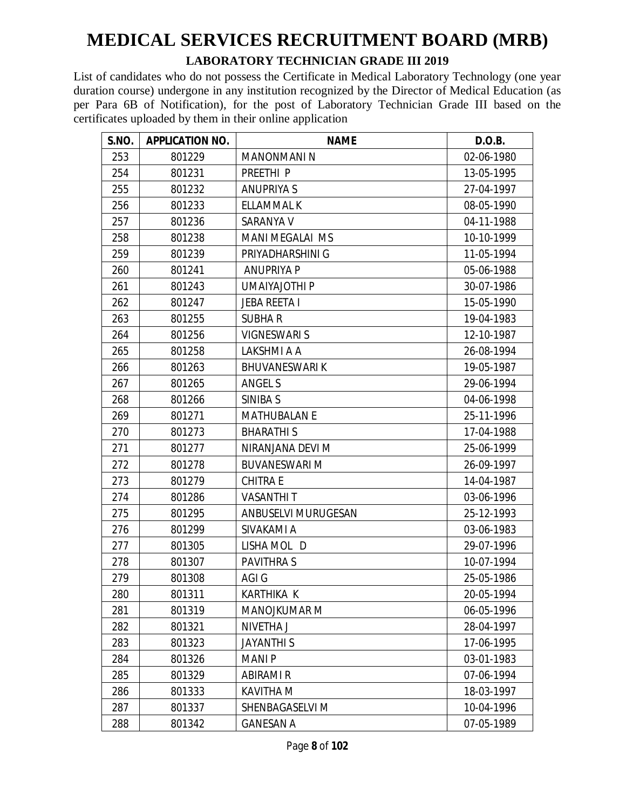#### **LABORATORY TECHNICIAN GRADE III 2019**

| S.NO. | <b>APPLICATION NO.</b> | <b>NAME</b>            | D.O.B.     |
|-------|------------------------|------------------------|------------|
| 253   | 801229                 | <b>MANONMANIN</b>      | 02-06-1980 |
| 254   | 801231                 | PREETHI <sub>P</sub>   | 13-05-1995 |
| 255   | 801232                 | <b>ANUPRIYA S</b>      | 27-04-1997 |
| 256   | 801233                 | ELLAMMAL K             | 08-05-1990 |
| 257   | 801236                 | SARANYA V              | 04-11-1988 |
| 258   | 801238                 | <b>MANI MEGALAI MS</b> | 10-10-1999 |
| 259   | 801239                 | PRIYADHARSHINI G       | 11-05-1994 |
| 260   | 801241                 | <b>ANUPRIYA P</b>      | 05-06-1988 |
| 261   | 801243                 | UMAIYAJOTHI P          | 30-07-1986 |
| 262   | 801247                 | <b>JEBA REETA I</b>    | 15-05-1990 |
| 263   | 801255                 | <b>SUBHAR</b>          | 19-04-1983 |
| 264   | 801256                 | <b>VIGNESWARI S</b>    | 12-10-1987 |
| 265   | 801258                 | LAKSHMI A A            | 26-08-1994 |
| 266   | 801263                 | <b>BHUVANESWARIK</b>   | 19-05-1987 |
| 267   | 801265                 | <b>ANGEL S</b>         | 29-06-1994 |
| 268   | 801266                 | SINIBA S               | 04-06-1998 |
| 269   | 801271                 | <b>MATHUBALAN E</b>    | 25-11-1996 |
| 270   | 801273                 | <b>BHARATHIS</b>       | 17-04-1988 |
| 271   | 801277                 | NIRANJANA DEVI M       | 25-06-1999 |
| 272   | 801278                 | <b>BUVANESWARI M</b>   | 26-09-1997 |
| 273   | 801279                 | <b>CHITRA E</b>        | 14-04-1987 |
| 274   | 801286                 | <b>VASANTHIT</b>       | 03-06-1996 |
| 275   | 801295                 | ANBUSELVI MURUGESAN    | 25-12-1993 |
| 276   | 801299                 | SIVAKAMI A             | 03-06-1983 |
| 277   | 801305                 | LISHA MOL D            | 29-07-1996 |
| 278   | 801307                 | <b>PAVITHRAS</b>       | 10-07-1994 |
| 279   | 801308                 | AGI G                  | 25-05-1986 |
| 280   | 801311                 | KARTHIKA K             | 20-05-1994 |
| 281   | 801319                 | MANOJKUMAR M           | 06-05-1996 |
| 282   | 801321                 | NIVETHA J              | 28-04-1997 |
| 283   | 801323                 | <b>JAYANTHIS</b>       | 17-06-1995 |
| 284   | 801326                 | <b>MANIP</b>           | 03-01-1983 |
| 285   | 801329                 | ABIRAMI R              | 07-06-1994 |
| 286   | 801333                 | <b>KAVITHA M</b>       | 18-03-1997 |
| 287   | 801337                 | SHENBAGASELVI M        | 10-04-1996 |
| 288   | 801342                 | <b>GANESAN A</b>       | 07-05-1989 |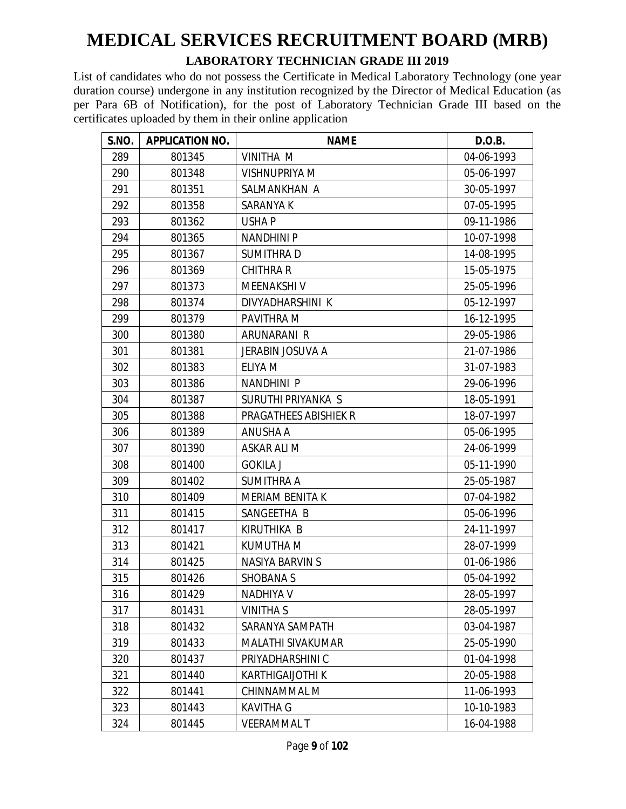#### **LABORATORY TECHNICIAN GRADE III 2019**

| S.NO. | <b>APPLICATION NO.</b> | <b>NAME</b>             | D.O.B.     |
|-------|------------------------|-------------------------|------------|
| 289   | 801345                 | VINITHA M               | 04-06-1993 |
| 290   | 801348                 | <b>VISHNUPRIYA M</b>    | 05-06-1997 |
| 291   | 801351                 | SALMANKHAN A            | 30-05-1997 |
| 292   | 801358                 | SARANYA K               | 07-05-1995 |
| 293   | 801362                 | USHA P                  | 09-11-1986 |
| 294   | 801365                 | <b>NANDHINI P</b>       | 10-07-1998 |
| 295   | 801367                 | <b>SUMITHRAD</b>        | 14-08-1995 |
| 296   | 801369                 | <b>CHITHRA R</b>        | 15-05-1975 |
| 297   | 801373                 | <b>MEENAKSHIV</b>       | 25-05-1996 |
| 298   | 801374                 | DIVYADHARSHINI K        | 05-12-1997 |
| 299   | 801379                 | PAVITHRA M              | 16-12-1995 |
| 300   | 801380                 | ARUNARANI R             | 29-05-1986 |
| 301   | 801381                 | <b>JERABIN JOSUVA A</b> | 21-07-1986 |
| 302   | 801383                 | <b>ELIYA M</b>          | 31-07-1983 |
| 303   | 801386                 | <b>NANDHINI P</b>       | 29-06-1996 |
| 304   | 801387                 | SURUTHI PRIYANKA S      | 18-05-1991 |
| 305   | 801388                 | PRAGATHEES ABISHIEK R   | 18-07-1997 |
| 306   | 801389                 | ANUSHA A                | 05-06-1995 |
| 307   | 801390                 | ASKAR ALI M             | 24-06-1999 |
| 308   | 801400                 | <b>GOKILA J</b>         | 05-11-1990 |
| 309   | 801402                 | <b>SUMITHRA A</b>       | 25-05-1987 |
| 310   | 801409                 | <b>MERIAM BENITA K</b>  | 07-04-1982 |
| 311   | 801415                 | SANGEETHA B             | 05-06-1996 |
| 312   | 801417                 | KIRUTHIKA B             | 24-11-1997 |
| 313   | 801421                 | <b>KUMUTHA M</b>        | 28-07-1999 |
| 314   | 801425                 | <b>NASIYA BARVIN S</b>  | 01-06-1986 |
| 315   | 801426                 | <b>SHOBANA S</b>        | 05-04-1992 |
| 316   | 801429                 | NADHIYA V               | 28-05-1997 |
| 317   | 801431                 | <b>VINITHA S</b>        | 28-05-1997 |
| 318   | 801432                 | SARANYA SAMPATH         | 03-04-1987 |
| 319   | 801433                 | MALATHI SIVAKUMAR       | 25-05-1990 |
| 320   | 801437                 | PRIYADHARSHINI C        | 01-04-1998 |
| 321   | 801440                 | <b>KARTHIGAIJOTHI K</b> | 20-05-1988 |
| 322   | 801441                 | CHINNAMMAL M            | 11-06-1993 |
| 323   | 801443                 | <b>KAVITHA G</b>        | 10-10-1983 |
| 324   | 801445                 | <b>VEERAMMALT</b>       | 16-04-1988 |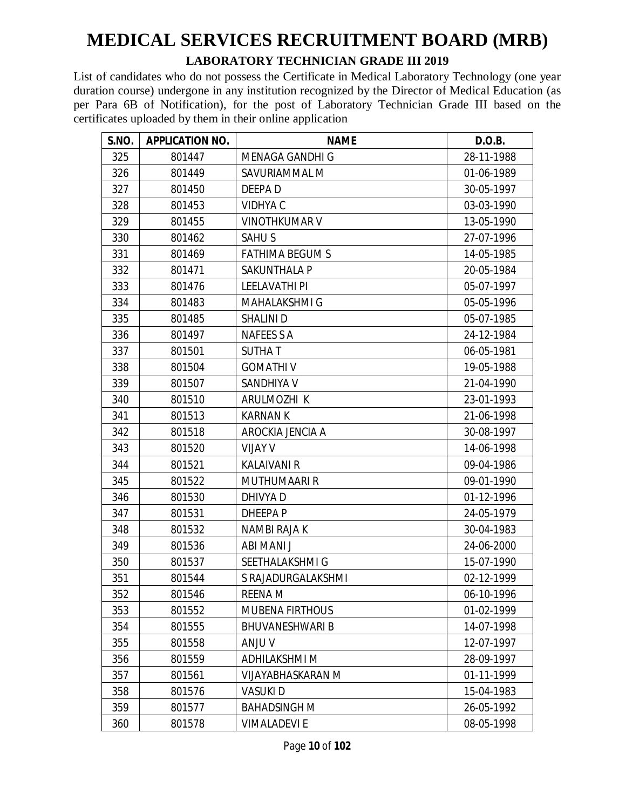#### **LABORATORY TECHNICIAN GRADE III 2019**

| S.NO. | <b>APPLICATION NO.</b> | <b>NAME</b>            | D.O.B.     |
|-------|------------------------|------------------------|------------|
| 325   | 801447                 | MENAGA GANDHI G        | 28-11-1988 |
| 326   | 801449                 | SAVURIAMMAL M          | 01-06-1989 |
| 327   | 801450                 | DEEPA D                | 30-05-1997 |
| 328   | 801453                 | <b>VIDHYA C</b>        | 03-03-1990 |
| 329   | 801455                 | <b>VINOTHKUMAR V</b>   | 13-05-1990 |
| 330   | 801462                 | <b>SAHUS</b>           | 27-07-1996 |
| 331   | 801469                 | <b>FATHIMA BEGUM S</b> | 14-05-1985 |
| 332   | 801471                 | <b>SAKUNTHALA P</b>    | 20-05-1984 |
| 333   | 801476                 | <b>LEELAVATHI PI</b>   | 05-07-1997 |
| 334   | 801483                 | MAHALAKSHMI G          | 05-05-1996 |
| 335   | 801485                 | SHALINI D              | 05-07-1985 |
| 336   | 801497                 | NAFEES S A             | 24-12-1984 |
| 337   | 801501                 | <b>SUTHAT</b>          | 06-05-1981 |
| 338   | 801504                 | <b>GOMATHIV</b>        | 19-05-1988 |
| 339   | 801507                 | SANDHIYA V             | 21-04-1990 |
| 340   | 801510                 | ARULMOZHI K            | 23-01-1993 |
| 341   | 801513                 | <b>KARNAN K</b>        | 21-06-1998 |
| 342   | 801518                 | AROCKIA JENCIA A       | 30-08-1997 |
| 343   | 801520                 | <b>VIJAY V</b>         | 14-06-1998 |
| 344   | 801521                 | <b>KALAIVANI R</b>     | 09-04-1986 |
| 345   | 801522                 | <b>MUTHUMAARI R</b>    | 09-01-1990 |
| 346   | 801530                 | DHIVYA D               | 01-12-1996 |
| 347   | 801531                 | <b>DHEEPAP</b>         | 24-05-1979 |
| 348   | 801532                 | NAMBI RAJA K           | 30-04-1983 |
| 349   | 801536                 | ABI MANI J             | 24-06-2000 |
| 350   | 801537                 | SEETHALAKSHMI G        | 15-07-1990 |
| 351   | 801544                 | S RAJADURGALAKSHMI     | 02-12-1999 |
| 352   | 801546                 | REENA M                | 06-10-1996 |
| 353   | 801552                 | <b>MUBENA FIRTHOUS</b> | 01-02-1999 |
| 354   | 801555                 | <b>BHUVANESHWARI B</b> | 14-07-1998 |
| 355   | 801558                 | <b>ANJU V</b>          | 12-07-1997 |
| 356   | 801559                 | <b>ADHILAKSHMI M</b>   | 28-09-1997 |
| 357   | 801561                 | VIJAYABHASKARAN M      | 01-11-1999 |
| 358   | 801576                 | VASUKI D               | 15-04-1983 |
| 359   | 801577                 | <b>BAHADSINGH M</b>    | 26-05-1992 |
| 360   | 801578                 | <b>VIMALADEVI E</b>    | 08-05-1998 |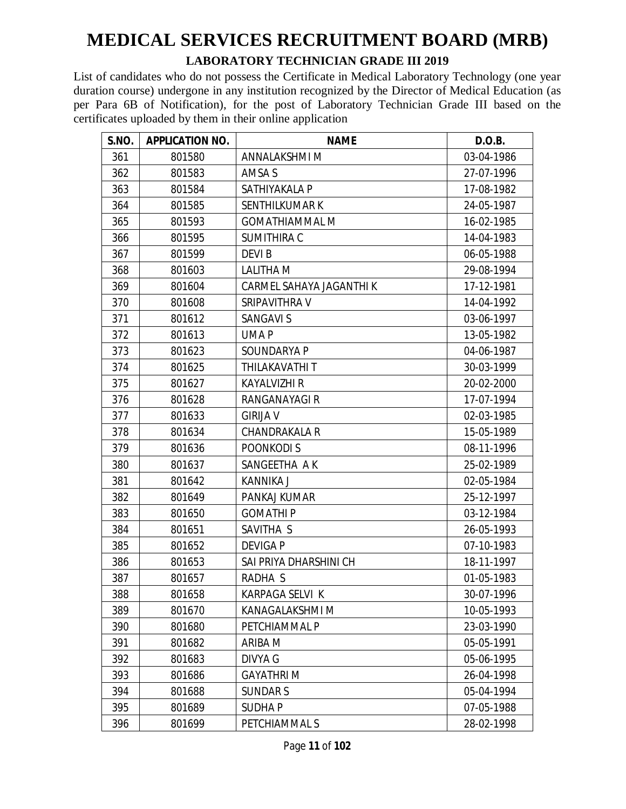#### **LABORATORY TECHNICIAN GRADE III 2019**

| S.NO. | <b>APPLICATION NO.</b> | <b>NAME</b>              | D.O.B.     |
|-------|------------------------|--------------------------|------------|
| 361   | 801580                 | ANNALAKSHMI M            | 03-04-1986 |
| 362   | 801583                 | <b>AMSA S</b>            | 27-07-1996 |
| 363   | 801584                 | SATHIYAKALA P            | 17-08-1982 |
| 364   | 801585                 | SENTHILKUMAR K           | 24-05-1987 |
| 365   | 801593                 | <b>GOMATHIAMMAL M</b>    | 16-02-1985 |
| 366   | 801595                 | <b>SUMITHIRA C</b>       | 14-04-1983 |
| 367   | 801599                 | <b>DEVIB</b>             | 06-05-1988 |
| 368   | 801603                 | LALITHA M                | 29-08-1994 |
| 369   | 801604                 | CARMEL SAHAYA JAGANTHI K | 17-12-1981 |
| 370   | 801608                 | SRIPAVITHRA V            | 14-04-1992 |
| 371   | 801612                 | <b>SANGAVI S</b>         | 03-06-1997 |
| 372   | 801613                 | UMA P                    | 13-05-1982 |
| 373   | 801623                 | SOUNDARYA P              | 04-06-1987 |
| 374   | 801625                 | THILAKAVATHI T           | 30-03-1999 |
| 375   | 801627                 | <b>KAYALVIZHI R</b>      | 20-02-2000 |
| 376   | 801628                 | RANGANAYAGI R            | 17-07-1994 |
| 377   | 801633                 | <b>GIRIJA V</b>          | 02-03-1985 |
| 378   | 801634                 | <b>CHANDRAKALA R</b>     | 15-05-1989 |
| 379   | 801636                 | POONKODI S               | 08-11-1996 |
| 380   | 801637                 | SANGEETHA A K            | 25-02-1989 |
| 381   | 801642                 | <b>KANNIKA J</b>         | 02-05-1984 |
| 382   | 801649                 | PANKAJ KUMAR             | 25-12-1997 |
| 383   | 801650                 | <b>GOMATHIP</b>          | 03-12-1984 |
| 384   | 801651                 | SAVITHA S                | 26-05-1993 |
| 385   | 801652                 | <b>DEVIGA P</b>          | 07-10-1983 |
| 386   | 801653                 | SAI PRIYA DHARSHINI CH   | 18-11-1997 |
| 387   | 801657                 | RADHA S                  | 01-05-1983 |
| 388   | 801658                 | KARPAGA SELVI K          | 30-07-1996 |
| 389   | 801670                 | KANAGALAKSHMI M          | 10-05-1993 |
| 390   | 801680                 | PETCHIAMMAL P            | 23-03-1990 |
| 391   | 801682                 | ARIBA M                  | 05-05-1991 |
| 392   | 801683                 | <b>DIVYA G</b>           | 05-06-1995 |
| 393   | 801686                 | <b>GAYATHRI M</b>        | 26-04-1998 |
| 394   | 801688                 | <b>SUNDARS</b>           | 05-04-1994 |
| 395   | 801689                 | SUDHA P                  | 07-05-1988 |
| 396   | 801699                 | PETCHIAMMAL S            | 28-02-1998 |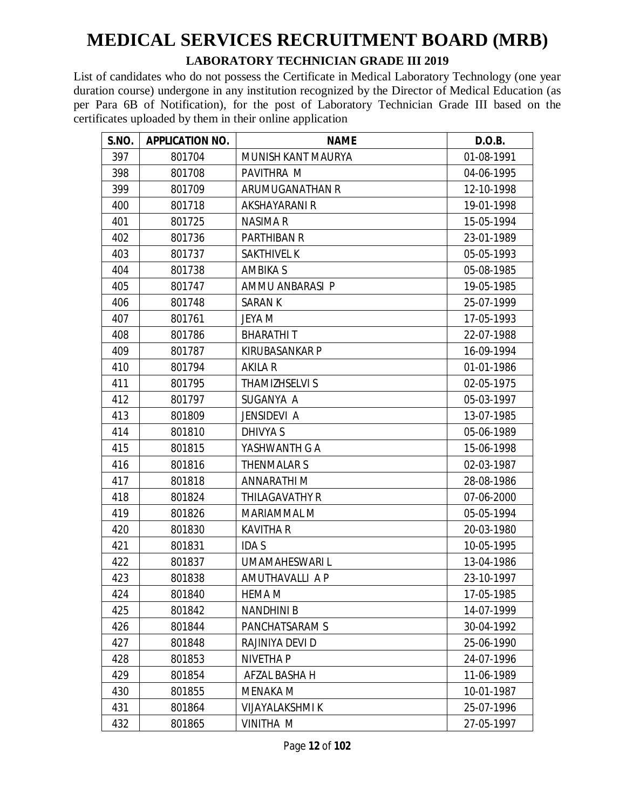#### **LABORATORY TECHNICIAN GRADE III 2019**

| S.NO. | <b>APPLICATION NO.</b> | <b>NAME</b>           | D.O.B.     |
|-------|------------------------|-----------------------|------------|
| 397   | 801704                 | MUNISH KANT MAURYA    | 01-08-1991 |
| 398   | 801708                 | PAVITHRA M            | 04-06-1995 |
| 399   | 801709                 | ARUMUGANATHAN R       | 12-10-1998 |
| 400   | 801718                 | <b>AKSHAYARANI R</b>  | 19-01-1998 |
| 401   | 801725                 | NASIMA R              | 15-05-1994 |
| 402   | 801736                 | <b>PARTHIBAN R</b>    | 23-01-1989 |
| 403   | 801737                 | <b>SAKTHIVEL K</b>    | 05-05-1993 |
| 404   | 801738                 | <b>AMBIKA S</b>       | 05-08-1985 |
| 405   | 801747                 | AMMU ANBARASI P       | 19-05-1985 |
| 406   | 801748                 | <b>SARANK</b>         | 25-07-1999 |
| 407   | 801761                 | JEYA M                | 17-05-1993 |
| 408   | 801786                 | <b>BHARATHIT</b>      | 22-07-1988 |
| 409   | 801787                 | KIRUBASANKAR P        | 16-09-1994 |
| 410   | 801794                 | <b>AKILA R</b>        | 01-01-1986 |
| 411   | 801795                 | <b>THAMIZHSELVI S</b> | 02-05-1975 |
| 412   | 801797                 | SUGANYA A             | 05-03-1997 |
| 413   | 801809                 | JENSIDEVI A           | 13-07-1985 |
| 414   | 801810                 | <b>DHIVYA S</b>       | 05-06-1989 |
| 415   | 801815                 | YASHWANTH G A         | 15-06-1998 |
| 416   | 801816                 | <b>THENMALARS</b>     | 02-03-1987 |
| 417   | 801818                 | <b>ANNARATHIM</b>     | 28-08-1986 |
| 418   | 801824                 | THILAGAVATHY R        | 07-06-2000 |
| 419   | 801826                 | MARIAMMAL M           | 05-05-1994 |
| 420   | 801830                 | <b>KAVITHA R</b>      | 20-03-1980 |
| 421   | 801831                 | <b>IDAS</b>           | 10-05-1995 |
| 422   | 801837                 | UMAMAHESWARI L        | 13-04-1986 |
| 423   | 801838                 | AMUTHAVALLI A P       | 23-10-1997 |
| 424   | 801840                 | HEMA M                | 17-05-1985 |
| 425   | 801842                 | <b>NANDHINI B</b>     | 14-07-1999 |
| 426   | 801844                 | PANCHATSARAM S        | 30-04-1992 |
| 427   | 801848                 | RAJINIYA DEVI D       | 25-06-1990 |
| 428   | 801853                 | <b>NIVETHA P</b>      | 24-07-1996 |
| 429   | 801854                 | AFZAL BASHA H         | 11-06-1989 |
| 430   | 801855                 | <b>MENAKA M</b>       | 10-01-1987 |
| 431   | 801864                 | VIJAYALAKSHMI K       | 25-07-1996 |
| 432   | 801865                 | VINITHA M             | 27-05-1997 |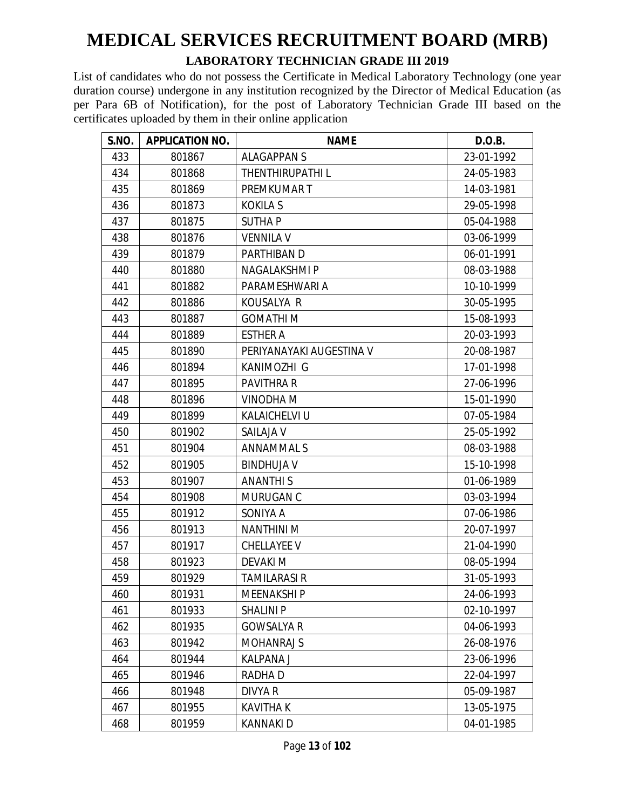#### **LABORATORY TECHNICIAN GRADE III 2019**

| S.NO. | <b>APPLICATION NO.</b> | <b>NAME</b>              | D.O.B.     |
|-------|------------------------|--------------------------|------------|
| 433   | 801867                 | <b>ALAGAPPANS</b>        | 23-01-1992 |
| 434   | 801868                 | <b>THENTHIRUPATHIL</b>   | 24-05-1983 |
| 435   | 801869                 | PREMKUMAR T              | 14-03-1981 |
| 436   | 801873                 | <b>KOKILA S</b>          | 29-05-1998 |
| 437   | 801875                 | <b>SUTHAP</b>            | 05-04-1988 |
| 438   | 801876                 | <b>VENNILA V</b>         | 03-06-1999 |
| 439   | 801879                 | PARTHIBAN D              | 06-01-1991 |
| 440   | 801880                 | NAGALAKSHMI P            | 08-03-1988 |
| 441   | 801882                 | PARAMESHWARI A           | 10-10-1999 |
| 442   | 801886                 | KOUSALYA R               | 30-05-1995 |
| 443   | 801887                 | <b>GOMATHI M</b>         | 15-08-1993 |
| 444   | 801889                 | <b>ESTHER A</b>          | 20-03-1993 |
| 445   | 801890                 | PERIYANAYAKI AUGESTINA V | 20-08-1987 |
| 446   | 801894                 | KANIMOZHI G              | 17-01-1998 |
| 447   | 801895                 | <b>PAVITHRA R</b>        | 27-06-1996 |
| 448   | 801896                 | VINODHA M                | 15-01-1990 |
| 449   | 801899                 | KALAICHELVI U            | 07-05-1984 |
| 450   | 801902                 | SAILAJA V                | 25-05-1992 |
| 451   | 801904                 | <b>ANNAMMALS</b>         | 08-03-1988 |
| 452   | 801905                 | <b>BINDHUJA V</b>        | 15-10-1998 |
| 453   | 801907                 | <b>ANANTHIS</b>          | 01-06-1989 |
| 454   | 801908                 | MURUGAN C                | 03-03-1994 |
| 455   | 801912                 | SONIYA A                 | 07-06-1986 |
| 456   | 801913                 | <b>NANTHINI M</b>        | 20-07-1997 |
| 457   | 801917                 | CHELLAYEE V              | 21-04-1990 |
| 458   | 801923                 | <b>DEVAKIM</b>           | 08-05-1994 |
| 459   | 801929                 | TAMILARASI R             | 31-05-1993 |
| 460   | 801931                 | <b>MEENAKSHIP</b>        | 24-06-1993 |
| 461   | 801933                 | <b>SHALINI P</b>         | 02-10-1997 |
| 462   | 801935                 | <b>GOWSALYA R</b>        | 04-06-1993 |
| 463   | 801942                 | <b>MOHANRAJ S</b>        | 26-08-1976 |
| 464   | 801944                 | KALPANA J                | 23-06-1996 |
| 465   | 801946                 | RADHA D                  | 22-04-1997 |
| 466   | 801948                 | DIVYA R                  | 05-09-1987 |
| 467   | 801955                 | KAVITHA K                | 13-05-1975 |
| 468   | 801959                 | KANNAKI D                | 04-01-1985 |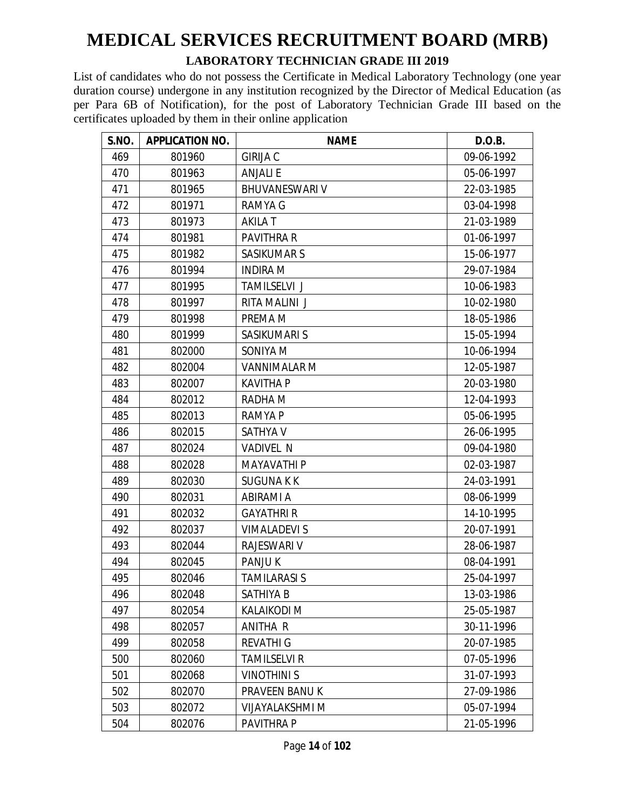#### **LABORATORY TECHNICIAN GRADE III 2019**

| S.NO. | <b>APPLICATION NO.</b> | <b>NAME</b>           | D.O.B.     |
|-------|------------------------|-----------------------|------------|
| 469   | 801960                 | <b>GIRIJA C</b>       | 09-06-1992 |
| 470   | 801963                 | <b>ANJALI E</b>       | 05-06-1997 |
| 471   | 801965                 | <b>BHUVANESWARI V</b> | 22-03-1985 |
| 472   | 801971                 | RAMYA G               | 03-04-1998 |
| 473   | 801973                 | AKILA T               | 21-03-1989 |
| 474   | 801981                 | PAVITHRA R            | 01-06-1997 |
| 475   | 801982                 | <b>SASIKUMAR S</b>    | 15-06-1977 |
| 476   | 801994                 | <b>INDIRA M</b>       | 29-07-1984 |
| 477   | 801995                 | <b>TAMILSELVI J</b>   | 10-06-1983 |
| 478   | 801997                 | RITA MALINI J         | 10-02-1980 |
| 479   | 801998                 | PREMA M               | 18-05-1986 |
| 480   | 801999                 | SASIKUMARI S          | 15-05-1994 |
| 481   | 802000                 | SONIYA M              | 10-06-1994 |
| 482   | 802004                 | <b>VANNIMALAR M</b>   | 12-05-1987 |
| 483   | 802007                 | <b>KAVITHA P</b>      | 20-03-1980 |
| 484   | 802012                 | RADHA M               | 12-04-1993 |
| 485   | 802013                 | RAMYA P               | 05-06-1995 |
| 486   | 802015                 | <b>SATHYA V</b>       | 26-06-1995 |
| 487   | 802024                 | <b>VADIVEL N</b>      | 09-04-1980 |
| 488   | 802028                 | <b>MAYAVATHI P</b>    | 02-03-1987 |
| 489   | 802030                 | <b>SUGUNAKK</b>       | 24-03-1991 |
| 490   | 802031                 | ABIRAMI A             | 08-06-1999 |
| 491   | 802032                 | <b>GAYATHRI R</b>     | 14-10-1995 |
| 492   | 802037                 | <b>VIMALADEVI S</b>   | 20-07-1991 |
| 493   | 802044                 | <b>RAJESWARI V</b>    | 28-06-1987 |
| 494   | 802045                 | PANJU K               | 08-04-1991 |
| 495   | 802046                 | <b>TAMILARASI S</b>   | 25-04-1997 |
| 496   | 802048                 | SATHIYA B             | 13-03-1986 |
| 497   | 802054                 | <b>KALAIKODI M</b>    | 25-05-1987 |
| 498   | 802057                 | ANITHA R              | 30-11-1996 |
| 499   | 802058                 | <b>REVATHI G</b>      | 20-07-1985 |
| 500   | 802060                 | <b>TAMILSELVI R</b>   | 07-05-1996 |
| 501   | 802068                 | <b>VINOTHINI S</b>    | 31-07-1993 |
| 502   | 802070                 | PRAVEEN BANU K        | 27-09-1986 |
| 503   | 802072                 | VIJAYALAKSHMI M       | 05-07-1994 |
| 504   | 802076                 | PAVITHRA P            | 21-05-1996 |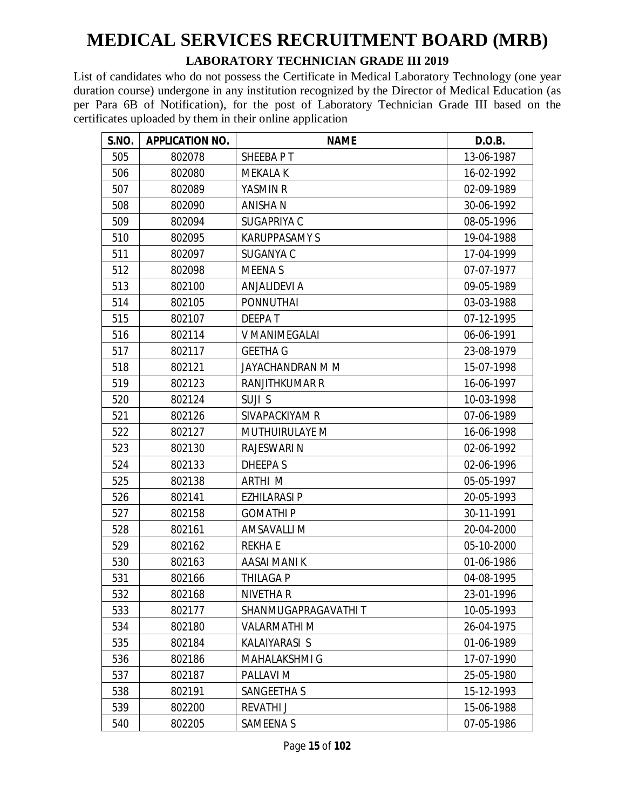#### **LABORATORY TECHNICIAN GRADE III 2019**

| <b>S.NO.</b> | <b>APPLICATION NO.</b> | <b>NAME</b>          | D.O.B.     |
|--------------|------------------------|----------------------|------------|
| 505          | 802078                 | SHEEBA P T           | 13-06-1987 |
| 506          | 802080                 | <b>MEKALA K</b>      | 16-02-1992 |
| 507          | 802089                 | YASMIN R             | 02-09-1989 |
| 508          | 802090                 | <b>ANISHAN</b>       | 30-06-1992 |
| 509          | 802094                 | SUGAPRIYA C          | 08-05-1996 |
| 510          | 802095                 | <b>KARUPPASAMY S</b> | 19-04-1988 |
| 511          | 802097                 | <b>SUGANYA C</b>     | 17-04-1999 |
| 512          | 802098                 | <b>MEENAS</b>        | 07-07-1977 |
| 513          | 802100                 | <b>ANJALIDEVI A</b>  | 09-05-1989 |
| 514          | 802105                 | <b>PONNUTHAI</b>     | 03-03-1988 |
| 515          | 802107                 | <b>DEEPAT</b>        | 07-12-1995 |
| 516          | 802114                 | <b>V MANIMEGALAI</b> | 06-06-1991 |
| 517          | 802117                 | <b>GEETHA G</b>      | 23-08-1979 |
| 518          | 802121                 | JAYACHANDRAN M M     | 15-07-1998 |
| 519          | 802123                 | RANJITHKUMAR R       | 16-06-1997 |
| 520          | 802124                 | SUJI S               | 10-03-1998 |
| 521          | 802126                 | SIVAPACKIYAM R       | 07-06-1989 |
| 522          | 802127                 | MUTHUIRULAYE M       | 16-06-1998 |
| 523          | 802130                 | <b>RAJESWARI N</b>   | 02-06-1992 |
| 524          | 802133                 | DHEEPA S             | 02-06-1996 |
| 525          | 802138                 | <b>ARTHI M</b>       | 05-05-1997 |
| 526          | 802141                 | <b>EZHILARASI P</b>  | 20-05-1993 |
| 527          | 802158                 | <b>GOMATHIP</b>      | 30-11-1991 |
| 528          | 802161                 | AMSAVALLI M          | 20-04-2000 |
| 529          | 802162                 | <b>REKHA E</b>       | 05-10-2000 |
| 530          | 802163                 | AASAI MANI K         | 01-06-1986 |
| 531          | 802166                 | THILAGA P            | 04-08-1995 |
| 532          | 802168                 | <b>NIVETHAR</b>      | 23-01-1996 |
| 533          | 802177                 | SHANMUGAPRAGAVATHI T | 10-05-1993 |
| 534          | 802180                 | <b>VALARMATHI M</b>  | 26-04-1975 |
| 535          | 802184                 | KALAIYARASI S        | 01-06-1989 |
| 536          | 802186                 | <b>MAHALAKSHMI G</b> | 17-07-1990 |
| 537          | 802187                 | PALLAVI M            | 25-05-1980 |
| 538          | 802191                 | SANGEETHA S          | 15-12-1993 |
| 539          | 802200                 | <b>REVATHI J</b>     | 15-06-1988 |
| 540          | 802205                 | SAMEENA S            | 07-05-1986 |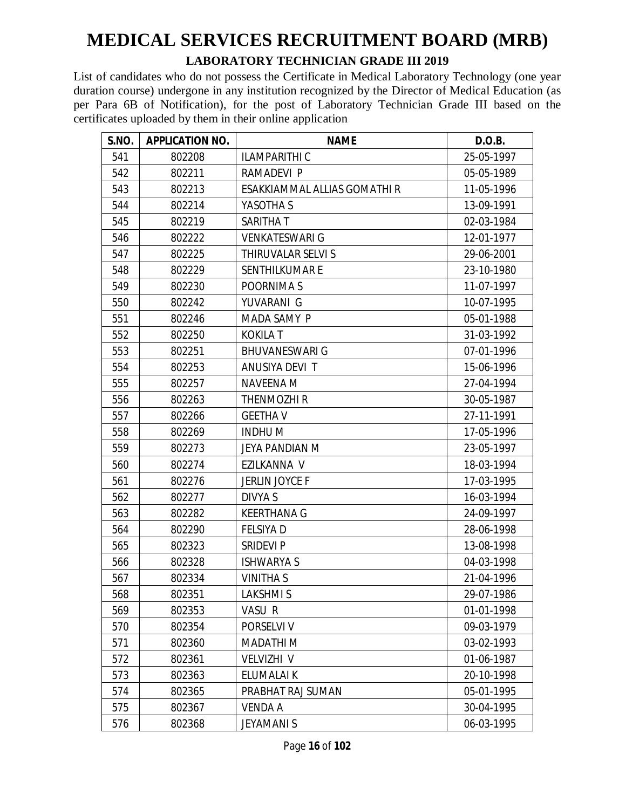#### **LABORATORY TECHNICIAN GRADE III 2019**

| S.NO. | <b>APPLICATION NO.</b> | <b>NAME</b>                  | D.O.B.     |
|-------|------------------------|------------------------------|------------|
| 541   | 802208                 | <b>ILAMPARITHI C</b>         | 25-05-1997 |
| 542   | 802211                 | RAMADEVI P                   | 05-05-1989 |
| 543   | 802213                 | ESAKKIAMMAL ALLIAS GOMATHI R | 11-05-1996 |
| 544   | 802214                 | YASOTHA S                    | 13-09-1991 |
| 545   | 802219                 | SARITHA T                    | 02-03-1984 |
| 546   | 802222                 | <b>VENKATESWARI G</b>        | 12-01-1977 |
| 547   | 802225                 | THIRUVALAR SELVI S           | 29-06-2001 |
| 548   | 802229                 | SENTHILKUMAR E               | 23-10-1980 |
| 549   | 802230                 | POORNIMA S                   | 11-07-1997 |
| 550   | 802242                 | YUVARANI G                   | 10-07-1995 |
| 551   | 802246                 | MADA SAMY P                  | 05-01-1988 |
| 552   | 802250                 | <b>KOKILA T</b>              | 31-03-1992 |
| 553   | 802251                 | <b>BHUVANESWARI G</b>        | 07-01-1996 |
| 554   | 802253                 | ANUSIYA DEVI T               | 15-06-1996 |
| 555   | 802257                 | <b>NAVEENA M</b>             | 27-04-1994 |
| 556   | 802263                 | THENMOZHI R                  | 30-05-1987 |
| 557   | 802266                 | <b>GEETHA V</b>              | 27-11-1991 |
| 558   | 802269                 | <b>INDHUM</b>                | 17-05-1996 |
| 559   | 802273                 | JEYA PANDIAN M               | 23-05-1997 |
| 560   | 802274                 | EZILKANNA V                  | 18-03-1994 |
| 561   | 802276                 | JERLIN JOYCE F               | 17-03-1995 |
| 562   | 802277                 | DIVYA S                      | 16-03-1994 |
| 563   | 802282                 | <b>KEERTHANA G</b>           | 24-09-1997 |
| 564   | 802290                 | <b>FELSIYA D</b>             | 28-06-1998 |
| 565   | 802323                 | <b>SRIDEVI P</b>             | 13-08-1998 |
| 566   | 802328                 | <b>ISHWARYA S</b>            | 04-03-1998 |
| 567   | 802334                 | <b>VINITHA S</b>             | 21-04-1996 |
| 568   | 802351                 | <b>LAKSHMIS</b>              | 29-07-1986 |
| 569   | 802353                 | VASU R                       | 01-01-1998 |
| 570   | 802354                 | PORSELVI V                   | 09-03-1979 |
| 571   | 802360                 | MADATHI M                    | 03-02-1993 |
| 572   | 802361                 | <b>VELVIZHI V</b>            | 01-06-1987 |
| 573   | 802363                 | ELUMALAI K                   | 20-10-1998 |
| 574   | 802365                 | PRABHAT RAJ SUMAN            | 05-01-1995 |
| 575   | 802367                 | VENDA A                      | 30-04-1995 |
| 576   | 802368                 | <b>JEYAMANI S</b>            | 06-03-1995 |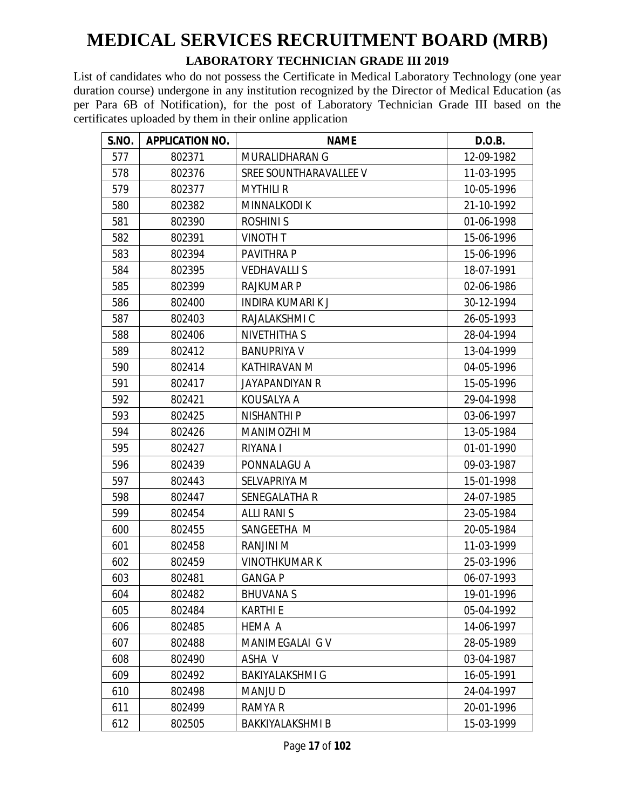#### **LABORATORY TECHNICIAN GRADE III 2019**

| <b>S.NO.</b> | <b>APPLICATION NO.</b> | <b>NAME</b>            | D.O.B.     |
|--------------|------------------------|------------------------|------------|
| 577          | 802371                 | MURALIDHARAN G         | 12-09-1982 |
| 578          | 802376                 | SREE SOUNTHARAVALLEE V | 11-03-1995 |
| 579          | 802377                 | <b>MYTHILI R</b>       | 10-05-1996 |
| 580          | 802382                 | <b>MINNALKODIK</b>     | 21-10-1992 |
| 581          | 802390                 | <b>ROSHINI S</b>       | 01-06-1998 |
| 582          | 802391                 | <b>VINOTH T</b>        | 15-06-1996 |
| 583          | 802394                 | PAVITHRA P             | 15-06-1996 |
| 584          | 802395                 | <b>VEDHAVALLI S</b>    | 18-07-1991 |
| 585          | 802399                 | <b>RAJKUMAR P</b>      | 02-06-1986 |
| 586          | 802400                 | INDIRA KUMARI K J      | 30-12-1994 |
| 587          | 802403                 | RAJALAKSHMI C          | 26-05-1993 |
| 588          | 802406                 | <b>NIVETHITHA S</b>    | 28-04-1994 |
| 589          | 802412                 | <b>BANUPRIYA V</b>     | 13-04-1999 |
| 590          | 802414                 | KATHIRAVAN M           | 04-05-1996 |
| 591          | 802417                 | <b>JAYAPANDIYAN R</b>  | 15-05-1996 |
| 592          | 802421                 | KOUSALYA A             | 29-04-1998 |
| 593          | 802425                 | NISHANTHI P            | 03-06-1997 |
| 594          | 802426                 | MANIMOZHI M            | 13-05-1984 |
| 595          | 802427                 | RIYANA I               | 01-01-1990 |
| 596          | 802439                 | PONNALAGU A            | 09-03-1987 |
| 597          | 802443                 | SELVAPRIYA M           | 15-01-1998 |
| 598          | 802447                 | <b>SENEGALATHA R</b>   | 24-07-1985 |
| 599          | 802454                 | <b>ALLI RANI S</b>     | 23-05-1984 |
| 600          | 802455                 | SANGEETHA M            | 20-05-1984 |
| 601          | 802458                 | <b>RANJINI M</b>       | 11-03-1999 |
| 602          | 802459                 | <b>VINOTHKUMAR K</b>   | 25-03-1996 |
| 603          | 802481                 | <b>GANGA P</b>         | 06-07-1993 |
| 604          | 802482                 | <b>BHUVANA S</b>       | 19-01-1996 |
| 605          | 802484                 | <b>KARTHI E</b>        | 05-04-1992 |
| 606          | 802485                 | HEMA A                 | 14-06-1997 |
| 607          | 802488                 | MANIMEGALAI G V        | 28-05-1989 |
| 608          | 802490                 | ASHA V                 | 03-04-1987 |
| 609          | 802492                 | <b>BAKIYALAKSHMI G</b> | 16-05-1991 |
| 610          | 802498                 | <b>MANJUD</b>          | 24-04-1997 |
| 611          | 802499                 | RAMYA R                | 20-01-1996 |
| 612          | 802505                 | BAKKIYALAKSHMI B       | 15-03-1999 |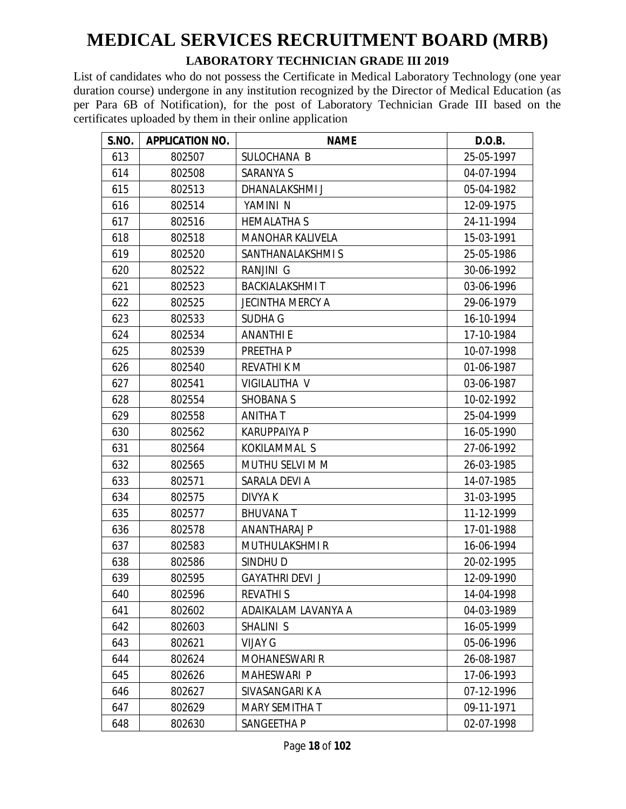#### **LABORATORY TECHNICIAN GRADE III 2019**

| S.NO. | <b>APPLICATION NO.</b> | <b>NAME</b>             | D.O.B.     |
|-------|------------------------|-------------------------|------------|
| 613   | 802507                 | SULOCHANA B             | 25-05-1997 |
| 614   | 802508                 | <b>SARANYA S</b>        | 04-07-1994 |
| 615   | 802513                 | DHANALAKSHMI J          | 05-04-1982 |
| 616   | 802514                 | YAMINI N                | 12-09-1975 |
| 617   | 802516                 | <b>HEMALATHA S</b>      | 24-11-1994 |
| 618   | 802518                 | <b>MANOHAR KALIVELA</b> | 15-03-1991 |
| 619   | 802520                 | SANTHANALAKSHMIS        | 25-05-1986 |
| 620   | 802522                 | RANJINI G               | 30-06-1992 |
| 621   | 802523                 | <b>BACKIALAKSHMIT</b>   | 03-06-1996 |
| 622   | 802525                 | <b>JECINTHA MERCY A</b> | 29-06-1979 |
| 623   | 802533                 | <b>SUDHA G</b>          | 16-10-1994 |
| 624   | 802534                 | <b>ANANTHI E</b>        | 17-10-1984 |
| 625   | 802539                 | PREETHA P               | 10-07-1998 |
| 626   | 802540                 | <b>REVATHI K M</b>      | 01-06-1987 |
| 627   | 802541                 | VIGILALITHA V           | 03-06-1987 |
| 628   | 802554                 | <b>SHOBANA S</b>        | 10-02-1992 |
| 629   | 802558                 | ANITHAT                 | 25-04-1999 |
| 630   | 802562                 | <b>KARUPPAIYA P</b>     | 16-05-1990 |
| 631   | 802564                 | KOKILAMMAL S            | 27-06-1992 |
| 632   | 802565                 | MUTHU SELVI M M         | 26-03-1985 |
| 633   | 802571                 | SARALA DEVI A           | 14-07-1985 |
| 634   | 802575                 | DIVYA K                 | 31-03-1995 |
| 635   | 802577                 | <b>BHUVANAT</b>         | 11-12-1999 |
| 636   | 802578                 | ANANTHARAJ P            | 17-01-1988 |
| 637   | 802583                 | MUTHULAKSHMI R          | 16-06-1994 |
| 638   | 802586                 | SINDHU D                | 20-02-1995 |
| 639   | 802595                 | <b>GAYATHRI DEVI J</b>  | 12-09-1990 |
| 640   | 802596                 | <b>REVATHIS</b>         | 14-04-1998 |
| 641   | 802602                 | ADAIKALAM LAVANYA A     | 04-03-1989 |
| 642   | 802603                 | SHALINI S               | 16-05-1999 |
| 643   | 802621                 | <b>VIJAY G</b>          | 05-06-1996 |
| 644   | 802624                 | <b>MOHANESWARI R</b>    | 26-08-1987 |
| 645   | 802626                 | <b>MAHESWARI P</b>      | 17-06-1993 |
| 646   | 802627                 | SIVASANGARI K A         | 07-12-1996 |
| 647   | 802629                 | <b>MARY SEMITHA T</b>   | 09-11-1971 |
| 648   | 802630                 | SANGEETHA P             | 02-07-1998 |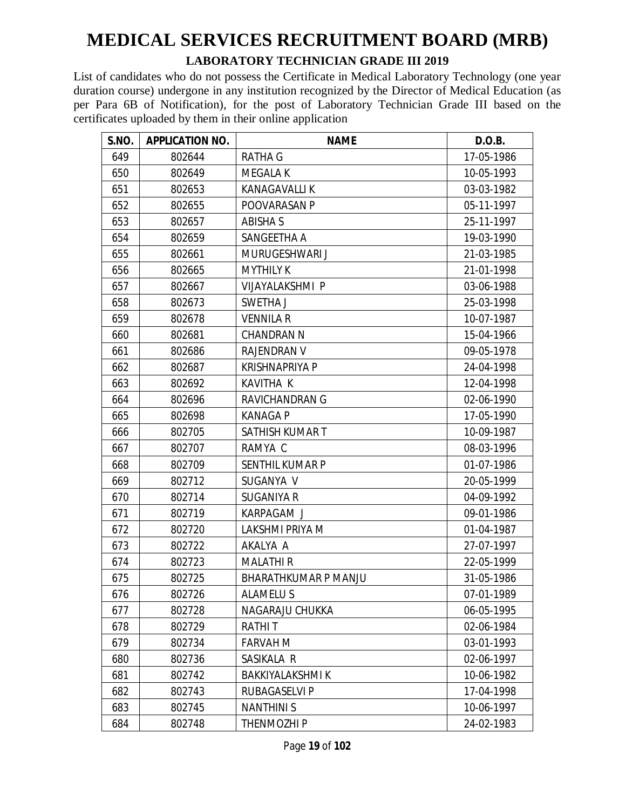#### **LABORATORY TECHNICIAN GRADE III 2019**

| S.NO. | <b>APPLICATION NO.</b> | <b>NAME</b>                 | D.O.B.     |
|-------|------------------------|-----------------------------|------------|
| 649   | 802644                 | RATHA G                     | 17-05-1986 |
| 650   | 802649                 | <b>MEGALA K</b>             | 10-05-1993 |
| 651   | 802653                 | <b>KANAGAVALLI K</b>        | 03-03-1982 |
| 652   | 802655                 | POOVARASAN P                | 05-11-1997 |
| 653   | 802657                 | <b>ABISHA S</b>             | 25-11-1997 |
| 654   | 802659                 | SANGEETHA A                 | 19-03-1990 |
| 655   | 802661                 | MURUGESHWARI J              | 21-03-1985 |
| 656   | 802665                 | <b>MYTHILY K</b>            | 21-01-1998 |
| 657   | 802667                 | VIJAYALAKSHMI P             | 03-06-1988 |
| 658   | 802673                 | SWETHA J                    | 25-03-1998 |
| 659   | 802678                 | <b>VENNILA R</b>            | 10-07-1987 |
| 660   | 802681                 | <b>CHANDRAN N</b>           | 15-04-1966 |
| 661   | 802686                 | <b>RAJENDRAN V</b>          | 09-05-1978 |
| 662   | 802687                 | <b>KRISHNAPRIYA P</b>       | 24-04-1998 |
| 663   | 802692                 | <b>KAVITHA K</b>            | 12-04-1998 |
| 664   | 802696                 | RAVICHANDRAN G              | 02-06-1990 |
| 665   | 802698                 | <b>KANAGA P</b>             | 17-05-1990 |
| 666   | 802705                 | SATHISH KUMAR T             | 10-09-1987 |
| 667   | 802707                 | RAMYA C                     | 08-03-1996 |
| 668   | 802709                 | <b>SENTHIL KUMAR P</b>      | 01-07-1986 |
| 669   | 802712                 | SUGANYA V                   | 20-05-1999 |
| 670   | 802714                 | SUGANIYA R                  | 04-09-1992 |
| 671   | 802719                 | <b>KARPAGAM J</b>           | 09-01-1986 |
| 672   | 802720                 | LAKSHMI PRIYA M             | 01-04-1987 |
| 673   | 802722                 | AKALYA A                    | 27-07-1997 |
| 674   | 802723                 | <b>MALATHIR</b>             | 22-05-1999 |
| 675   | 802725                 | <b>BHARATHKUMAR P MANJU</b> | 31-05-1986 |
| 676   | 802726                 | <b>ALAMELUS</b>             | 07-01-1989 |
| 677   | 802728                 | NAGARAJU CHUKKA             | 06-05-1995 |
| 678   | 802729                 | <b>RATHIT</b>               | 02-06-1984 |
| 679   | 802734                 | <b>FARVAH M</b>             | 03-01-1993 |
| 680   | 802736                 | SASIKALA R                  | 02-06-1997 |
| 681   | 802742                 | <b>BAKKIYALAKSHMI K</b>     | 10-06-1982 |
| 682   | 802743                 | RUBAGASELVI P               | 17-04-1998 |
| 683   | 802745                 | <b>NANTHINIS</b>            | 10-06-1997 |
| 684   | 802748                 | THENMOZHI P                 | 24-02-1983 |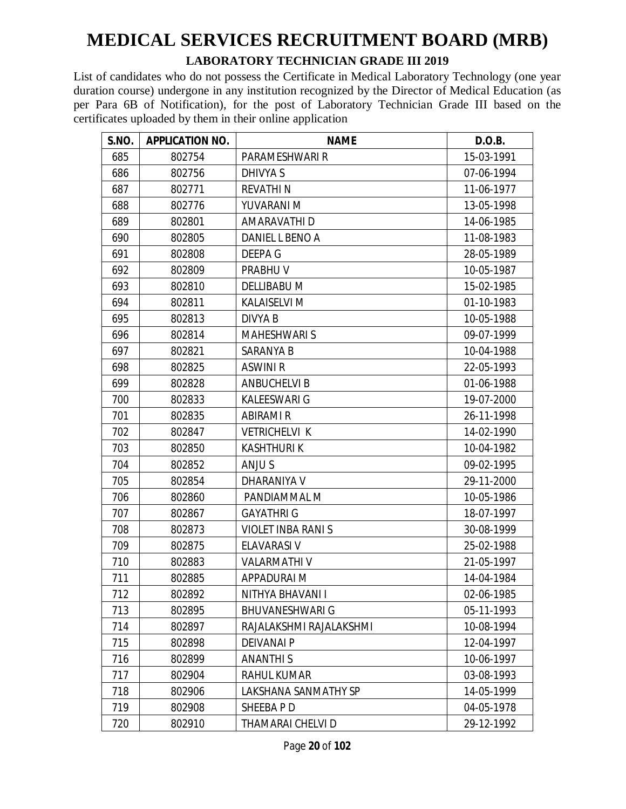#### **LABORATORY TECHNICIAN GRADE III 2019**

| S.NO. | <b>APPLICATION NO.</b> | <b>NAME</b>              | D.O.B.     |
|-------|------------------------|--------------------------|------------|
| 685   | 802754                 | PARAMESHWARI R           | 15-03-1991 |
| 686   | 802756                 | DHIVYA S                 | 07-06-1994 |
| 687   | 802771                 | <b>REVATHIN</b>          | 11-06-1977 |
| 688   | 802776                 | YUVARANI M               | 13-05-1998 |
| 689   | 802801                 | AMARAVATHI D             | 14-06-1985 |
| 690   | 802805                 | DANIEL L BENO A          | 11-08-1983 |
| 691   | 802808                 | DEEPA G                  | 28-05-1989 |
| 692   | 802809                 | <b>PRABHUV</b>           | 10-05-1987 |
| 693   | 802810                 | <b>DELLIBABU M</b>       | 15-02-1985 |
| 694   | 802811                 | <b>KALAISELVI M</b>      | 01-10-1983 |
| 695   | 802813                 | <b>DIVYA B</b>           | 10-05-1988 |
| 696   | 802814                 | <b>MAHESHWARI S</b>      | 09-07-1999 |
| 697   | 802821                 | <b>SARANYA B</b>         | 10-04-1988 |
| 698   | 802825                 | <b>ASWINI R</b>          | 22-05-1993 |
| 699   | 802828                 | <b>ANBUCHELVI B</b>      | 01-06-1988 |
| 700   | 802833                 | <b>KALEESWARI G</b>      | 19-07-2000 |
| 701   | 802835                 | <b>ABIRAMI R</b>         | 26-11-1998 |
| 702   | 802847                 | <b>VETRICHELVI K</b>     | 14-02-1990 |
| 703   | 802850                 | <b>KASHTHURIK</b>        | 10-04-1982 |
| 704   | 802852                 | ANJU S                   | 09-02-1995 |
| 705   | 802854                 | DHARANIYA V              | 29-11-2000 |
| 706   | 802860                 | PANDIAMMAL M             | 10-05-1986 |
| 707   | 802867                 | <b>GAYATHRI G</b>        | 18-07-1997 |
| 708   | 802873                 | <b>VIOLET INBA RANIS</b> | 30-08-1999 |
| 709   | 802875                 | <b>ELAVARASI V</b>       | 25-02-1988 |
| 710   | 802883                 | <b>VALARMATHI V</b>      | 21-05-1997 |
| 711   | 802885                 | APPADURAI M              | 14-04-1984 |
| 712   | 802892                 | NITHYA BHAVANI I         | 02-06-1985 |
| 713   | 802895                 | <b>BHUVANESHWARI G</b>   | 05-11-1993 |
| 714   | 802897                 | RAJALAKSHMI RAJALAKSHMI  | 10-08-1994 |
| 715   | 802898                 | <b>DEIVANAI P</b>        | 12-04-1997 |
| 716   | 802899                 | <b>ANANTHIS</b>          | 10-06-1997 |
| 717   | 802904                 | RAHUL KUMAR              | 03-08-1993 |
| 718   | 802906                 | LAKSHANA SANMATHY SP     | 14-05-1999 |
| 719   | 802908                 | SHEEBA P D               | 04-05-1978 |
| 720   | 802910                 | THAMARAI CHELVI D        | 29-12-1992 |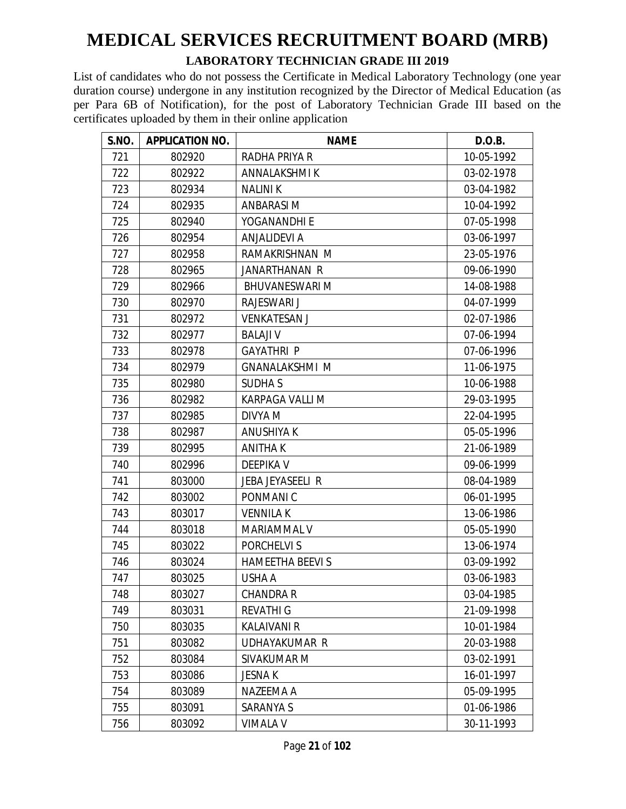#### **LABORATORY TECHNICIAN GRADE III 2019**

| S.NO. | <b>APPLICATION NO.</b> | <b>NAME</b>            | D.O.B.     |
|-------|------------------------|------------------------|------------|
| 721   | 802920                 | RADHA PRIYA R          | 10-05-1992 |
| 722   | 802922                 | ANNALAKSHMI K          | 03-02-1978 |
| 723   | 802934                 | <b>NALINIK</b>         | 03-04-1982 |
| 724   | 802935                 | <b>ANBARASIM</b>       | 10-04-1992 |
| 725   | 802940                 | YOGANANDHI E           | 07-05-1998 |
| 726   | 802954                 | <b>ANJALIDEVI A</b>    | 03-06-1997 |
| 727   | 802958                 | RAMAKRISHNAN M         | 23-05-1976 |
| 728   | 802965                 | <b>JANARTHANAN R</b>   | 09-06-1990 |
| 729   | 802966                 | <b>BHUVANESWARI M</b>  | 14-08-1988 |
| 730   | 802970                 | RAJESWARI J            | 04-07-1999 |
| 731   | 802972                 | <b>VENKATESAN J</b>    | 02-07-1986 |
| 732   | 802977                 | <b>BALAJI V</b>        | 07-06-1994 |
| 733   | 802978                 | <b>GAYATHRI P</b>      | 07-06-1996 |
| 734   | 802979                 | <b>GNANALAKSHMI M</b>  | 11-06-1975 |
| 735   | 802980                 | <b>SUDHAS</b>          | 10-06-1988 |
| 736   | 802982                 | KARPAGA VALLI M        | 29-03-1995 |
| 737   | 802985                 | DIVYA M                | 22-04-1995 |
| 738   | 802987                 | <b>ANUSHIYA K</b>      | 05-05-1996 |
| 739   | 802995                 | <b>ANITHAK</b>         | 21-06-1989 |
| 740   | 802996                 | <b>DEEPIKA V</b>       | 09-06-1999 |
| 741   | 803000                 | JEBA JEYASEELI R       | 08-04-1989 |
| 742   | 803002                 | PONMANI C              | 06-01-1995 |
| 743   | 803017                 | <b>VENNILAK</b>        | 13-06-1986 |
| 744   | 803018                 | MARIAMMAL V            | 05-05-1990 |
| 745   | 803022                 | PORCHELVI S            | 13-06-1974 |
| 746   | 803024                 | <b>HAMEETHA BEEVIS</b> | 03-09-1992 |
| 747   | 803025                 | USHA A                 | 03-06-1983 |
| 748   | 803027                 | CHANDRA R              | 03-04-1985 |
| 749   | 803031                 | <b>REVATHI G</b>       | 21-09-1998 |
| 750   | 803035                 | <b>KALAIVANI R</b>     | 10-01-1984 |
| 751   | 803082                 | UDHAYAKUMAR R          | 20-03-1988 |
| 752   | 803084                 | SIVAKUMAR M            | 03-02-1991 |
| 753   | 803086                 | <b>JESNAK</b>          | 16-01-1997 |
| 754   | 803089                 | NAZEEMA A              | 05-09-1995 |
| 755   | 803091                 | SARANYA S              | 01-06-1986 |
| 756   | 803092                 | <b>VIMALA V</b>        | 30-11-1993 |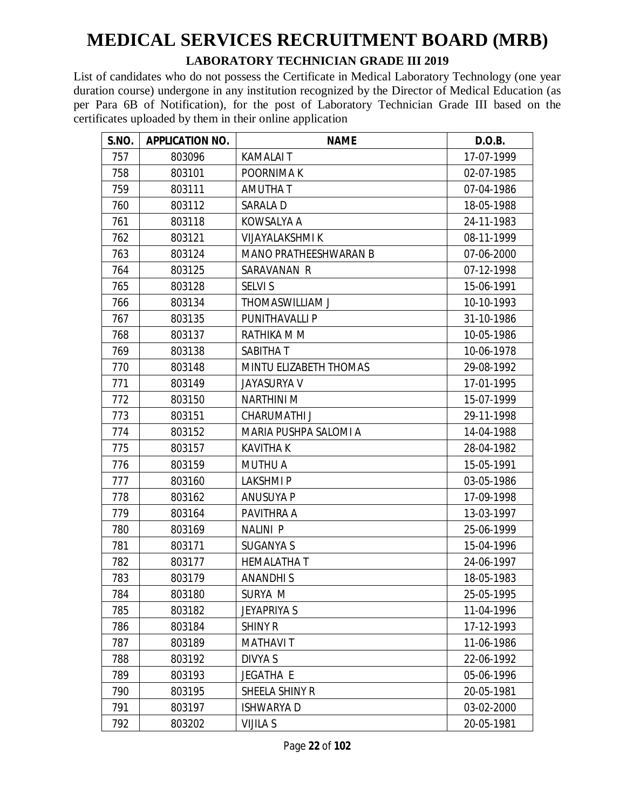#### **LABORATORY TECHNICIAN GRADE III 2019**

| S.NO. | <b>APPLICATION NO.</b> | <b>NAME</b>                  | D.O.B.     |
|-------|------------------------|------------------------------|------------|
| 757   | 803096                 | <b>KAMALAIT</b>              | 17-07-1999 |
| 758   | 803101                 | POORNIMA K                   | 02-07-1985 |
| 759   | 803111                 | AMUTHA T                     | 07-04-1986 |
| 760   | 803112                 | SARALA D                     | 18-05-1988 |
| 761   | 803118                 | KOWSALYA A                   | 24-11-1983 |
| 762   | 803121                 | <b>VIJAYALAKSHMI K</b>       | 08-11-1999 |
| 763   | 803124                 | <b>MANO PRATHEESHWARAN B</b> | 07-06-2000 |
| 764   | 803125                 | SARAVANAN R                  | 07-12-1998 |
| 765   | 803128                 | <b>SELVI S</b>               | 15-06-1991 |
| 766   | 803134                 | THOMASWILLIAM J              | 10-10-1993 |
| 767   | 803135                 | <b>PUNITHAVALLI P</b>        | 31-10-1986 |
| 768   | 803137                 | RATHIKA M M                  | 10-05-1986 |
| 769   | 803138                 | SABITHA T                    | 10-06-1978 |
| 770   | 803148                 | MINTU ELIZABETH THOMAS       | 29-08-1992 |
| 771   | 803149                 | <b>JAYASURYA V</b>           | 17-01-1995 |
| 772   | 803150                 | <b>NARTHINI M</b>            | 15-07-1999 |
| 773   | 803151                 | <b>CHARUMATHI J</b>          | 29-11-1998 |
| 774   | 803152                 | MARIA PUSHPA SALOMI A        | 14-04-1988 |
| 775   | 803157                 | <b>KAVITHA K</b>             | 28-04-1982 |
| 776   | 803159                 | <b>MUTHU A</b>               | 15-05-1991 |
| 777   | 803160                 | <b>LAKSHMIP</b>              | 03-05-1986 |
| 778   | 803162                 | ANUSUYA P                    | 17-09-1998 |
| 779   | 803164                 | PAVITHRA A                   | 13-03-1997 |
| 780   | 803169                 | <b>NALINI P</b>              | 25-06-1999 |
| 781   | 803171                 | <b>SUGANYA S</b>             | 15-04-1996 |
| 782   | 803177                 | <b>HEMALATHAT</b>            | 24-06-1997 |
| 783   | 803179                 | <b>ANANDHIS</b>              | 18-05-1983 |
| 784   | 803180                 | SURYA M                      | 25-05-1995 |
| 785   | 803182                 | <b>JEYAPRIYA S</b>           | 11-04-1996 |
| 786   | 803184                 | <b>SHINY R</b>               | 17-12-1993 |
| 787   | 803189                 | <b>MATHAVIT</b>              | 11-06-1986 |
| 788   | 803192                 | DIVYA S                      | 22-06-1992 |
| 789   | 803193                 | <b>JEGATHA E</b>             | 05-06-1996 |
| 790   | 803195                 | SHEELA SHINY R               | 20-05-1981 |
| 791   | 803197                 | ISHWARYA D                   | 03-02-2000 |
| 792   | 803202                 | <b>VIJILA S</b>              | 20-05-1981 |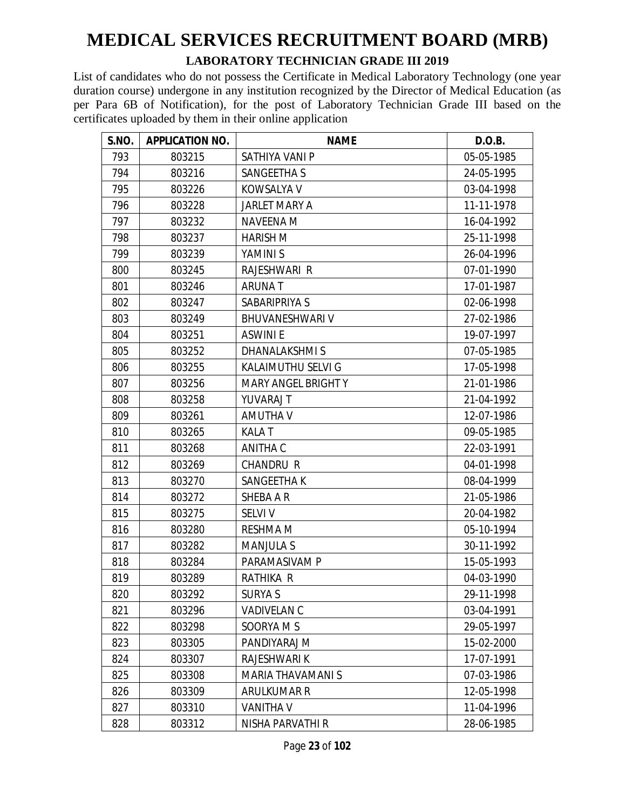#### **LABORATORY TECHNICIAN GRADE III 2019**

| S.NO. | <b>APPLICATION NO.</b> | <b>NAME</b>                | D.O.B.     |
|-------|------------------------|----------------------------|------------|
| 793   | 803215                 | SATHIYA VANI P             | 05-05-1985 |
| 794   | 803216                 | SANGEETHA S                | 24-05-1995 |
| 795   | 803226                 | <b>KOWSALYA V</b>          | 03-04-1998 |
| 796   | 803228                 | <b>JARLET MARY A</b>       | 11-11-1978 |
| 797   | 803232                 | <b>NAVEENA M</b>           | 16-04-1992 |
| 798   | 803237                 | <b>HARISH M</b>            | 25-11-1998 |
| 799   | 803239                 | YAMINI S                   | 26-04-1996 |
| 800   | 803245                 | RAJESHWARI R               | 07-01-1990 |
| 801   | 803246                 | <b>ARUNAT</b>              | 17-01-1987 |
| 802   | 803247                 | SABARIPRIYA S              | 02-06-1998 |
| 803   | 803249                 | <b>BHUVANESHWARI V</b>     | 27-02-1986 |
| 804   | 803251                 | <b>ASWINIE</b>             | 19-07-1997 |
| 805   | 803252                 | <b>DHANALAKSHMIS</b>       | 07-05-1985 |
| 806   | 803255                 | KALAIMUTHU SELVI G         | 17-05-1998 |
| 807   | 803256                 | <b>MARY ANGEL BRIGHT Y</b> | 21-01-1986 |
| 808   | 803258                 | YUVARAJ T                  | 21-04-1992 |
| 809   | 803261                 | <b>AMUTHA V</b>            | 12-07-1986 |
| 810   | 803265                 | <b>KALAT</b>               | 09-05-1985 |
| 811   | 803268                 | ANITHA C                   | 22-03-1991 |
| 812   | 803269                 | <b>CHANDRU R</b>           | 04-01-1998 |
| 813   | 803270                 | SANGEETHA K                | 08-04-1999 |
| 814   | 803272                 | SHEBA A R                  | 21-05-1986 |
| 815   | 803275                 | <b>SELVI V</b>             | 20-04-1982 |
| 816   | 803280                 | <b>RESHMA M</b>            | 05-10-1994 |
| 817   | 803282                 | <b>MANJULA S</b>           | 30-11-1992 |
| 818   | 803284                 | PARAMASIVAM P              | 15-05-1993 |
| 819   | 803289                 | RATHIKA R                  | 04-03-1990 |
| 820   | 803292                 | SURYA S                    | 29-11-1998 |
| 821   | 803296                 | <b>VADIVELAN C</b>         | 03-04-1991 |
| 822   | 803298                 | SOORYA M S                 | 29-05-1997 |
| 823   | 803305                 | PANDIYARAJ M               | 15-02-2000 |
| 824   | 803307                 | RAJESHWARI K               | 17-07-1991 |
| 825   | 803308                 | MARIA THAVAMANI S          | 07-03-1986 |
| 826   | 803309                 | <b>ARULKUMAR R</b>         | 12-05-1998 |
| 827   | 803310                 | <b>VANITHA V</b>           | 11-04-1996 |
| 828   | 803312                 | NISHA PARVATHI R           | 28-06-1985 |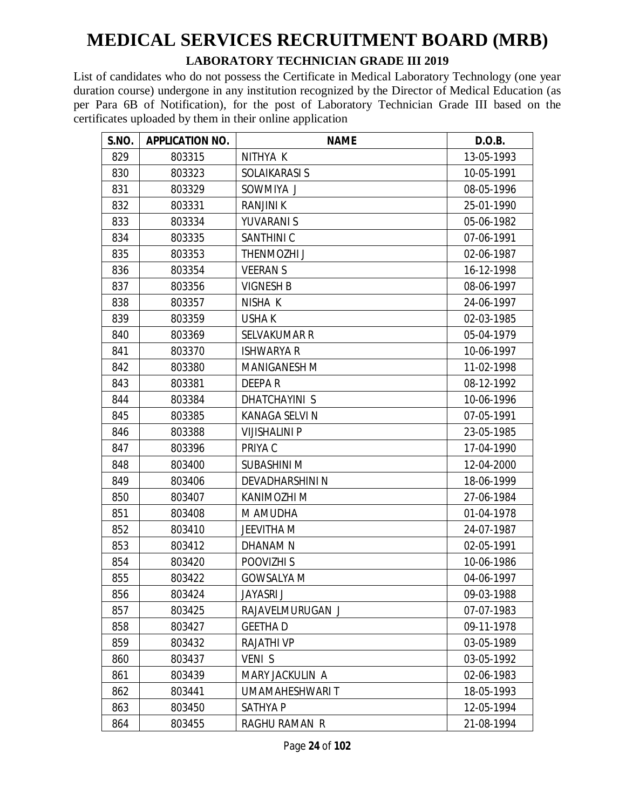#### **LABORATORY TECHNICIAN GRADE III 2019**

| S.NO. | <b>APPLICATION NO.</b> | <b>NAME</b>           | D.O.B.     |
|-------|------------------------|-----------------------|------------|
| 829   | 803315                 | NITHYA K              | 13-05-1993 |
| 830   | 803323                 | SOLAIKARASI S         | 10-05-1991 |
| 831   | 803329                 | SOWMIYA J             | 08-05-1996 |
| 832   | 803331                 | <b>RANJINI K</b>      | 25-01-1990 |
| 833   | 803334                 | YUVARANI S            | 05-06-1982 |
| 834   | 803335                 | SANTHINI C            | 07-06-1991 |
| 835   | 803353                 | THENMOZHI J           | 02-06-1987 |
| 836   | 803354                 | <b>VEERANS</b>        | 16-12-1998 |
| 837   | 803356                 | <b>VIGNESH B</b>      | 08-06-1997 |
| 838   | 803357                 | NISHA K               | 24-06-1997 |
| 839   | 803359                 | <b>USHAK</b>          | 02-03-1985 |
| 840   | 803369                 | <b>SELVAKUMAR R</b>   | 05-04-1979 |
| 841   | 803370                 | <b>ISHWARYA R</b>     | 10-06-1997 |
| 842   | 803380                 | <b>MANIGANESH M</b>   | 11-02-1998 |
| 843   | 803381                 | DEEPAR                | 08-12-1992 |
| 844   | 803384                 | <b>DHATCHAYINI S</b>  | 10-06-1996 |
| 845   | 803385                 | <b>KANAGA SELVI N</b> | 07-05-1991 |
| 846   | 803388                 | <b>VIJISHALINI P</b>  | 23-05-1985 |
| 847   | 803396                 | PRIYA C               | 17-04-1990 |
| 848   | 803400                 | <b>SUBASHINI M</b>    | 12-04-2000 |
| 849   | 803406                 | DEVADHARSHINI N       | 18-06-1999 |
| 850   | 803407                 | KANIMOZHI M           | 27-06-1984 |
| 851   | 803408                 | M AMUDHA              | 01-04-1978 |
| 852   | 803410                 | <b>JEEVITHA M</b>     | 24-07-1987 |
| 853   | 803412                 | DHANAM N              | 02-05-1991 |
| 854   | 803420                 | POOVIZHI S            | 10-06-1986 |
| 855   | 803422                 | <b>GOWSALYA M</b>     | 04-06-1997 |
| 856   | 803424                 | JAYASRI J             | 09-03-1988 |
| 857   | 803425                 | RAJAVELMURUGAN J      | 07-07-1983 |
| 858   | 803427                 | <b>GEETHAD</b>        | 09-11-1978 |
| 859   | 803432                 | <b>RAJATHI VP</b>     | 03-05-1989 |
| 860   | 803437                 | <b>VENIS</b>          | 03-05-1992 |
| 861   | 803439                 | MARY JACKULIN A       | 02-06-1983 |
| 862   | 803441                 | UMAMAHESHWARI T       | 18-05-1993 |
| 863   | 803450                 | SATHYA P              | 12-05-1994 |
| 864   | 803455                 | RAGHU RAMAN R         | 21-08-1994 |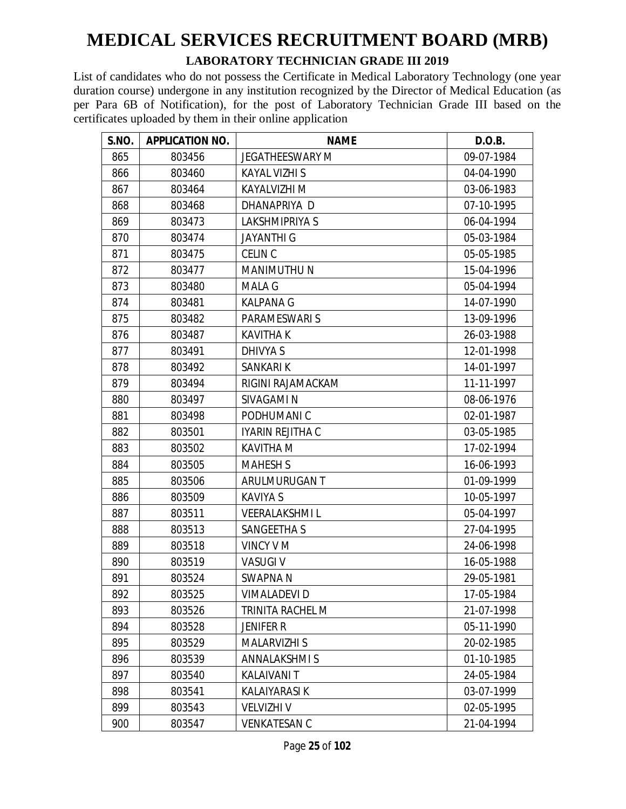#### **LABORATORY TECHNICIAN GRADE III 2019**

| S.NO. | <b>APPLICATION NO.</b> | <b>NAME</b>            | D.O.B.     |
|-------|------------------------|------------------------|------------|
| 865   | 803456                 | <b>JEGATHEESWARY M</b> | 09-07-1984 |
| 866   | 803460                 | <b>KAYAL VIZHI S</b>   | 04-04-1990 |
| 867   | 803464                 | KAYALVIZHI M           | 03-06-1983 |
| 868   | 803468                 | DHANAPRIYA D           | 07-10-1995 |
| 869   | 803473                 | LAKSHMIPRIYA S         | 06-04-1994 |
| 870   | 803474                 | <b>JAYANTHI G</b>      | 05-03-1984 |
| 871   | 803475                 | <b>CELIN C</b>         | 05-05-1985 |
| 872   | 803477                 | <b>MANIMUTHUN</b>      | 15-04-1996 |
| 873   | 803480                 | <b>MALA G</b>          | 05-04-1994 |
| 874   | 803481                 | <b>KALPANA G</b>       | 14-07-1990 |
| 875   | 803482                 | PARAMESWARI S          | 13-09-1996 |
| 876   | 803487                 | <b>KAVITHAK</b>        | 26-03-1988 |
| 877   | 803491                 | DHIVYA S               | 12-01-1998 |
| 878   | 803492                 | <b>SANKARIK</b>        | 14-01-1997 |
| 879   | 803494                 | RIGINI RAJAMACKAM      | 11-11-1997 |
| 880   | 803497                 | <b>SIVAGAMI N</b>      | 08-06-1976 |
| 881   | 803498                 | PODHUMANI C            | 02-01-1987 |
| 882   | 803501                 | IYARIN REJITHA C       | 03-05-1985 |
| 883   | 803502                 | <b>KAVITHA M</b>       | 17-02-1994 |
| 884   | 803505                 | <b>MAHESH S</b>        | 16-06-1993 |
| 885   | 803506                 | ARULMURUGAN T          | 01-09-1999 |
| 886   | 803509                 | KAVIYA S               | 10-05-1997 |
| 887   | 803511                 | <b>VEERALAKSHMIL</b>   | 05-04-1997 |
| 888   | 803513                 | <b>SANGEETHA S</b>     | 27-04-1995 |
| 889   | 803518                 | <b>VINCY VM</b>        | 24-06-1998 |
| 890   | 803519                 | <b>VASUGIV</b>         | 16-05-1988 |
| 891   | 803524                 | SWAPNA N               | 29-05-1981 |
| 892   | 803525                 | <b>VIMALADEVI D</b>    | 17-05-1984 |
| 893   | 803526                 | TRINITA RACHEL M       | 21-07-1998 |
| 894   | 803528                 | <b>JENIFER R</b>       | 05-11-1990 |
| 895   | 803529                 | <b>MALARVIZHI S</b>    | 20-02-1985 |
| 896   | 803539                 | <b>ANNALAKSHMIS</b>    | 01-10-1985 |
| 897   | 803540                 | KALAIVANI T            | 24-05-1984 |
| 898   | 803541                 | KALAIYARASI K          | 03-07-1999 |
| 899   | 803543                 | <b>VELVIZHI V</b>      | 02-05-1995 |
| 900   | 803547                 | VENKATESAN C           | 21-04-1994 |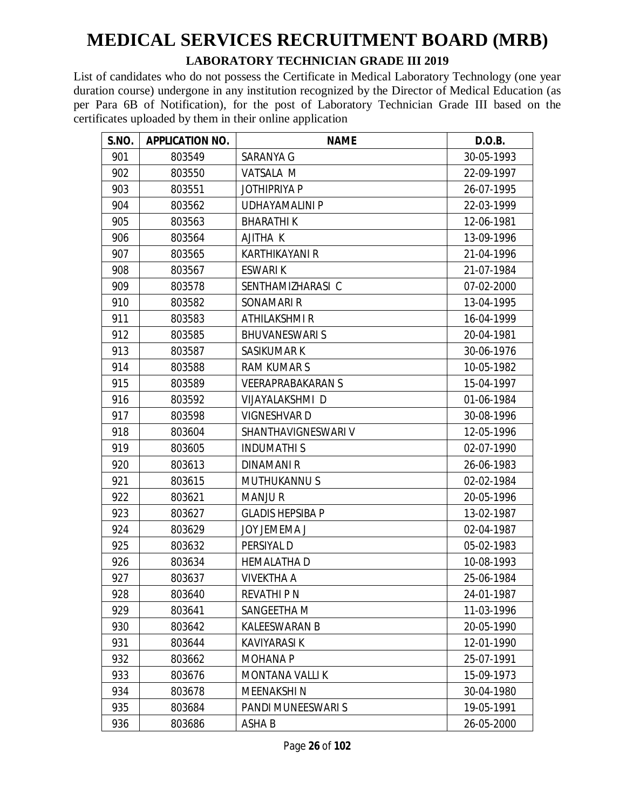#### **LABORATORY TECHNICIAN GRADE III 2019**

| S.NO. | <b>APPLICATION NO.</b> | <b>NAME</b>              | D.O.B.     |
|-------|------------------------|--------------------------|------------|
| 901   | 803549                 | SARANYA G                | 30-05-1993 |
| 902   | 803550                 | VATSALA M                | 22-09-1997 |
| 903   | 803551                 | <b>JOTHIPRIYA P</b>      | 26-07-1995 |
| 904   | 803562                 | <b>UDHAYAMALINI P</b>    | 22-03-1999 |
| 905   | 803563                 | <b>BHARATHIK</b>         | 12-06-1981 |
| 906   | 803564                 | AJITHA K                 | 13-09-1996 |
| 907   | 803565                 | <b>KARTHIKAYANI R</b>    | 21-04-1996 |
| 908   | 803567                 | ESWARI K                 | 21-07-1984 |
| 909   | 803578                 | SENTHAMIZHARASI C        | 07-02-2000 |
| 910   | 803582                 | SONAMARI R               | 13-04-1995 |
| 911   | 803583                 | ATHILAKSHMI R            | 16-04-1999 |
| 912   | 803585                 | <b>BHUVANESWARIS</b>     | 20-04-1981 |
| 913   | 803587                 | <b>SASIKUMAR K</b>       | 30-06-1976 |
| 914   | 803588                 | <b>RAM KUMARS</b>        | 10-05-1982 |
| 915   | 803589                 | <b>VEERAPRABAKARAN S</b> | 15-04-1997 |
| 916   | 803592                 | VIJAYALAKSHMI D          | 01-06-1984 |
| 917   | 803598                 | <b>VIGNESHVARD</b>       | 30-08-1996 |
| 918   | 803604                 | SHANTHAVIGNESWARI V      | 12-05-1996 |
| 919   | 803605                 | <b>INDUMATHIS</b>        | 02-07-1990 |
| 920   | 803613                 | <b>DINAMANIR</b>         | 26-06-1983 |
| 921   | 803615                 | <b>MUTHUKANNUS</b>       | 02-02-1984 |
| 922   | 803621                 | <b>MANJUR</b>            | 20-05-1996 |
| 923   | 803627                 | <b>GLADIS HEPSIBA P</b>  | 13-02-1987 |
| 924   | 803629                 | <b>JOY JEMEMA J</b>      | 02-04-1987 |
| 925   | 803632                 | PERSIYAL D               | 05-02-1983 |
| 926   | 803634                 | <b>HEMALATHA D</b>       | 10-08-1993 |
| 927   | 803637                 | <b>VIVEKTHA A</b>        | 25-06-1984 |
| 928   | 803640                 | <b>REVATHI P N</b>       | 24-01-1987 |
| 929   | 803641                 | SANGEETHA M              | 11-03-1996 |
| 930   | 803642                 | <b>KALEESWARAN B</b>     | 20-05-1990 |
| 931   | 803644                 | <b>KAVIYARASI K</b>      | 12-01-1990 |
| 932   | 803662                 | <b>MOHANA P</b>          | 25-07-1991 |
| 933   | 803676                 | <b>MONTANA VALLIK</b>    | 15-09-1973 |
| 934   | 803678                 | MEENAKSHI N              | 30-04-1980 |
| 935   | 803684                 | PANDI MUNEESWARI S       | 19-05-1991 |
| 936   | 803686                 | ASHA B                   | 26-05-2000 |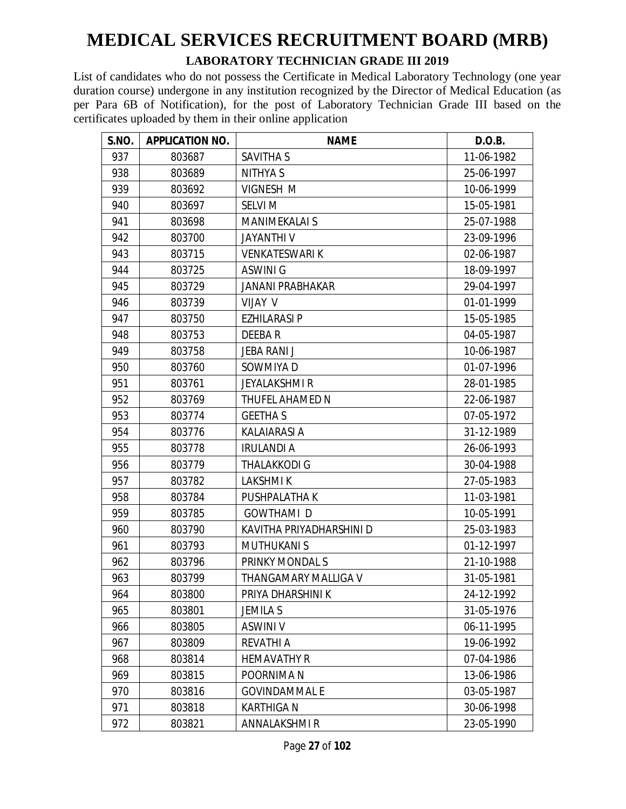#### **LABORATORY TECHNICIAN GRADE III 2019**

| S.NO. | <b>APPLICATION NO.</b> | <b>NAME</b>              | D.O.B.     |
|-------|------------------------|--------------------------|------------|
| 937   | 803687                 | SAVITHA S                | 11-06-1982 |
| 938   | 803689                 | <b>NITHYAS</b>           | 25-06-1997 |
| 939   | 803692                 | <b>VIGNESH M</b>         | 10-06-1999 |
| 940   | 803697                 | <b>SELVI M</b>           | 15-05-1981 |
| 941   | 803698                 | <b>MANIMEKALAI S</b>     | 25-07-1988 |
| 942   | 803700                 | <b>JAYANTHIV</b>         | 23-09-1996 |
| 943   | 803715                 | <b>VENKATESWARIK</b>     | 02-06-1987 |
| 944   | 803725                 | ASWINI G                 | 18-09-1997 |
| 945   | 803729                 | <b>JANANI PRABHAKAR</b>  | 29-04-1997 |
| 946   | 803739                 | VIJAY V                  | 01-01-1999 |
| 947   | 803750                 | <b>EZHILARASI P</b>      | 15-05-1985 |
| 948   | 803753                 | DEEBAR                   | 04-05-1987 |
| 949   | 803758                 | <b>JEBA RANI J</b>       | 10-06-1987 |
| 950   | 803760                 | SOWMIYA D                | 01-07-1996 |
| 951   | 803761                 | <b>JEYALAKSHMI R</b>     | 28-01-1985 |
| 952   | 803769                 | THUFEL AHAMED N          | 22-06-1987 |
| 953   | 803774                 | <b>GEETHA S</b>          | 07-05-1972 |
| 954   | 803776                 | <b>KALAIARASI A</b>      | 31-12-1989 |
| 955   | 803778                 | <b>IRULANDI A</b>        | 26-06-1993 |
| 956   | 803779                 | <b>THALAKKODI G</b>      | 30-04-1988 |
| 957   | 803782                 | <b>LAKSHMIK</b>          | 27-05-1983 |
| 958   | 803784                 | PUSHPALATHA K            | 11-03-1981 |
| 959   | 803785                 | <b>GOWTHAMI D</b>        | 10-05-1991 |
| 960   | 803790                 | KAVITHA PRIYADHARSHINI D | 25-03-1983 |
| 961   | 803793                 | <b>MUTHUKANI S</b>       | 01-12-1997 |
| 962   | 803796                 | PRINKY MONDAL S          | 21-10-1988 |
| 963   | 803799                 | THANGAMARY MALLIGA V     | 31-05-1981 |
| 964   | 803800                 | PRIYA DHARSHINI K        | 24-12-1992 |
| 965   | 803801                 | <b>JEMILA S</b>          | 31-05-1976 |
| 966   | 803805                 | <b>ASWINI V</b>          | 06-11-1995 |
| 967   | 803809                 | <b>REVATHI A</b>         | 19-06-1992 |
| 968   | 803814                 | <b>HEMAVATHY R</b>       | 07-04-1986 |
| 969   | 803815                 | POORNIMA N               | 13-06-1986 |
| 970   | 803816                 | <b>GOVINDAMMAL E</b>     | 03-05-1987 |
| 971   | 803818                 | <b>KARTHIGA N</b>        | 30-06-1998 |
| 972   | 803821                 | ANNALAKSHMI R            | 23-05-1990 |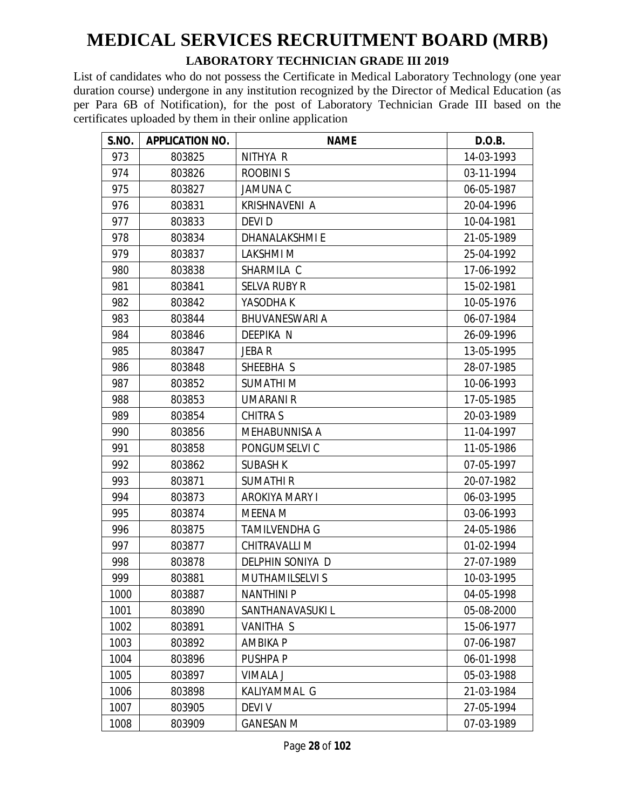#### **LABORATORY TECHNICIAN GRADE III 2019**

| S.NO. | <b>APPLICATION NO.</b> | <b>NAME</b>           | D.O.B.     |
|-------|------------------------|-----------------------|------------|
| 973   | 803825                 | NITHYA R              | 14-03-1993 |
| 974   | 803826                 | <b>ROOBINIS</b>       | 03-11-1994 |
| 975   | 803827                 | <b>JAMUNA C</b>       | 06-05-1987 |
| 976   | 803831                 | KRISHNAVENI A         | 20-04-1996 |
| 977   | 803833                 | <b>DEVID</b>          | 10-04-1981 |
| 978   | 803834                 | <b>DHANALAKSHMIE</b>  | 21-05-1989 |
| 979   | 803837                 | LAKSHMI M             | 25-04-1992 |
| 980   | 803838                 | SHARMILA C            | 17-06-1992 |
| 981   | 803841                 | <b>SELVA RUBY R</b>   | 15-02-1981 |
| 982   | 803842                 | YASODHA K             | 10-05-1976 |
| 983   | 803844                 | <b>BHUVANESWARI A</b> | 06-07-1984 |
| 984   | 803846                 | <b>DEEPIKA N</b>      | 26-09-1996 |
| 985   | 803847                 | JEBA R                | 13-05-1995 |
| 986   | 803848                 | SHEEBHA S             | 28-07-1985 |
| 987   | 803852                 | <b>SUMATHIM</b>       | 10-06-1993 |
| 988   | 803853                 | <b>UMARANI R</b>      | 17-05-1985 |
| 989   | 803854                 | <b>CHITRA S</b>       | 20-03-1989 |
| 990   | 803856                 | MEHABUNNISA A         | 11-04-1997 |
| 991   | 803858                 | PONGUMSELVI C         | 11-05-1986 |
| 992   | 803862                 | <b>SUBASH K</b>       | 07-05-1997 |
| 993   | 803871                 | <b>SUMATHIR</b>       | 20-07-1982 |
| 994   | 803873                 | AROKIYA MARY I        | 06-03-1995 |
| 995   | 803874                 | MEENA M               | 03-06-1993 |
| 996   | 803875                 | <b>TAMILVENDHA G</b>  | 24-05-1986 |
| 997   | 803877                 | CHITRAVALLI M         | 01-02-1994 |
| 998   | 803878                 | DELPHIN SONIYA D      | 27-07-1989 |
| 999   | 803881                 | MUTHAMILSELVI S       | 10-03-1995 |
| 1000  | 803887                 | <b>NANTHINI P</b>     | 04-05-1998 |
| 1001  | 803890                 | SANTHANAVASUKI L      | 05-08-2000 |
| 1002  | 803891                 | VANITHA S             | 15-06-1977 |
| 1003  | 803892                 | AMBIKA P              | 07-06-1987 |
| 1004  | 803896                 | PUSHPA P              | 06-01-1998 |
| 1005  | 803897                 | VIMALA J              | 05-03-1988 |
| 1006  | 803898                 | KALIYAMMAL G          | 21-03-1984 |
| 1007  | 803905                 | <b>DEVIV</b>          | 27-05-1994 |
| 1008  | 803909                 | <b>GANESAN M</b>      | 07-03-1989 |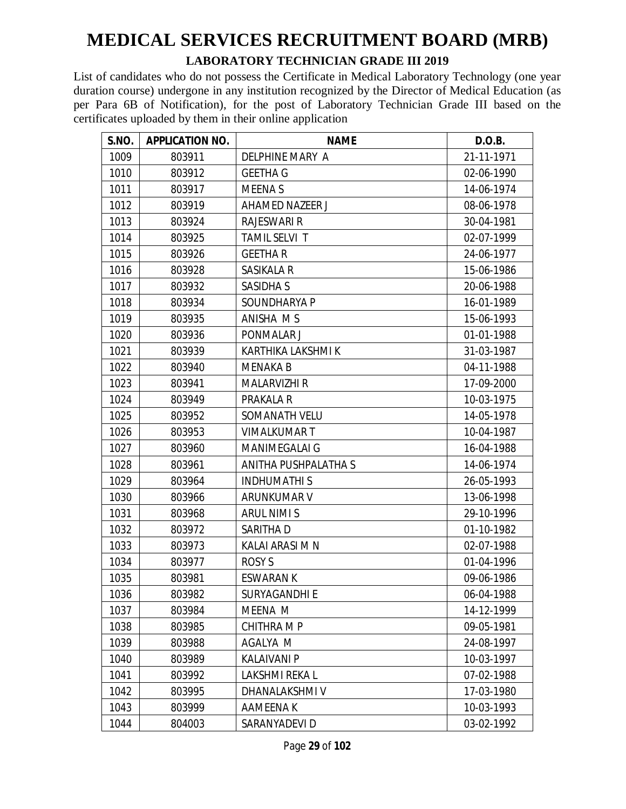#### **LABORATORY TECHNICIAN GRADE III 2019**

| S.NO. | <b>APPLICATION NO.</b> | <b>NAME</b>           | D.O.B.     |
|-------|------------------------|-----------------------|------------|
| 1009  | 803911                 | DELPHINE MARY A       | 21-11-1971 |
| 1010  | 803912                 | <b>GEETHA G</b>       | 02-06-1990 |
| 1011  | 803917                 | <b>MEENAS</b>         | 14-06-1974 |
| 1012  | 803919                 | AHAMED NAZEER J       | 08-06-1978 |
| 1013  | 803924                 | <b>RAJESWARI R</b>    | 30-04-1981 |
| 1014  | 803925                 | TAMIL SELVI T         | 02-07-1999 |
| 1015  | 803926                 | <b>GEETHAR</b>        | 24-06-1977 |
| 1016  | 803928                 | SASIKALA R            | 15-06-1986 |
| 1017  | 803932                 | <b>SASIDHA S</b>      | 20-06-1988 |
| 1018  | 803934                 | SOUNDHARYA P          | 16-01-1989 |
| 1019  | 803935                 | ANISHA M S            | 15-06-1993 |
| 1020  | 803936                 | PONMALAR J            | 01-01-1988 |
| 1021  | 803939                 | KARTHIKA LAKSHMI K    | 31-03-1987 |
| 1022  | 803940                 | <b>MENAKA B</b>       | 04-11-1988 |
| 1023  | 803941                 | <b>MALARVIZHI R</b>   | 17-09-2000 |
| 1024  | 803949                 | PRAKALA R             | 10-03-1975 |
| 1025  | 803952                 | SOMANATH VELU         | 14-05-1978 |
| 1026  | 803953                 | <b>VIMALKUMART</b>    | 10-04-1987 |
| 1027  | 803960                 | <b>MANIMEGALAI G</b>  | 16-04-1988 |
| 1028  | 803961                 | ANITHA PUSHPALATHA S  | 14-06-1974 |
| 1029  | 803964                 | <b>INDHUMATHIS</b>    | 26-05-1993 |
| 1030  | 803966                 | ARUNKUMAR V           | 13-06-1998 |
| 1031  | 803968                 | <b>ARUL NIMI S</b>    | 29-10-1996 |
| 1032  | 803972                 | SARITHA D             | 01-10-1982 |
| 1033  | 803973                 | KALAI ARASI M N       | 02-07-1988 |
| 1034  | 803977                 | ROSY S                | 01-04-1996 |
| 1035  | 803981                 | <b>ESWARAN K</b>      | 09-06-1986 |
| 1036  | 803982                 | SURYAGANDHI E         | 06-04-1988 |
| 1037  | 803984                 | MEENA M               | 14-12-1999 |
| 1038  | 803985                 | <b>CHITHRA M P</b>    | 09-05-1981 |
| 1039  | 803988                 | AGALYA M              | 24-08-1997 |
| 1040  | 803989                 | <b>KALAIVANI P</b>    | 10-03-1997 |
| 1041  | 803992                 | <b>LAKSHMI REKA L</b> | 07-02-1988 |
| 1042  | 803995                 | DHANALAKSHMI V        | 17-03-1980 |
| 1043  | 803999                 | AAMEENA K             | 10-03-1993 |
| 1044  | 804003                 | SARANYADEVI D         | 03-02-1992 |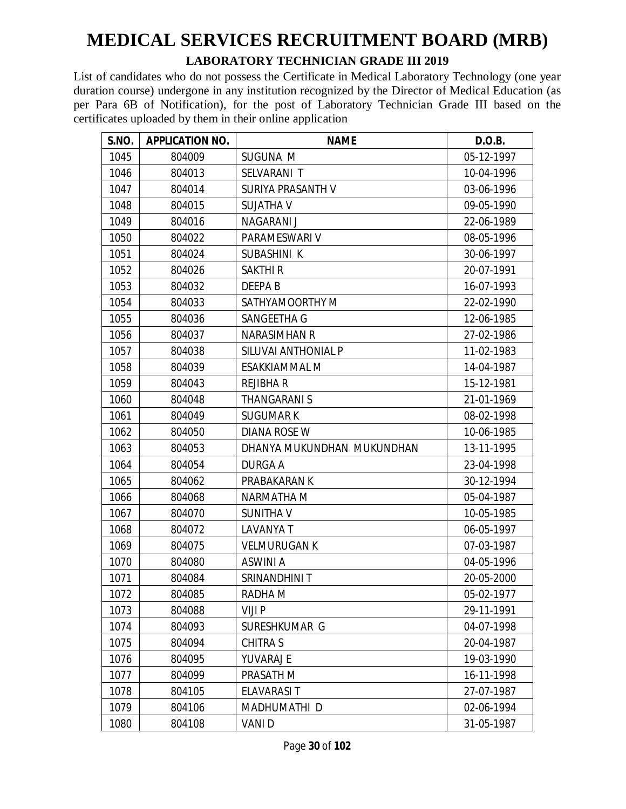#### **LABORATORY TECHNICIAN GRADE III 2019**

| S.NO. | <b>APPLICATION NO.</b> | <b>NAME</b>                | D.O.B.     |
|-------|------------------------|----------------------------|------------|
| 1045  | 804009                 | SUGUNA M                   | 05-12-1997 |
| 1046  | 804013                 | SELVARANI T                | 10-04-1996 |
| 1047  | 804014                 | SURIYA PRASANTH V          | 03-06-1996 |
| 1048  | 804015                 | <b>SUJATHA V</b>           | 09-05-1990 |
| 1049  | 804016                 | NAGARANI J                 | 22-06-1989 |
| 1050  | 804022                 | PARAMESWARI V              | 08-05-1996 |
| 1051  | 804024                 | <b>SUBASHINI K</b>         | 30-06-1997 |
| 1052  | 804026                 | <b>SAKTHIR</b>             | 20-07-1991 |
| 1053  | 804032                 | DEEPA B                    | 16-07-1993 |
| 1054  | 804033                 | SATHYAMOORTHY M            | 22-02-1990 |
| 1055  | 804036                 | SANGEETHA G                | 12-06-1985 |
| 1056  | 804037                 | <b>NARASIMHAN R</b>        | 27-02-1986 |
| 1057  | 804038                 | SILUVAI ANTHONIAL P        | 11-02-1983 |
| 1058  | 804039                 | <b>ESAKKIAMMAL M</b>       | 14-04-1987 |
| 1059  | 804043                 | <b>REJIBHA R</b>           | 15-12-1981 |
| 1060  | 804048                 | <b>THANGARANIS</b>         | 21-01-1969 |
| 1061  | 804049                 | <b>SUGUMARK</b>            | 08-02-1998 |
| 1062  | 804050                 | <b>DIANA ROSE W</b>        | 10-06-1985 |
| 1063  | 804053                 | DHANYA MUKUNDHAN MUKUNDHAN | 13-11-1995 |
| 1064  | 804054                 | <b>DURGA A</b>             | 23-04-1998 |
| 1065  | 804062                 | PRABAKARAN K               | 30-12-1994 |
| 1066  | 804068                 | NARMATHA M                 | 05-04-1987 |
| 1067  | 804070                 | <b>SUNITHAV</b>            | 10-05-1985 |
| 1068  | 804072                 | <b>LAVANYA T</b>           | 06-05-1997 |
| 1069  | 804075                 | <b>VELMURUGAN K</b>        | 07-03-1987 |
| 1070  | 804080                 | <b>ASWINI A</b>            | 04-05-1996 |
| 1071  | 804084                 | SRINANDHINI T              | 20-05-2000 |
| 1072  | 804085                 | RADHA M                    | 05-02-1977 |
| 1073  | 804088                 | VIJI P                     | 29-11-1991 |
| 1074  | 804093                 | SURESHKUMAR G              | 04-07-1998 |
| 1075  | 804094                 | CHITRA S                   | 20-04-1987 |
| 1076  | 804095                 | YUVARAJ E                  | 19-03-1990 |
| 1077  | 804099                 | PRASATH M                  | 16-11-1998 |
| 1078  | 804105                 | <b>ELAVARASIT</b>          | 27-07-1987 |
| 1079  | 804106                 | MADHUMATHI D               | 02-06-1994 |
| 1080  | 804108                 | VANI D                     | 31-05-1987 |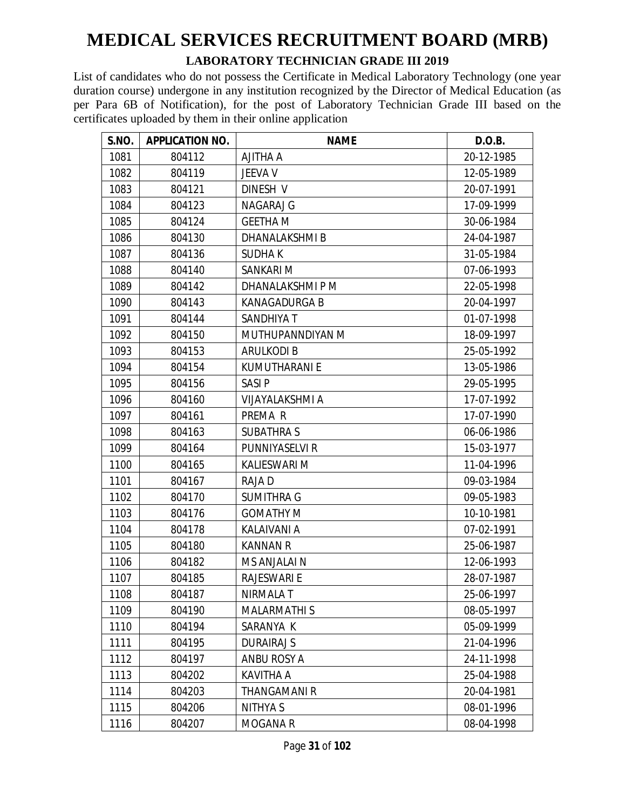#### **LABORATORY TECHNICIAN GRADE III 2019**

| S.NO. | <b>APPLICATION NO.</b> | <b>NAME</b>            | D.O.B.     |
|-------|------------------------|------------------------|------------|
| 1081  | 804112                 | AJITHA A               | 20-12-1985 |
| 1082  | 804119                 | <b>JEEVA V</b>         | 12-05-1989 |
| 1083  | 804121                 | DINESH V               | 20-07-1991 |
| 1084  | 804123                 | NAGARAJ G              | 17-09-1999 |
| 1085  | 804124                 | <b>GEETHA M</b>        | 30-06-1984 |
| 1086  | 804130                 | DHANALAKSHMI B         | 24-04-1987 |
| 1087  | 804136                 | <b>SUDHAK</b>          | 31-05-1984 |
| 1088  | 804140                 | SANKARI M              | 07-06-1993 |
| 1089  | 804142                 | DHANALAKSHMI P M       | 22-05-1998 |
| 1090  | 804143                 | <b>KANAGADURGA B</b>   | 20-04-1997 |
| 1091  | 804144                 | SANDHIYA T             | 01-07-1998 |
| 1092  | 804150                 | MUTHUPANNDIYAN M       | 18-09-1997 |
| 1093  | 804153                 | <b>ARULKODI B</b>      | 25-05-1992 |
| 1094  | 804154                 | <b>KUMUTHARANI E</b>   | 13-05-1986 |
| 1095  | 804156                 | <b>SASIP</b>           | 29-05-1995 |
| 1096  | 804160                 | <b>VIJAYALAKSHMI A</b> | 17-07-1992 |
| 1097  | 804161                 | PREMA R                | 17-07-1990 |
| 1098  | 804163                 | <b>SUBATHRA S</b>      | 06-06-1986 |
| 1099  | 804164                 | PUNNIYASELVI R         | 15-03-1977 |
| 1100  | 804165                 | <b>KALIESWARI M</b>    | 11-04-1996 |
| 1101  | 804167                 | RAJA D                 | 09-03-1984 |
| 1102  | 804170                 | <b>SUMITHRA G</b>      | 09-05-1983 |
| 1103  | 804176                 | <b>GOMATHY M</b>       | 10-10-1981 |
| 1104  | 804178                 | KALAIVANI A            | 07-02-1991 |
| 1105  | 804180                 | <b>KANNAN R</b>        | 25-06-1987 |
| 1106  | 804182                 | MS ANJALAI N           | 12-06-1993 |
| 1107  | 804185                 | <b>RAJESWARI E</b>     | 28-07-1987 |
| 1108  | 804187                 | NIRMALA T              | 25-06-1997 |
| 1109  | 804190                 | <b>MALARMATHIS</b>     | 08-05-1997 |
| 1110  | 804194                 | SARANYA K              | 05-09-1999 |
| 1111  | 804195                 | <b>DURAIRAJ S</b>      | 21-04-1996 |
| 1112  | 804197                 | ANBU ROSY A            | 24-11-1998 |
| 1113  | 804202                 | KAVITHA A              | 25-04-1988 |
| 1114  | 804203                 | <b>THANGAMANI R</b>    | 20-04-1981 |
| 1115  | 804206                 | NITHYA S               | 08-01-1996 |
| 1116  | 804207                 | <b>MOGANA R</b>        | 08-04-1998 |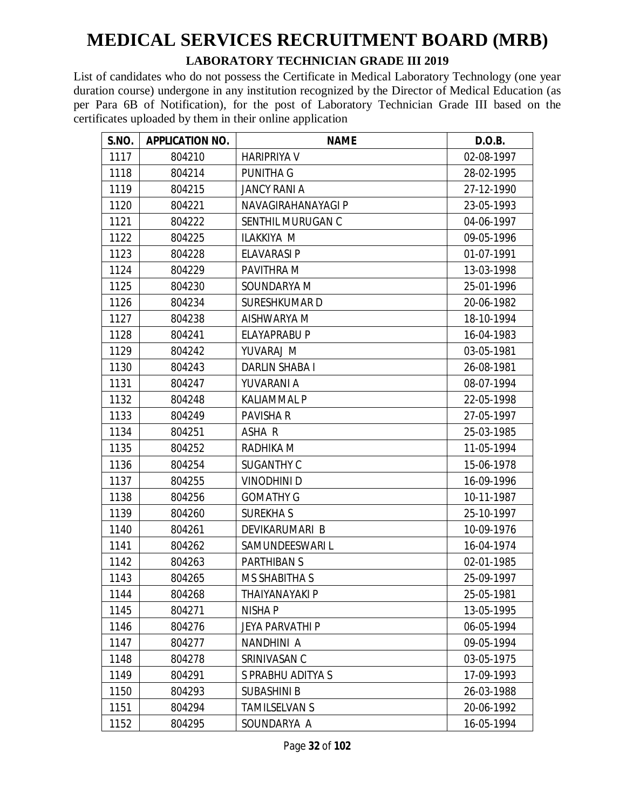#### **LABORATORY TECHNICIAN GRADE III 2019**

| S.NO. | <b>APPLICATION NO.</b> | <b>NAME</b>            | D.O.B.     |
|-------|------------------------|------------------------|------------|
| 1117  | 804210                 | <b>HARIPRIYA V</b>     | 02-08-1997 |
| 1118  | 804214                 | <b>PUNITHA G</b>       | 28-02-1995 |
| 1119  | 804215                 | <b>JANCY RANI A</b>    | 27-12-1990 |
| 1120  | 804221                 | NAVAGIRAHANAYAGI P     | 23-05-1993 |
| 1121  | 804222                 | SENTHIL MURUGAN C      | 04-06-1997 |
| 1122  | 804225                 | ILAKKIYA M             | 09-05-1996 |
| 1123  | 804228                 | <b>ELAVARASI P</b>     | 01-07-1991 |
| 1124  | 804229                 | <b>PAVITHRA M</b>      | 13-03-1998 |
| 1125  | 804230                 | SOUNDARYA M            | 25-01-1996 |
| 1126  | 804234                 | <b>SURESHKUMARD</b>    | 20-06-1982 |
| 1127  | 804238                 | AISHWARYA M            | 18-10-1994 |
| 1128  | 804241                 | <b>ELAYAPRABU P</b>    | 16-04-1983 |
| 1129  | 804242                 | YUVARAJ M              | 03-05-1981 |
| 1130  | 804243                 | <b>DARLIN SHABA I</b>  | 26-08-1981 |
| 1131  | 804247                 | YUVARANI A             | 08-07-1994 |
| 1132  | 804248                 | <b>KALIAMMAL P</b>     | 22-05-1998 |
| 1133  | 804249                 | PAVISHA R              | 27-05-1997 |
| 1134  | 804251                 | ASHA R                 | 25-03-1985 |
| 1135  | 804252                 | RADHIKA M              | 11-05-1994 |
| 1136  | 804254                 | <b>SUGANTHY C</b>      | 15-06-1978 |
| 1137  | 804255                 | <b>VINODHINI D</b>     | 16-09-1996 |
| 1138  | 804256                 | <b>GOMATHY G</b>       | 10-11-1987 |
| 1139  | 804260                 | <b>SUREKHAS</b>        | 25-10-1997 |
| 1140  | 804261                 | DEVIKARUMARI B         | 10-09-1976 |
| 1141  | 804262                 | SAMUNDEESWARI L        | 16-04-1974 |
| 1142  | 804263                 | <b>PARTHIBAN S</b>     | 02-01-1985 |
| 1143  | 804265                 | <b>MS SHABITHA S</b>   | 25-09-1997 |
| 1144  | 804268                 | THAIYANAYAKI P         | 25-05-1981 |
| 1145  | 804271                 | <b>NISHA P</b>         | 13-05-1995 |
| 1146  | 804276                 | <b>JEYA PARVATHI P</b> | 06-05-1994 |
| 1147  | 804277                 | NANDHINI A             | 09-05-1994 |
| 1148  | 804278                 | SRINIVASAN C           | 03-05-1975 |
| 1149  | 804291                 | S PRABHU ADITYA S      | 17-09-1993 |
| 1150  | 804293                 | <b>SUBASHINI B</b>     | 26-03-1988 |
| 1151  | 804294                 | <b>TAMILSELVAN S</b>   | 20-06-1992 |
| 1152  | 804295                 | SOUNDARYA A            | 16-05-1994 |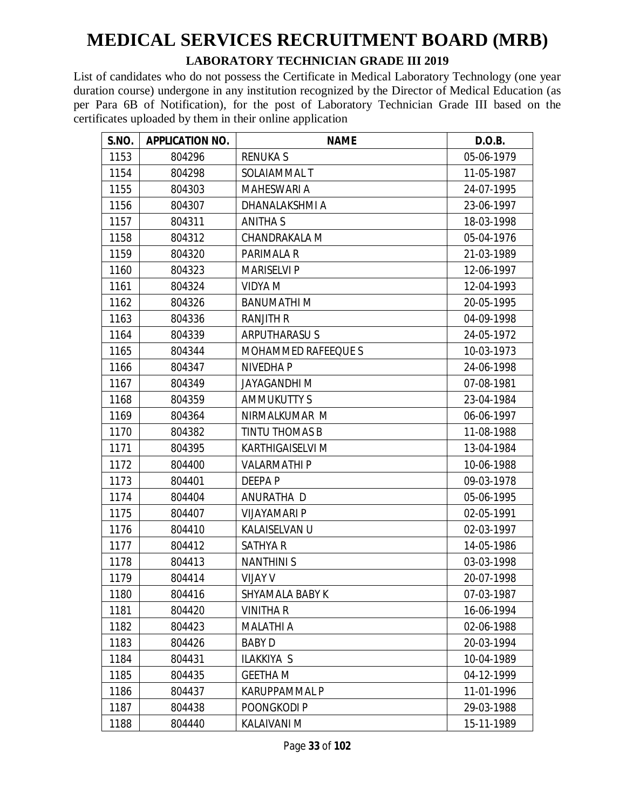#### **LABORATORY TECHNICIAN GRADE III 2019**

| S.NO. | <b>APPLICATION NO.</b> | <b>NAME</b>                | D.O.B.     |
|-------|------------------------|----------------------------|------------|
| 1153  | 804296                 | <b>RENUKAS</b>             | 05-06-1979 |
| 1154  | 804298                 | SOLAIAMMAL T               | 11-05-1987 |
| 1155  | 804303                 | <b>MAHESWARI A</b>         | 24-07-1995 |
| 1156  | 804307                 | DHANALAKSHMI A             | 23-06-1997 |
| 1157  | 804311                 | <b>ANITHA S</b>            | 18-03-1998 |
| 1158  | 804312                 | CHANDRAKALA M              | 05-04-1976 |
| 1159  | 804320                 | PARIMALA R                 | 21-03-1989 |
| 1160  | 804323                 | <b>MARISELVI P</b>         | 12-06-1997 |
| 1161  | 804324                 | <b>VIDYA M</b>             | 12-04-1993 |
| 1162  | 804326                 | <b>BANUMATHIM</b>          | 20-05-1995 |
| 1163  | 804336                 | <b>RANJITH R</b>           | 04-09-1998 |
| 1164  | 804339                 | <b>ARPUTHARASUS</b>        | 24-05-1972 |
| 1165  | 804344                 | <b>MOHAMMED RAFEEQUE S</b> | 10-03-1973 |
| 1166  | 804347                 | <b>NIVEDHAP</b>            | 24-06-1998 |
| 1167  | 804349                 | <b>JAYAGANDHI M</b>        | 07-08-1981 |
| 1168  | 804359                 | <b>AMMUKUTTY S</b>         | 23-04-1984 |
| 1169  | 804364                 | NIRMALKUMAR M              | 06-06-1997 |
| 1170  | 804382                 | <b>TINTU THOMAS B</b>      | 11-08-1988 |
| 1171  | 804395                 | <b>KARTHIGAISELVI M</b>    | 13-04-1984 |
| 1172  | 804400                 | <b>VALARMATHIP</b>         | 10-06-1988 |
| 1173  | 804401                 | <b>DEEPAP</b>              | 09-03-1978 |
| 1174  | 804404                 | ANURATHA D                 | 05-06-1995 |
| 1175  | 804407                 | <b>VIJAYAMARI P</b>        | 02-05-1991 |
| 1176  | 804410                 | KALAISELVAN U              | 02-03-1997 |
| 1177  | 804412                 | <b>SATHYA R</b>            | 14-05-1986 |
| 1178  | 804413                 | <b>NANTHINIS</b>           | 03-03-1998 |
| 1179  | 804414                 | <b>VIJAY V</b>             | 20-07-1998 |
| 1180  | 804416                 | SHYAMALA BABY K            | 07-03-1987 |
| 1181  | 804420                 | <b>VINITHA R</b>           | 16-06-1994 |
| 1182  | 804423                 | <b>MALATHI A</b>           | 02-06-1988 |
| 1183  | 804426                 | <b>BABY D</b>              | 20-03-1994 |
| 1184  | 804431                 | <b>ILAKKIYA S</b>          | 10-04-1989 |
| 1185  | 804435                 | <b>GEETHA M</b>            | 04-12-1999 |
| 1186  | 804437                 | <b>KARUPPAMMAL P</b>       | 11-01-1996 |
| 1187  | 804438                 | POONGKODI P                | 29-03-1988 |
| 1188  | 804440                 | <b>KALAIVANI M</b>         | 15-11-1989 |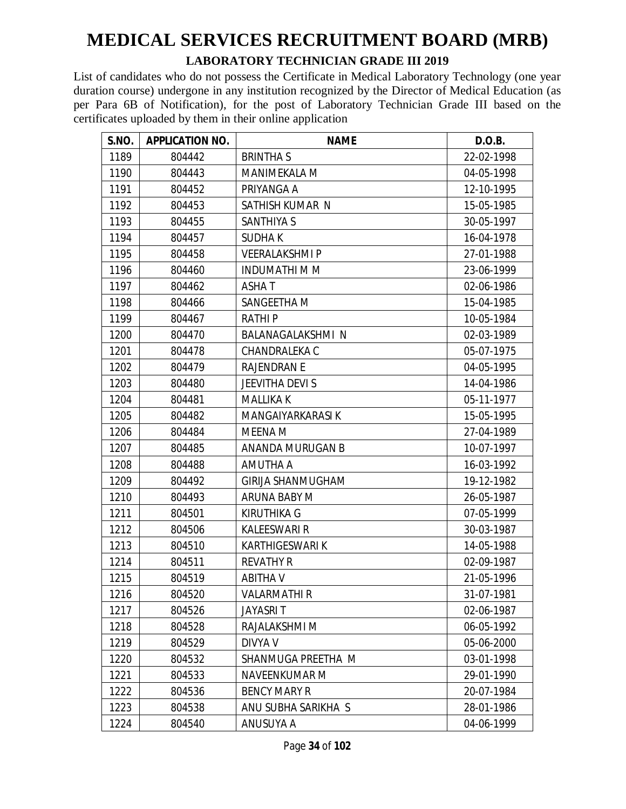#### **LABORATORY TECHNICIAN GRADE III 2019**

| S.NO. | <b>APPLICATION NO.</b> | <b>NAME</b>              | D.O.B.     |
|-------|------------------------|--------------------------|------------|
| 1189  | 804442                 | <b>BRINTHAS</b>          | 22-02-1998 |
| 1190  | 804443                 | <b>MANIMEKALA M</b>      | 04-05-1998 |
| 1191  | 804452                 | PRIYANGA A               | 12-10-1995 |
| 1192  | 804453                 | SATHISH KUMAR N          | 15-05-1985 |
| 1193  | 804455                 | <b>SANTHIYA S</b>        | 30-05-1997 |
| 1194  | 804457                 | <b>SUDHAK</b>            | 16-04-1978 |
| 1195  | 804458                 | <b>VEERALAKSHMIP</b>     | 27-01-1988 |
| 1196  | 804460                 | <b>INDUMATHI M M</b>     | 23-06-1999 |
| 1197  | 804462                 | <b>ASHAT</b>             | 02-06-1986 |
| 1198  | 804466                 | SANGEETHA M              | 15-04-1985 |
| 1199  | 804467                 | <b>RATHIP</b>            | 10-05-1984 |
| 1200  | 804470                 | BALANAGALAKSHMI N        | 02-03-1989 |
| 1201  | 804478                 | CHANDRALEKA C            | 05-07-1975 |
| 1202  | 804479                 | <b>RAJENDRAN E</b>       | 04-05-1995 |
| 1203  | 804480                 | <b>JEEVITHA DEVI S</b>   | 14-04-1986 |
| 1204  | 804481                 | <b>MALLIKA K</b>         | 05-11-1977 |
| 1205  | 804482                 | MANGAIYARKARASI K        | 15-05-1995 |
| 1206  | 804484                 | MEENA M                  | 27-04-1989 |
| 1207  | 804485                 | ANANDA MURUGAN B         | 10-07-1997 |
| 1208  | 804488                 | AMUTHA A                 | 16-03-1992 |
| 1209  | 804492                 | <b>GIRIJA SHANMUGHAM</b> | 19-12-1982 |
| 1210  | 804493                 | ARUNA BABY M             | 26-05-1987 |
| 1211  | 804501                 | <b>KIRUTHIKA G</b>       | 07-05-1999 |
| 1212  | 804506                 | <b>KALEESWARI R</b>      | 30-03-1987 |
| 1213  | 804510                 | <b>KARTHIGESWARI K</b>   | 14-05-1988 |
| 1214  | 804511                 | <b>REVATHY R</b>         | 02-09-1987 |
| 1215  | 804519                 | <b>ABITHAV</b>           | 21-05-1996 |
| 1216  | 804520                 | <b>VALARMATHIR</b>       | 31-07-1981 |
| 1217  | 804526                 | <b>JAYASRIT</b>          | 02-06-1987 |
| 1218  | 804528                 | RAJALAKSHMI M            | 06-05-1992 |
| 1219  | 804529                 | <b>DIVYA V</b>           | 05-06-2000 |
| 1220  | 804532                 | SHANMUGA PREETHA M       | 03-01-1998 |
| 1221  | 804533                 | NAVEENKUMAR M            | 29-01-1990 |
| 1222  | 804536                 | <b>BENCY MARY R</b>      | 20-07-1984 |
| 1223  | 804538                 | ANU SUBHA SARIKHA S      | 28-01-1986 |
| 1224  | 804540                 | ANUSUYA A                | 04-06-1999 |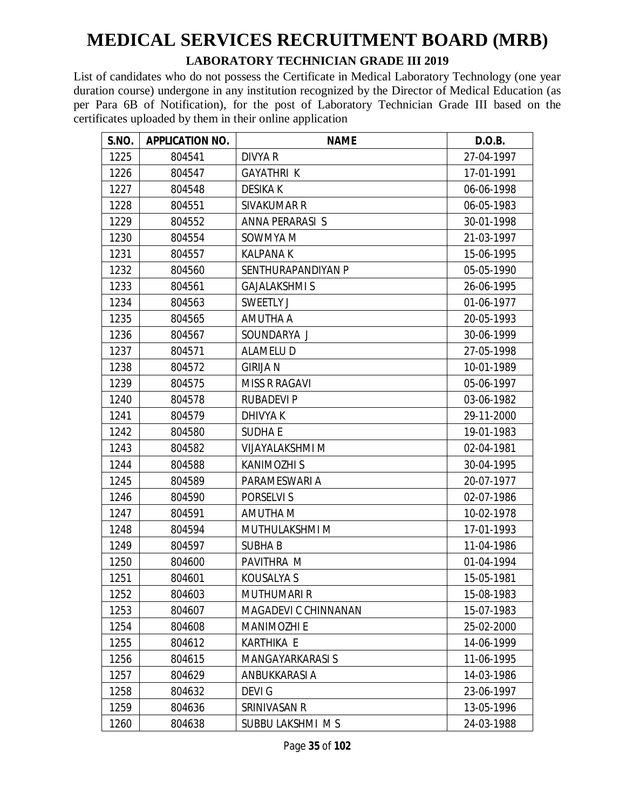#### **LABORATORY TECHNICIAN GRADE III 2019**

| S.NO. | <b>APPLICATION NO.</b> | <b>NAME</b>             | D.O.B.     |
|-------|------------------------|-------------------------|------------|
| 1225  | 804541                 | <b>DIVYA R</b>          | 27-04-1997 |
| 1226  | 804547                 | <b>GAYATHRI K</b>       | 17-01-1991 |
| 1227  | 804548                 | <b>DESIKAK</b>          | 06-06-1998 |
| 1228  | 804551                 | <b>SIVAKUMAR R</b>      | 06-05-1983 |
| 1229  | 804552                 | ANNA PERARASI S         | 30-01-1998 |
| 1230  | 804554                 | SOWMYA M                | 21-03-1997 |
| 1231  | 804557                 | <b>KALPANA K</b>        | 15-06-1995 |
| 1232  | 804560                 | SENTHURAPANDIYAN P      | 05-05-1990 |
| 1233  | 804561                 | <b>GAJALAKSHMI S</b>    | 26-06-1995 |
| 1234  | 804563                 | <b>SWEETLY J</b>        | 01-06-1977 |
| 1235  | 804565                 | AMUTHA A                | 20-05-1993 |
| 1236  | 804567                 | SOUNDARYA J             | 30-06-1999 |
| 1237  | 804571                 | <b>ALAMELU D</b>        | 27-05-1998 |
| 1238  | 804572                 | <b>GIRIJA N</b>         | 10-01-1989 |
| 1239  | 804575                 | <b>MISS R RAGAVI</b>    | 05-06-1997 |
| 1240  | 804578                 | <b>RUBADEVI P</b>       | 03-06-1982 |
| 1241  | 804579                 | <b>DHIVYAK</b>          | 29-11-2000 |
| 1242  | 804580                 | <b>SUDHAE</b>           | 19-01-1983 |
| 1243  | 804582                 | <b>VIJAYALAKSHMI M</b>  | 02-04-1981 |
| 1244  | 804588                 | <b>KANIMOZHI S</b>      | 30-04-1995 |
| 1245  | 804589                 | PARAMESWARI A           | 20-07-1977 |
| 1246  | 804590                 | PORSELVI S              | 02-07-1986 |
| 1247  | 804591                 | <b>AMUTHA M</b>         | 10-02-1978 |
| 1248  | 804594                 | MUTHULAKSHMI M          | 17-01-1993 |
| 1249  | 804597                 | <b>SUBHAB</b>           | 11-04-1986 |
| 1250  | 804600                 | PAVITHRA M              | 01-04-1994 |
| 1251  | 804601                 | <b>KOUSALYA S</b>       | 15-05-1981 |
| 1252  | 804603                 | <b>MUTHUMARI R</b>      | 15-08-1983 |
| 1253  | 804607                 | MAGADEVI C CHINNANAN    | 15-07-1983 |
| 1254  | 804608                 | <b>MANIMOZHI E</b>      | 25-02-2000 |
| 1255  | 804612                 | <b>KARTHIKA E</b>       | 14-06-1999 |
| 1256  | 804615                 | <b>MANGAYARKARASI S</b> | 11-06-1995 |
| 1257  | 804629                 | ANBUKKARASI A           | 14-03-1986 |
| 1258  | 804632                 | <b>DEVIG</b>            | 23-06-1997 |
| 1259  | 804636                 | SRINIVASAN R            | 13-05-1996 |
| 1260  | 804638                 | SUBBU LAKSHMI MS        | 24-03-1988 |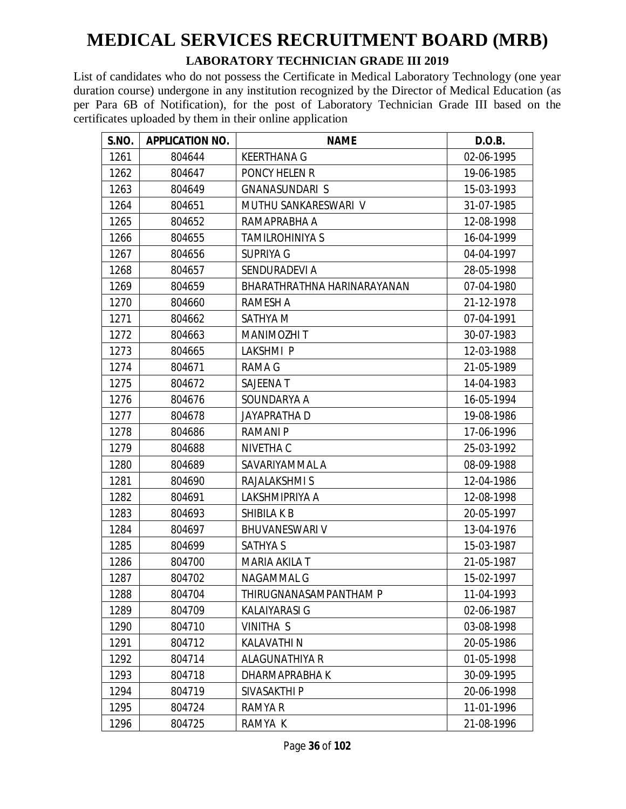#### **LABORATORY TECHNICIAN GRADE III 2019**

| S.NO. | <b>APPLICATION NO.</b> | <b>NAME</b>                 | D.O.B.     |
|-------|------------------------|-----------------------------|------------|
| 1261  | 804644                 | <b>KEERTHANA G</b>          | 02-06-1995 |
| 1262  | 804647                 | PONCY HELEN R               | 19-06-1985 |
| 1263  | 804649                 | <b>GNANASUNDARI S</b>       | 15-03-1993 |
| 1264  | 804651                 | MUTHU SANKARESWARI V        | 31-07-1985 |
| 1265  | 804652                 | RAMAPRABHA A                | 12-08-1998 |
| 1266  | 804655                 | <b>TAMILROHINIYA S</b>      | 16-04-1999 |
| 1267  | 804656                 | <b>SUPRIYA G</b>            | 04-04-1997 |
| 1268  | 804657                 | SENDURADEVI A               | 28-05-1998 |
| 1269  | 804659                 | BHARATHRATHNA HARINARAYANAN | 07-04-1980 |
| 1270  | 804660                 | RAMESH A                    | 21-12-1978 |
| 1271  | 804662                 | SATHYA M                    | 07-04-1991 |
| 1272  | 804663                 | MANIMOZHI T                 | 30-07-1983 |
| 1273  | 804665                 | LAKSHMI P                   | 12-03-1988 |
| 1274  | 804671                 | <b>RAMA G</b>               | 21-05-1989 |
| 1275  | 804672                 | SAJEENA T                   | 14-04-1983 |
| 1276  | 804676                 | SOUNDARYA A                 | 16-05-1994 |
| 1277  | 804678                 | <b>JAYAPRATHA D</b>         | 19-08-1986 |
| 1278  | 804686                 | <b>RAMANIP</b>              | 17-06-1996 |
| 1279  | 804688                 | NIVETHA C                   | 25-03-1992 |
| 1280  | 804689                 | SAVARIYAMMAL A              | 08-09-1988 |
| 1281  | 804690                 | RAJALAKSHMI S               | 12-04-1986 |
| 1282  | 804691                 | LAKSHMIPRIYA A              | 12-08-1998 |
| 1283  | 804693                 | SHIBILA K B                 | 20-05-1997 |
| 1284  | 804697                 | <b>BHUVANESWARI V</b>       | 13-04-1976 |
| 1285  | 804699                 | <b>SATHYA S</b>             | 15-03-1987 |
| 1286  | 804700                 | MARIA AKILA T               | 21-05-1987 |
| 1287  | 804702                 | NAGAMMAL G                  | 15-02-1997 |
| 1288  | 804704                 | THIRUGNANASAMPANTHAM P      | 11-04-1993 |
| 1289  | 804709                 | <b>KALAIYARASI G</b>        | 02-06-1987 |
| 1290  | 804710                 | VINITHA S                   | 03-08-1998 |
| 1291  | 804712                 | <b>KALAVATHIN</b>           | 20-05-1986 |
| 1292  | 804714                 | <b>ALAGUNATHIYA R</b>       | 01-05-1998 |
| 1293  | 804718                 | DHARMAPRABHA K              | 30-09-1995 |
| 1294  | 804719                 | SIVASAKTHI P                | 20-06-1998 |
| 1295  | 804724                 | RAMYA R                     | 11-01-1996 |
| 1296  | 804725                 | RAMYA K                     | 21-08-1996 |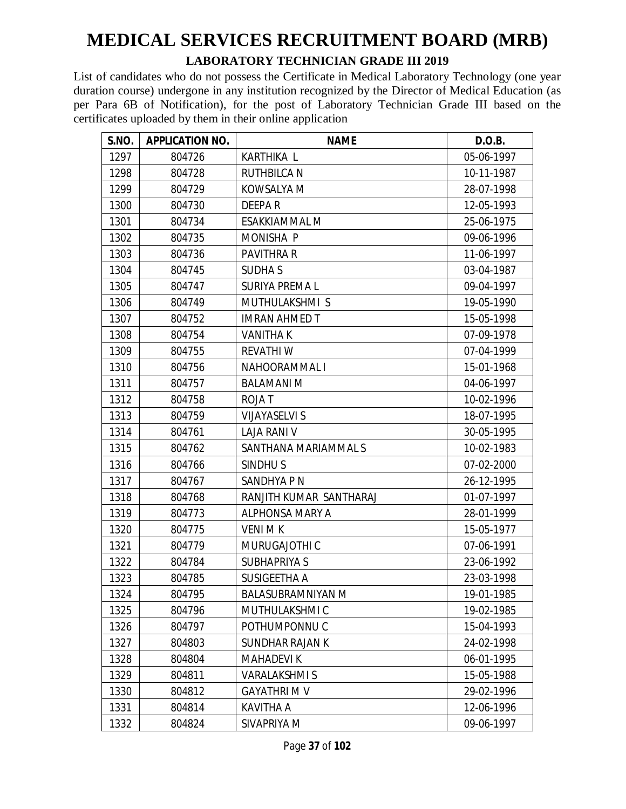#### **LABORATORY TECHNICIAN GRADE III 2019**

| S.NO. | <b>APPLICATION NO.</b> | <b>NAME</b>              | D.O.B.     |
|-------|------------------------|--------------------------|------------|
| 1297  | 804726                 | KARTHIKA L               | 05-06-1997 |
| 1298  | 804728                 | <b>RUTHBILCA N</b>       | 10-11-1987 |
| 1299  | 804729                 | KOWSALYA M               | 28-07-1998 |
| 1300  | 804730                 | <b>DEEPAR</b>            | 12-05-1993 |
| 1301  | 804734                 | <b>ESAKKIAMMAL M</b>     | 25-06-1975 |
| 1302  | 804735                 | <b>MONISHA P</b>         | 09-06-1996 |
| 1303  | 804736                 | <b>PAVITHRA R</b>        | 11-06-1997 |
| 1304  | 804745                 | <b>SUDHAS</b>            | 03-04-1987 |
| 1305  | 804747                 | <b>SURIYA PREMA L</b>    | 09-04-1997 |
| 1306  | 804749                 | MUTHULAKSHMI S           | 19-05-1990 |
| 1307  | 804752                 | <b>IMRAN AHMED T</b>     | 15-05-1998 |
| 1308  | 804754                 | <b>VANITHAK</b>          | 07-09-1978 |
| 1309  | 804755                 | <b>REVATHIW</b>          | 07-04-1999 |
| 1310  | 804756                 | NAHOORAMMAL I            | 15-01-1968 |
| 1311  | 804757                 | <b>BALAMANI M</b>        | 04-06-1997 |
| 1312  | 804758                 | <b>ROJAT</b>             | 10-02-1996 |
| 1313  | 804759                 | <b>VIJAYASELVI S</b>     | 18-07-1995 |
| 1314  | 804761                 | <b>LAJA RANI V</b>       | 30-05-1995 |
| 1315  | 804762                 | SANTHANA MARIAMMAL S     | 10-02-1983 |
| 1316  | 804766                 | SINDHU <sub>S</sub>      | 07-02-2000 |
| 1317  | 804767                 | SANDHYA P N              | 26-12-1995 |
| 1318  | 804768                 | RANJITH KUMAR SANTHARAJ  | 01-07-1997 |
| 1319  | 804773                 | <b>ALPHONSA MARY A</b>   | 28-01-1999 |
| 1320  | 804775                 | <b>VENIMK</b>            | 15-05-1977 |
| 1321  | 804779                 | MURUGAJOTHI C            | 07-06-1991 |
| 1322  | 804784                 | <b>SUBHAPRIYA S</b>      | 23-06-1992 |
| 1323  | 804785                 | SUSIGEETHA A             | 23-03-1998 |
| 1324  | 804795                 | <b>BALASUBRAMNIYAN M</b> | 19-01-1985 |
| 1325  | 804796                 | MUTHULAKSHMI C           | 19-02-1985 |
| 1326  | 804797                 | POTHUMPONNU C            | 15-04-1993 |
| 1327  | 804803                 | SUNDHAR RAJAN K          | 24-02-1998 |
| 1328  | 804804                 | <b>MAHADEVIK</b>         | 06-01-1995 |
| 1329  | 804811                 | <b>VARALAKSHMIS</b>      | 15-05-1988 |
| 1330  | 804812                 | <b>GAYATHRI M V</b>      | 29-02-1996 |
| 1331  | 804814                 | <b>KAVITHA A</b>         | 12-06-1996 |
| 1332  | 804824                 | SIVAPRIYA M              | 09-06-1997 |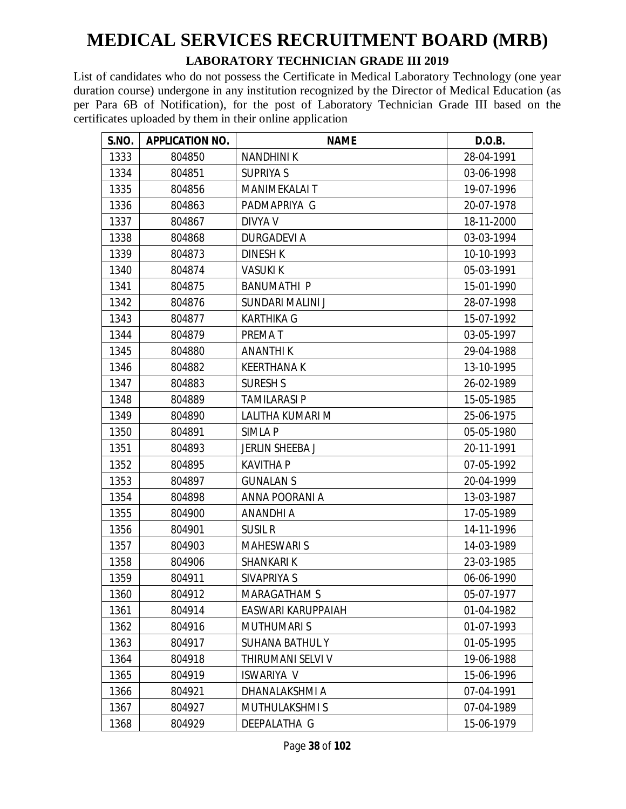#### **LABORATORY TECHNICIAN GRADE III 2019**

| S.NO. | <b>APPLICATION NO.</b> | <b>NAME</b>            | D.O.B.     |
|-------|------------------------|------------------------|------------|
| 1333  | 804850                 | <b>NANDHINIK</b>       | 28-04-1991 |
| 1334  | 804851                 | <b>SUPRIYA S</b>       | 03-06-1998 |
| 1335  | 804856                 | MANIMEKALAI T          | 19-07-1996 |
| 1336  | 804863                 | PADMAPRIYA G           | 20-07-1978 |
| 1337  | 804867                 | DIVYA V                | 18-11-2000 |
| 1338  | 804868                 | <b>DURGADEVI A</b>     | 03-03-1994 |
| 1339  | 804873                 | <b>DINESH K</b>        | 10-10-1993 |
| 1340  | 804874                 | <b>VASUKI K</b>        | 05-03-1991 |
| 1341  | 804875                 | <b>BANUMATHI P</b>     | 15-01-1990 |
| 1342  | 804876                 | SUNDARI MALINI J       | 28-07-1998 |
| 1343  | 804877                 | <b>KARTHIKA G</b>      | 15-07-1992 |
| 1344  | 804879                 | PREMAT                 | 03-05-1997 |
| 1345  | 804880                 | <b>ANANTHI K</b>       | 29-04-1988 |
| 1346  | 804882                 | <b>KEERTHANAK</b>      | 13-10-1995 |
| 1347  | 804883                 | <b>SURESH S</b>        | 26-02-1989 |
| 1348  | 804889                 | <b>TAMILARASI P</b>    | 15-05-1985 |
| 1349  | 804890                 | LALITHA KUMARI M       | 25-06-1975 |
| 1350  | 804891                 | SIMLA P                | 05-05-1980 |
| 1351  | 804893                 | JERLIN SHEEBA J        | 20-11-1991 |
| 1352  | 804895                 | <b>KAVITHA P</b>       | 07-05-1992 |
| 1353  | 804897                 | <b>GUNALAN S</b>       | 20-04-1999 |
| 1354  | 804898                 | ANNA POORANI A         | 13-03-1987 |
| 1355  | 804900                 | <b>ANANDHI A</b>       | 17-05-1989 |
| 1356  | 804901                 | <b>SUSIL R</b>         | 14-11-1996 |
| 1357  | 804903                 | <b>MAHESWARI S</b>     | 14-03-1989 |
| 1358  | 804906                 | <b>SHANKARIK</b>       | 23-03-1985 |
| 1359  | 804911                 | SIVAPRIYA S            | 06-06-1990 |
| 1360  | 804912                 | <b>MARAGATHAM S</b>    | 05-07-1977 |
| 1361  | 804914                 | EASWARI KARUPPAIAH     | 01-04-1982 |
| 1362  | 804916                 | <b>MUTHUMARIS</b>      | 01-07-1993 |
| 1363  | 804917                 | <b>SUHANA BATHUL Y</b> | 01-05-1995 |
| 1364  | 804918                 | THIRUMANI SELVI V      | 19-06-1988 |
| 1365  | 804919                 | <b>ISWARIYA V</b>      | 15-06-1996 |
| 1366  | 804921                 | DHANALAKSHMI A         | 07-04-1991 |
| 1367  | 804927                 | <b>MUTHULAKSHMIS</b>   | 07-04-1989 |
| 1368  | 804929                 | DEEPALATHA G           | 15-06-1979 |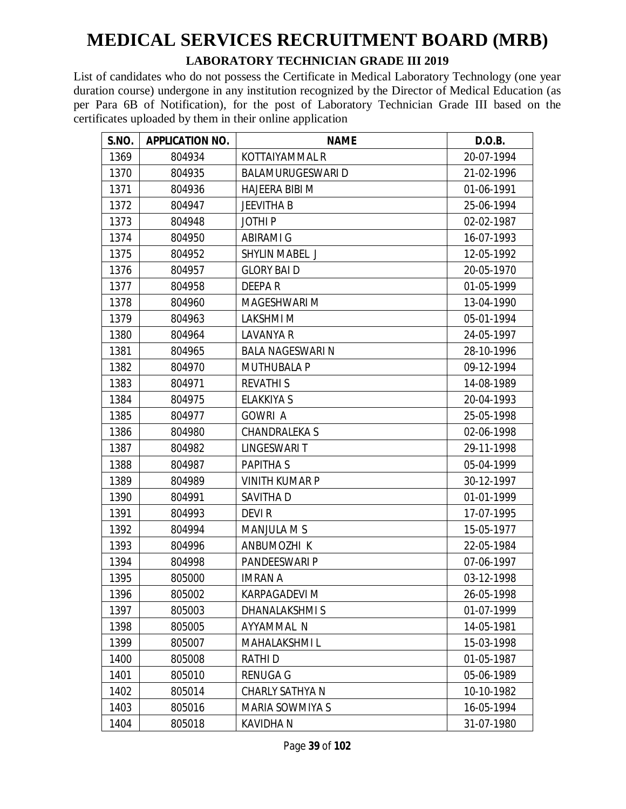#### **LABORATORY TECHNICIAN GRADE III 2019**

| S.NO. | <b>APPLICATION NO.</b> | <b>NAME</b>              | D.O.B.     |
|-------|------------------------|--------------------------|------------|
| 1369  | 804934                 | KOTTAIYAMMAL R           | 20-07-1994 |
| 1370  | 804935                 | <b>BALAMURUGESWARI D</b> | 21-02-1996 |
| 1371  | 804936                 | <b>HAJEERA BIBI M</b>    | 01-06-1991 |
| 1372  | 804947                 | <b>JEEVITHA B</b>        | 25-06-1994 |
| 1373  | 804948                 | <b>JOTHIP</b>            | 02-02-1987 |
| 1374  | 804950                 | <b>ABIRAMI G</b>         | 16-07-1993 |
| 1375  | 804952                 | <b>SHYLIN MABEL J</b>    | 12-05-1992 |
| 1376  | 804957                 | <b>GLORY BAID</b>        | 20-05-1970 |
| 1377  | 804958                 | <b>DEEPAR</b>            | 01-05-1999 |
| 1378  | 804960                 | MAGESHWARI M             | 13-04-1990 |
| 1379  | 804963                 | LAKSHMI M                | 05-01-1994 |
| 1380  | 804964                 | <b>LAVANYA R</b>         | 24-05-1997 |
| 1381  | 804965                 | <b>BALA NAGESWARI N</b>  | 28-10-1996 |
| 1382  | 804970                 | <b>MUTHUBALA P</b>       | 09-12-1994 |
| 1383  | 804971                 | <b>REVATHIS</b>          | 14-08-1989 |
| 1384  | 804975                 | <b>ELAKKIYA S</b>        | 20-04-1993 |
| 1385  | 804977                 | <b>GOWRI A</b>           | 25-05-1998 |
| 1386  | 804980                 | <b>CHANDRALEKA S</b>     | 02-06-1998 |
| 1387  | 804982                 | <b>LINGESWARIT</b>       | 29-11-1998 |
| 1388  | 804987                 | <b>PAPITHAS</b>          | 05-04-1999 |
| 1389  | 804989                 | <b>VINITH KUMAR P</b>    | 30-12-1997 |
| 1390  | 804991                 | SAVITHA D                | 01-01-1999 |
| 1391  | 804993                 | <b>DEVIR</b>             | 17-07-1995 |
| 1392  | 804994                 | <b>MANJULA M S</b>       | 15-05-1977 |
| 1393  | 804996                 | ANBUMOZHI K              | 22-05-1984 |
| 1394  | 804998                 | PANDEESWARI P            | 07-06-1997 |
| 1395  | 805000                 | <b>IMRAN A</b>           | 03-12-1998 |
| 1396  | 805002                 | KARPAGADEVI M            | 26-05-1998 |
| 1397  | 805003                 | DHANALAKSHMIS            | 01-07-1999 |
| 1398  | 805005                 | AYYAMMAL N               | 14-05-1981 |
| 1399  | 805007                 | <b>MAHALAKSHMIL</b>      | 15-03-1998 |
| 1400  | 805008                 | RATHI D                  | 01-05-1987 |
| 1401  | 805010                 | <b>RENUGA G</b>          | 05-06-1989 |
| 1402  | 805014                 | CHARLY SATHYA N          | 10-10-1982 |
| 1403  | 805016                 | MARIA SOWMIYA S          | 16-05-1994 |
| 1404  | 805018                 | <b>KAVIDHA N</b>         | 31-07-1980 |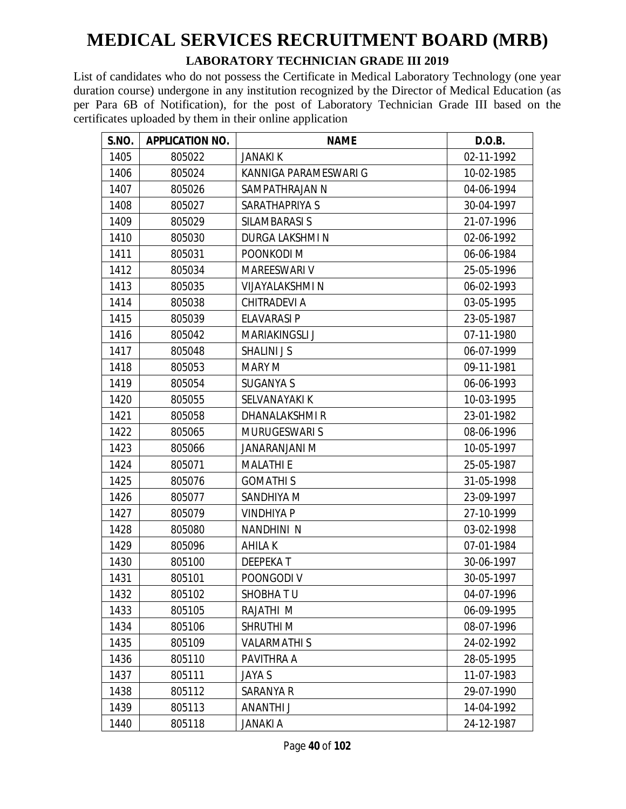#### **LABORATORY TECHNICIAN GRADE III 2019**

| S.NO. | <b>APPLICATION NO.</b> | <b>NAME</b>            | D.O.B.     |
|-------|------------------------|------------------------|------------|
| 1405  | 805022                 | <b>JANAKI K</b>        | 02-11-1992 |
| 1406  | 805024                 | KANNIGA PARAMESWARI G  | 10-02-1985 |
| 1407  | 805026                 | SAMPATHRAJAN N         | 04-06-1994 |
| 1408  | 805027                 | SARATHAPRIYA S         | 30-04-1997 |
| 1409  | 805029                 | SILAMBARASI S          | 21-07-1996 |
| 1410  | 805030                 | DURGA LAKSHMI N        | 02-06-1992 |
| 1411  | 805031                 | POONKODI M             | 06-06-1984 |
| 1412  | 805034                 | MAREESWARI V           | 25-05-1996 |
| 1413  | 805035                 | <b>VIJAYALAKSHMI N</b> | 06-02-1993 |
| 1414  | 805038                 | <b>CHITRADEVI A</b>    | 03-05-1995 |
| 1415  | 805039                 | <b>ELAVARASI P</b>     | 23-05-1987 |
| 1416  | 805042                 | <b>MARIAKINGSLI J</b>  | 07-11-1980 |
| 1417  | 805048                 | <b>SHALINI J S</b>     | 06-07-1999 |
| 1418  | 805053                 | <b>MARY M</b>          | 09-11-1981 |
| 1419  | 805054                 | <b>SUGANYA S</b>       | 06-06-1993 |
| 1420  | 805055                 | SELVANAYAKI K          | 10-03-1995 |
| 1421  | 805058                 | DHANALAKSHMIR          | 23-01-1982 |
| 1422  | 805065                 | <b>MURUGESWARI S</b>   | 08-06-1996 |
| 1423  | 805066                 | JANARANJANI M          | 10-05-1997 |
| 1424  | 805071                 | <b>MALATHI E</b>       | 25-05-1987 |
| 1425  | 805076                 | <b>GOMATHIS</b>        | 31-05-1998 |
| 1426  | 805077                 | SANDHIYA M             | 23-09-1997 |
| 1427  | 805079                 | <b>VINDHIYA P</b>      | 27-10-1999 |
| 1428  | 805080                 | NANDHINI N             | 03-02-1998 |
| 1429  | 805096                 | AHILA K                | 07-01-1984 |
| 1430  | 805100                 | <b>DEEPEKAT</b>        | 30-06-1997 |
| 1431  | 805101                 | POONGODI V             | 30-05-1997 |
| 1432  | 805102                 | SHOBHATU               | 04-07-1996 |
| 1433  | 805105                 | RAJATHI M              | 06-09-1995 |
| 1434  | 805106                 | <b>SHRUTHIM</b>        | 08-07-1996 |
| 1435  | 805109                 | <b>VALARMATHIS</b>     | 24-02-1992 |
| 1436  | 805110                 | PAVITHRA A             | 28-05-1995 |
| 1437  | 805111                 | JAYA S                 | 11-07-1983 |
| 1438  | 805112                 | SARANYA R              | 29-07-1990 |
| 1439  | 805113                 | ANANTHI J              | 14-04-1992 |
| 1440  | 805118                 | <b>JANAKI A</b>        | 24-12-1987 |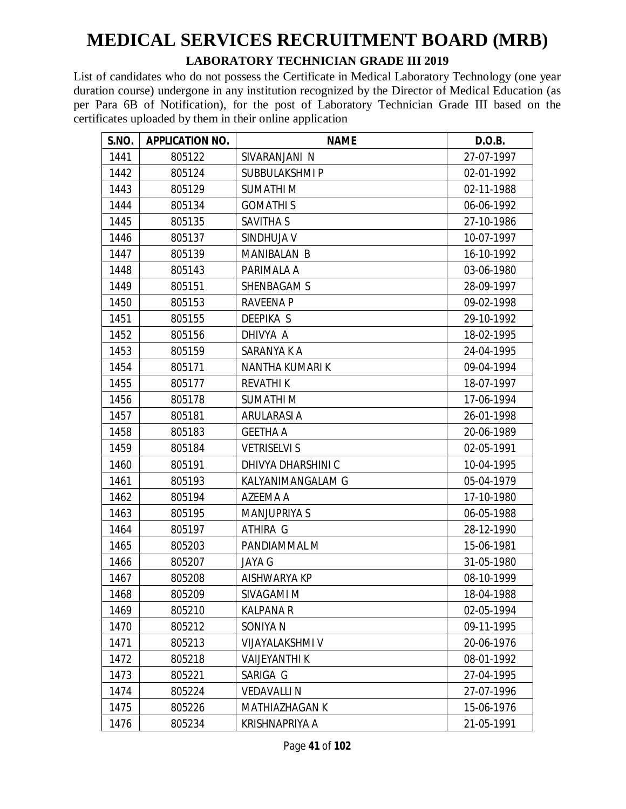#### **LABORATORY TECHNICIAN GRADE III 2019**

| S.NO. | <b>APPLICATION NO.</b> | <b>NAME</b>            | D.O.B.     |
|-------|------------------------|------------------------|------------|
| 1441  | 805122                 | SIVARANJANI N          | 27-07-1997 |
| 1442  | 805124                 | SUBBULAKSHMI P         | 02-01-1992 |
| 1443  | 805129                 | <b>SUMATHIM</b>        | 02-11-1988 |
| 1444  | 805134                 | <b>GOMATHIS</b>        | 06-06-1992 |
| 1445  | 805135                 | SAVITHA S              | 27-10-1986 |
| 1446  | 805137                 | SINDHUJA V             | 10-07-1997 |
| 1447  | 805139                 | <b>MANIBALAN B</b>     | 16-10-1992 |
| 1448  | 805143                 | PARIMALA A             | 03-06-1980 |
| 1449  | 805151                 | <b>SHENBAGAM S</b>     | 28-09-1997 |
| 1450  | 805153                 | <b>RAVEENA P</b>       | 09-02-1998 |
| 1451  | 805155                 | <b>DEEPIKA S</b>       | 29-10-1992 |
| 1452  | 805156                 | DHIVYA A               | 18-02-1995 |
| 1453  | 805159                 | SARANYA K A            | 24-04-1995 |
| 1454  | 805171                 | NANTHA KUMARI K        | 09-04-1994 |
| 1455  | 805177                 | <b>REVATHIK</b>        | 18-07-1997 |
| 1456  | 805178                 | <b>SUMATHIM</b>        | 17-06-1994 |
| 1457  | 805181                 | ARULARASI A            | 26-01-1998 |
| 1458  | 805183                 | <b>GEETHA A</b>        | 20-06-1989 |
| 1459  | 805184                 | <b>VETRISELVI S</b>    | 02-05-1991 |
| 1460  | 805191                 | DHIVYA DHARSHINI C     | 10-04-1995 |
| 1461  | 805193                 | KALYANIMANGALAM G      | 05-04-1979 |
| 1462  | 805194                 | AZEEMA A               | 17-10-1980 |
| 1463  | 805195                 | <b>MANJUPRIYA S</b>    | 06-05-1988 |
| 1464  | 805197                 | ATHIRA G               | 28-12-1990 |
| 1465  | 805203                 | PANDIAMMAL M           | 15-06-1981 |
| 1466  | 805207                 | <b>JAYA G</b>          | 31-05-1980 |
| 1467  | 805208                 | AISHWARYA KP           | 08-10-1999 |
| 1468  | 805209                 | SIVAGAMI M             | 18-04-1988 |
| 1469  | 805210                 | <b>KALPANA R</b>       | 02-05-1994 |
| 1470  | 805212                 | SONIYA N               | 09-11-1995 |
| 1471  | 805213                 | <b>VIJAYALAKSHMI V</b> | 20-06-1976 |
| 1472  | 805218                 | <b>VAIJEYANTHI K</b>   | 08-01-1992 |
| 1473  | 805221                 | SARIGA G               | 27-04-1995 |
| 1474  | 805224                 | <b>VEDAVALLIN</b>      | 27-07-1996 |
| 1475  | 805226                 | <b>MATHIAZHAGAN K</b>  | 15-06-1976 |
| 1476  | 805234                 | KRISHNAPRIYA A         | 21-05-1991 |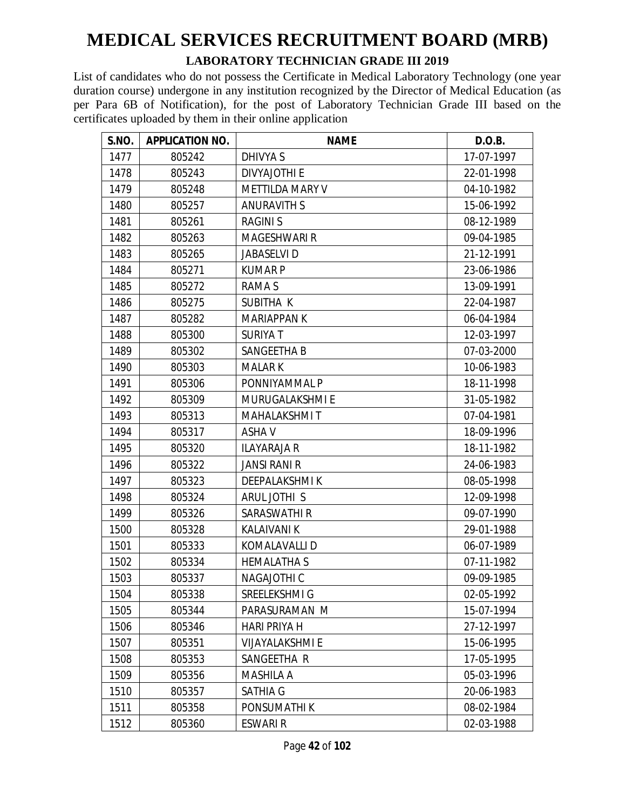#### **LABORATORY TECHNICIAN GRADE III 2019**

| S.NO. | <b>APPLICATION NO.</b> | <b>NAME</b>            | D.O.B.     |
|-------|------------------------|------------------------|------------|
| 1477  | 805242                 | DHIVYA S               | 17-07-1997 |
| 1478  | 805243                 | <b>DIVYAJOTHI E</b>    | 22-01-1998 |
| 1479  | 805248                 | <b>METTILDA MARY V</b> | 04-10-1982 |
| 1480  | 805257                 | <b>ANURAVITH S</b>     | 15-06-1992 |
| 1481  | 805261                 | <b>RAGINIS</b>         | 08-12-1989 |
| 1482  | 805263                 | <b>MAGESHWARI R</b>    | 09-04-1985 |
| 1483  | 805265                 | <b>JABASELVI D</b>     | 21-12-1991 |
| 1484  | 805271                 | <b>KUMARP</b>          | 23-06-1986 |
| 1485  | 805272                 | <b>RAMAS</b>           | 13-09-1991 |
| 1486  | 805275                 | SUBITHA K              | 22-04-1987 |
| 1487  | 805282                 | <b>MARIAPPAN K</b>     | 06-04-1984 |
| 1488  | 805300                 | <b>SURIYAT</b>         | 12-03-1997 |
| 1489  | 805302                 | SANGEETHA B            | 07-03-2000 |
| 1490  | 805303                 | <b>MALARK</b>          | 10-06-1983 |
| 1491  | 805306                 | PONNIYAMMAL P          | 18-11-1998 |
| 1492  | 805309                 | MURUGALAKSHMI E        | 31-05-1982 |
| 1493  | 805313                 | <b>MAHALAKSHMIT</b>    | 07-04-1981 |
| 1494  | 805317                 | <b>ASHAV</b>           | 18-09-1996 |
| 1495  | 805320                 | <b>ILAYARAJA R</b>     | 18-11-1982 |
| 1496  | 805322                 | <b>JANSI RANI R</b>    | 24-06-1983 |
| 1497  | 805323                 | <b>DEEPALAKSHMIK</b>   | 08-05-1998 |
| 1498  | 805324                 | ARUL JOTHI S           | 12-09-1998 |
| 1499  | 805326                 | <b>SARASWATHI R</b>    | 09-07-1990 |
| 1500  | 805328                 | <b>KALAIVANI K</b>     | 29-01-1988 |
| 1501  | 805333                 | KOMALAVALLI D          | 06-07-1989 |
| 1502  | 805334                 | <b>HEMALATHA S</b>     | 07-11-1982 |
| 1503  | 805337                 | <b>NAGAJOTHI C</b>     | 09-09-1985 |
| 1504  | 805338                 | SREELEKSHMI G          | 02-05-1992 |
| 1505  | 805344                 | PARASURAMAN M          | 15-07-1994 |
| 1506  | 805346                 | <b>HARI PRIYA H</b>    | 27-12-1997 |
| 1507  | 805351                 | <b>VIJAYALAKSHMI E</b> | 15-06-1995 |
| 1508  | 805353                 | SANGEETHA R            | 17-05-1995 |
| 1509  | 805356                 | <b>MASHILA A</b>       | 05-03-1996 |
| 1510  | 805357                 | SATHIA G               | 20-06-1983 |
| 1511  | 805358                 | PONSUMATHI K           | 08-02-1984 |
| 1512  | 805360                 | ESWARI R               | 02-03-1988 |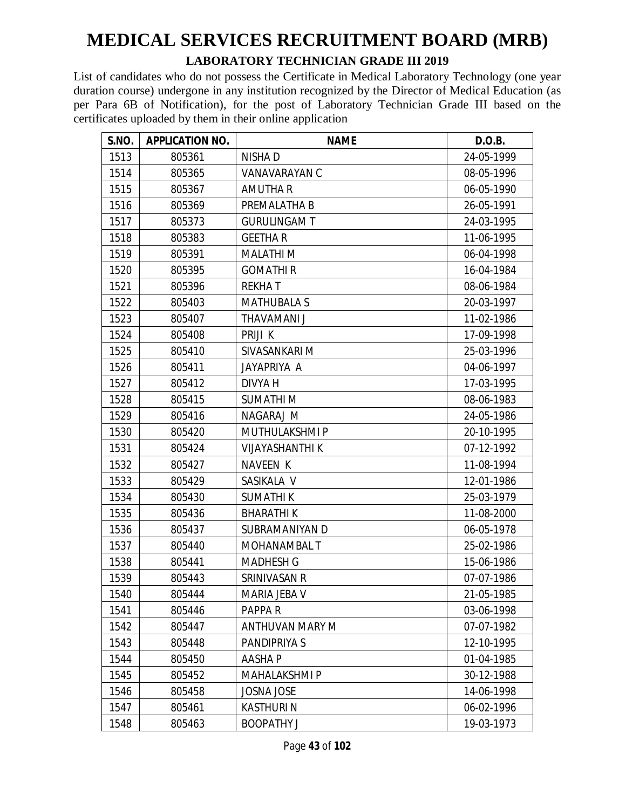#### **LABORATORY TECHNICIAN GRADE III 2019**

| S.NO. | <b>APPLICATION NO.</b> | <b>NAME</b>            | D.O.B.     |
|-------|------------------------|------------------------|------------|
| 1513  | 805361                 | NISHA D                | 24-05-1999 |
| 1514  | 805365                 | VANAVARAYAN C          | 08-05-1996 |
| 1515  | 805367                 | <b>AMUTHA R</b>        | 06-05-1990 |
| 1516  | 805369                 | PREMALATHA B           | 26-05-1991 |
| 1517  | 805373                 | <b>GURULINGAM T</b>    | 24-03-1995 |
| 1518  | 805383                 | <b>GEETHAR</b>         | 11-06-1995 |
| 1519  | 805391                 | <b>MALATHIM</b>        | 06-04-1998 |
| 1520  | 805395                 | <b>GOMATHIR</b>        | 16-04-1984 |
| 1521  | 805396                 | <b>REKHAT</b>          | 08-06-1984 |
| 1522  | 805403                 | <b>MATHUBALA S</b>     | 20-03-1997 |
| 1523  | 805407                 | THAVAMANI J            | 11-02-1986 |
| 1524  | 805408                 | PRIJI K                | 17-09-1998 |
| 1525  | 805410                 | SIVASANKARI M          | 25-03-1996 |
| 1526  | 805411                 | JAYAPRIYA A            | 04-06-1997 |
| 1527  | 805412                 | DIVYA H                | 17-03-1995 |
| 1528  | 805415                 | <b>SUMATHIM</b>        | 08-06-1983 |
| 1529  | 805416                 | NAGARAJ M              | 24-05-1986 |
| 1530  | 805420                 | MUTHULAKSHMI P         | 20-10-1995 |
| 1531  | 805424                 | <b>VIJAYASHANTHI K</b> | 07-12-1992 |
| 1532  | 805427                 | <b>NAVEEN K</b>        | 11-08-1994 |
| 1533  | 805429                 | SASIKALA V             | 12-01-1986 |
| 1534  | 805430                 | <b>SUMATHIK</b>        | 25-03-1979 |
| 1535  | 805436                 | <b>BHARATHIK</b>       | 11-08-2000 |
| 1536  | 805437                 | SUBRAMANIYAN D         | 06-05-1978 |
| 1537  | 805440                 | <b>MOHANAMBAL T</b>    | 25-02-1986 |
| 1538  | 805441                 | <b>MADHESH G</b>       | 15-06-1986 |
| 1539  | 805443                 | SRINIVASAN R           | 07-07-1986 |
| 1540  | 805444                 | MARIA JEBA V           | 21-05-1985 |
| 1541  | 805446                 | PAPPA R                | 03-06-1998 |
| 1542  | 805447                 | ANTHUVAN MARY M        | 07-07-1982 |
| 1543  | 805448                 | PANDIPRIYA S           | 12-10-1995 |
| 1544  | 805450                 | <b>AASHAP</b>          | 01-04-1985 |
| 1545  | 805452                 | <b>MAHALAKSHMI P</b>   | 30-12-1988 |
| 1546  | 805458                 | <b>JOSNA JOSE</b>      | 14-06-1998 |
| 1547  | 805461                 | <b>KASTHURIN</b>       | 06-02-1996 |
| 1548  | 805463                 | <b>BOOPATHY J</b>      | 19-03-1973 |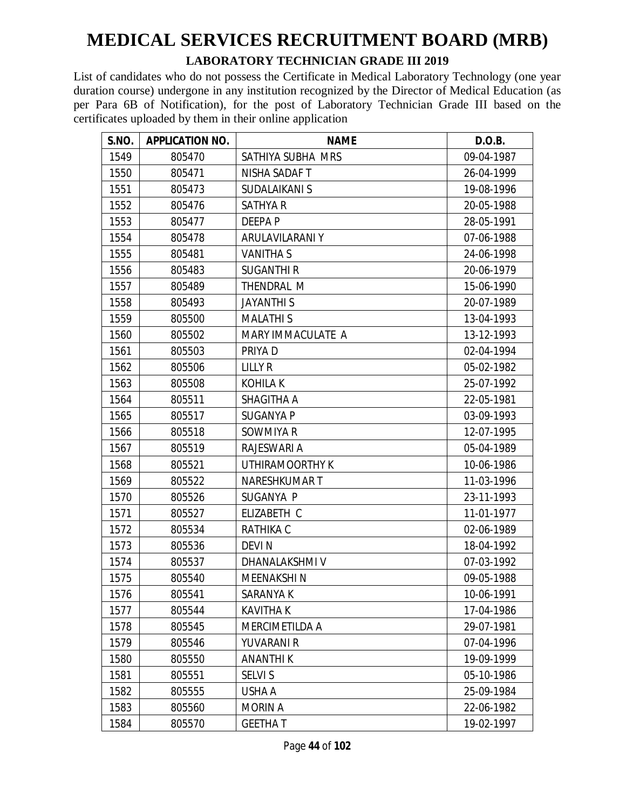#### **LABORATORY TECHNICIAN GRADE III 2019**

| S.NO. | <b>APPLICATION NO.</b> | <b>NAME</b>          | D.O.B.     |
|-------|------------------------|----------------------|------------|
| 1549  | 805470                 | SATHIYA SUBHA MRS    | 09-04-1987 |
| 1550  | 805471                 | NISHA SADAF T        | 26-04-1999 |
| 1551  | 805473                 | <b>SUDALAIKANI S</b> | 19-08-1996 |
| 1552  | 805476                 | <b>SATHYA R</b>      | 20-05-1988 |
| 1553  | 805477                 | <b>DEEPAP</b>        | 28-05-1991 |
| 1554  | 805478                 | ARULAVILARANI Y      | 07-06-1988 |
| 1555  | 805481                 | <b>VANITHAS</b>      | 24-06-1998 |
| 1556  | 805483                 | <b>SUGANTHI R</b>    | 20-06-1979 |
| 1557  | 805489                 | THENDRAL M           | 15-06-1990 |
| 1558  | 805493                 | <b>JAYANTHIS</b>     | 20-07-1989 |
| 1559  | 805500                 | <b>MALATHIS</b>      | 13-04-1993 |
| 1560  | 805502                 | MARY IMMACULATE A    | 13-12-1993 |
| 1561  | 805503                 | PRIYA D              | 02-04-1994 |
| 1562  | 805506                 | <b>LILLY R</b>       | 05-02-1982 |
| 1563  | 805508                 | <b>KOHILAK</b>       | 25-07-1992 |
| 1564  | 805511                 | SHAGITHA A           | 22-05-1981 |
| 1565  | 805517                 | <b>SUGANYA P</b>     | 03-09-1993 |
| 1566  | 805518                 | SOWMIYA R            | 12-07-1995 |
| 1567  | 805519                 | RAJESWARI A          | 05-04-1989 |
| 1568  | 805521                 | UTHIRAMOORTHY K      | 10-06-1986 |
| 1569  | 805522                 | <b>NARESHKUMART</b>  | 11-03-1996 |
| 1570  | 805526                 | SUGANYA P            | 23-11-1993 |
| 1571  | 805527                 | ELIZABETH C          | 11-01-1977 |
| 1572  | 805534                 | <b>RATHIKA C</b>     | 02-06-1989 |
| 1573  | 805536                 | <b>DEVIN</b>         | 18-04-1992 |
| 1574  | 805537                 | DHANALAKSHMI V       | 07-03-1992 |
| 1575  | 805540                 | <b>MEENAKSHIN</b>    | 09-05-1988 |
| 1576  | 805541                 | SARANYA K            | 10-06-1991 |
| 1577  | 805544                 | <b>KAVITHA K</b>     | 17-04-1986 |
| 1578  | 805545                 | MERCIMETILDA A       | 29-07-1981 |
| 1579  | 805546                 | YUVARANI R           | 07-04-1996 |
| 1580  | 805550                 | <b>ANANTHIK</b>      | 19-09-1999 |
| 1581  | 805551                 | <b>SELVI S</b>       | 05-10-1986 |
| 1582  | 805555                 | USHA A               | 25-09-1984 |
| 1583  | 805560                 | <b>MORIN A</b>       | 22-06-1982 |
| 1584  | 805570                 | <b>GEETHA T</b>      | 19-02-1997 |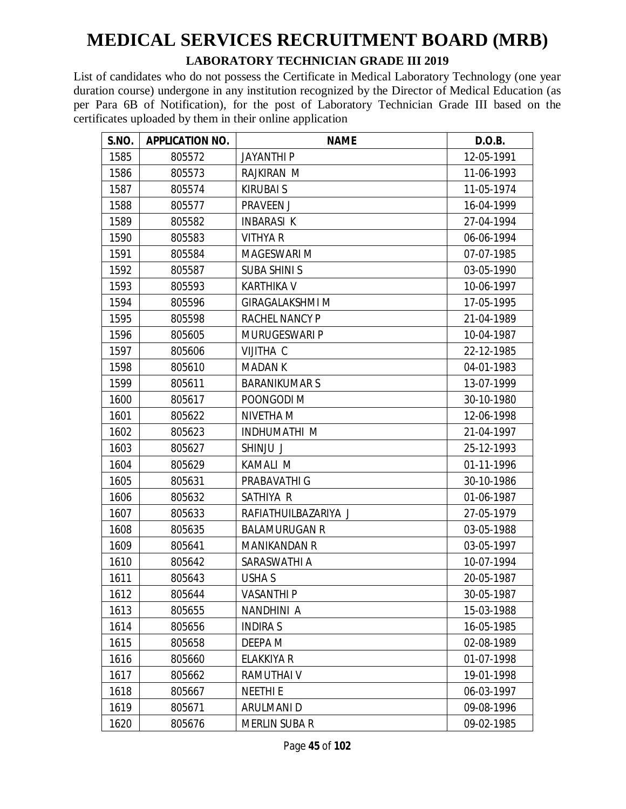#### **LABORATORY TECHNICIAN GRADE III 2019**

| S.NO. | <b>APPLICATION NO.</b> | <b>NAME</b>            | D.O.B.     |
|-------|------------------------|------------------------|------------|
| 1585  | 805572                 | <b>JAYANTHI P</b>      | 12-05-1991 |
| 1586  | 805573                 | <b>RAJKIRAN M</b>      | 11-06-1993 |
| 1587  | 805574                 | <b>KIRUBAI S</b>       | 11-05-1974 |
| 1588  | 805577                 | <b>PRAVEEN J</b>       | 16-04-1999 |
| 1589  | 805582                 | <b>INBARASI K</b>      | 27-04-1994 |
| 1590  | 805583                 | <b>VITHYA R</b>        | 06-06-1994 |
| 1591  | 805584                 | <b>MAGESWARI M</b>     | 07-07-1985 |
| 1592  | 805587                 | <b>SUBA SHINI S</b>    | 03-05-1990 |
| 1593  | 805593                 | <b>KARTHIKA V</b>      | 10-06-1997 |
| 1594  | 805596                 | <b>GIRAGALAKSHMI M</b> | 17-05-1995 |
| 1595  | 805598                 | RACHEL NANCY P         | 21-04-1989 |
| 1596  | 805605                 | <b>MURUGESWARI P</b>   | 10-04-1987 |
| 1597  | 805606                 | <b>VIJITHA C</b>       | 22-12-1985 |
| 1598  | 805610                 | <b>MADANK</b>          | 04-01-1983 |
| 1599  | 805611                 | <b>BARANIKUMARS</b>    | 13-07-1999 |
| 1600  | 805617                 | POONGODI M             | 30-10-1980 |
| 1601  | 805622                 | NIVETHA M              | 12-06-1998 |
| 1602  | 805623                 | <b>INDHUMATHI M</b>    | 21-04-1997 |
| 1603  | 805627                 | SHINJU J               | 25-12-1993 |
| 1604  | 805629                 | <b>KAMALI M</b>        | 01-11-1996 |
| 1605  | 805631                 | PRABAVATHI G           | 30-10-1986 |
| 1606  | 805632                 | SATHIYA R              | 01-06-1987 |
| 1607  | 805633                 | RAFIATHUILBAZARIYA J   | 27-05-1979 |
| 1608  | 805635                 | <b>BALAMURUGAN R</b>   | 03-05-1988 |
| 1609  | 805641                 | <b>MANIKANDAN R</b>    | 03-05-1997 |
| 1610  | 805642                 | SARASWATHI A           | 10-07-1994 |
| 1611  | 805643                 | <b>USHA S</b>          | 20-05-1987 |
| 1612  | 805644                 | <b>VASANTHI P</b>      | 30-05-1987 |
| 1613  | 805655                 | NANDHINI A             | 15-03-1988 |
| 1614  | 805656                 | <b>INDIRA S</b>        | 16-05-1985 |
| 1615  | 805658                 | DEEPA M                | 02-08-1989 |
| 1616  | 805660                 | <b>ELAKKIYA R</b>      | 01-07-1998 |
| 1617  | 805662                 | RAMUTHAI V             | 19-01-1998 |
| 1618  | 805667                 | <b>NEETHIE</b>         | 06-03-1997 |
| 1619  | 805671                 | <b>ARULMANI D</b>      | 09-08-1996 |
| 1620  | 805676                 | MERLIN SUBA R          | 09-02-1985 |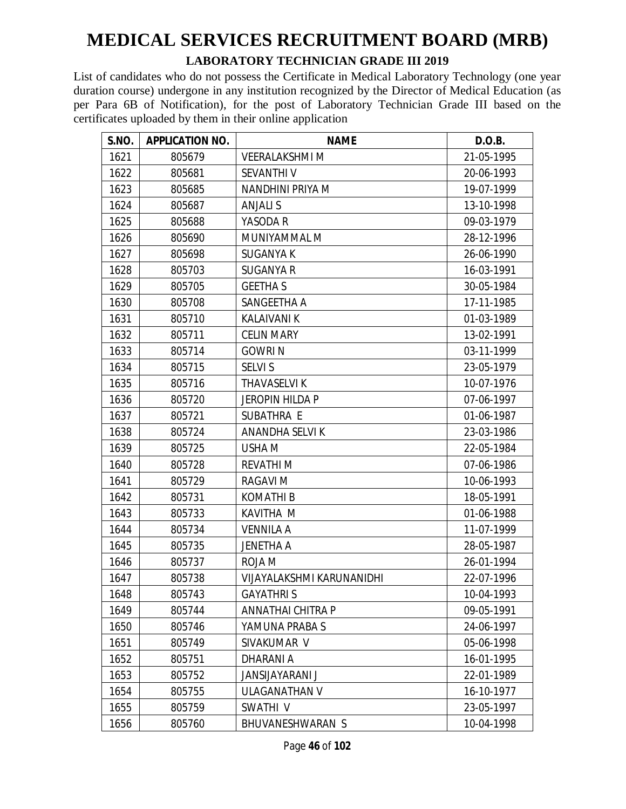#### **LABORATORY TECHNICIAN GRADE III 2019**

| S.NO. | <b>APPLICATION NO.</b> | <b>NAME</b>                      | D.O.B.     |
|-------|------------------------|----------------------------------|------------|
| 1621  | 805679                 | <b>VEERALAKSHMI M</b>            | 21-05-1995 |
| 1622  | 805681                 | <b>SEVANTHI V</b>                | 20-06-1993 |
| 1623  | 805685                 | NANDHINI PRIYA M                 | 19-07-1999 |
| 1624  | 805687                 | <b>ANJALI S</b>                  | 13-10-1998 |
| 1625  | 805688                 | YASODA R                         | 09-03-1979 |
| 1626  | 805690                 | MUNIYAMMAL M                     | 28-12-1996 |
| 1627  | 805698                 | <b>SUGANYA K</b>                 | 26-06-1990 |
| 1628  | 805703                 | <b>SUGANYA R</b>                 | 16-03-1991 |
| 1629  | 805705                 | <b>GEETHA S</b>                  | 30-05-1984 |
| 1630  | 805708                 | SANGEETHA A                      | 17-11-1985 |
| 1631  | 805710                 | <b>KALAIVANI K</b>               | 01-03-1989 |
| 1632  | 805711                 | <b>CELIN MARY</b>                | 13-02-1991 |
| 1633  | 805714                 | <b>GOWRIN</b>                    | 03-11-1999 |
| 1634  | 805715                 | <b>SELVI S</b>                   | 23-05-1979 |
| 1635  | 805716                 | THAVASELVI K                     | 10-07-1976 |
| 1636  | 805720                 | <b>JEROPIN HILDA P</b>           | 07-06-1997 |
| 1637  | 805721                 | SUBATHRA E                       | 01-06-1987 |
| 1638  | 805724                 | ANANDHA SELVI K                  | 23-03-1986 |
| 1639  | 805725                 | USHA M                           | 22-05-1984 |
| 1640  | 805728                 | <b>REVATHIM</b>                  | 07-06-1986 |
| 1641  | 805729                 | <b>RAGAVI M</b>                  | 10-06-1993 |
| 1642  | 805731                 | <b>KOMATHI B</b>                 | 18-05-1991 |
| 1643  | 805733                 | KAVITHA M                        | 01-06-1988 |
| 1644  | 805734                 | <b>VENNILA A</b>                 | 11-07-1999 |
| 1645  | 805735                 | <b>JENETHA A</b>                 | 28-05-1987 |
| 1646  | 805737                 | ROJA M                           | 26-01-1994 |
| 1647  | 805738                 | <b>VIJAYALAKSHMI KARUNANIDHI</b> | 22-07-1996 |
| 1648  | 805743                 | <b>GAYATHRIS</b>                 | 10-04-1993 |
| 1649  | 805744                 | ANNATHAI CHITRA P                | 09-05-1991 |
| 1650  | 805746                 | YAMUNA PRABA S                   | 24-06-1997 |
| 1651  | 805749                 | SIVAKUMAR V                      | 05-06-1998 |
| 1652  | 805751                 | <b>DHARANIA</b>                  | 16-01-1995 |
| 1653  | 805752                 | <b>JANSIJAYARANI J</b>           | 22-01-1989 |
| 1654  | 805755                 | <b>ULAGANATHAN V</b>             | 16-10-1977 |
| 1655  | 805759                 | SWATHI V                         | 23-05-1997 |
| 1656  | 805760                 | BHUVANESHWARAN S                 | 10-04-1998 |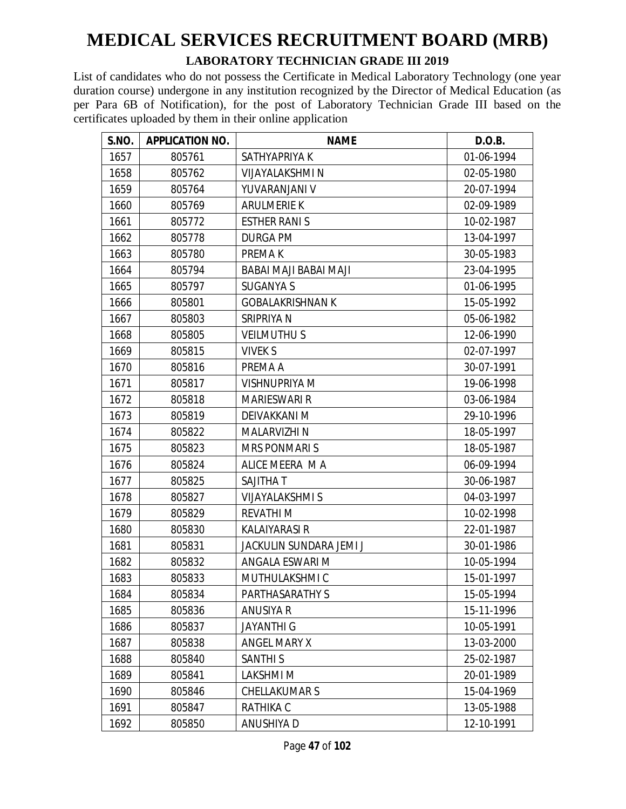#### **LABORATORY TECHNICIAN GRADE III 2019**

| S.NO. | <b>APPLICATION NO.</b> | <b>NAME</b>             | D.O.B.     |
|-------|------------------------|-------------------------|------------|
| 1657  | 805761                 | SATHYAPRIYA K           | 01-06-1994 |
| 1658  | 805762                 | <b>VIJAYALAKSHMI N</b>  | 02-05-1980 |
| 1659  | 805764                 | YUVARANJANI V           | 20-07-1994 |
| 1660  | 805769                 | <b>ARULMERIE K</b>      | 02-09-1989 |
| 1661  | 805772                 | <b>ESTHER RANIS</b>     | 10-02-1987 |
| 1662  | 805778                 | <b>DURGA PM</b>         | 13-04-1997 |
| 1663  | 805780                 | PREMA K                 | 30-05-1983 |
| 1664  | 805794                 | BABAI MAJI BABAI MAJI   | 23-04-1995 |
| 1665  | 805797                 | <b>SUGANYA S</b>        | 01-06-1995 |
| 1666  | 805801                 | <b>GOBALAKRISHNAN K</b> | 15-05-1992 |
| 1667  | 805803                 | SRIPRIYA N              | 05-06-1982 |
| 1668  | 805805                 | <b>VEILMUTHUS</b>       | 12-06-1990 |
| 1669  | 805815                 | <b>VIVEK S</b>          | 02-07-1997 |
| 1670  | 805816                 | PREMA A                 | 30-07-1991 |
| 1671  | 805817                 | <b>VISHNUPRIYA M</b>    | 19-06-1998 |
| 1672  | 805818                 | <b>MARIESWARI R</b>     | 03-06-1984 |
| 1673  | 805819                 | DEIVAKKANI M            | 29-10-1996 |
| 1674  | 805822                 | <b>MALARVIZHI N</b>     | 18-05-1997 |
| 1675  | 805823                 | <b>MRS PONMARIS</b>     | 18-05-1987 |
| 1676  | 805824                 | ALICE MEERA MA          | 06-09-1994 |
| 1677  | 805825                 | <b>SAJITHAT</b>         | 30-06-1987 |
| 1678  | 805827                 | <b>VIJAYALAKSHMI S</b>  | 04-03-1997 |
| 1679  | 805829                 | <b>REVATHIM</b>         | 10-02-1998 |
| 1680  | 805830                 | <b>KALAIYARASI R</b>    | 22-01-1987 |
| 1681  | 805831                 | JACKULIN SUNDARA JEMI J | 30-01-1986 |
| 1682  | 805832                 | ANGALA ESWARI M         | 10-05-1994 |
| 1683  | 805833                 | MUTHULAKSHMI C          | 15-01-1997 |
| 1684  | 805834                 | PARTHASARATHY S         | 15-05-1994 |
| 1685  | 805836                 | <b>ANUSIYA R</b>        | 15-11-1996 |
| 1686  | 805837                 | <b>JAYANTHI G</b>       | 10-05-1991 |
| 1687  | 805838                 | <b>ANGEL MARY X</b>     | 13-03-2000 |
| 1688  | 805840                 | <b>SANTHI S</b>         | 25-02-1987 |
| 1689  | 805841                 | LAKSHMI M               | 20-01-1989 |
| 1690  | 805846                 | <b>CHELLAKUMARS</b>     | 15-04-1969 |
| 1691  | 805847                 | RATHIKA C               | 13-05-1988 |
| 1692  | 805850                 | ANUSHIYA D              | 12-10-1991 |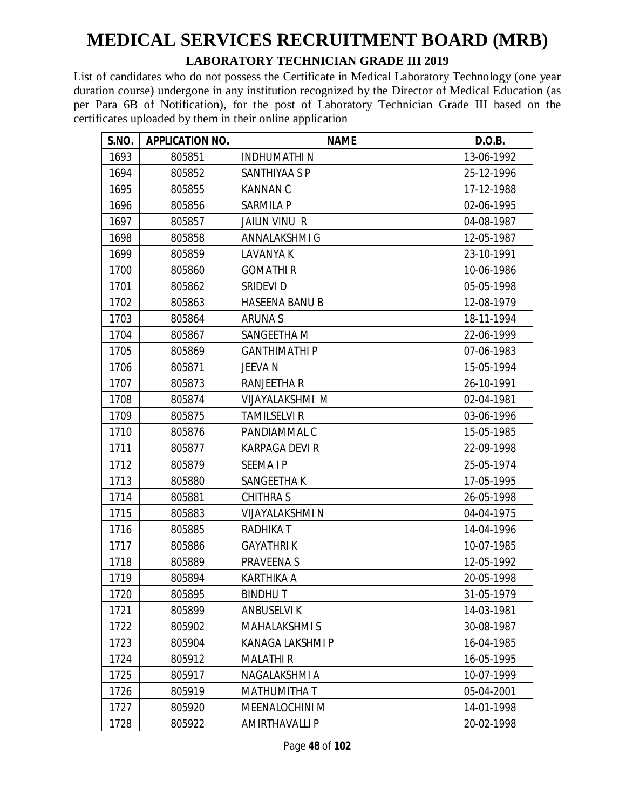#### **LABORATORY TECHNICIAN GRADE III 2019**

| S.NO. | <b>APPLICATION NO.</b> | <b>NAME</b>            | D.O.B.     |
|-------|------------------------|------------------------|------------|
| 1693  | 805851                 | <b>INDHUMATHIN</b>     | 13-06-1992 |
| 1694  | 805852                 | SANTHIYAA S P          | 25-12-1996 |
| 1695  | 805855                 | <b>KANNAN C</b>        | 17-12-1988 |
| 1696  | 805856                 | <b>SARMILA P</b>       | 02-06-1995 |
| 1697  | 805857                 | <b>JAILIN VINU R</b>   | 04-08-1987 |
| 1698  | 805858                 | <b>ANNALAKSHMI G</b>   | 12-05-1987 |
| 1699  | 805859                 | <b>LAVANYA K</b>       | 23-10-1991 |
| 1700  | 805860                 | <b>GOMATHIR</b>        | 10-06-1986 |
| 1701  | 805862                 | SRIDEVI D              | 05-05-1998 |
| 1702  | 805863                 | <b>HASEENA BANU B</b>  | 12-08-1979 |
| 1703  | 805864                 | <b>ARUNAS</b>          | 18-11-1994 |
| 1704  | 805867                 | SANGEETHA M            | 22-06-1999 |
| 1705  | 805869                 | <b>GANTHIMATHI P</b>   | 07-06-1983 |
| 1706  | 805871                 | JEEVA N                | 15-05-1994 |
| 1707  | 805873                 | RANJEETHA R            | 26-10-1991 |
| 1708  | 805874                 | VIJAYALAKSHMI M        | 02-04-1981 |
| 1709  | 805875                 | <b>TAMILSELVI R</b>    | 03-06-1996 |
| 1710  | 805876                 | PANDIAMMAL C           | 15-05-1985 |
| 1711  | 805877                 | KARPAGA DEVI R         | 22-09-1998 |
| 1712  | 805879                 | <b>SEEMAIP</b>         | 25-05-1974 |
| 1713  | 805880                 | SANGEETHA K            | 17-05-1995 |
| 1714  | 805881                 | <b>CHITHRAS</b>        | 26-05-1998 |
| 1715  | 805883                 | <b>VIJAYALAKSHMI N</b> | 04-04-1975 |
| 1716  | 805885                 | <b>RADHIKAT</b>        | 14-04-1996 |
| 1717  | 805886                 | <b>GAYATHRIK</b>       | 10-07-1985 |
| 1718  | 805889                 | <b>PRAVEENAS</b>       | 12-05-1992 |
| 1719  | 805894                 | <b>KARTHIKA A</b>      | 20-05-1998 |
| 1720  | 805895                 | <b>BINDHUT</b>         | 31-05-1979 |
| 1721  | 805899                 | <b>ANBUSELVIK</b>      | 14-03-1981 |
| 1722  | 805902                 | <b>MAHALAKSHMIS</b>    | 30-08-1987 |
| 1723  | 805904                 | KANAGA LAKSHMI P       | 16-04-1985 |
| 1724  | 805912                 | <b>MALATHIR</b>        | 16-05-1995 |
| 1725  | 805917                 | NAGALAKSHMI A          | 10-07-1999 |
| 1726  | 805919                 | MATHUMITHA T           | 05-04-2001 |
| 1727  | 805920                 | MEENALOCHINI M         | 14-01-1998 |
| 1728  | 805922                 | <b>AMIRTHAVALLI P</b>  | 20-02-1998 |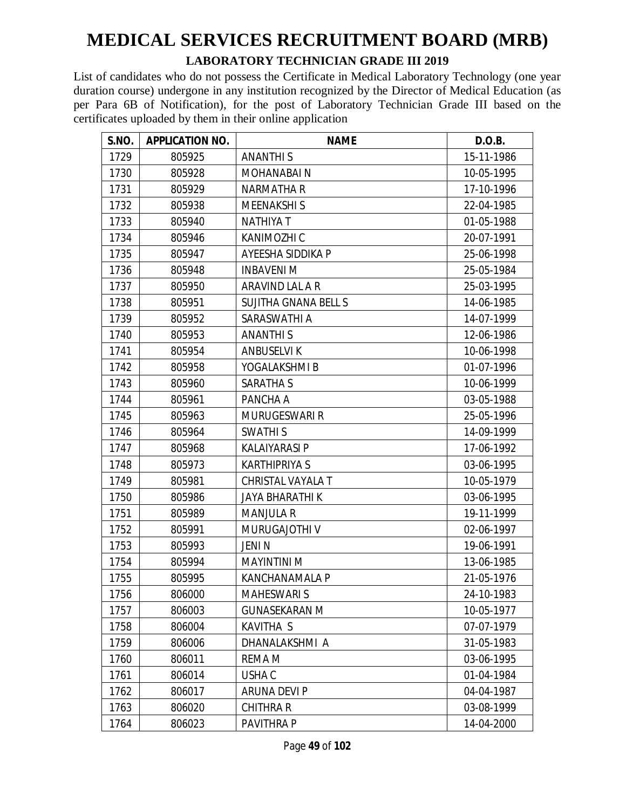#### **LABORATORY TECHNICIAN GRADE III 2019**

| S.NO. | <b>APPLICATION NO.</b> | <b>NAME</b>                 | D.O.B.     |
|-------|------------------------|-----------------------------|------------|
| 1729  | 805925                 | <b>ANANTHIS</b>             | 15-11-1986 |
| 1730  | 805928                 | <b>MOHANABAIN</b>           | 10-05-1995 |
| 1731  | 805929                 | <b>NARMATHA R</b>           | 17-10-1996 |
| 1732  | 805938                 | <b>MEENAKSHIS</b>           | 22-04-1985 |
| 1733  | 805940                 | <b>NATHIYA T</b>            | 01-05-1988 |
| 1734  | 805946                 | KANIMOZHI C                 | 20-07-1991 |
| 1735  | 805947                 | AYEESHA SIDDIKA P           | 25-06-1998 |
| 1736  | 805948                 | <b>INBAVENIM</b>            | 25-05-1984 |
| 1737  | 805950                 | ARAVIND LAL A R             | 25-03-1995 |
| 1738  | 805951                 | <b>SUJITHA GNANA BELL S</b> | 14-06-1985 |
| 1739  | 805952                 | SARASWATHI A                | 14-07-1999 |
| 1740  | 805953                 | <b>ANANTHIS</b>             | 12-06-1986 |
| 1741  | 805954                 | <b>ANBUSELVIK</b>           | 10-06-1998 |
| 1742  | 805958                 | YOGALAKSHMI B               | 01-07-1996 |
| 1743  | 805960                 | <b>SARATHA S</b>            | 10-06-1999 |
| 1744  | 805961                 | PANCHA A                    | 03-05-1988 |
| 1745  | 805963                 | <b>MURUGESWARI R</b>        | 25-05-1996 |
| 1746  | 805964                 | <b>SWATHIS</b>              | 14-09-1999 |
| 1747  | 805968                 | <b>KALAIYARASI P</b>        | 17-06-1992 |
| 1748  | 805973                 | <b>KARTHIPRIYA S</b>        | 03-06-1995 |
| 1749  | 805981                 | CHRISTAL VAYALA T           | 10-05-1979 |
| 1750  | 805986                 | <b>JAYA BHARATHI K</b>      | 03-06-1995 |
| 1751  | 805989                 | <b>MANJULA R</b>            | 19-11-1999 |
| 1752  | 805991                 | MURUGAJOTHI V               | 02-06-1997 |
| 1753  | 805993                 | JENI N                      | 19-06-1991 |
| 1754  | 805994                 | <b>MAYINTINI M</b>          | 13-06-1985 |
| 1755  | 805995                 | KANCHANAMALA P              | 21-05-1976 |
| 1756  | 806000                 | <b>MAHESWARI S</b>          | 24-10-1983 |
| 1757  | 806003                 | <b>GUNASEKARAN M</b>        | 10-05-1977 |
| 1758  | 806004                 | <b>KAVITHA S</b>            | 07-07-1979 |
| 1759  | 806006                 | DHANALAKSHMI A              | 31-05-1983 |
| 1760  | 806011                 | REMA M                      | 03-06-1995 |
| 1761  | 806014                 | USHA C                      | 01-04-1984 |
| 1762  | 806017                 | ARUNA DEVI P                | 04-04-1987 |
| 1763  | 806020                 | <b>CHITHRA R</b>            | 03-08-1999 |
| 1764  | 806023                 | PAVITHRA P                  | 14-04-2000 |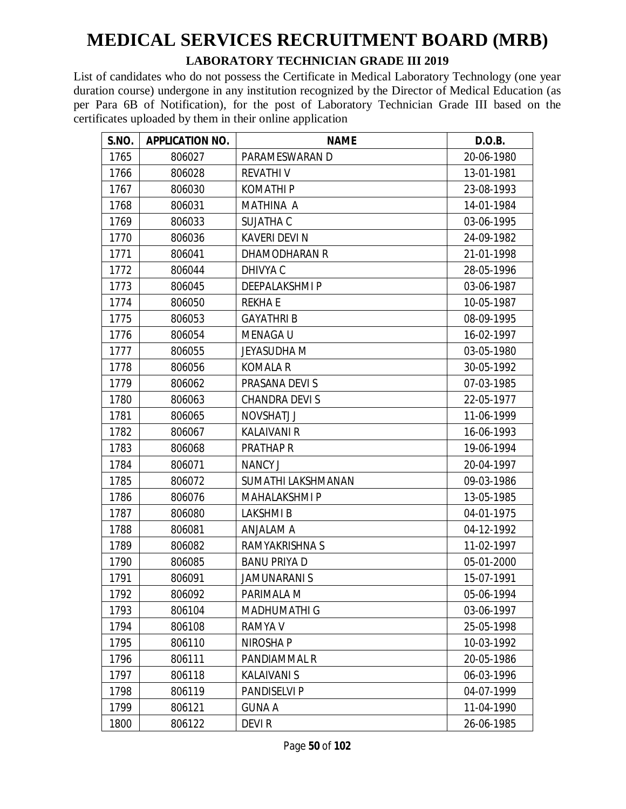#### **LABORATORY TECHNICIAN GRADE III 2019**

| S.NO. | <b>APPLICATION NO.</b> | <b>NAME</b>          | D.O.B.     |
|-------|------------------------|----------------------|------------|
| 1765  | 806027                 | PARAMESWARAN D       | 20-06-1980 |
| 1766  | 806028                 | <b>REVATHIV</b>      | 13-01-1981 |
| 1767  | 806030                 | <b>KOMATHIP</b>      | 23-08-1993 |
| 1768  | 806031                 | <b>MATHINA A</b>     | 14-01-1984 |
| 1769  | 806033                 | SUJATHA C            | 03-06-1995 |
| 1770  | 806036                 | <b>KAVERI DEVI N</b> | 24-09-1982 |
| 1771  | 806041                 | DHAMODHARAN R        | 21-01-1998 |
| 1772  | 806044                 | DHIVYA C             | 28-05-1996 |
| 1773  | 806045                 | <b>DEEPALAKSHMIP</b> | 03-06-1987 |
| 1774  | 806050                 | <b>REKHAE</b>        | 10-05-1987 |
| 1775  | 806053                 | <b>GAYATHRI B</b>    | 08-09-1995 |
| 1776  | 806054                 | <b>MENAGAU</b>       | 16-02-1997 |
| 1777  | 806055                 | <b>JEYASUDHA M</b>   | 03-05-1980 |
| 1778  | 806056                 | <b>KOMALA R</b>      | 30-05-1992 |
| 1779  | 806062                 | PRASANA DEVI S       | 07-03-1985 |
| 1780  | 806063                 | <b>CHANDRA DEVIS</b> | 22-05-1977 |
| 1781  | 806065                 | <b>NOVSHATJ J</b>    | 11-06-1999 |
| 1782  | 806067                 | <b>KALAIVANI R</b>   | 16-06-1993 |
| 1783  | 806068                 | <b>PRATHAP R</b>     | 19-06-1994 |
| 1784  | 806071                 | <b>NANCY J</b>       | 20-04-1997 |
| 1785  | 806072                 | SUMATHI LAKSHMANAN   | 09-03-1986 |
| 1786  | 806076                 | <b>MAHALAKSHMI P</b> | 13-05-1985 |
| 1787  | 806080                 | <b>LAKSHMIB</b>      | 04-01-1975 |
| 1788  | 806081                 | ANJALAM A            | 04-12-1992 |
| 1789  | 806082                 | RAMYAKRISHNA S       | 11-02-1997 |
| 1790  | 806085                 | <b>BANU PRIYA D</b>  | 05-01-2000 |
| 1791  | 806091                 | <b>JAMUNARANI S</b>  | 15-07-1991 |
| 1792  | 806092                 | PARIMALA M           | 05-06-1994 |
| 1793  | 806104                 | <b>MADHUMATHI G</b>  | 03-06-1997 |
| 1794  | 806108                 | RAMYA V              | 25-05-1998 |
| 1795  | 806110                 | NIROSHA P            | 10-03-1992 |
| 1796  | 806111                 | PANDIAMMAL R         | 20-05-1986 |
| 1797  | 806118                 | <b>KALAIVANI S</b>   | 06-03-1996 |
| 1798  | 806119                 | PANDISELVI P         | 04-07-1999 |
| 1799  | 806121                 | <b>GUNA A</b>        | 11-04-1990 |
| 1800  | 806122                 | DEVI R               | 26-06-1985 |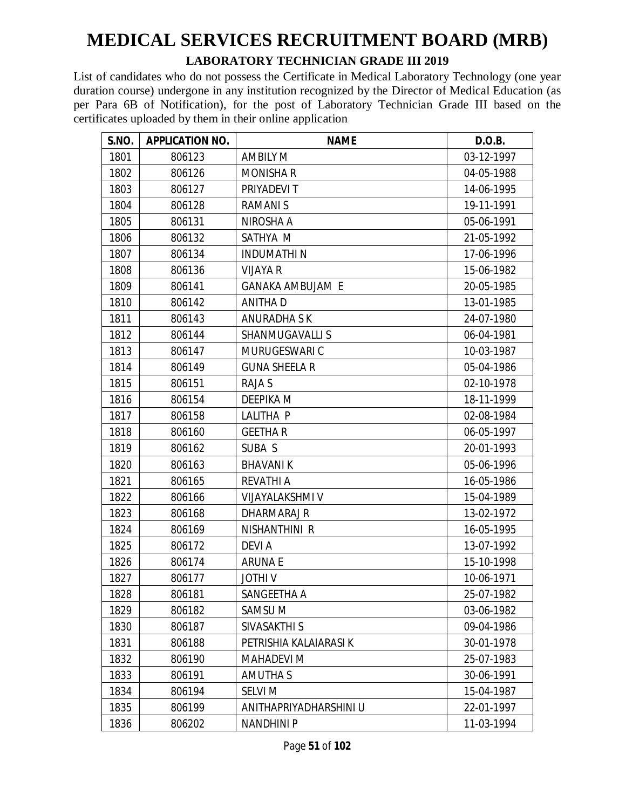#### **LABORATORY TECHNICIAN GRADE III 2019**

| S.NO. | <b>APPLICATION NO.</b> | <b>NAME</b>             | D.O.B.     |
|-------|------------------------|-------------------------|------------|
| 1801  | 806123                 | <b>AMBILY M</b>         | 03-12-1997 |
| 1802  | 806126                 | <b>MONISHA R</b>        | 04-05-1988 |
| 1803  | 806127                 | PRIYADEVI T             | 14-06-1995 |
| 1804  | 806128                 | <b>RAMANIS</b>          | 19-11-1991 |
| 1805  | 806131                 | NIROSHA A               | 05-06-1991 |
| 1806  | 806132                 | SATHYA M                | 21-05-1992 |
| 1807  | 806134                 | <b>INDUMATHIN</b>       | 17-06-1996 |
| 1808  | 806136                 | <b>VIJAYA R</b>         | 15-06-1982 |
| 1809  | 806141                 | <b>GANAKA AMBUJAM E</b> | 20-05-1985 |
| 1810  | 806142                 | <b>ANITHAD</b>          | 13-01-1985 |
| 1811  | 806143                 | <b>ANURADHA S K</b>     | 24-07-1980 |
| 1812  | 806144                 | <b>SHANMUGAVALLIS</b>   | 06-04-1981 |
| 1813  | 806147                 | MURUGESWARI C           | 10-03-1987 |
| 1814  | 806149                 | <b>GUNA SHEELA R</b>    | 05-04-1986 |
| 1815  | 806151                 | RAJA S                  | 02-10-1978 |
| 1816  | 806154                 | <b>DEEPIKA M</b>        | 18-11-1999 |
| 1817  | 806158                 | LALITHA P               | 02-08-1984 |
| 1818  | 806160                 | <b>GEETHAR</b>          | 06-05-1997 |
| 1819  | 806162                 | SUBA S                  | 20-01-1993 |
| 1820  | 806163                 | <b>BHAVANIK</b>         | 05-06-1996 |
| 1821  | 806165                 | <b>REVATHI A</b>        | 16-05-1986 |
| 1822  | 806166                 | <b>VIJAYALAKSHMI V</b>  | 15-04-1989 |
| 1823  | 806168                 | DHARMARAJ R             | 13-02-1972 |
| 1824  | 806169                 | NISHANTHINI R           | 16-05-1995 |
| 1825  | 806172                 | <b>DEVIA</b>            | 13-07-1992 |
| 1826  | 806174                 | <b>ARUNAE</b>           | 15-10-1998 |
| 1827  | 806177                 | <b>JOTHIV</b>           | 10-06-1971 |
| 1828  | 806181                 | SANGEETHA A             | 25-07-1982 |
| 1829  | 806182                 | SAMSU M                 | 03-06-1982 |
| 1830  | 806187                 | SIVASAKTHI S            | 09-04-1986 |
| 1831  | 806188                 | PETRISHIA KALAIARASI K  | 30-01-1978 |
| 1832  | 806190                 | <b>MAHADEVI M</b>       | 25-07-1983 |
| 1833  | 806191                 | AMUTHA S                | 30-06-1991 |
| 1834  | 806194                 | <b>SELVI M</b>          | 15-04-1987 |
| 1835  | 806199                 | ANITHAPRIYADHARSHINI U  | 22-01-1997 |
| 1836  | 806202                 | <b>NANDHINI P</b>       | 11-03-1994 |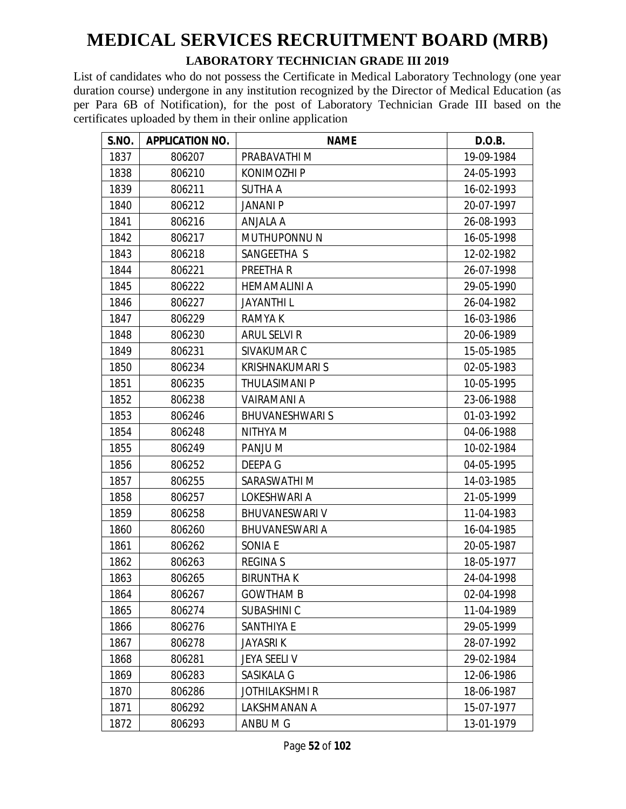#### **LABORATORY TECHNICIAN GRADE III 2019**

| S.NO. | <b>APPLICATION NO.</b> | <b>NAME</b>            | D.O.B.     |
|-------|------------------------|------------------------|------------|
| 1837  | 806207                 | PRABAVATHI M           | 19-09-1984 |
| 1838  | 806210                 | <b>KONIMOZHI P</b>     | 24-05-1993 |
| 1839  | 806211                 | <b>SUTHA A</b>         | 16-02-1993 |
| 1840  | 806212                 | <b>JANANI P</b>        | 20-07-1997 |
| 1841  | 806216                 | ANJALA A               | 26-08-1993 |
| 1842  | 806217                 | MUTHUPONNU N           | 16-05-1998 |
| 1843  | 806218                 | SANGEETHA S            | 12-02-1982 |
| 1844  | 806221                 | PREETHA R              | 26-07-1998 |
| 1845  | 806222                 | <b>HEMAMALINI A</b>    | 29-05-1990 |
| 1846  | 806227                 | <b>JAYANTHIL</b>       | 26-04-1982 |
| 1847  | 806229                 | <b>RAMYAK</b>          | 16-03-1986 |
| 1848  | 806230                 | <b>ARUL SELVI R</b>    | 20-06-1989 |
| 1849  | 806231                 | SIVAKUMAR C            | 15-05-1985 |
| 1850  | 806234                 | <b>KRISHNAKUMARI S</b> | 02-05-1983 |
| 1851  | 806235                 | <b>THULASIMANI P</b>   | 10-05-1995 |
| 1852  | 806238                 | VAIRAMANI A            | 23-06-1988 |
| 1853  | 806246                 | <b>BHUVANESHWARIS</b>  | 01-03-1992 |
| 1854  | 806248                 | NITHYA M               | 04-06-1988 |
| 1855  | 806249                 | PANJU M                | 10-02-1984 |
| 1856  | 806252                 | DEEPA G                | 04-05-1995 |
| 1857  | 806255                 | SARASWATHI M           | 14-03-1985 |
| 1858  | 806257                 | LOKESHWARI A           | 21-05-1999 |
| 1859  | 806258                 | <b>BHUVANESWARI V</b>  | 11-04-1983 |
| 1860  | 806260                 | <b>BHUVANESWARI A</b>  | 16-04-1985 |
| 1861  | 806262                 | SONIA E                | 20-05-1987 |
| 1862  | 806263                 | <b>REGINAS</b>         | 18-05-1977 |
| 1863  | 806265                 | <b>BIRUNTHAK</b>       | 24-04-1998 |
| 1864  | 806267                 | <b>GOWTHAM B</b>       | 02-04-1998 |
| 1865  | 806274                 | <b>SUBASHINIC</b>      | 11-04-1989 |
| 1866  | 806276                 | SANTHIYA E             | 29-05-1999 |
| 1867  | 806278                 | <b>JAYASRIK</b>        | 28-07-1992 |
| 1868  | 806281                 | JEYA SEELI V           | 29-02-1984 |
| 1869  | 806283                 | SASIKALA G             | 12-06-1986 |
| 1870  | 806286                 | <b>JOTHILAKSHMIR</b>   | 18-06-1987 |
| 1871  | 806292                 | LAKSHMANAN A           | 15-07-1977 |
| 1872  | 806293                 | ANBU M G               | 13-01-1979 |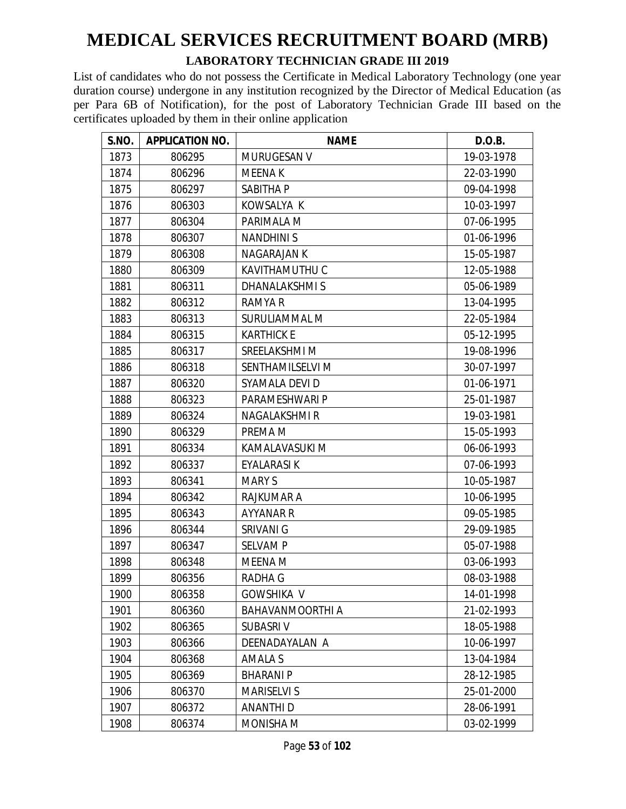#### **LABORATORY TECHNICIAN GRADE III 2019**

| S.NO. | <b>APPLICATION NO.</b> | <b>NAME</b>        | D.O.B.     |
|-------|------------------------|--------------------|------------|
| 1873  | 806295                 | MURUGESAN V        | 19-03-1978 |
| 1874  | 806296                 | <b>MEENAK</b>      | 22-03-1990 |
| 1875  | 806297                 | SABITHA P          | 09-04-1998 |
| 1876  | 806303                 | KOWSALYA K         | 10-03-1997 |
| 1877  | 806304                 | PARIMALA M         | 07-06-1995 |
| 1878  | 806307                 | <b>NANDHINIS</b>   | 01-06-1996 |
| 1879  | 806308                 | <b>NAGARAJAN K</b> | 15-05-1987 |
| 1880  | 806309                 | KAVITHAMUTHU C     | 12-05-1988 |
| 1881  | 806311                 | DHANALAKSHMIS      | 05-06-1989 |
| 1882  | 806312                 | <b>RAMYA R</b>     | 13-04-1995 |
| 1883  | 806313                 | SURULIAMMAL M      | 22-05-1984 |
| 1884  | 806315                 | <b>KARTHICK E</b>  | 05-12-1995 |
| 1885  | 806317                 | SREELAKSHMI M      | 19-08-1996 |
| 1886  | 806318                 | SENTHAMILSELVI M   | 30-07-1997 |
| 1887  | 806320                 | SYAMALA DEVI D     | 01-06-1971 |
| 1888  | 806323                 | PARAMESHWARI P     | 25-01-1987 |
| 1889  | 806324                 | NAGALAKSHMI R      | 19-03-1981 |
| 1890  | 806329                 | PREMA M            | 15-05-1993 |
| 1891  | 806334                 | KAMALAVASUKI M     | 06-06-1993 |
| 1892  | 806337                 | EYALARASI K        | 07-06-1993 |
| 1893  | 806341                 | <b>MARY S</b>      | 10-05-1987 |
| 1894  | 806342                 | RAJKUMAR A         | 10-06-1995 |
| 1895  | 806343                 | <b>AYYANAR R</b>   | 09-05-1985 |
| 1896  | 806344                 | SRIVANI G          | 29-09-1985 |
| 1897  | 806347                 | <b>SELVAMP</b>     | 05-07-1988 |
| 1898  | 806348                 | <b>MEENA M</b>     | 03-06-1993 |
| 1899  | 806356                 | <b>RADHA G</b>     | 08-03-1988 |
| 1900  | 806358                 | <b>GOWSHIKA V</b>  | 14-01-1998 |
| 1901  | 806360                 | BAHAVANMOORTHI A   | 21-02-1993 |
| 1902  | 806365                 | <b>SUBASRIV</b>    | 18-05-1988 |
| 1903  | 806366                 | DEENADAYALAN A     | 10-06-1997 |
| 1904  | 806368                 | <b>AMALA S</b>     | 13-04-1984 |
| 1905  | 806369                 | <b>BHARANIP</b>    | 28-12-1985 |
| 1906  | 806370                 | <b>MARISELVI S</b> | 25-01-2000 |
| 1907  | 806372                 | <b>ANANTHID</b>    | 28-06-1991 |
| 1908  | 806374                 | MONISHA M          | 03-02-1999 |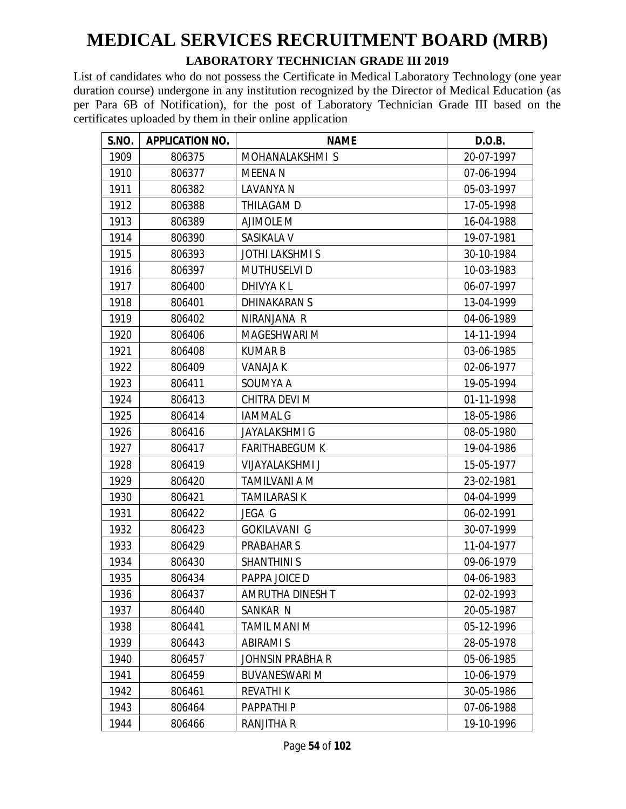#### **LABORATORY TECHNICIAN GRADE III 2019**

| S.NO. | <b>APPLICATION NO.</b> | <b>NAME</b>            | D.O.B.     |
|-------|------------------------|------------------------|------------|
| 1909  | 806375                 | MOHANALAKSHMIS         | 20-07-1997 |
| 1910  | 806377                 | MEENA N                | 07-06-1994 |
| 1911  | 806382                 | LAVANYA N              | 05-03-1997 |
| 1912  | 806388                 | THILAGAM D             | 17-05-1998 |
| 1913  | 806389                 | <b>AJIMOLE M</b>       | 16-04-1988 |
| 1914  | 806390                 | SASIKALA V             | 19-07-1981 |
| 1915  | 806393                 | <b>JOTHI LAKSHMI S</b> | 30-10-1984 |
| 1916  | 806397                 | <b>MUTHUSELVI D</b>    | 10-03-1983 |
| 1917  | 806400                 | <b>DHIVYAKL</b>        | 06-07-1997 |
| 1918  | 806401                 | <b>DHINAKARAN S</b>    | 13-04-1999 |
| 1919  | 806402                 | NIRANJANA R            | 04-06-1989 |
| 1920  | 806406                 | MAGESHWARI M           | 14-11-1994 |
| 1921  | 806408                 | <b>KUMARB</b>          | 03-06-1985 |
| 1922  | 806409                 | <b>VANAJA K</b>        | 02-06-1977 |
| 1923  | 806411                 | SOUMYA A               | 19-05-1994 |
| 1924  | 806413                 | CHITRA DEVI M          | 01-11-1998 |
| 1925  | 806414                 | <b>IAMMAL G</b>        | 18-05-1986 |
| 1926  | 806416                 | <b>JAYALAKSHMI G</b>   | 08-05-1980 |
| 1927  | 806417                 | <b>FARITHABEGUM K</b>  | 19-04-1986 |
| 1928  | 806419                 | <b>VIJAYALAKSHMI J</b> | 15-05-1977 |
| 1929  | 806420                 | <b>TAMILVANI A M</b>   | 23-02-1981 |
| 1930  | 806421                 | <b>TAMILARASI K</b>    | 04-04-1999 |
| 1931  | 806422                 | JEGA G                 | 06-02-1991 |
| 1932  | 806423                 | <b>GOKILAVANI G</b>    | 30-07-1999 |
| 1933  | 806429                 | <b>PRABAHAR S</b>      | 11-04-1977 |
| 1934  | 806430                 | <b>SHANTHINI S</b>     | 09-06-1979 |
| 1935  | 806434                 | PAPPA JOICE D          | 04-06-1983 |
| 1936  | 806437                 | AMRUTHA DINESH T       | 02-02-1993 |
| 1937  | 806440                 | SANKAR N               | 20-05-1987 |
| 1938  | 806441                 | <b>TAMIL MANI M</b>    | 05-12-1996 |
| 1939  | 806443                 | <b>ABIRAMI S</b>       | 28-05-1978 |
| 1940  | 806457                 | JOHNSIN PRABHA R       | 05-06-1985 |
| 1941  | 806459                 | <b>BUVANESWARI M</b>   | 10-06-1979 |
| 1942  | 806461                 | <b>REVATHIK</b>        | 30-05-1986 |
| 1943  | 806464                 | PAPPATHI P             | 07-06-1988 |
| 1944  | 806466                 | RANJITHA R             | 19-10-1996 |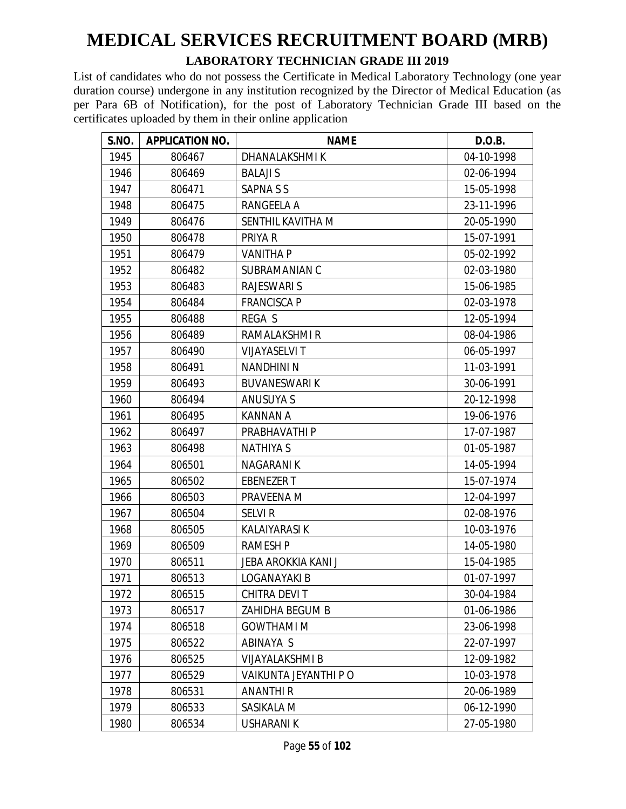#### **LABORATORY TECHNICIAN GRADE III 2019**

| S.NO. | <b>APPLICATION NO.</b> | <b>NAME</b>            | D.O.B.     |
|-------|------------------------|------------------------|------------|
| 1945  | 806467                 | DHANALAKSHMI K         | 04-10-1998 |
| 1946  | 806469                 | <b>BALAJI S</b>        | 02-06-1994 |
| 1947  | 806471                 | SAPNA S S              | 15-05-1998 |
| 1948  | 806475                 | RANGEELA A             | 23-11-1996 |
| 1949  | 806476                 | SENTHIL KAVITHA M      | 20-05-1990 |
| 1950  | 806478                 | PRIYA R                | 15-07-1991 |
| 1951  | 806479                 | <b>VANITHA P</b>       | 05-02-1992 |
| 1952  | 806482                 | SUBRAMANIAN C          | 02-03-1980 |
| 1953  | 806483                 | <b>RAJESWARI S</b>     | 15-06-1985 |
| 1954  | 806484                 | <b>FRANCISCA P</b>     | 02-03-1978 |
| 1955  | 806488                 | REGA S                 | 12-05-1994 |
| 1956  | 806489                 | RAMALAKSHMI R          | 08-04-1986 |
| 1957  | 806490                 | <b>VIJAYASELVI T</b>   | 06-05-1997 |
| 1958  | 806491                 | <b>NANDHINI N</b>      | 11-03-1991 |
| 1959  | 806493                 | <b>BUVANESWARI K</b>   | 30-06-1991 |
| 1960  | 806494                 | <b>ANUSUYA S</b>       | 20-12-1998 |
| 1961  | 806495                 | <b>KANNAN A</b>        | 19-06-1976 |
| 1962  | 806497                 | PRABHAVATHI P          | 17-07-1987 |
| 1963  | 806498                 | <b>NATHIYA S</b>       | 01-05-1987 |
| 1964  | 806501                 | <b>NAGARANIK</b>       | 14-05-1994 |
| 1965  | 806502                 | <b>EBENEZER T</b>      | 15-07-1974 |
| 1966  | 806503                 | PRAVEENA M             | 12-04-1997 |
| 1967  | 806504                 | <b>SELVIR</b>          | 02-08-1976 |
| 1968  | 806505                 | <b>KALAIYARASI K</b>   | 10-03-1976 |
| 1969  | 806509                 | <b>RAMESH P</b>        | 14-05-1980 |
| 1970  | 806511                 | JEBA AROKKIA KANI J    | 15-04-1985 |
| 1971  | 806513                 | <b>LOGANAYAKI B</b>    | 01-07-1997 |
| 1972  | 806515                 | CHITRA DEVIT           | 30-04-1984 |
| 1973  | 806517                 | ZAHIDHA BEGUM B        | 01-06-1986 |
| 1974  | 806518                 | <b>GOWTHAMI M</b>      | 23-06-1998 |
| 1975  | 806522                 | ABINAYA S              | 22-07-1997 |
| 1976  | 806525                 | <b>VIJAYALAKSHMI B</b> | 12-09-1982 |
| 1977  | 806529                 | VAIKUNTA JEYANTHI P O  | 10-03-1978 |
| 1978  | 806531                 | <b>ANANTHIR</b>        | 20-06-1989 |
| 1979  | 806533                 | SASIKALA M             | 06-12-1990 |
| 1980  | 806534                 | <b>USHARANIK</b>       | 27-05-1980 |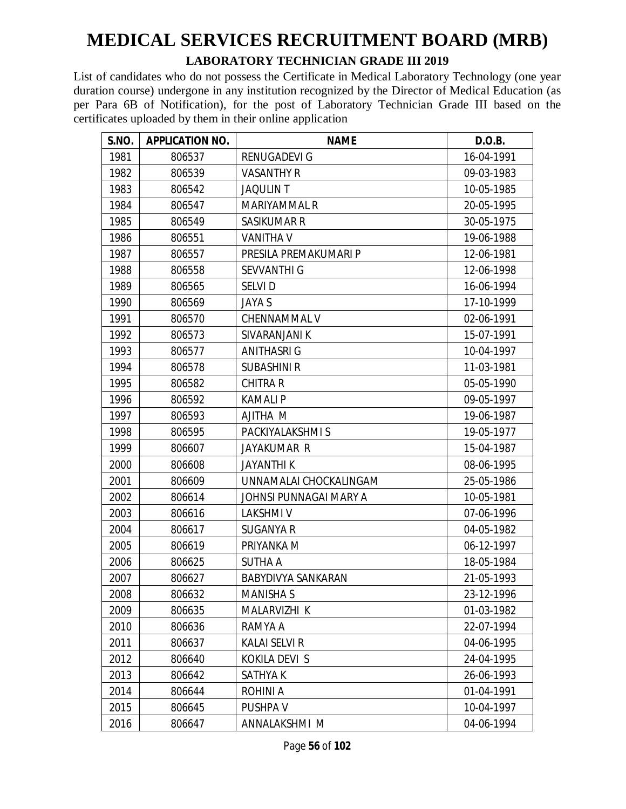#### **LABORATORY TECHNICIAN GRADE III 2019**

| S.NO. | <b>APPLICATION NO.</b> | <b>NAME</b>            | D.O.B.     |
|-------|------------------------|------------------------|------------|
| 1981  | 806537                 | RENUGADEVI G           | 16-04-1991 |
| 1982  | 806539                 | <b>VASANTHY R</b>      | 09-03-1983 |
| 1983  | 806542                 | <b>JAQULIN T</b>       | 10-05-1985 |
| 1984  | 806547                 | <b>MARIYAMMAL R</b>    | 20-05-1995 |
| 1985  | 806549                 | SASIKUMAR R            | 30-05-1975 |
| 1986  | 806551                 | <b>VANITHA V</b>       | 19-06-1988 |
| 1987  | 806557                 | PRESILA PREMAKUMARI P  | 12-06-1981 |
| 1988  | 806558                 | <b>SEVVANTHI G</b>     | 12-06-1998 |
| 1989  | 806565                 | <b>SELVID</b>          | 16-06-1994 |
| 1990  | 806569                 | <b>JAYA S</b>          | 17-10-1999 |
| 1991  | 806570                 | CHENNAMMAL V           | 02-06-1991 |
| 1992  | 806573                 | SIVARANJANI K          | 15-07-1991 |
| 1993  | 806577                 | <b>ANITHASRI G</b>     | 10-04-1997 |
| 1994  | 806578                 | <b>SUBASHINI R</b>     | 11-03-1981 |
| 1995  | 806582                 | <b>CHITRA R</b>        | 05-05-1990 |
| 1996  | 806592                 | <b>KAMALIP</b>         | 09-05-1997 |
| 1997  | 806593                 | <b>AJITHA M</b>        | 19-06-1987 |
| 1998  | 806595                 | PACKIYALAKSHMI S       | 19-05-1977 |
| 1999  | 806607                 | JAYAKUMAR R            | 15-04-1987 |
| 2000  | 806608                 | <b>JAYANTHIK</b>       | 08-06-1995 |
| 2001  | 806609                 | UNNAMALAI CHOCKALINGAM | 25-05-1986 |
| 2002  | 806614                 | JOHNSI PUNNAGAI MARY A | 10-05-1981 |
| 2003  | 806616                 | <b>LAKSHMIV</b>        | 07-06-1996 |
| 2004  | 806617                 | <b>SUGANYA R</b>       | 04-05-1982 |
| 2005  | 806619                 | PRIYANKA M             | 06-12-1997 |
| 2006  | 806625                 | <b>SUTHA A</b>         | 18-05-1984 |
| 2007  | 806627                 | BABYDIVYA SANKARAN     | 21-05-1993 |
| 2008  | 806632                 | <b>MANISHA S</b>       | 23-12-1996 |
| 2009  | 806635                 | MALARVIZHI K           | 01-03-1982 |
| 2010  | 806636                 | RAMYA A                | 22-07-1994 |
| 2011  | 806637                 | <b>KALAI SELVI R</b>   | 04-06-1995 |
| 2012  | 806640                 | KOKILA DEVI S          | 24-04-1995 |
| 2013  | 806642                 | SATHYA K               | 26-06-1993 |
| 2014  | 806644                 | <b>ROHINIA</b>         | 01-04-1991 |
| 2015  | 806645                 | PUSHPA V               | 10-04-1997 |
| 2016  | 806647                 | ANNALAKSHMI M          | 04-06-1994 |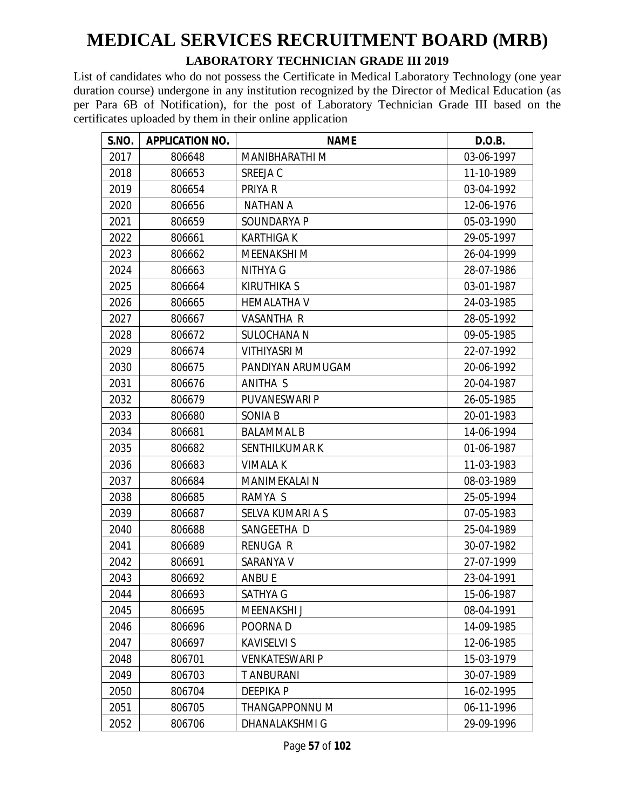#### **LABORATORY TECHNICIAN GRADE III 2019**

| S.NO. | <b>APPLICATION NO.</b> | <b>NAME</b>           | D.O.B.     |
|-------|------------------------|-----------------------|------------|
| 2017  | 806648                 | <b>MANIBHARATHI M</b> | 03-06-1997 |
| 2018  | 806653                 | SREEJA C              | 11-10-1989 |
| 2019  | 806654                 | PRIYA R               | 03-04-1992 |
| 2020  | 806656                 | <b>NATHAN A</b>       | 12-06-1976 |
| 2021  | 806659                 | SOUNDARYA P           | 05-03-1990 |
| 2022  | 806661                 | <b>KARTHIGAK</b>      | 29-05-1997 |
| 2023  | 806662                 | <b>MEENAKSHI M</b>    | 26-04-1999 |
| 2024  | 806663                 | NITHYA G              | 28-07-1986 |
| 2025  | 806664                 | <b>KIRUTHIKA S</b>    | 03-01-1987 |
| 2026  | 806665                 | <b>HEMALATHA V</b>    | 24-03-1985 |
| 2027  | 806667                 | <b>VASANTHA R</b>     | 28-05-1992 |
| 2028  | 806672                 | <b>SULOCHANA N</b>    | 09-05-1985 |
| 2029  | 806674                 | <b>VITHIYASRI M</b>   | 22-07-1992 |
| 2030  | 806675                 | PANDIYAN ARUMUGAM     | 20-06-1992 |
| 2031  | 806676                 | ANITHA S              | 20-04-1987 |
| 2032  | 806679                 | <b>PUVANESWARI P</b>  | 26-05-1985 |
| 2033  | 806680                 | SONIA B               | 20-01-1983 |
| 2034  | 806681                 | <b>BALAMMAL B</b>     | 14-06-1994 |
| 2035  | 806682                 | <b>SENTHILKUMAR K</b> | 01-06-1987 |
| 2036  | 806683                 | <b>VIMALA K</b>       | 11-03-1983 |
| 2037  | 806684                 | <b>MANIMEKALAI N</b>  | 08-03-1989 |
| 2038  | 806685                 | RAMYA S               | 25-05-1994 |
| 2039  | 806687                 | SELVA KUMARI A S      | 07-05-1983 |
| 2040  | 806688                 | SANGEETHA D           | 25-04-1989 |
| 2041  | 806689                 | <b>RENUGA R</b>       | 30-07-1982 |
| 2042  | 806691                 | SARANYA V             | 27-07-1999 |
| 2043  | 806692                 | <b>ANBU E</b>         | 23-04-1991 |
| 2044  | 806693                 | SATHYA G              | 15-06-1987 |
| 2045  | 806695                 | MEENAKSHI J           | 08-04-1991 |
| 2046  | 806696                 | POORNA D              | 14-09-1985 |
| 2047  | 806697                 | <b>KAVISELVI S</b>    | 12-06-1985 |
| 2048  | 806701                 | <b>VENKATESWARI P</b> | 15-03-1979 |
| 2049  | 806703                 | <b>T ANBURANI</b>     | 30-07-1989 |
| 2050  | 806704                 | <b>DEEPIKAP</b>       | 16-02-1995 |
| 2051  | 806705                 | THANGAPPONNU M        | 06-11-1996 |
| 2052  | 806706                 | DHANALAKSHMI G        | 29-09-1996 |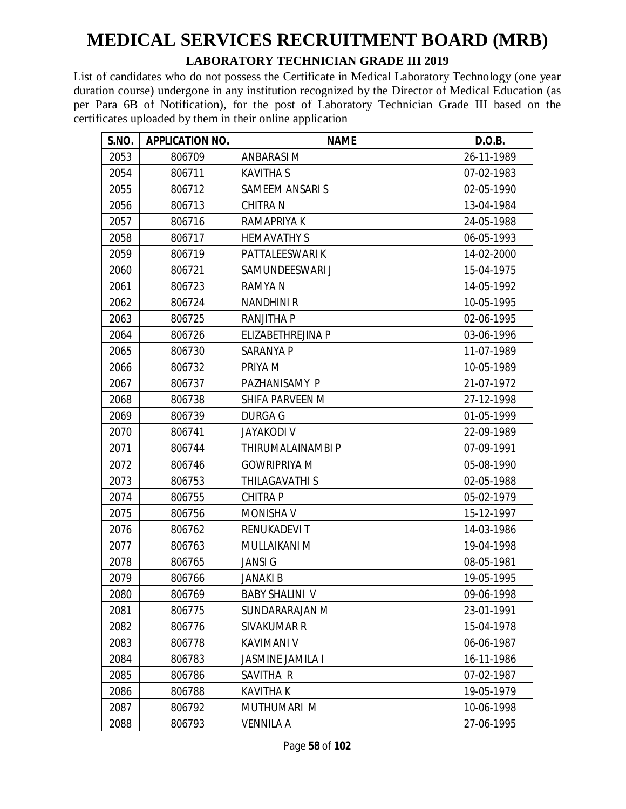#### **LABORATORY TECHNICIAN GRADE III 2019**

| S.NO. | <b>APPLICATION NO.</b> | <b>NAME</b>             | D.O.B.     |
|-------|------------------------|-------------------------|------------|
| 2053  | 806709                 | ANBARASI M              | 26-11-1989 |
| 2054  | 806711                 | <b>KAVITHA S</b>        | 07-02-1983 |
| 2055  | 806712                 | <b>SAMEEM ANSARIS</b>   | 02-05-1990 |
| 2056  | 806713                 | <b>CHITRA N</b>         | 13-04-1984 |
| 2057  | 806716                 | RAMAPRIYA K             | 24-05-1988 |
| 2058  | 806717                 | <b>HEMAVATHY S</b>      | 06-05-1993 |
| 2059  | 806719                 | PATTALEESWARI K         | 14-02-2000 |
| 2060  | 806721                 | SAMUNDEESWARI J         | 15-04-1975 |
| 2061  | 806723                 | <b>RAMYAN</b>           | 14-05-1992 |
| 2062  | 806724                 | <b>NANDHINI R</b>       | 10-05-1995 |
| 2063  | 806725                 | <b>RANJITHA P</b>       | 02-06-1995 |
| 2064  | 806726                 | ELIZABETHREJINA P       | 03-06-1996 |
| 2065  | 806730                 | <b>SARANYA P</b>        | 11-07-1989 |
| 2066  | 806732                 | PRIYA M                 | 10-05-1989 |
| 2067  | 806737                 | PAZHANISAMY P           | 21-07-1972 |
| 2068  | 806738                 | SHIFA PARVEEN M         | 27-12-1998 |
| 2069  | 806739                 | <b>DURGA G</b>          | 01-05-1999 |
| 2070  | 806741                 | <b>JAYAKODI V</b>       | 22-09-1989 |
| 2071  | 806744                 | THIRUMALAINAMBI P       | 07-09-1991 |
| 2072  | 806746                 | <b>GOWRIPRIYA M</b>     | 05-08-1990 |
| 2073  | 806753                 | THILAGAVATHI S          | 02-05-1988 |
| 2074  | 806755                 | CHITRA P                | 05-02-1979 |
| 2075  | 806756                 | <b>MONISHA V</b>        | 15-12-1997 |
| 2076  | 806762                 | RENUKADEVI T            | 14-03-1986 |
| 2077  | 806763                 | MULLAIKANI M            | 19-04-1998 |
| 2078  | 806765                 | <b>JANSIG</b>           | 08-05-1981 |
| 2079  | 806766                 | <b>JANAKIB</b>          | 19-05-1995 |
| 2080  | 806769                 | <b>BABY SHALINI V</b>   | 09-06-1998 |
| 2081  | 806775                 | SUNDARARAJAN M          | 23-01-1991 |
| 2082  | 806776                 | SIVAKUMAR R             | 15-04-1978 |
| 2083  | 806778                 | <b>KAVIMANI V</b>       | 06-06-1987 |
| 2084  | 806783                 | <b>JASMINE JAMILA I</b> | 16-11-1986 |
| 2085  | 806786                 | SAVITHA R               | 07-02-1987 |
| 2086  | 806788                 | <b>KAVITHAK</b>         | 19-05-1979 |
| 2087  | 806792                 | MUTHUMARI M             | 10-06-1998 |
| 2088  | 806793                 | VENNILA A               | 27-06-1995 |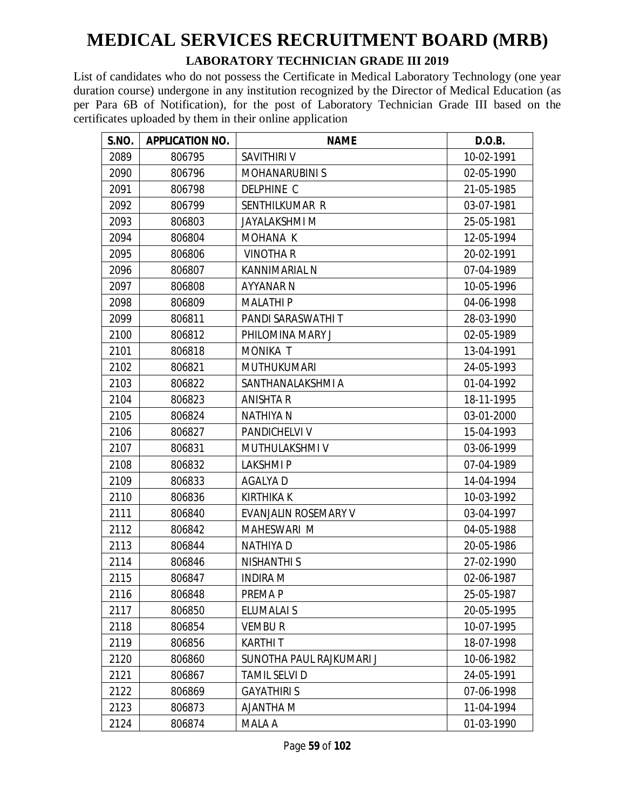#### **LABORATORY TECHNICIAN GRADE III 2019**

| S.NO. | <b>APPLICATION NO.</b> | <b>NAME</b>              | D.O.B.     |
|-------|------------------------|--------------------------|------------|
| 2089  | 806795                 | SAVITHIRI V              | 10-02-1991 |
| 2090  | 806796                 | <b>MOHANARUBINI S</b>    | 02-05-1990 |
| 2091  | 806798                 | <b>DELPHINE C</b>        | 21-05-1985 |
| 2092  | 806799                 | SENTHILKUMAR R           | 03-07-1981 |
| 2093  | 806803                 | <b>JAYALAKSHMI M</b>     | 25-05-1981 |
| 2094  | 806804                 | MOHANA K                 | 12-05-1994 |
| 2095  | 806806                 | <b>VINOTHAR</b>          | 20-02-1991 |
| 2096  | 806807                 | KANNIMARIAL N            | 07-04-1989 |
| 2097  | 806808                 | <b>AYYANAR N</b>         | 10-05-1996 |
| 2098  | 806809                 | <b>MALATHIP</b>          | 04-06-1998 |
| 2099  | 806811                 | PANDI SARASWATHI T       | 28-03-1990 |
| 2100  | 806812                 | PHILOMINA MARY J         | 02-05-1989 |
| 2101  | 806818                 | <b>MONIKA T</b>          | 13-04-1991 |
| 2102  | 806821                 | <b>MUTHUKUMARI</b>       | 24-05-1993 |
| 2103  | 806822                 | SANTHANALAKSHMI A        | 01-04-1992 |
| 2104  | 806823                 | <b>ANISHTA R</b>         | 18-11-1995 |
| 2105  | 806824                 | <b>NATHIYA N</b>         | 03-01-2000 |
| 2106  | 806827                 | PANDICHELVI V            | 15-04-1993 |
| 2107  | 806831                 | MUTHULAKSHMI V           | 03-06-1999 |
| 2108  | 806832                 | <b>LAKSHMIP</b>          | 07-04-1989 |
| 2109  | 806833                 | <b>AGALYAD</b>           | 14-04-1994 |
| 2110  | 806836                 | <b>KIRTHIKA K</b>        | 10-03-1992 |
| 2111  | 806840                 | EVANJALIN ROSEMARY V     | 03-04-1997 |
| 2112  | 806842                 | MAHESWARI M              | 04-05-1988 |
| 2113  | 806844                 | <b>NATHIYAD</b>          | 20-05-1986 |
| 2114  | 806846                 | <b>NISHANTHI S</b>       | 27-02-1990 |
| 2115  | 806847                 | <b>INDIRA M</b>          | 02-06-1987 |
| 2116  | 806848                 | PREMA P                  | 25-05-1987 |
| 2117  | 806850                 | ELUMALAI S               | 20-05-1995 |
| 2118  | 806854                 | <b>VEMBUR</b>            | 10-07-1995 |
| 2119  | 806856                 | <b>KARTHIT</b>           | 18-07-1998 |
| 2120  | 806860                 | SUNOTHA PAUL RAJKUMARI J | 10-06-1982 |
| 2121  | 806867                 | TAMIL SELVI D            | 24-05-1991 |
| 2122  | 806869                 | <b>GAYATHIRI S</b>       | 07-06-1998 |
| 2123  | 806873                 | <b>N AHTMALA</b>         | 11-04-1994 |
| 2124  | 806874                 | MALA A                   | 01-03-1990 |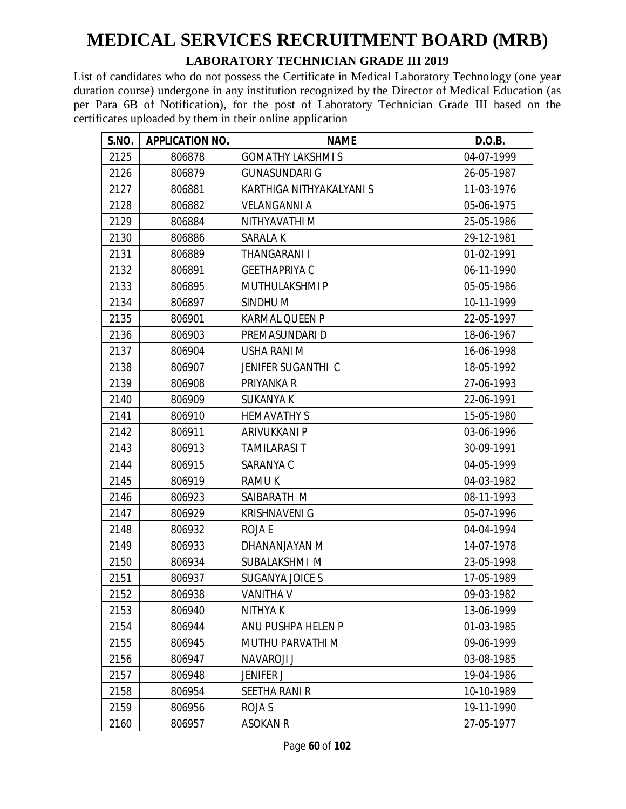#### **LABORATORY TECHNICIAN GRADE III 2019**

| S.NO. | <b>APPLICATION NO.</b> | <b>NAME</b>              | D.O.B.     |
|-------|------------------------|--------------------------|------------|
| 2125  | 806878                 | <b>GOMATHY LAKSHMI S</b> | 04-07-1999 |
| 2126  | 806879                 | <b>GUNASUNDARI G</b>     | 26-05-1987 |
| 2127  | 806881                 | KARTHIGA NITHYAKALYANI S | 11-03-1976 |
| 2128  | 806882                 | <b>VELANGANNI A</b>      | 05-06-1975 |
| 2129  | 806884                 | NITHYAVATHI M            | 25-05-1986 |
| 2130  | 806886                 | <b>SARALAK</b>           | 29-12-1981 |
| 2131  | 806889                 | THANGARANI I             | 01-02-1991 |
| 2132  | 806891                 | <b>GEETHAPRIYA C</b>     | 06-11-1990 |
| 2133  | 806895                 | MUTHULAKSHMI P           | 05-05-1986 |
| 2134  | 806897                 | SINDHU M                 | 10-11-1999 |
| 2135  | 806901                 | <b>KARMAL QUEEN P</b>    | 22-05-1997 |
| 2136  | 806903                 | PREMASUNDARI D           | 18-06-1967 |
| 2137  | 806904                 | <b>USHA RANI M</b>       | 16-06-1998 |
| 2138  | 806907                 | JENIFER SUGANTHI C       | 18-05-1992 |
| 2139  | 806908                 | PRIYANKA R               | 27-06-1993 |
| 2140  | 806909                 | <b>SUKANYA K</b>         | 22-06-1991 |
| 2141  | 806910                 | <b>HEMAVATHY S</b>       | 15-05-1980 |
| 2142  | 806911                 | ARIVUKKANI P             | 03-06-1996 |
| 2143  | 806913                 | <b>TAMILARASI T</b>      | 30-09-1991 |
| 2144  | 806915                 | SARANYA C                | 04-05-1999 |
| 2145  | 806919                 | <b>RAMUK</b>             | 04-03-1982 |
| 2146  | 806923                 | SAIBARATH M              | 08-11-1993 |
| 2147  | 806929                 | <b>KRISHNAVENI G</b>     | 05-07-1996 |
| 2148  | 806932                 | <b>ROJAE</b>             | 04-04-1994 |
| 2149  | 806933                 | DHANANJAYAN M            | 14-07-1978 |
| 2150  | 806934                 | SUBALAKSHMI M            | 23-05-1998 |
| 2151  | 806937                 | SUGANYA JOICE S          | 17-05-1989 |
| 2152  | 806938                 | VANITHA V                | 09-03-1982 |
| 2153  | 806940                 | NITHYA K                 | 13-06-1999 |
| 2154  | 806944                 | ANU PUSHPA HELEN P       | 01-03-1985 |
| 2155  | 806945                 | MUTHU PARVATHI M         | 09-06-1999 |
| 2156  | 806947                 | <b>NAVAROJI J</b>        | 03-08-1985 |
| 2157  | 806948                 | <b>JENIFER J</b>         | 19-04-1986 |
| 2158  | 806954                 | SEETHA RANI R            | 10-10-1989 |
| 2159  | 806956                 | <b>ROJA S</b>            | 19-11-1990 |
| 2160  | 806957                 | ASOKAN R                 | 27-05-1977 |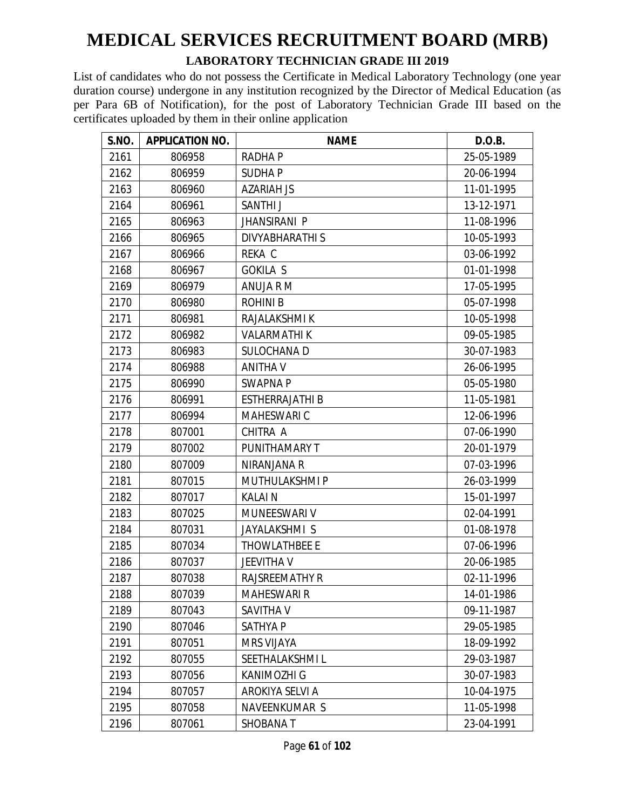#### **LABORATORY TECHNICIAN GRADE III 2019**

| S.NO. | <b>APPLICATION NO.</b> | <b>NAME</b>            | D.O.B.     |
|-------|------------------------|------------------------|------------|
| 2161  | 806958                 | <b>RADHAP</b>          | 25-05-1989 |
| 2162  | 806959                 | <b>SUDHAP</b>          | 20-06-1994 |
| 2163  | 806960                 | <b>AZARIAH JS</b>      | 11-01-1995 |
| 2164  | 806961                 | SANTHI J               | 13-12-1971 |
| 2165  | 806963                 | <b>JHANSIRANI P</b>    | 11-08-1996 |
| 2166  | 806965                 | <b>DIVYABHARATHI S</b> | 10-05-1993 |
| 2167  | 806966                 | REKA C                 | 03-06-1992 |
| 2168  | 806967                 | <b>GOKILA S</b>        | 01-01-1998 |
| 2169  | 806979                 | ANUJA R M              | 17-05-1995 |
| 2170  | 806980                 | <b>ROHINIB</b>         | 05-07-1998 |
| 2171  | 806981                 | RAJALAKSHMI K          | 10-05-1998 |
| 2172  | 806982                 | <b>VALARMATHIK</b>     | 09-05-1985 |
| 2173  | 806983                 | <b>SULOCHANA D</b>     | 30-07-1983 |
| 2174  | 806988                 | <b>ANITHA V</b>        | 26-06-1995 |
| 2175  | 806990                 | <b>SWAPNAP</b>         | 05-05-1980 |
| 2176  | 806991                 | <b>ESTHERRAJATHI B</b> | 11-05-1981 |
| 2177  | 806994                 | MAHESWARI C            | 12-06-1996 |
| 2178  | 807001                 | CHITRA A               | 07-06-1990 |
| 2179  | 807002                 | PUNITHAMARY T          | 20-01-1979 |
| 2180  | 807009                 | NIRANJANA R            | 07-03-1996 |
| 2181  | 807015                 | MUTHULAKSHMI P         | 26-03-1999 |
| 2182  | 807017                 | <b>KALAIN</b>          | 15-01-1997 |
| 2183  | 807025                 | MUNEESWARI V           | 02-04-1991 |
| 2184  | 807031                 | JAYALAKSHMI S          | 01-08-1978 |
| 2185  | 807034                 | <b>THOWLATHBEE E</b>   | 07-06-1996 |
| 2186  | 807037                 | <b>JEEVITHA V</b>      | 20-06-1985 |
| 2187  | 807038                 | <b>RAJSREEMATHY R</b>  | 02-11-1996 |
| 2188  | 807039                 | <b>MAHESWARI R</b>     | 14-01-1986 |
| 2189  | 807043                 | SAVITHA V              | 09-11-1987 |
| 2190  | 807046                 | SATHYA P               | 29-05-1985 |
| 2191  | 807051                 | <b>MRS VIJAYA</b>      | 18-09-1992 |
| 2192  | 807055                 | SEETHALAKSHMIL         | 29-03-1987 |
| 2193  | 807056                 | <b>KANIMOZHI G</b>     | 30-07-1983 |
| 2194  | 807057                 | AROKIYA SELVI A        | 10-04-1975 |
| 2195  | 807058                 | NAVEENKUMAR S          | 11-05-1998 |
| 2196  | 807061                 | <b>SHOBANAT</b>        | 23-04-1991 |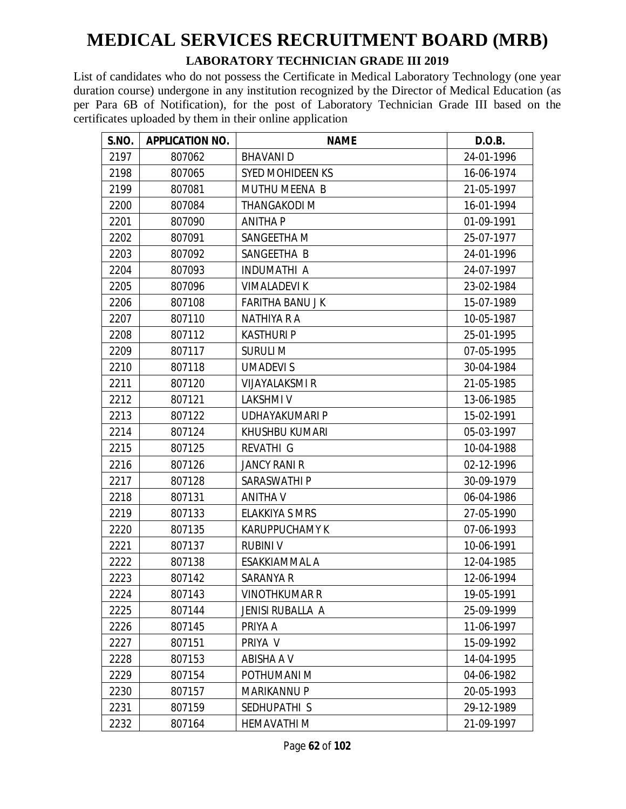#### **LABORATORY TECHNICIAN GRADE III 2019**

| S.NO. | <b>APPLICATION NO.</b> | <b>NAME</b>             | D.O.B.     |
|-------|------------------------|-------------------------|------------|
| 2197  | 807062                 | <b>BHAVANID</b>         | 24-01-1996 |
| 2198  | 807065                 | <b>SYED MOHIDEEN KS</b> | 16-06-1974 |
| 2199  | 807081                 | <b>MUTHU MEENA B</b>    | 21-05-1997 |
| 2200  | 807084                 | <b>THANGAKODI M</b>     | 16-01-1994 |
| 2201  | 807090                 | <b>ANITHA P</b>         | 01-09-1991 |
| 2202  | 807091                 | SANGEETHA M             | 25-07-1977 |
| 2203  | 807092                 | SANGEETHA B             | 24-01-1996 |
| 2204  | 807093                 | <b>INDUMATHI A</b>      | 24-07-1997 |
| 2205  | 807096                 | <b>VIMALADEVIK</b>      | 23-02-1984 |
| 2206  | 807108                 | <b>FARITHA BANU JK</b>  | 15-07-1989 |
| 2207  | 807110                 | NATHIYA R A             | 10-05-1987 |
| 2208  | 807112                 | <b>KASTHURI P</b>       | 25-01-1995 |
| 2209  | 807117                 | <b>SURULI M</b>         | 07-05-1995 |
| 2210  | 807118                 | <b>UMADEVIS</b>         | 30-04-1984 |
| 2211  | 807120                 | <b>VIJAYALAKSMI R</b>   | 21-05-1985 |
| 2212  | 807121                 | <b>LAKSHMIV</b>         | 13-06-1985 |
| 2213  | 807122                 | UDHAYAKUMARI P          | 15-02-1991 |
| 2214  | 807124                 | KHUSHBU KUMARI          | 05-03-1997 |
| 2215  | 807125                 | REVATHI G               | 10-04-1988 |
| 2216  | 807126                 | <b>JANCY RANI R</b>     | 02-12-1996 |
| 2217  | 807128                 | SARASWATHI P            | 30-09-1979 |
| 2218  | 807131                 | <b>ANITHA V</b>         | 06-04-1986 |
| 2219  | 807133                 | <b>ELAKKIYA S MRS</b>   | 27-05-1990 |
| 2220  | 807135                 | <b>KARUPPUCHAMY K</b>   | 07-06-1993 |
| 2221  | 807137                 | <b>RUBINI V</b>         | 10-06-1991 |
| 2222  | 807138                 | ESAKKIAMMAL A           | 12-04-1985 |
| 2223  | 807142                 | SARANYA R               | 12-06-1994 |
| 2224  | 807143                 | <b>VINOTHKUMAR R</b>    | 19-05-1991 |
| 2225  | 807144                 | JENISI RUBALLA A        | 25-09-1999 |
| 2226  | 807145                 | PRIYA A                 | 11-06-1997 |
| 2227  | 807151                 | PRIYA V                 | 15-09-1992 |
| 2228  | 807153                 | ABISHA A V              | 14-04-1995 |
| 2229  | 807154                 | POTHUMANI M             | 04-06-1982 |
| 2230  | 807157                 | <b>MARIKANNU P</b>      | 20-05-1993 |
| 2231  | 807159                 | SEDHUPATHI S            | 29-12-1989 |
| 2232  | 807164                 | <b>HEMAVATHI M</b>      | 21-09-1997 |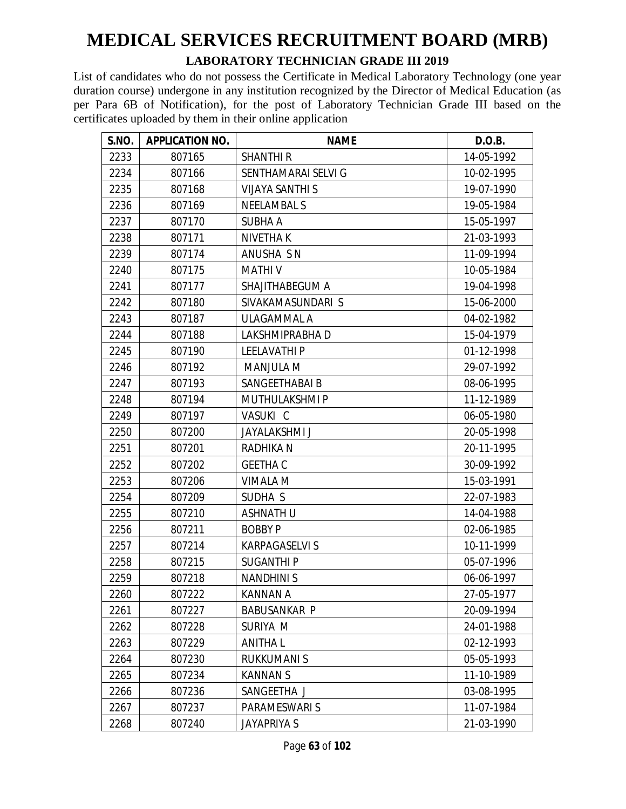#### **LABORATORY TECHNICIAN GRADE III 2019**

| S.NO. | <b>APPLICATION NO.</b> | <b>NAME</b>            | D.O.B.     |
|-------|------------------------|------------------------|------------|
| 2233  | 807165                 | <b>SHANTHI R</b>       | 14-05-1992 |
| 2234  | 807166                 | SENTHAMARAI SELVI G    | 10-02-1995 |
| 2235  | 807168                 | <b>VIJAYA SANTHI S</b> | 19-07-1990 |
| 2236  | 807169                 | <b>NEELAMBAL S</b>     | 19-05-1984 |
| 2237  | 807170                 | <b>SUBHA A</b>         | 15-05-1997 |
| 2238  | 807171                 | <b>NIVETHAK</b>        | 21-03-1993 |
| 2239  | 807174                 | ANUSHA S N             | 11-09-1994 |
| 2240  | 807175                 | <b>MATHIV</b>          | 10-05-1984 |
| 2241  | 807177                 | SHAJITHABEGUM A        | 19-04-1998 |
| 2242  | 807180                 | SIVAKAMASUNDARI S      | 15-06-2000 |
| 2243  | 807187                 | ULAGAMMAL A            | 04-02-1982 |
| 2244  | 807188                 | LAKSHMIPRABHA D        | 15-04-1979 |
| 2245  | 807190                 | <b>LEELAVATHIP</b>     | 01-12-1998 |
| 2246  | 807192                 | <b>MANJULA M</b>       | 29-07-1992 |
| 2247  | 807193                 | SANGEETHABAI B         | 08-06-1995 |
| 2248  | 807194                 | <b>MUTHULAKSHMI P</b>  | 11-12-1989 |
| 2249  | 807197                 | VASUKI C               | 06-05-1980 |
| 2250  | 807200                 | <b>JAYALAKSHMI J</b>   | 20-05-1998 |
| 2251  | 807201                 | RADHIKA N              | 20-11-1995 |
| 2252  | 807202                 | <b>GEETHA C</b>        | 30-09-1992 |
| 2253  | 807206                 | <b>VIMALA M</b>        | 15-03-1991 |
| 2254  | 807209                 | SUDHA S                | 22-07-1983 |
| 2255  | 807210                 | <b>ASHNATH U</b>       | 14-04-1988 |
| 2256  | 807211                 | <b>BOBBY P</b>         | 02-06-1985 |
| 2257  | 807214                 | <b>KARPAGASELVIS</b>   | 10-11-1999 |
| 2258  | 807215                 | <b>SUGANTHIP</b>       | 05-07-1996 |
| 2259  | 807218                 | <b>NANDHINIS</b>       | 06-06-1997 |
| 2260  | 807222                 | <b>KANNAN A</b>        | 27-05-1977 |
| 2261  | 807227                 | <b>BABUSANKAR P</b>    | 20-09-1994 |
| 2262  | 807228                 | SURIYA M               | 24-01-1988 |
| 2263  | 807229                 | <b>ANITHAL</b>         | 02-12-1993 |
| 2264  | 807230                 | <b>RUKKUMANI S</b>     | 05-05-1993 |
| 2265  | 807234                 | <b>KANNANS</b>         | 11-10-1989 |
| 2266  | 807236                 | SANGEETHA J            | 03-08-1995 |
| 2267  | 807237                 | PARAMESWARI S          | 11-07-1984 |
| 2268  | 807240                 | <b>JAYAPRIYA S</b>     | 21-03-1990 |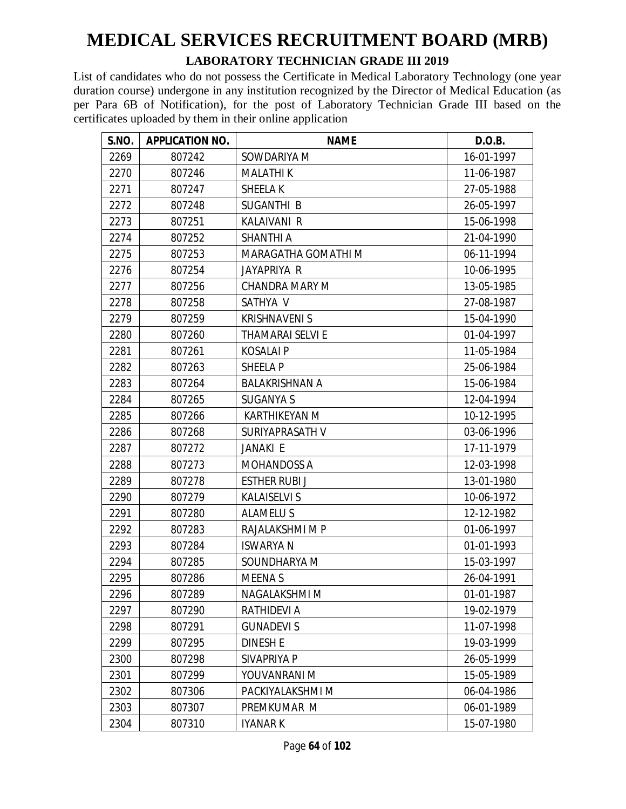#### **LABORATORY TECHNICIAN GRADE III 2019**

| <b>S.NO.</b> | <b>APPLICATION NO.</b> | <b>NAME</b>             | D.O.B.     |
|--------------|------------------------|-------------------------|------------|
| 2269         | 807242                 | SOWDARIYA M             | 16-01-1997 |
| 2270         | 807246                 | <b>MALATHIK</b>         | 11-06-1987 |
| 2271         | 807247                 | <b>SHEELAK</b>          | 27-05-1988 |
| 2272         | 807248                 | SUGANTHI B              | 26-05-1997 |
| 2273         | 807251                 | <b>KALAIVANI R</b>      | 15-06-1998 |
| 2274         | 807252                 | <b>SHANTHI A</b>        | 21-04-1990 |
| 2275         | 807253                 | MARAGATHA GOMATHI M     | 06-11-1994 |
| 2276         | 807254                 | JAYAPRIYA R             | 10-06-1995 |
| 2277         | 807256                 | <b>CHANDRA MARY M</b>   | 13-05-1985 |
| 2278         | 807258                 | SATHYA V                | 27-08-1987 |
| 2279         | 807259                 | <b>KRISHNAVENI S</b>    | 15-04-1990 |
| 2280         | 807260                 | <b>THAMARAI SELVI E</b> | 01-04-1997 |
| 2281         | 807261                 | <b>KOSALAIP</b>         | 11-05-1984 |
| 2282         | 807263                 | SHEELA P                | 25-06-1984 |
| 2283         | 807264                 | <b>BALAKRISHNAN A</b>   | 15-06-1984 |
| 2284         | 807265                 | <b>SUGANYA S</b>        | 12-04-1994 |
| 2285         | 807266                 | <b>KARTHIKEYAN M</b>    | 10-12-1995 |
| 2286         | 807268                 | SURIYAPRASATH V         | 03-06-1996 |
| 2287         | 807272                 | JANAKI E                | 17-11-1979 |
| 2288         | 807273                 | <b>MOHANDOSS A</b>      | 12-03-1998 |
| 2289         | 807278                 | <b>ESTHER RUBI J</b>    | 13-01-1980 |
| 2290         | 807279                 | <b>KALAISELVI S</b>     | 10-06-1972 |
| 2291         | 807280                 | <b>ALAMELUS</b>         | 12-12-1982 |
| 2292         | 807283                 | RAJALAKSHMI M P         | 01-06-1997 |
| 2293         | 807284                 | <b>ISWARYAN</b>         | 01-01-1993 |
| 2294         | 807285                 | SOUNDHARYA M            | 15-03-1997 |
| 2295         | 807286                 | <b>MEENAS</b>           | 26-04-1991 |
| 2296         | 807289                 | NAGALAKSHMI M           | 01-01-1987 |
| 2297         | 807290                 | RATHIDEVI A             | 19-02-1979 |
| 2298         | 807291                 | <b>GUNADEVIS</b>        | 11-07-1998 |
| 2299         | 807295                 | <b>DINESH E</b>         | 19-03-1999 |
| 2300         | 807298                 | SIVAPRIYA P             | 26-05-1999 |
| 2301         | 807299                 | YOUVANRANI M            | 15-05-1989 |
| 2302         | 807306                 | PACKIYALAKSHMI M        | 06-04-1986 |
| 2303         | 807307                 | PREMKUMAR M             | 06-01-1989 |
| 2304         | 807310                 | IYANAR K                | 15-07-1980 |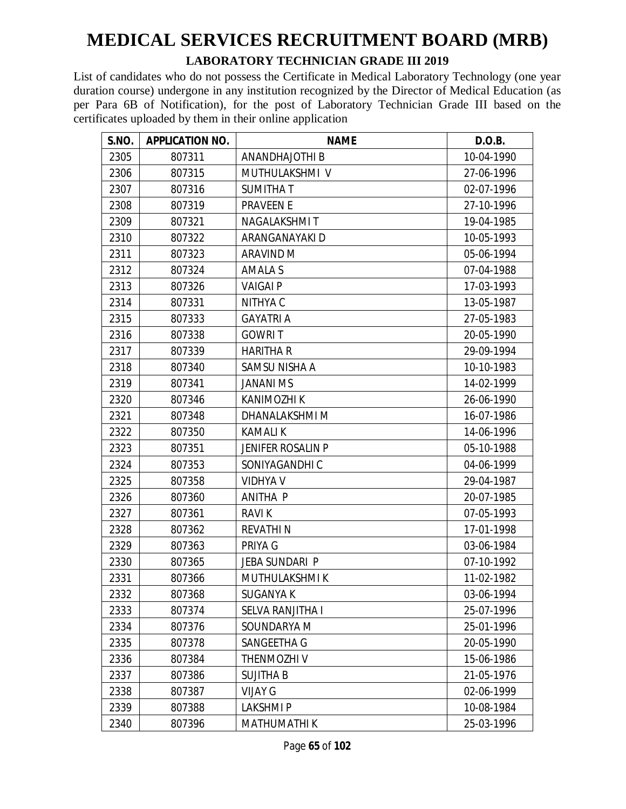#### **LABORATORY TECHNICIAN GRADE III 2019**

| S.NO. | <b>APPLICATION NO.</b> | <b>NAME</b>              | D.O.B.     |
|-------|------------------------|--------------------------|------------|
| 2305  | 807311                 | ANANDHAJOTHI B           | 10-04-1990 |
| 2306  | 807315                 | MUTHULAKSHMI V           | 27-06-1996 |
| 2307  | 807316                 | <b>SUMITHAT</b>          | 02-07-1996 |
| 2308  | 807319                 | <b>PRAVEEN E</b>         | 27-10-1996 |
| 2309  | 807321                 | NAGALAKSHMIT             | 19-04-1985 |
| 2310  | 807322                 | ARANGANAYAKI D           | 10-05-1993 |
| 2311  | 807323                 | <b>ARAVIND M</b>         | 05-06-1994 |
| 2312  | 807324                 | <b>AMALA S</b>           | 07-04-1988 |
| 2313  | 807326                 | <b>VAIGAIP</b>           | 17-03-1993 |
| 2314  | 807331                 | NITHYA C                 | 13-05-1987 |
| 2315  | 807333                 | <b>GAYATRI A</b>         | 27-05-1983 |
| 2316  | 807338                 | <b>GOWRIT</b>            | 20-05-1990 |
| 2317  | 807339                 | <b>HARITHA R</b>         | 29-09-1994 |
| 2318  | 807340                 | SAMSU NISHA A            | 10-10-1983 |
| 2319  | 807341                 | <b>JANANI MS</b>         | 14-02-1999 |
| 2320  | 807346                 | <b>KANIMOZHI K</b>       | 26-06-1990 |
| 2321  | 807348                 | DHANALAKSHMI M           | 16-07-1986 |
| 2322  | 807350                 | <b>KAMALIK</b>           | 14-06-1996 |
| 2323  | 807351                 | <b>JENIFER ROSALIN P</b> | 05-10-1988 |
| 2324  | 807353                 | SONIYAGANDHI C           | 04-06-1999 |
| 2325  | 807358                 | <b>VIDHYA V</b>          | 29-04-1987 |
| 2326  | 807360                 | ANITHA P                 | 20-07-1985 |
| 2327  | 807361                 | <b>RAVIK</b>             | 07-05-1993 |
| 2328  | 807362                 | <b>REVATHIN</b>          | 17-01-1998 |
| 2329  | 807363                 | PRIYA G                  | 03-06-1984 |
| 2330  | 807365                 | JEBA SUNDARI P           | 07-10-1992 |
| 2331  | 807366                 | MUTHULAKSHMI K           | 11-02-1982 |
| 2332  | 807368                 | <b>SUGANYA K</b>         | 03-06-1994 |
| 2333  | 807374                 | SELVA RANJITHA I         | 25-07-1996 |
| 2334  | 807376                 | SOUNDARYA M              | 25-01-1996 |
| 2335  | 807378                 | SANGEETHA G              | 20-05-1990 |
| 2336  | 807384                 | THENMOZHI V              | 15-06-1986 |
| 2337  | 807386                 | <b>SUJITHA B</b>         | 21-05-1976 |
| 2338  | 807387                 | <b>VIJAY G</b>           | 02-06-1999 |
| 2339  | 807388                 | <b>LAKSHMIP</b>          | 10-08-1984 |
| 2340  | 807396                 | <b>MATHUMATHI K</b>      | 25-03-1996 |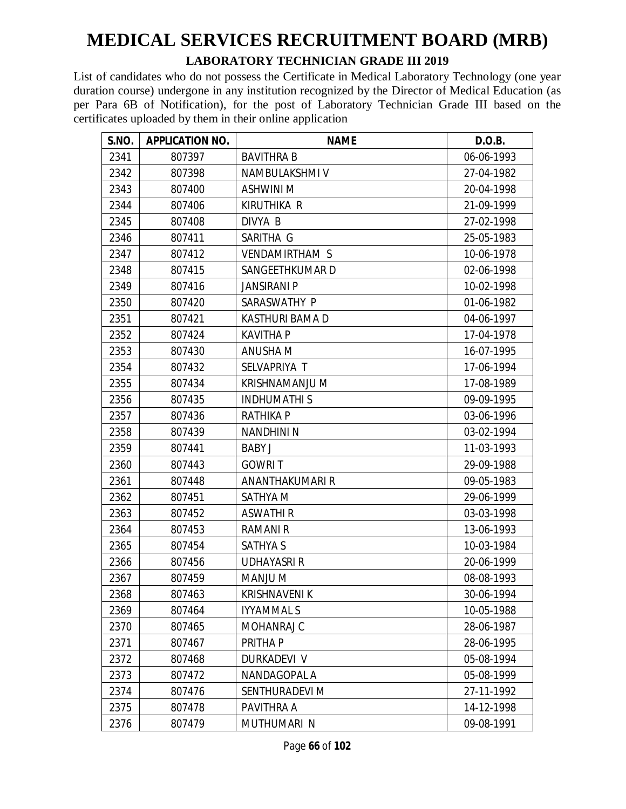#### **LABORATORY TECHNICIAN GRADE III 2019**

| S.NO. | <b>APPLICATION NO.</b> | <b>NAME</b>           | D.O.B.     |
|-------|------------------------|-----------------------|------------|
| 2341  | 807397                 | <b>BAVITHRA B</b>     | 06-06-1993 |
| 2342  | 807398                 | NAMBULAKSHMI V        | 27-04-1982 |
| 2343  | 807400                 | <b>ASHWINI M</b>      | 20-04-1998 |
| 2344  | 807406                 | <b>KIRUTHIKA R</b>    | 21-09-1999 |
| 2345  | 807408                 | DIVYA B               | 27-02-1998 |
| 2346  | 807411                 | SARITHA G             | 25-05-1983 |
| 2347  | 807412                 | <b>VENDAMIRTHAM S</b> | 10-06-1978 |
| 2348  | 807415                 | SANGEETHKUMAR D       | 02-06-1998 |
| 2349  | 807416                 | <b>JANSIRANI P</b>    | 10-02-1998 |
| 2350  | 807420                 | SARASWATHY P          | 01-06-1982 |
| 2351  | 807421                 | KASTHURI BAMA D       | 04-06-1997 |
| 2352  | 807424                 | <b>KAVITHA P</b>      | 17-04-1978 |
| 2353  | 807430                 | <b>ANUSHA M</b>       | 16-07-1995 |
| 2354  | 807432                 | SELVAPRIYA T          | 17-06-1994 |
| 2355  | 807434                 | KRISHNAMANJU M        | 17-08-1989 |
| 2356  | 807435                 | <b>INDHUMATHIS</b>    | 09-09-1995 |
| 2357  | 807436                 | <b>RATHIKA P</b>      | 03-06-1996 |
| 2358  | 807439                 | <b>NANDHINI N</b>     | 03-02-1994 |
| 2359  | 807441                 | <b>BABY J</b>         | 11-03-1993 |
| 2360  | 807443                 | <b>GOWRIT</b>         | 29-09-1988 |
| 2361  | 807448                 | ANANTHAKUMARI R       | 09-05-1983 |
| 2362  | 807451                 | SATHYA M              | 29-06-1999 |
| 2363  | 807452                 | <b>ASWATHI R</b>      | 03-03-1998 |
| 2364  | 807453                 | <b>RAMANI R</b>       | 13-06-1993 |
| 2365  | 807454                 | <b>SATHYA S</b>       | 10-03-1984 |
| 2366  | 807456                 | <b>UDHAYASRI R</b>    | 20-06-1999 |
| 2367  | 807459                 | MANJU M               | 08-08-1993 |
| 2368  | 807463                 | <b>KRISHNAVENI K</b>  | 30-06-1994 |
| 2369  | 807464                 | <b>IYYAMMAL S</b>     | 10-05-1988 |
| 2370  | 807465                 | MOHANRAJ C            | 28-06-1987 |
| 2371  | 807467                 | PRITHA P              | 28-06-1995 |
| 2372  | 807468                 | <b>DURKADEVI V</b>    | 05-08-1994 |
| 2373  | 807472                 | NANDAGOPAL A          | 05-08-1999 |
| 2374  | 807476                 | SENTHURADEVI M        | 27-11-1992 |
| 2375  | 807478                 | PAVITHRA A            | 14-12-1998 |
| 2376  | 807479                 | MUTHUMARI N           | 09-08-1991 |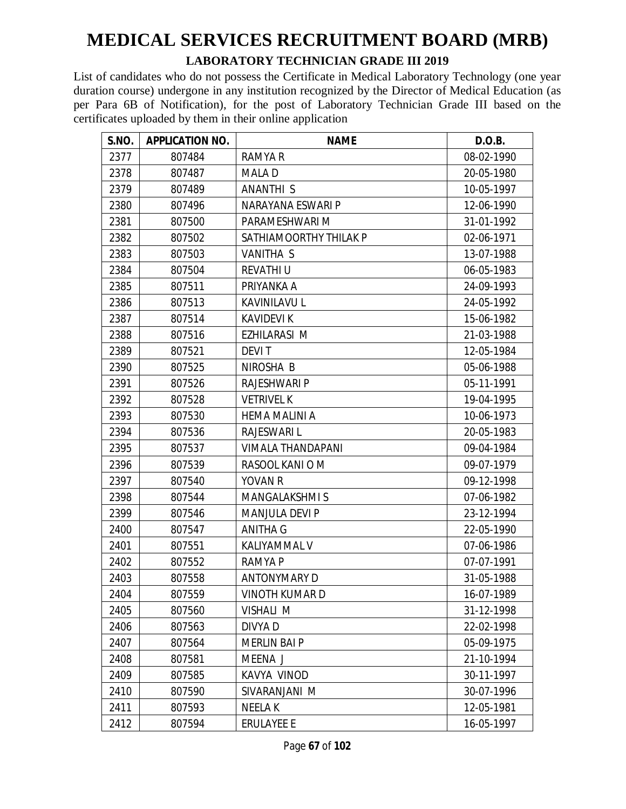#### **LABORATORY TECHNICIAN GRADE III 2019**

| S.NO. | <b>APPLICATION NO.</b> | <b>NAME</b>              | D.O.B.     |
|-------|------------------------|--------------------------|------------|
| 2377  | 807484                 | RAMYA R                  | 08-02-1990 |
| 2378  | 807487                 | <b>MALAD</b>             | 20-05-1980 |
| 2379  | 807489                 | <b>ANANTHI S</b>         | 10-05-1997 |
| 2380  | 807496                 | NARAYANA ESWARI P        | 12-06-1990 |
| 2381  | 807500                 | PARAMESHWARI M           | 31-01-1992 |
| 2382  | 807502                 | SATHIAMOORTHY THILAK P   | 02-06-1971 |
| 2383  | 807503                 | <b>VANITHA S</b>         | 13-07-1988 |
| 2384  | 807504                 | <b>REVATHI U</b>         | 06-05-1983 |
| 2385  | 807511                 | PRIYANKA A               | 24-09-1993 |
| 2386  | 807513                 | <b>KAVINILAVU L</b>      | 24-05-1992 |
| 2387  | 807514                 | <b>KAVIDEVI K</b>        | 15-06-1982 |
| 2388  | 807516                 | EZHILARASI M             | 21-03-1988 |
| 2389  | 807521                 | <b>DEVIT</b>             | 12-05-1984 |
| 2390  | 807525                 | NIROSHA B                | 05-06-1988 |
| 2391  | 807526                 | RAJESHWARI P             | 05-11-1991 |
| 2392  | 807528                 | <b>VETRIVEL K</b>        | 19-04-1995 |
| 2393  | 807530                 | <b>HEMA MALINI A</b>     | 10-06-1973 |
| 2394  | 807536                 | <b>RAJESWARI L</b>       | 20-05-1983 |
| 2395  | 807537                 | <b>VIMALA THANDAPANI</b> | 09-04-1984 |
| 2396  | 807539                 | RASOOL KANI O M          | 09-07-1979 |
| 2397  | 807540                 | <b>YOVAN R</b>           | 09-12-1998 |
| 2398  | 807544                 | <b>MANGALAKSHMIS</b>     | 07-06-1982 |
| 2399  | 807546                 | <b>MANJULA DEVI P</b>    | 23-12-1994 |
| 2400  | 807547                 | <b>ANITHA G</b>          | 22-05-1990 |
| 2401  | 807551                 | KALIYAMMAL V             | 07-06-1986 |
| 2402  | 807552                 | <b>RAMYA P</b>           | 07-07-1991 |
| 2403  | 807558                 | <b>ANTONYMARY D</b>      | 31-05-1988 |
| 2404  | 807559                 | <b>VINOTH KUMAR D</b>    | 16-07-1989 |
| 2405  | 807560                 | VISHALI M                | 31-12-1998 |
| 2406  | 807563                 | DIVYA D                  | 22-02-1998 |
| 2407  | 807564                 | <b>MERLIN BAI P</b>      | 05-09-1975 |
| 2408  | 807581                 | MEENA J                  | 21-10-1994 |
| 2409  | 807585                 | KAVYA VINOD              | 30-11-1997 |
| 2410  | 807590                 | SIVARANJANI M            | 30-07-1996 |
| 2411  | 807593                 | <b>NEELAK</b>            | 12-05-1981 |
| 2412  | 807594                 | <b>ERULAYEE E</b>        | 16-05-1997 |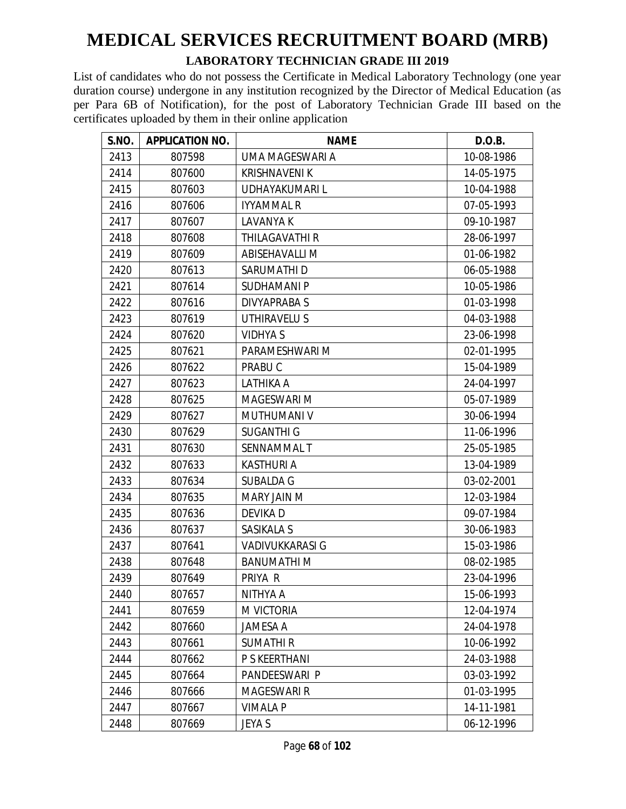#### **LABORATORY TECHNICIAN GRADE III 2019**

| S.NO. | <b>APPLICATION NO.</b> | <b>NAME</b>            | D.O.B.     |
|-------|------------------------|------------------------|------------|
| 2413  | 807598                 | UMA MAGESWARI A        | 10-08-1986 |
| 2414  | 807600                 | <b>KRISHNAVENI K</b>   | 14-05-1975 |
| 2415  | 807603                 | UDHAYAKUMARI L         | 10-04-1988 |
| 2416  | 807606                 | <b>IYYAMMAL R</b>      | 07-05-1993 |
| 2417  | 807607                 | <b>LAVANYA K</b>       | 09-10-1987 |
| 2418  | 807608                 | <b>THILAGAVATHI R</b>  | 28-06-1997 |
| 2419  | 807609                 | ABISEHAVALLI M         | 01-06-1982 |
| 2420  | 807613                 | SARUMATHI D            | 06-05-1988 |
| 2421  | 807614                 | <b>SUDHAMANIP</b>      | 10-05-1986 |
| 2422  | 807616                 | <b>DIVYAPRABA S</b>    | 01-03-1998 |
| 2423  | 807619                 | UTHIRAVELU S           | 04-03-1988 |
| 2424  | 807620                 | <b>VIDHYA S</b>        | 23-06-1998 |
| 2425  | 807621                 | PARAMESHWARI M         | 02-01-1995 |
| 2426  | 807622                 | PRABU C                | 15-04-1989 |
| 2427  | 807623                 | LATHIKA A              | 24-04-1997 |
| 2428  | 807625                 | <b>MAGESWARI M</b>     | 05-07-1989 |
| 2429  | 807627                 | <b>MUTHUMANI V</b>     | 30-06-1994 |
| 2430  | 807629                 | <b>SUGANTHI G</b>      | 11-06-1996 |
| 2431  | 807630                 | SENNAMMAL T            | 25-05-1985 |
| 2432  | 807633                 | <b>KASTHURI A</b>      | 13-04-1989 |
| 2433  | 807634                 | <b>SUBALDA G</b>       | 03-02-2001 |
| 2434  | 807635                 | MARY JAIN M            | 12-03-1984 |
| 2435  | 807636                 | DEVIKA D               | 09-07-1984 |
| 2436  | 807637                 | SASIKALA S             | 30-06-1983 |
| 2437  | 807641                 | <b>VADIVUKKARASI G</b> | 15-03-1986 |
| 2438  | 807648                 | <b>BANUMATHIM</b>      | 08-02-1985 |
| 2439  | 807649                 | PRIYA R                | 23-04-1996 |
| 2440  | 807657                 | NITHYA A               | 15-06-1993 |
| 2441  | 807659                 | M VICTORIA             | 12-04-1974 |
| 2442  | 807660                 | <b>JAMESA A</b>        | 24-04-1978 |
| 2443  | 807661                 | <b>SUMATHIR</b>        | 10-06-1992 |
| 2444  | 807662                 | P S KEERTHANI          | 24-03-1988 |
| 2445  | 807664                 | PANDEESWARI P          | 03-03-1992 |
| 2446  | 807666                 | <b>MAGESWARI R</b>     | 01-03-1995 |
| 2447  | 807667                 | <b>VIMALA P</b>        | 14-11-1981 |
| 2448  | 807669                 | JEYA S                 | 06-12-1996 |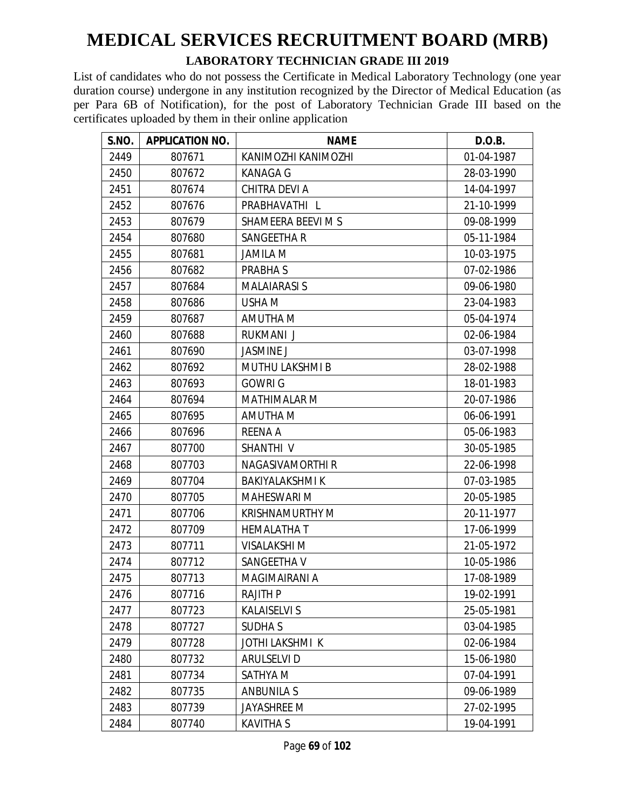#### **LABORATORY TECHNICIAN GRADE III 2019**

| S.NO. | <b>APPLICATION NO.</b> | <b>NAME</b>            | D.O.B.     |
|-------|------------------------|------------------------|------------|
| 2449  | 807671                 | KANIMOZHI KANIMOZHI    | 01-04-1987 |
| 2450  | 807672                 | <b>KANAGA G</b>        | 28-03-1990 |
| 2451  | 807674                 | <b>CHITRA DEVI A</b>   | 14-04-1997 |
| 2452  | 807676                 | PRABHAVATHI L          | 21-10-1999 |
| 2453  | 807679                 | SHAMEERA BEEVI M S     | 09-08-1999 |
| 2454  | 807680                 | SANGEETHA R            | 05-11-1984 |
| 2455  | 807681                 | <b>JAMILA M</b>        | 10-03-1975 |
| 2456  | 807682                 | PRABHA S               | 07-02-1986 |
| 2457  | 807684                 | <b>MALAIARASI S</b>    | 09-06-1980 |
| 2458  | 807686                 | USHA M                 | 23-04-1983 |
| 2459  | 807687                 | AMUTHA M               | 05-04-1974 |
| 2460  | 807688                 | <b>RUKMANI J</b>       | 02-06-1984 |
| 2461  | 807690                 | <b>JASMINE J</b>       | 03-07-1998 |
| 2462  | 807692                 | <b>MUTHU LAKSHMI B</b> | 28-02-1988 |
| 2463  | 807693                 | <b>GOWRI G</b>         | 18-01-1983 |
| 2464  | 807694                 | <b>MATHIMALAR M</b>    | 20-07-1986 |
| 2465  | 807695                 | AMUTHA M               | 06-06-1991 |
| 2466  | 807696                 | <b>REENA A</b>         | 05-06-1983 |
| 2467  | 807700                 | SHANTHI <sub>V</sub>   | 30-05-1985 |
| 2468  | 807703                 | NAGASIVAMORTHI R       | 22-06-1998 |
| 2469  | 807704                 | <b>BAKIYALAKSHMI K</b> | 07-03-1985 |
| 2470  | 807705                 | <b>MAHESWARI M</b>     | 20-05-1985 |
| 2471  | 807706                 | <b>KRISHNAMURTHY M</b> | 20-11-1977 |
| 2472  | 807709                 | <b>HEMALATHAT</b>      | 17-06-1999 |
| 2473  | 807711                 | <b>VISALAKSHI M</b>    | 21-05-1972 |
| 2474  | 807712                 | SANGEETHA V            | 10-05-1986 |
| 2475  | 807713                 | MAGIMAIRANI A          | 17-08-1989 |
| 2476  | 807716                 | <b>RAJITH P</b>        | 19-02-1991 |
| 2477  | 807723                 | <b>KALAISELVI S</b>    | 25-05-1981 |
| 2478  | 807727                 | <b>SUDHAS</b>          | 03-04-1985 |
| 2479  | 807728                 | <b>JOTHI LAKSHMI K</b> | 02-06-1984 |
| 2480  | 807732                 | <b>ARULSELVI D</b>     | 15-06-1980 |
| 2481  | 807734                 | SATHYA M               | 07-04-1991 |
| 2482  | 807735                 | <b>ANBUNILA S</b>      | 09-06-1989 |
| 2483  | 807739                 | <b>JAYASHREE M</b>     | 27-02-1995 |
| 2484  | 807740                 | <b>KAVITHA S</b>       | 19-04-1991 |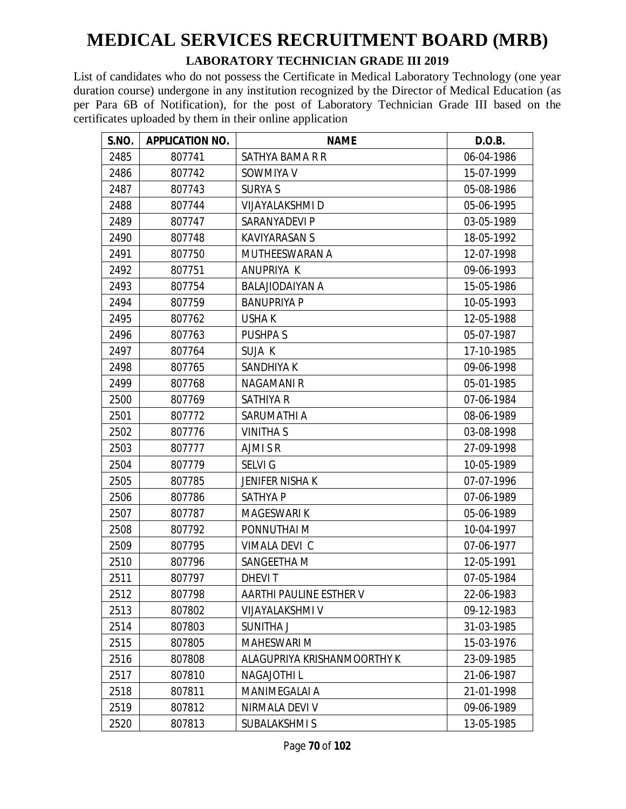#### **LABORATORY TECHNICIAN GRADE III 2019**

| S.NO. | <b>APPLICATION NO.</b> | <b>NAME</b>                 | D.O.B.     |
|-------|------------------------|-----------------------------|------------|
| 2485  | 807741                 | SATHYA BAMA R R             | 06-04-1986 |
| 2486  | 807742                 | SOWMIYA V                   | 15-07-1999 |
| 2487  | 807743                 | <b>SURYA S</b>              | 05-08-1986 |
| 2488  | 807744                 | <b>VIJAYALAKSHMI D</b>      | 05-06-1995 |
| 2489  | 807747                 | SARANYADEVI P               | 03-05-1989 |
| 2490  | 807748                 | <b>KAVIYARASAN S</b>        | 18-05-1992 |
| 2491  | 807750                 | MUTHEESWARAN A              | 12-07-1998 |
| 2492  | 807751                 | ANUPRIYA K                  | 09-06-1993 |
| 2493  | 807754                 | <b>BALAJIODAIYAN A</b>      | 15-05-1986 |
| 2494  | 807759                 | <b>BANUPRIYA P</b>          | 10-05-1993 |
| 2495  | 807762                 | <b>USHAK</b>                | 12-05-1988 |
| 2496  | 807763                 | PUSHPA S                    | 05-07-1987 |
| 2497  | 807764                 | SUJA K                      | 17-10-1985 |
| 2498  | 807765                 | SANDHIYA K                  | 09-06-1998 |
| 2499  | 807768                 | <b>NAGAMANI R</b>           | 05-01-1985 |
| 2500  | 807769                 | <b>SATHIYA R</b>            | 07-06-1984 |
| 2501  | 807772                 | SARUMATHI A                 | 08-06-1989 |
| 2502  | 807776                 | <b>VINITHA S</b>            | 03-08-1998 |
| 2503  | 807777                 | AJMI S R                    | 27-09-1998 |
| 2504  | 807779                 | <b>SELVIG</b>               | 10-05-1989 |
| 2505  | 807785                 | <b>JENIFER NISHA K</b>      | 07-07-1996 |
| 2506  | 807786                 | SATHYA P                    | 07-06-1989 |
| 2507  | 807787                 | MAGESWARI K                 | 05-06-1989 |
| 2508  | 807792                 | PONNUTHAI M                 | 10-04-1997 |
| 2509  | 807795                 | VIMALA DEVI C               | 07-06-1977 |
| 2510  | 807796                 | SANGEETHA M                 | 12-05-1991 |
| 2511  | 807797                 | <b>DHEVIT</b>               | 07-05-1984 |
| 2512  | 807798                 | AARTHI PAULINE ESTHER V     | 22-06-1983 |
| 2513  | 807802                 | VIJAYALAKSHMI V             | 09-12-1983 |
| 2514  | 807803                 | <b>SUNITHA J</b>            | 31-03-1985 |
| 2515  | 807805                 | <b>MAHESWARI M</b>          | 15-03-1976 |
| 2516  | 807808                 | ALAGUPRIYA KRISHANMOORTHY K | 23-09-1985 |
| 2517  | 807810                 | <b>NAGAJOTHIL</b>           | 21-06-1987 |
| 2518  | 807811                 | <b>MANIMEGALAI A</b>        | 21-01-1998 |
| 2519  | 807812                 | NIRMALA DEVI V              | 09-06-1989 |
| 2520  | 807813                 | SUBALAKSHMI S               | 13-05-1985 |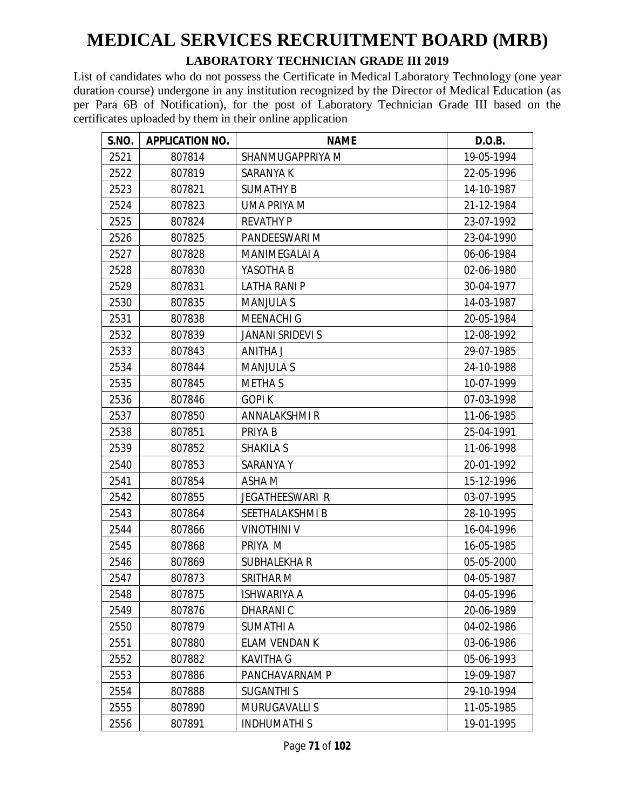#### **LABORATORY TECHNICIAN GRADE III 2019**

| S.NO. | <b>APPLICATION NO.</b> | <b>NAME</b>             | D.O.B.     |
|-------|------------------------|-------------------------|------------|
| 2521  | 807814                 | SHANMUGAPPRIYA M        | 19-05-1994 |
| 2522  | 807819                 | SARANYA K               | 22-05-1996 |
| 2523  | 807821                 | <b>SUMATHY B</b>        | 14-10-1987 |
| 2524  | 807823                 | UMA PRIYA M             | 21-12-1984 |
| 2525  | 807824                 | <b>REVATHY P</b>        | 23-07-1992 |
| 2526  | 807825                 | PANDEESWARI M           | 23-04-1990 |
| 2527  | 807828                 | MANIMEGALAI A           | 06-06-1984 |
| 2528  | 807830                 | YASOTHA B               | 02-06-1980 |
| 2529  | 807831                 | <b>LATHA RANI P</b>     | 30-04-1977 |
| 2530  | 807835                 | <b>MANJULA S</b>        | 14-03-1987 |
| 2531  | 807838                 | <b>MEENACHI G</b>       | 20-05-1984 |
| 2532  | 807839                 | <b>JANANI SRIDEVI S</b> | 12-08-1992 |
| 2533  | 807843                 | ANITHA J                | 29-07-1985 |
| 2534  | 807844                 | <b>MANJULA S</b>        | 24-10-1988 |
| 2535  | 807845                 | <b>METHAS</b>           | 10-07-1999 |
| 2536  | 807846                 | <b>GOPIK</b>            | 07-03-1998 |
| 2537  | 807850                 | ANNALAKSHMIR            | 11-06-1985 |
| 2538  | 807851                 | PRIYA B                 | 25-04-1991 |
| 2539  | 807852                 | <b>SHAKILA S</b>        | 11-06-1998 |
| 2540  | 807853                 | <b>SARANYAY</b>         | 20-01-1992 |
| 2541  | 807854                 | ASHA M                  | 15-12-1996 |
| 2542  | 807855                 | <b>JEGATHEESWARI R</b>  | 03-07-1995 |
| 2543  | 807864                 | SEETHALAKSHMI B         | 28-10-1995 |
| 2544  | 807866                 | <b>VINOTHINI V</b>      | 16-04-1996 |
| 2545  | 807868                 | PRIYA M                 | 16-05-1985 |
| 2546  | 807869                 | <b>SUBHALEKHA R</b>     | 05-05-2000 |
| 2547  | 807873                 | SRITHAR M               | 04-05-1987 |
| 2548  | 807875                 | <b>ISHWARIYA A</b>      | 04-05-1996 |
| 2549  | 807876                 | <b>DHARANIC</b>         | 20-06-1989 |
| 2550  | 807879                 | SUMATHI A               | 04-02-1986 |
| 2551  | 807880                 | ELAM VENDAN K           | 03-06-1986 |
| 2552  | 807882                 | <b>KAVITHA G</b>        | 05-06-1993 |
| 2553  | 807886                 | PANCHAVARNAM P          | 19-09-1987 |
| 2554  | 807888                 | <b>SUGANTHIS</b>        | 29-10-1994 |
| 2555  | 807890                 | <b>MURUGAVALLI S</b>    | 11-05-1985 |
| 2556  | 807891                 | <b>INDHUMATHIS</b>      | 19-01-1995 |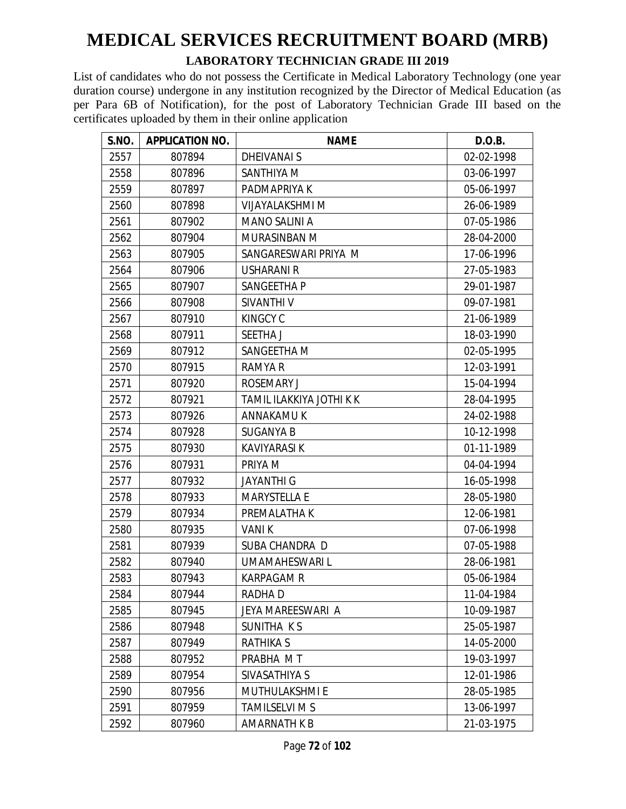#### **LABORATORY TECHNICIAN GRADE III 2019**

| S.NO. | <b>APPLICATION NO.</b> | <b>NAME</b>              | D.O.B.     |
|-------|------------------------|--------------------------|------------|
| 2557  | 807894                 | DHEIVANAI S              | 02-02-1998 |
| 2558  | 807896                 | SANTHIYA M               | 03-06-1997 |
| 2559  | 807897                 | PADMAPRIYA K             | 05-06-1997 |
| 2560  | 807898                 | <b>VIJAYALAKSHMI M</b>   | 26-06-1989 |
| 2561  | 807902                 | <b>MANO SALINI A</b>     | 07-05-1986 |
| 2562  | 807904                 | MURASINBAN M             | 28-04-2000 |
| 2563  | 807905                 | SANGARESWARI PRIYA M     | 17-06-1996 |
| 2564  | 807906                 | USHARANI R               | 27-05-1983 |
| 2565  | 807907                 | SANGEETHA P              | 29-01-1987 |
| 2566  | 807908                 | SIVANTHI V               | 09-07-1981 |
| 2567  | 807910                 | <b>KINGCY C</b>          | 21-06-1989 |
| 2568  | 807911                 | SEETHA J                 | 18-03-1990 |
| 2569  | 807912                 | <b>SANGEETHA M</b>       | 02-05-1995 |
| 2570  | 807915                 | <b>RAMYA R</b>           | 12-03-1991 |
| 2571  | 807920                 | <b>ROSEMARY J</b>        | 15-04-1994 |
| 2572  | 807921                 | TAMIL ILAKKIYA JOTHI K K | 28-04-1995 |
| 2573  | 807926                 | ANNAKAMU K               | 24-02-1988 |
| 2574  | 807928                 | <b>SUGANYA B</b>         | 10-12-1998 |
| 2575  | 807930                 | KAVIYARASI K             | 01-11-1989 |
| 2576  | 807931                 | PRIYA M                  | 04-04-1994 |
| 2577  | 807932                 | <b>JAYANTHI G</b>        | 16-05-1998 |
| 2578  | 807933                 | <b>MARYSTELLA E</b>      | 28-05-1980 |
| 2579  | 807934                 | PREMALATHA K             | 12-06-1981 |
| 2580  | 807935                 | VANI K                   | 07-06-1998 |
| 2581  | 807939                 | SUBA CHANDRA D           | 07-05-1988 |
| 2582  | 807940                 | UMAMAHESWARI L           | 28-06-1981 |
| 2583  | 807943                 | <b>KARPAGAM R</b>        | 05-06-1984 |
| 2584  | 807944                 | RADHA D                  | 11-04-1984 |
| 2585  | 807945                 | JEYA MAREESWARI A        | 10-09-1987 |
| 2586  | 807948                 | SUNITHA KS               | 25-05-1987 |
| 2587  | 807949                 | <b>RATHIKA S</b>         | 14-05-2000 |
| 2588  | 807952                 | PRABHA MT                | 19-03-1997 |
| 2589  | 807954                 | SIVASATHIYA S            | 12-01-1986 |
| 2590  | 807956                 | MUTHULAKSHMI E           | 28-05-1985 |
| 2591  | 807959                 | <b>TAMILSELVI M S</b>    | 13-06-1997 |
| 2592  | 807960                 | <b>AMARNATH K B</b>      | 21-03-1975 |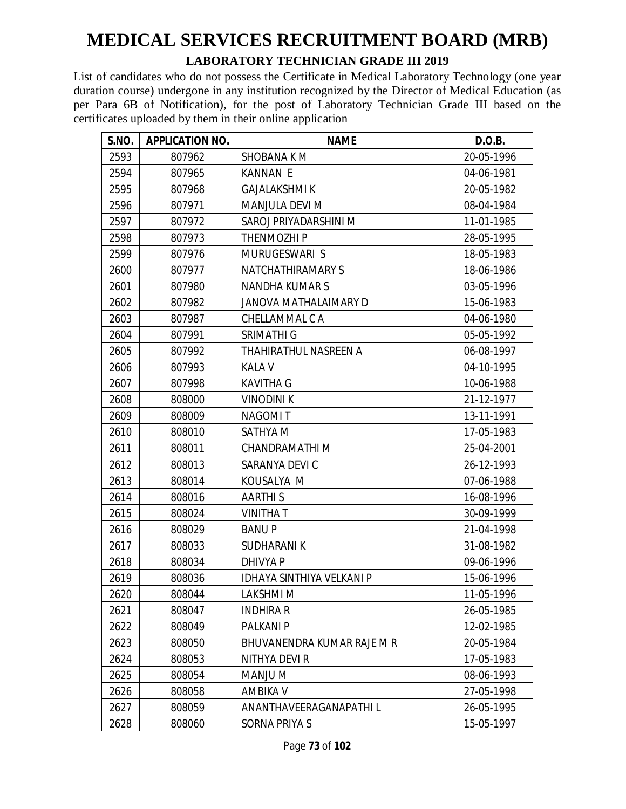#### **LABORATORY TECHNICIAN GRADE III 2019**

| S.NO. | <b>APPLICATION NO.</b> | <b>NAME</b>                      | D.O.B.     |
|-------|------------------------|----------------------------------|------------|
| 2593  | 807962                 | SHOBANA K M                      | 20-05-1996 |
| 2594  | 807965                 | <b>KANNAN E</b>                  | 04-06-1981 |
| 2595  | 807968                 | <b>GAJALAKSHMI K</b>             | 20-05-1982 |
| 2596  | 807971                 | MANJULA DEVI M                   | 08-04-1984 |
| 2597  | 807972                 | SAROJ PRIYADARSHINI M            | 11-01-1985 |
| 2598  | 807973                 | THENMOZHI P                      | 28-05-1995 |
| 2599  | 807976                 | MURUGESWARI S                    | 18-05-1983 |
| 2600  | 807977                 | <b>NATCHATHIRAMARY S</b>         | 18-06-1986 |
| 2601  | 807980                 | <b>NANDHA KUMARS</b>             | 03-05-1996 |
| 2602  | 807982                 | JANOVA MATHALAIMARY D            | 15-06-1983 |
| 2603  | 807987                 | CHELLAMMAL C A                   | 04-06-1980 |
| 2604  | 807991                 | SRIMATHI G                       | 05-05-1992 |
| 2605  | 807992                 | THAHIRATHUL NASREEN A            | 06-08-1997 |
| 2606  | 807993                 | <b>KALA V</b>                    | 04-10-1995 |
| 2607  | 807998                 | <b>KAVITHA G</b>                 | 10-06-1988 |
| 2608  | 808000                 | <b>VINODINI K</b>                | 21-12-1977 |
| 2609  | 808009                 | <b>NAGOMIT</b>                   | 13-11-1991 |
| 2610  | 808010                 | SATHYA M                         | 17-05-1983 |
| 2611  | 808011                 | CHANDRAMATHI M                   | 25-04-2001 |
| 2612  | 808013                 | SARANYA DEVI C                   | 26-12-1993 |
| 2613  | 808014                 | KOUSALYA M                       | 07-06-1988 |
| 2614  | 808016                 | <b>AARTHIS</b>                   | 16-08-1996 |
| 2615  | 808024                 | <b>VINITHAT</b>                  | 30-09-1999 |
| 2616  | 808029                 | <b>BANUP</b>                     | 21-04-1998 |
| 2617  | 808033                 | <b>SUDHARANIK</b>                | 31-08-1982 |
| 2618  | 808034                 | DHIVYA P                         | 09-06-1996 |
| 2619  | 808036                 | <b>IDHAYA SINTHIYA VELKANI P</b> | 15-06-1996 |
| 2620  | 808044                 | LAKSHMI M                        | 11-05-1996 |
| 2621  | 808047                 | <b>INDHIRA R</b>                 | 26-05-1985 |
| 2622  | 808049                 | PALKANI P                        | 12-02-1985 |
| 2623  | 808050                 | BHUVANENDRA KUMAR RAJE M R       | 20-05-1984 |
| 2624  | 808053                 | NITHYA DEVI R                    | 17-05-1983 |
| 2625  | 808054                 | MANJU M                          | 08-06-1993 |
| 2626  | 808058                 | <b>AMBIKA V</b>                  | 27-05-1998 |
| 2627  | 808059                 | ANANTHAVEERAGANAPATHI L          | 26-05-1995 |
| 2628  | 808060                 | SORNA PRIYA S                    | 15-05-1997 |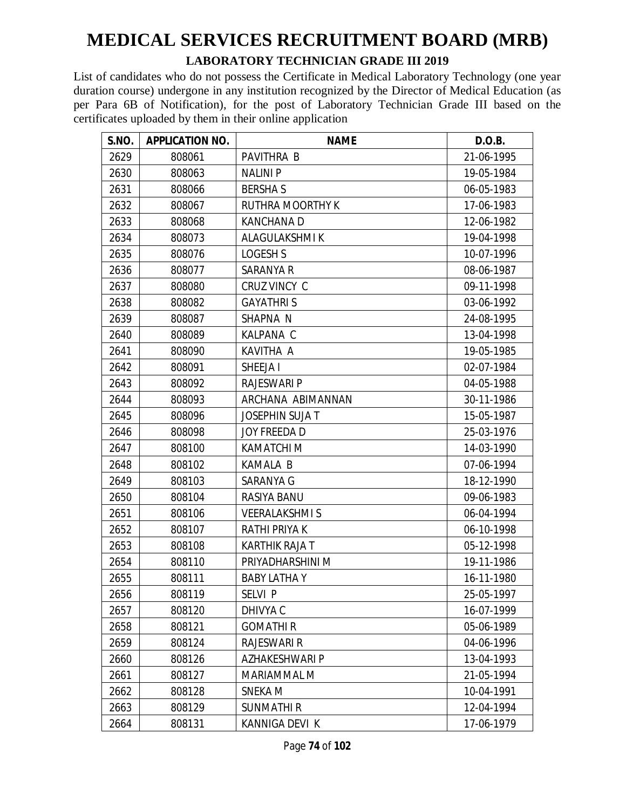#### **LABORATORY TECHNICIAN GRADE III 2019**

| S.NO. | <b>APPLICATION NO.</b> | <b>NAME</b>            | D.O.B.     |
|-------|------------------------|------------------------|------------|
| 2629  | 808061                 | PAVITHRA B             | 21-06-1995 |
| 2630  | 808063                 | <b>NALINIP</b>         | 19-05-1984 |
| 2631  | 808066                 | <b>BERSHAS</b>         | 06-05-1983 |
| 2632  | 808067                 | RUTHRA MOORTHY K       | 17-06-1983 |
| 2633  | 808068                 | <b>KANCHANAD</b>       | 12-06-1982 |
| 2634  | 808073                 | <b>ALAGULAKSHMIK</b>   | 19-04-1998 |
| 2635  | 808076                 | LOGESH S               | 10-07-1996 |
| 2636  | 808077                 | SARANYA R              | 08-06-1987 |
| 2637  | 808080                 | CRUZ VINCY C           | 09-11-1998 |
| 2638  | 808082                 | <b>GAYATHRIS</b>       | 03-06-1992 |
| 2639  | 808087                 | SHAPNA N               | 24-08-1995 |
| 2640  | 808089                 | KALPANA C              | 13-04-1998 |
| 2641  | 808090                 | KAVITHA A              | 19-05-1985 |
| 2642  | 808091                 | SHEEJA I               | 02-07-1984 |
| 2643  | 808092                 | <b>RAJESWARI P</b>     | 04-05-1988 |
| 2644  | 808093                 | ARCHANA ABIMANNAN      | 30-11-1986 |
| 2645  | 808096                 | <b>JOSEPHIN SUJA T</b> | 15-05-1987 |
| 2646  | 808098                 | JOY FREEDA D           | 25-03-1976 |
| 2647  | 808100                 | <b>KAMATCHI M</b>      | 14-03-1990 |
| 2648  | 808102                 | <b>KAMALA B</b>        | 07-06-1994 |
| 2649  | 808103                 | SARANYA G              | 18-12-1990 |
| 2650  | 808104                 | RASIYA BANU            | 09-06-1983 |
| 2651  | 808106                 | <b>VEERALAKSHMIS</b>   | 06-04-1994 |
| 2652  | 808107                 | <b>RATHI PRIYA K</b>   | 06-10-1998 |
| 2653  | 808108                 | KARTHIK RAJA T         | 05-12-1998 |
| 2654  | 808110                 | PRIYADHARSHINI M       | 19-11-1986 |
| 2655  | 808111                 | <b>BABY LATHA Y</b>    | 16-11-1980 |
| 2656  | 808119                 | SELVI P                | 25-05-1997 |
| 2657  | 808120                 | DHIVYA C               | 16-07-1999 |
| 2658  | 808121                 | <b>GOMATHIR</b>        | 05-06-1989 |
| 2659  | 808124                 | RAJESWARI R            | 04-06-1996 |
| 2660  | 808126                 | AZHAKESHWARI P         | 13-04-1993 |
| 2661  | 808127                 | MARIAMMAL M            | 21-05-1994 |
| 2662  | 808128                 | SNEKA M                | 10-04-1991 |
| 2663  | 808129                 | <b>SUNMATHIR</b>       | 12-04-1994 |
| 2664  | 808131                 | KANNIGA DEVI K         | 17-06-1979 |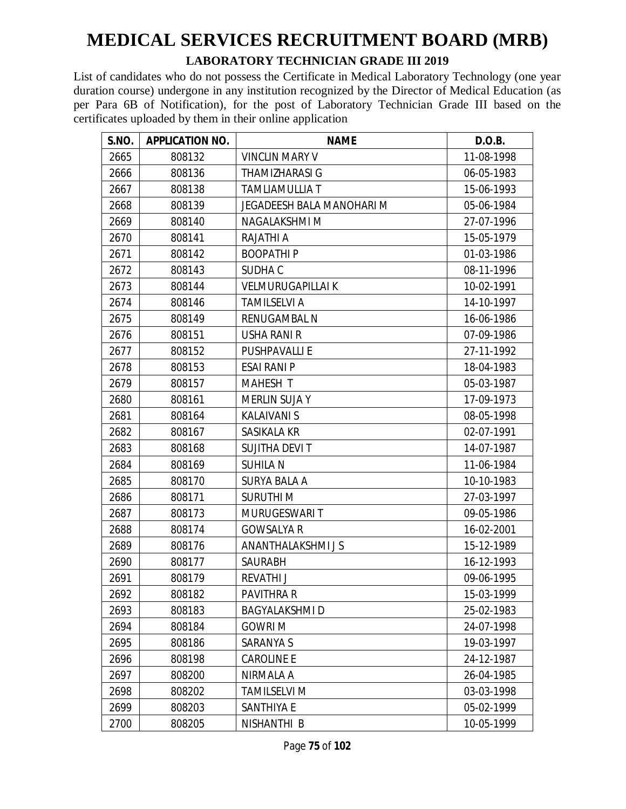#### **LABORATORY TECHNICIAN GRADE III 2019**

| S.NO. | <b>APPLICATION NO.</b> | <b>NAME</b>                      | D.O.B.     |
|-------|------------------------|----------------------------------|------------|
| 2665  | 808132                 | <b>VINCLIN MARY V</b>            | 11-08-1998 |
| 2666  | 808136                 | THAMIZHARASI G                   | 06-05-1983 |
| 2667  | 808138                 | <b>TAMLIAMULLIA T</b>            | 15-06-1993 |
| 2668  | 808139                 | <b>JEGADEESH BALA MANOHARI M</b> | 05-06-1984 |
| 2669  | 808140                 | NAGALAKSHMI M                    | 27-07-1996 |
| 2670  | 808141                 | <b>RAJATHI A</b>                 | 15-05-1979 |
| 2671  | 808142                 | <b>BOOPATHIP</b>                 | 01-03-1986 |
| 2672  | 808143                 | SUDHA C                          | 08-11-1996 |
| 2673  | 808144                 | <b>VELMURUGAPILLAI K</b>         | 10-02-1991 |
| 2674  | 808146                 | <b>TAMILSELVI A</b>              | 14-10-1997 |
| 2675  | 808149                 | RENUGAMBAL N                     | 16-06-1986 |
| 2676  | 808151                 | <b>USHA RANI R</b>               | 07-09-1986 |
| 2677  | 808152                 | <b>PUSHPAVALLIE</b>              | 27-11-1992 |
| 2678  | 808153                 | <b>ESAI RANI P</b>               | 18-04-1983 |
| 2679  | 808157                 | <b>MAHESH T</b>                  | 05-03-1987 |
| 2680  | 808161                 | <b>MERLIN SUJA Y</b>             | 17-09-1973 |
| 2681  | 808164                 | <b>KALAIVANI S</b>               | 08-05-1998 |
| 2682  | 808167                 | SASIKALA KR                      | 02-07-1991 |
| 2683  | 808168                 | SUJITHA DEVIT                    | 14-07-1987 |
| 2684  | 808169                 | <b>SUHILA N</b>                  | 11-06-1984 |
| 2685  | 808170                 | <b>SURYA BALA A</b>              | 10-10-1983 |
| 2686  | 808171                 | <b>SURUTHI M</b>                 | 27-03-1997 |
| 2687  | 808173                 | MURUGESWARI T                    | 09-05-1986 |
| 2688  | 808174                 | <b>GOWSALYA R</b>                | 16-02-2001 |
| 2689  | 808176                 | <b>ANANTHALAKSHMIJS</b>          | 15-12-1989 |
| 2690  | 808177                 | SAURABH                          | 16-12-1993 |
| 2691  | 808179                 | <b>REVATHI J</b>                 | 09-06-1995 |
| 2692  | 808182                 | PAVITHRA R                       | 15-03-1999 |
| 2693  | 808183                 | <b>BAGYALAKSHMID</b>             | 25-02-1983 |
| 2694  | 808184                 | <b>GOWRI M</b>                   | 24-07-1998 |
| 2695  | 808186                 | SARANYA S                        | 19-03-1997 |
| 2696  | 808198                 | <b>CAROLINE E</b>                | 24-12-1987 |
| 2697  | 808200                 | NIRMALA A                        | 26-04-1985 |
| 2698  | 808202                 | <b>TAMILSELVI M</b>              | 03-03-1998 |
| 2699  | 808203                 | <b>SANTHIYA E</b>                | 05-02-1999 |
| 2700  | 808205                 | NISHANTHI B                      | 10-05-1999 |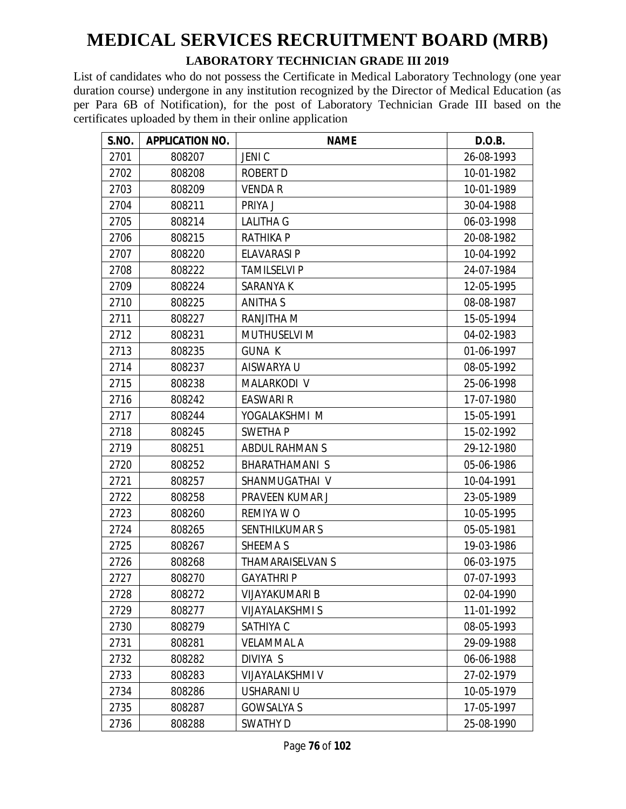#### **LABORATORY TECHNICIAN GRADE III 2019**

| S.NO. | <b>APPLICATION NO.</b> | <b>NAME</b>             | D.O.B.     |
|-------|------------------------|-------------------------|------------|
| 2701  | 808207                 | <b>JENIC</b>            | 26-08-1993 |
| 2702  | 808208                 | <b>ROBERT D</b>         | 10-01-1982 |
| 2703  | 808209                 | <b>VENDA R</b>          | 10-01-1989 |
| 2704  | 808211                 | PRIYA J                 | 30-04-1988 |
| 2705  | 808214                 | <b>LALITHA G</b>        | 06-03-1998 |
| 2706  | 808215                 | <b>RATHIKA P</b>        | 20-08-1982 |
| 2707  | 808220                 | <b>ELAVARASI P</b>      | 10-04-1992 |
| 2708  | 808222                 | <b>TAMILSELVI P</b>     | 24-07-1984 |
| 2709  | 808224                 | <b>SARANYA K</b>        | 12-05-1995 |
| 2710  | 808225                 | <b>ANITHA S</b>         | 08-08-1987 |
| 2711  | 808227                 | RANJITHA M              | 15-05-1994 |
| 2712  | 808231                 | <b>MUTHUSELVI M</b>     | 04-02-1983 |
| 2713  | 808235                 | <b>GUNA K</b>           | 01-06-1997 |
| 2714  | 808237                 | AISWARYA U              | 08-05-1992 |
| 2715  | 808238                 | MALARKODI V             | 25-06-1998 |
| 2716  | 808242                 | <b>EASWARI R</b>        | 17-07-1980 |
| 2717  | 808244                 | YOGALAKSHMI M           | 15-05-1991 |
| 2718  | 808245                 | <b>SWETHAP</b>          | 15-02-1992 |
| 2719  | 808251                 | <b>ABDUL RAHMAN S</b>   | 29-12-1980 |
| 2720  | 808252                 | <b>BHARATHAMANI S</b>   | 05-06-1986 |
| 2721  | 808257                 | SHANMUGATHAI V          | 10-04-1991 |
| 2722  | 808258                 | PRAVEEN KUMAR J         | 23-05-1989 |
| 2723  | 808260                 | REMIYA W O              | 10-05-1995 |
| 2724  | 808265                 | <b>SENTHILKUMAR S</b>   | 05-05-1981 |
| 2725  | 808267                 | SHEEMA S                | 19-03-1986 |
| 2726  | 808268                 | <b>THAMARAISELVAN S</b> | 06-03-1975 |
| 2727  | 808270                 | <b>GAYATHRIP</b>        | 07-07-1993 |
| 2728  | 808272                 | VIJAYAKUMARI B          | 02-04-1990 |
| 2729  | 808277                 | <b>VIJAYALAKSHMI S</b>  | 11-01-1992 |
| 2730  | 808279                 | SATHIYA C               | 08-05-1993 |
| 2731  | 808281                 | <b>VELAMMAL A</b>       | 29-09-1988 |
| 2732  | 808282                 | DIVIYA S                | 06-06-1988 |
| 2733  | 808283                 | <b>VIJAYALAKSHMI V</b>  | 27-02-1979 |
| 2734  | 808286                 | USHARANI U              | 10-05-1979 |
| 2735  | 808287                 | <b>GOWSALYA S</b>       | 17-05-1997 |
| 2736  | 808288                 | <b>SWATHY D</b>         | 25-08-1990 |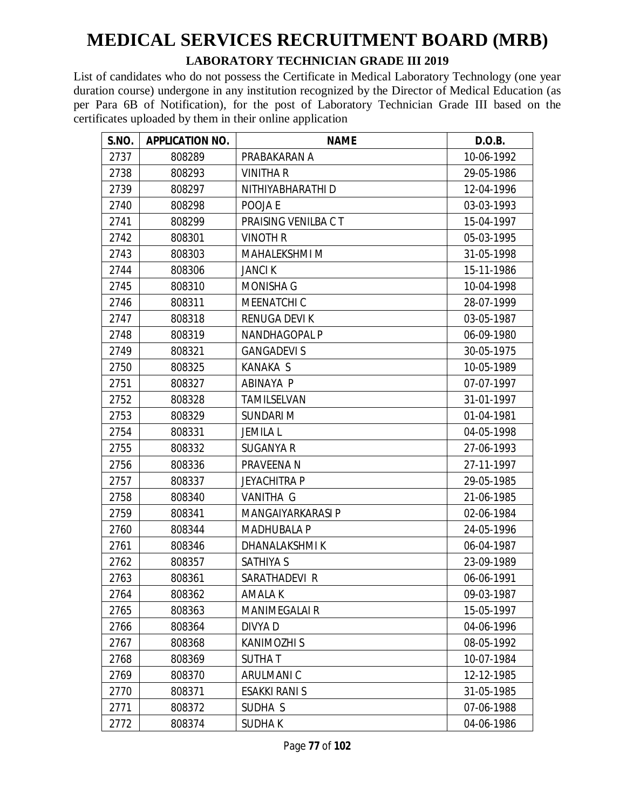#### **LABORATORY TECHNICIAN GRADE III 2019**

| S.NO. | <b>APPLICATION NO.</b> | <b>NAME</b>          | D.O.B.     |
|-------|------------------------|----------------------|------------|
| 2737  | 808289                 | PRABAKARAN A         | 10-06-1992 |
| 2738  | 808293                 | <b>VINITHA R</b>     | 29-05-1986 |
| 2739  | 808297                 | NITHIYABHARATHI D    | 12-04-1996 |
| 2740  | 808298                 | POOJA E              | 03-03-1993 |
| 2741  | 808299                 | PRAISING VENILBA C T | 15-04-1997 |
| 2742  | 808301                 | <b>VINOTH R</b>      | 05-03-1995 |
| 2743  | 808303                 | <b>MAHALEKSHMI M</b> | 31-05-1998 |
| 2744  | 808306                 | <b>JANCIK</b>        | 15-11-1986 |
| 2745  | 808310                 | <b>MONISHA G</b>     | 10-04-1998 |
| 2746  | 808311                 | MEENATCHI C          | 28-07-1999 |
| 2747  | 808318                 | <b>RENUGA DEVIK</b>  | 03-05-1987 |
| 2748  | 808319                 | NANDHAGOPAL P        | 06-09-1980 |
| 2749  | 808321                 | <b>GANGADEVI S</b>   | 30-05-1975 |
| 2750  | 808325                 | <b>KANAKA S</b>      | 10-05-1989 |
| 2751  | 808327                 | ABINAYA P            | 07-07-1997 |
| 2752  | 808328                 | TAMILSELVAN          | 31-01-1997 |
| 2753  | 808329                 | <b>SUNDARI M</b>     | 01-04-1981 |
| 2754  | 808331                 | <b>JEMILA L</b>      | 04-05-1998 |
| 2755  | 808332                 | <b>SUGANYA R</b>     | 27-06-1993 |
| 2756  | 808336                 | PRAVEENA N           | 27-11-1997 |
| 2757  | 808337                 | <b>JEYACHITRA P</b>  | 29-05-1985 |
| 2758  | 808340                 | VANITHA G            | 21-06-1985 |
| 2759  | 808341                 | MANGAIYARKARASI P    | 02-06-1984 |
| 2760  | 808344                 | <b>MADHUBALA P</b>   | 24-05-1996 |
| 2761  | 808346                 | DHANALAKSHMI K       | 06-04-1987 |
| 2762  | 808357                 | <b>SATHIYA S</b>     | 23-09-1989 |
| 2763  | 808361                 | SARATHADEVI R        | 06-06-1991 |
| 2764  | 808362                 | AMALA K              | 09-03-1987 |
| 2765  | 808363                 | <b>MANIMEGALAI R</b> | 15-05-1997 |
| 2766  | 808364                 | DIVYA D              | 04-06-1996 |
| 2767  | 808368                 | KANIMOZHI S          | 08-05-1992 |
| 2768  | 808369                 | <b>SUTHAT</b>        | 10-07-1984 |
| 2769  | 808370                 | ARULMANI C           | 12-12-1985 |
| 2770  | 808371                 | <b>ESAKKI RANI S</b> | 31-05-1985 |
| 2771  | 808372                 | SUDHA S              | 07-06-1988 |
| 2772  | 808374                 | <b>SUDHAK</b>        | 04-06-1986 |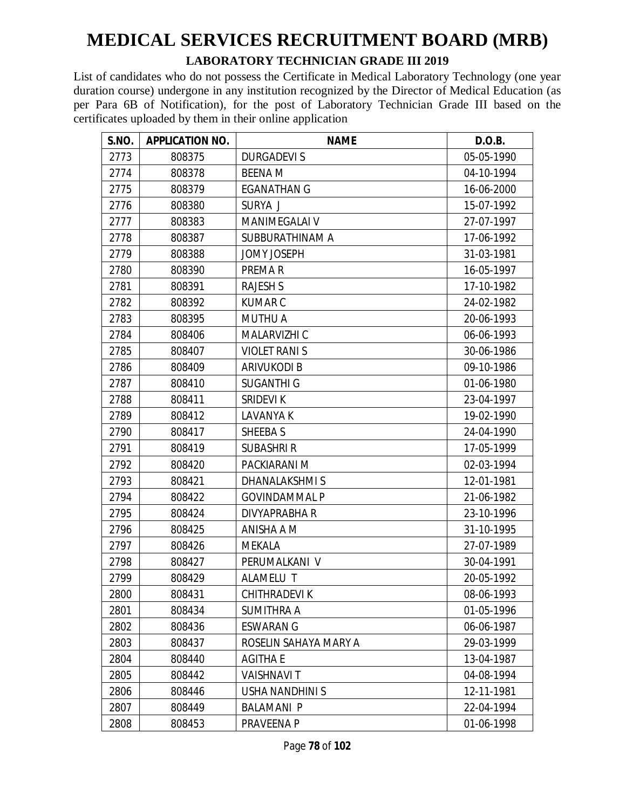#### **LABORATORY TECHNICIAN GRADE III 2019**

| S.NO. | <b>APPLICATION NO.</b> | <b>NAME</b>            | D.O.B.     |
|-------|------------------------|------------------------|------------|
| 2773  | 808375                 | <b>DURGADEVIS</b>      | 05-05-1990 |
| 2774  | 808378                 | <b>BEENA M</b>         | 04-10-1994 |
| 2775  | 808379                 | <b>EGANATHAN G</b>     | 16-06-2000 |
| 2776  | 808380                 | SURYA J                | 15-07-1992 |
| 2777  | 808383                 | <b>MANIMEGALAI V</b>   | 27-07-1997 |
| 2778  | 808387                 | SUBBURATHINAM A        | 17-06-1992 |
| 2779  | 808388                 | <b>JOMY JOSEPH</b>     | 31-03-1981 |
| 2780  | 808390                 | PREMA R                | 16-05-1997 |
| 2781  | 808391                 | <b>RAJESH S</b>        | 17-10-1982 |
| 2782  | 808392                 | <b>KUMARC</b>          | 24-02-1982 |
| 2783  | 808395                 | <b>MUTHU A</b>         | 20-06-1993 |
| 2784  | 808406                 | MALARVIZHI C           | 06-06-1993 |
| 2785  | 808407                 | <b>VIOLET RANIS</b>    | 30-06-1986 |
| 2786  | 808409                 | <b>ARIVUKODI B</b>     | 09-10-1986 |
| 2787  | 808410                 | <b>SUGANTHI G</b>      | 01-06-1980 |
| 2788  | 808411                 | <b>SRIDEVI K</b>       | 23-04-1997 |
| 2789  | 808412                 | LAVANYA K              | 19-02-1990 |
| 2790  | 808417                 | SHEEBA S               | 24-04-1990 |
| 2791  | 808419                 | SUBASHRI R             | 17-05-1999 |
| 2792  | 808420                 | PACKIARANI M           | 02-03-1994 |
| 2793  | 808421                 | DHANALAKSHMIS          | 12-01-1981 |
| 2794  | 808422                 | <b>GOVINDAMMAL P</b>   | 21-06-1982 |
| 2795  | 808424                 | DIVYAPRABHA R          | 23-10-1996 |
| 2796  | 808425                 | ANISHA A M             | 31-10-1995 |
| 2797  | 808426                 | <b>MEKALA</b>          | 27-07-1989 |
| 2798  | 808427                 | PERUMALKANI V          | 30-04-1991 |
| 2799  | 808429                 | ALAMELU T              | 20-05-1992 |
| 2800  | 808431                 | CHITHRADEVI K          | 08-06-1993 |
| 2801  | 808434                 | <b>SUMITHRA A</b>      | 01-05-1996 |
| 2802  | 808436                 | <b>ESWARAN G</b>       | 06-06-1987 |
| 2803  | 808437                 | ROSELIN SAHAYA MARY A  | 29-03-1999 |
| 2804  | 808440                 | <b>AGITHA E</b>        | 13-04-1987 |
| 2805  | 808442                 | <b>VAISHNAVIT</b>      | 04-08-1994 |
| 2806  | 808446                 | <b>USHA NANDHINI S</b> | 12-11-1981 |
| 2807  | 808449                 | <b>BALAMANI P</b>      | 22-04-1994 |
| 2808  | 808453                 | PRAVEENA P             | 01-06-1998 |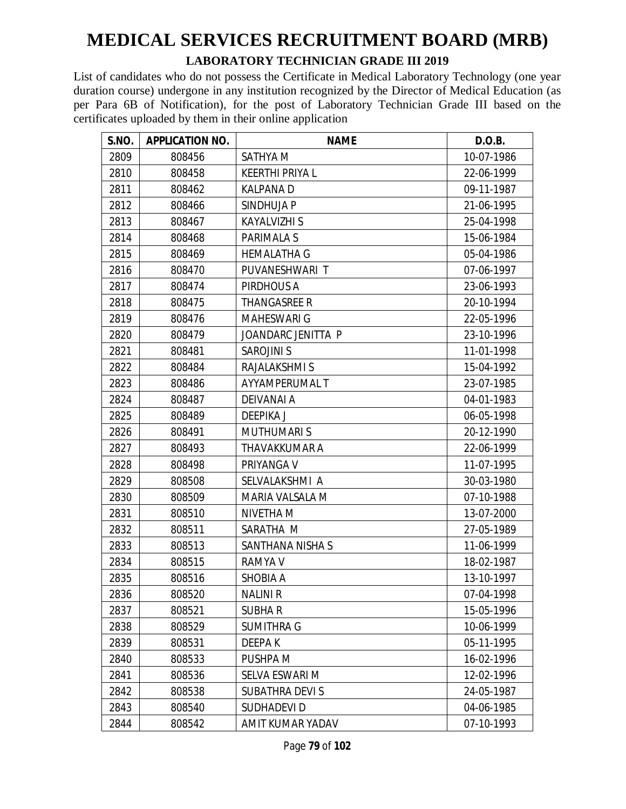#### **LABORATORY TECHNICIAN GRADE III 2019**

| S.NO. | <b>APPLICATION NO.</b> | <b>NAME</b>            | D.O.B.     |
|-------|------------------------|------------------------|------------|
| 2809  | 808456                 | SATHYA M               | 10-07-1986 |
| 2810  | 808458                 | <b>KEERTHI PRIYA L</b> | 22-06-1999 |
| 2811  | 808462                 | <b>KALPANAD</b>        | 09-11-1987 |
| 2812  | 808466                 | SINDHUJA P             | 21-06-1995 |
| 2813  | 808467                 | <b>KAYALVIZHI S</b>    | 25-04-1998 |
| 2814  | 808468                 | <b>PARIMALA S</b>      | 15-06-1984 |
| 2815  | 808469                 | <b>HEMALATHA G</b>     | 05-04-1986 |
| 2816  | 808470                 | PUVANESHWARI T         | 07-06-1997 |
| 2817  | 808474                 | PIRDHOUS A             | 23-06-1993 |
| 2818  | 808475                 | <b>THANGASREE R</b>    | 20-10-1994 |
| 2819  | 808476                 | <b>MAHESWARI G</b>     | 22-05-1996 |
| 2820  | 808479                 | JOANDARC JENITTA P     | 23-10-1996 |
| 2821  | 808481                 | <b>SAROJINI S</b>      | 11-01-1998 |
| 2822  | 808484                 | RAJALAKSHMI S          | 15-04-1992 |
| 2823  | 808486                 | AYYAMPERUMAL T         | 23-07-1985 |
| 2824  | 808487                 | <b>DEIVANAI A</b>      | 04-01-1983 |
| 2825  | 808489                 | <b>DEEPIKA J</b>       | 06-05-1998 |
| 2826  | 808491                 | <b>MUTHUMARIS</b>      | 20-12-1990 |
| 2827  | 808493                 | THAVAKKUMAR A          | 22-06-1999 |
| 2828  | 808498                 | PRIYANGA V             | 11-07-1995 |
| 2829  | 808508                 | SELVALAKSHMI A         | 30-03-1980 |
| 2830  | 808509                 | MARIA VALSALA M        | 07-10-1988 |
| 2831  | 808510                 | NIVETHA M              | 13-07-2000 |
| 2832  | 808511                 | SARATHA M              | 27-05-1989 |
| 2833  | 808513                 | SANTHANA NISHA S       | 11-06-1999 |
| 2834  | 808515                 | <b>RAMYA V</b>         | 18-02-1987 |
| 2835  | 808516                 | SHOBIA A               | 13-10-1997 |
| 2836  | 808520                 | <b>NALINI R</b>        | 07-04-1998 |
| 2837  | 808521                 | <b>SUBHAR</b>          | 15-05-1996 |
| 2838  | 808529                 | SUMITHRA G             | 10-06-1999 |
| 2839  | 808531                 | <b>DEEPAK</b>          | 05-11-1995 |
| 2840  | 808533                 | PUSHPA M               | 16-02-1996 |
| 2841  | 808536                 | SELVA ESWARI M         | 12-02-1996 |
| 2842  | 808538                 | SUBATHRA DEVI S        | 24-05-1987 |
| 2843  | 808540                 | <b>SUDHADEVID</b>      | 04-06-1985 |
| 2844  | 808542                 | AMIT KUMAR YADAV       | 07-10-1993 |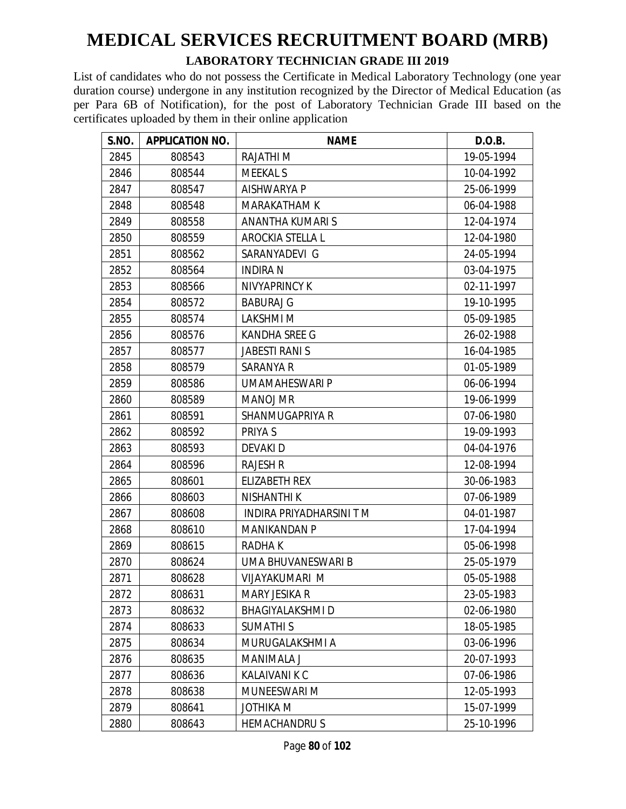#### **LABORATORY TECHNICIAN GRADE III 2019**

| S.NO. | <b>APPLICATION NO.</b> | <b>NAME</b>             | D.O.B.     |
|-------|------------------------|-------------------------|------------|
| 2845  | 808543                 | <b>RAJATHI M</b>        | 19-05-1994 |
| 2846  | 808544                 | <b>MEEKAL S</b>         | 10-04-1992 |
| 2847  | 808547                 | <b>AISHWARYA P</b>      | 25-06-1999 |
| 2848  | 808548                 | <b>MARAKATHAM K</b>     | 06-04-1988 |
| 2849  | 808558                 | ANANTHA KUMARI S        | 12-04-1974 |
| 2850  | 808559                 | AROCKIA STELLA L        | 12-04-1980 |
| 2851  | 808562                 | SARANYADEVI G           | 24-05-1994 |
| 2852  | 808564                 | <b>INDIRAN</b>          | 03-04-1975 |
| 2853  | 808566                 | NIVYAPRINCY K           | 02-11-1997 |
| 2854  | 808572                 | <b>BABURAJ G</b>        | 19-10-1995 |
| 2855  | 808574                 | LAKSHMI M               | 05-09-1985 |
| 2856  | 808576                 | <b>KANDHA SREE G</b>    | 26-02-1988 |
| 2857  | 808577                 | <b>JABESTI RANI S</b>   | 16-04-1985 |
| 2858  | 808579                 | <b>SARANYA R</b>        | 01-05-1989 |
| 2859  | 808586                 | UMAMAHESWARI P          | 06-06-1994 |
| 2860  | 808589                 | <b>MANOJ MR</b>         | 19-06-1999 |
| 2861  | 808591                 | SHANMUGAPRIYA R         | 07-06-1980 |
| 2862  | 808592                 | PRIYA S                 | 19-09-1993 |
| 2863  | 808593                 | DEVAKI D                | 04-04-1976 |
| 2864  | 808596                 | <b>RAJESH R</b>         | 12-08-1994 |
| 2865  | 808601                 | <b>ELIZABETH REX</b>    | 30-06-1983 |
| 2866  | 808603                 | <b>NISHANTHI K</b>      | 07-06-1989 |
| 2867  | 808608                 | INDIRA PRIYADHARSINI TM | 04-01-1987 |
| 2868  | 808610                 | <b>MANIKANDAN P</b>     | 17-04-1994 |
| 2869  | 808615                 | <b>RADHAK</b>           | 05-06-1998 |
| 2870  | 808624                 | UMA BHUVANESWARI B      | 25-05-1979 |
| 2871  | 808628                 | VIJAYAKUMARI M          | 05-05-1988 |
| 2872  | 808631                 | MARY JESIKA R           | 23-05-1983 |
| 2873  | 808632                 | <b>BHAGIYALAKSHMI D</b> | 02-06-1980 |
| 2874  | 808633                 | <b>SUMATHIS</b>         | 18-05-1985 |
| 2875  | 808634                 | MURUGALAKSHMI A         | 03-06-1996 |
| 2876  | 808635                 | <b>MANIMALA J</b>       | 20-07-1993 |
| 2877  | 808636                 | <b>KALAIVANI K C</b>    | 07-06-1986 |
| 2878  | 808638                 | MUNEESWARI M            | 12-05-1993 |
| 2879  | 808641                 | <b>JOTHIKA M</b>        | 15-07-1999 |
| 2880  | 808643                 | <b>HEMACHANDRUS</b>     | 25-10-1996 |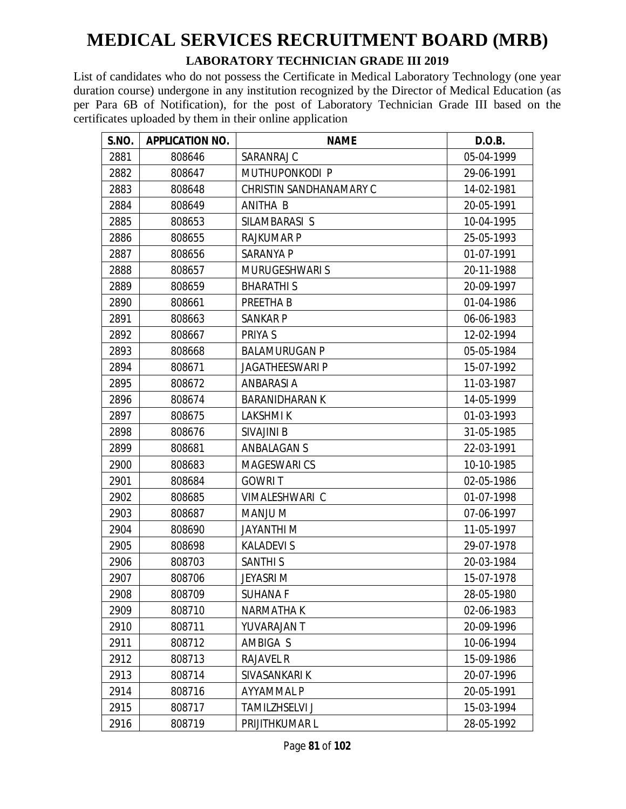#### **LABORATORY TECHNICIAN GRADE III 2019**

| S.NO. | <b>APPLICATION NO.</b> | <b>NAME</b>             | D.O.B.     |
|-------|------------------------|-------------------------|------------|
| 2881  | 808646                 | SARANRAJ C              | 05-04-1999 |
| 2882  | 808647                 | MUTHUPONKODI P          | 29-06-1991 |
| 2883  | 808648                 | CHRISTIN SANDHANAMARY C | 14-02-1981 |
| 2884  | 808649                 | ANITHA B                | 20-05-1991 |
| 2885  | 808653                 | SILAMBARASI S           | 10-04-1995 |
| 2886  | 808655                 | <b>RAJKUMAR P</b>       | 25-05-1993 |
| 2887  | 808656                 | SARANYA P               | 01-07-1991 |
| 2888  | 808657                 | <b>MURUGESHWARI S</b>   | 20-11-1988 |
| 2889  | 808659                 | <b>BHARATHIS</b>        | 20-09-1997 |
| 2890  | 808661                 | PREETHA B               | 01-04-1986 |
| 2891  | 808663                 | <b>SANKAR P</b>         | 06-06-1983 |
| 2892  | 808667                 | PRIYA S                 | 12-02-1994 |
| 2893  | 808668                 | <b>BALAMURUGAN P</b>    | 05-05-1984 |
| 2894  | 808671                 | <b>JAGATHEESWARI P</b>  | 15-07-1992 |
| 2895  | 808672                 | <b>ANBARASIA</b>        | 11-03-1987 |
| 2896  | 808674                 | <b>BARANIDHARAN K</b>   | 14-05-1999 |
| 2897  | 808675                 | <b>LAKSHMIK</b>         | 01-03-1993 |
| 2898  | 808676                 | <b>SIVAJINI B</b>       | 31-05-1985 |
| 2899  | 808681                 | <b>ANBALAGAN S</b>      | 22-03-1991 |
| 2900  | 808683                 | <b>MAGESWARICS</b>      | 10-10-1985 |
| 2901  | 808684                 | <b>GOWRIT</b>           | 02-05-1986 |
| 2902  | 808685                 | VIMALESHWARI C          | 01-07-1998 |
| 2903  | 808687                 | MANJU M                 | 07-06-1997 |
| 2904  | 808690                 | JAYANTHI M              | 11-05-1997 |
| 2905  | 808698                 | <b>KALADEVIS</b>        | 29-07-1978 |
| 2906  | 808703                 | <b>SANTHIS</b>          | 20-03-1984 |
| 2907  | 808706                 | <b>JEYASRIM</b>         | 15-07-1978 |
| 2908  | 808709                 | <b>SUHANA F</b>         | 28-05-1980 |
| 2909  | 808710                 | NARMATHA K              | 02-06-1983 |
| 2910  | 808711                 | YUVARAJAN T             | 20-09-1996 |
| 2911  | 808712                 | AMBIGA S                | 10-06-1994 |
| 2912  | 808713                 | <b>RAJAVEL R</b>        | 15-09-1986 |
| 2913  | 808714                 | SIVASANKARI K           | 20-07-1996 |
| 2914  | 808716                 | <b>AYYAMMAL P</b>       | 20-05-1991 |
| 2915  | 808717                 | <b>TAMILZHSELVI J</b>   | 15-03-1994 |
| 2916  | 808719                 | PRIJITHKUMAR L          | 28-05-1992 |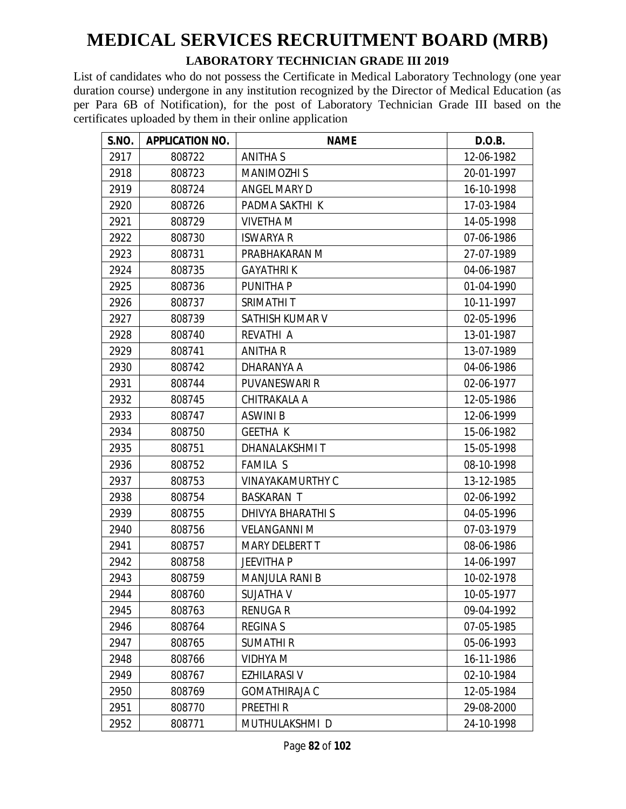#### **LABORATORY TECHNICIAN GRADE III 2019**

| S.NO. | <b>APPLICATION NO.</b> | <b>NAME</b>             | D.O.B.     |
|-------|------------------------|-------------------------|------------|
| 2917  | 808722                 | ANITHA S                | 12-06-1982 |
| 2918  | 808723                 | <b>MANIMOZHI S</b>      | 20-01-1997 |
| 2919  | 808724                 | ANGEL MARY D            | 16-10-1998 |
| 2920  | 808726                 | PADMA SAKTHI K          | 17-03-1984 |
| 2921  | 808729                 | <b>VIVETHA M</b>        | 14-05-1998 |
| 2922  | 808730                 | <b>ISWARYA R</b>        | 07-06-1986 |
| 2923  | 808731                 | PRABHAKARAN M           | 27-07-1989 |
| 2924  | 808735                 | <b>GAYATHRIK</b>        | 04-06-1987 |
| 2925  | 808736                 | <b>PUNITHAP</b>         | 01-04-1990 |
| 2926  | 808737                 | SRIMATHI T              | 10-11-1997 |
| 2927  | 808739                 | SATHISH KUMAR V         | 02-05-1996 |
| 2928  | 808740                 | REVATHI A               | 13-01-1987 |
| 2929  | 808741                 | <b>ANITHA R</b>         | 13-07-1989 |
| 2930  | 808742                 | DHARANYA A              | 04-06-1986 |
| 2931  | 808744                 | PUVANESWARI R           | 02-06-1977 |
| 2932  | 808745                 | CHITRAKALA A            | 12-05-1986 |
| 2933  | 808747                 | <b>ASWINI B</b>         | 12-06-1999 |
| 2934  | 808750                 | <b>GEETHA K</b>         | 15-06-1982 |
| 2935  | 808751                 | <b>DHANALAKSHMIT</b>    | 15-05-1998 |
| 2936  | 808752                 | <b>FAMILA S</b>         | 08-10-1998 |
| 2937  | 808753                 | <b>VINAYAKAMURTHY C</b> | 13-12-1985 |
| 2938  | 808754                 | <b>BASKARAN T</b>       | 02-06-1992 |
| 2939  | 808755                 | DHIVYA BHARATHI S       | 04-05-1996 |
| 2940  | 808756                 | <b>VELANGANNI M</b>     | 07-03-1979 |
| 2941  | 808757                 | <b>MARY DELBERT T</b>   | 08-06-1986 |
| 2942  | 808758                 | <b>JEEVITHA P</b>       | 14-06-1997 |
| 2943  | 808759                 | <b>MANJULA RANI B</b>   | 10-02-1978 |
| 2944  | 808760                 | <b>SUJATHA V</b>        | 10-05-1977 |
| 2945  | 808763                 | <b>RENUGAR</b>          | 09-04-1992 |
| 2946  | 808764                 | <b>REGINA S</b>         | 07-05-1985 |
| 2947  | 808765                 | <b>SUMATHIR</b>         | 05-06-1993 |
| 2948  | 808766                 | <b>VIDHYA M</b>         | 16-11-1986 |
| 2949  | 808767                 | <b>EZHILARASI V</b>     | 02-10-1984 |
| 2950  | 808769                 | <b>GOMATHIRAJA C</b>    | 12-05-1984 |
| 2951  | 808770                 | PREETHI R               | 29-08-2000 |
| 2952  | 808771                 | MUTHULAKSHMI D          | 24-10-1998 |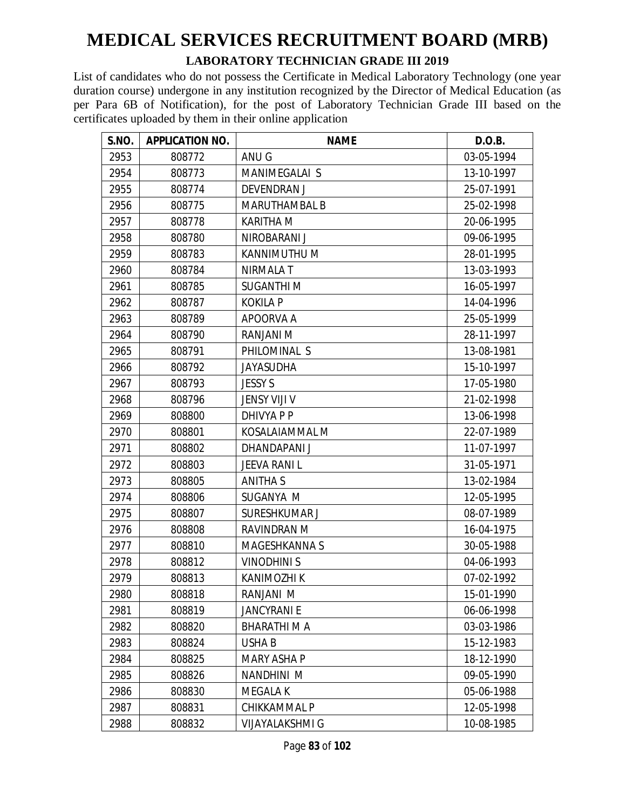#### **LABORATORY TECHNICIAN GRADE III 2019**

| S.NO. | <b>APPLICATION NO.</b> | <b>NAME</b>            | D.O.B.     |
|-------|------------------------|------------------------|------------|
| 2953  | 808772                 | ANU G                  | 03-05-1994 |
| 2954  | 808773                 | MANIMEGALAI S          | 13-10-1997 |
| 2955  | 808774                 | <b>DEVENDRAN J</b>     | 25-07-1991 |
| 2956  | 808775                 | <b>MARUTHAMBAL B</b>   | 25-02-1998 |
| 2957  | 808778                 | <b>KARITHA M</b>       | 20-06-1995 |
| 2958  | 808780                 | NIROBARANI J           | 09-06-1995 |
| 2959  | 808783                 | KANNIMUTHU M           | 28-01-1995 |
| 2960  | 808784                 | <b>NIRMALA T</b>       | 13-03-1993 |
| 2961  | 808785                 | <b>SUGANTHIM</b>       | 16-05-1997 |
| 2962  | 808787                 | <b>KOKILA P</b>        | 14-04-1996 |
| 2963  | 808789                 | APOORVA A              | 25-05-1999 |
| 2964  | 808790                 | RANJANI M              | 28-11-1997 |
| 2965  | 808791                 | PHILOMINAL S           | 13-08-1981 |
| 2966  | 808792                 | <b>JAYASUDHA</b>       | 15-10-1997 |
| 2967  | 808793                 | <b>JESSY S</b>         | 17-05-1980 |
| 2968  | 808796                 | JENSY VIJI V           | 21-02-1998 |
| 2969  | 808800                 | DHIVYA P P             | 13-06-1998 |
| 2970  | 808801                 | KOSALAIAMMAL M         | 22-07-1989 |
| 2971  | 808802                 | DHANDAPANI J           | 11-07-1997 |
| 2972  | 808803                 | <b>JEEVA RANI L</b>    | 31-05-1971 |
| 2973  | 808805                 | <b>ANITHA S</b>        | 13-02-1984 |
| 2974  | 808806                 | SUGANYA M              | 12-05-1995 |
| 2975  | 808807                 | SURESHKUMAR J          | 08-07-1989 |
| 2976  | 808808                 | RAVINDRAN M            | 16-04-1975 |
| 2977  | 808810                 | <b>MAGESHKANNA S</b>   | 30-05-1988 |
| 2978  | 808812                 | <b>VINODHINIS</b>      | 04-06-1993 |
| 2979  | 808813                 | <b>KANIMOZHI K</b>     | 07-02-1992 |
| 2980  | 808818                 | RANJANI M              | 15-01-1990 |
| 2981  | 808819                 | <b>JANCYRANI E</b>     | 06-06-1998 |
| 2982  | 808820                 | <b>BHARATHIMA</b>      | 03-03-1986 |
| 2983  | 808824                 | USHA B                 | 15-12-1983 |
| 2984  | 808825                 | <b>MARY ASHA P</b>     | 18-12-1990 |
| 2985  | 808826                 | NANDHINI M             | 09-05-1990 |
| 2986  | 808830                 | <b>MEGALA K</b>        | 05-06-1988 |
| 2987  | 808831                 | <b>CHIKKAMMAL P</b>    | 12-05-1998 |
| 2988  | 808832                 | <b>VIJAYALAKSHMI G</b> | 10-08-1985 |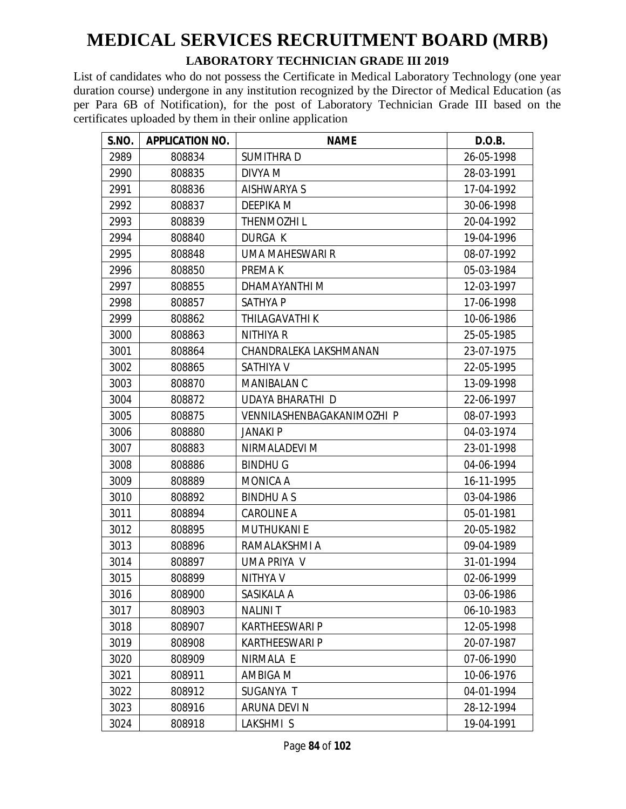#### **LABORATORY TECHNICIAN GRADE III 2019**

| S.NO. | <b>APPLICATION NO.</b> | <b>NAME</b>                | D.O.B.     |
|-------|------------------------|----------------------------|------------|
| 2989  | 808834                 | <b>SUMITHRAD</b>           | 26-05-1998 |
| 2990  | 808835                 | DIVYA M                    | 28-03-1991 |
| 2991  | 808836                 | AISHWARYA S                | 17-04-1992 |
| 2992  | 808837                 | <b>DEEPIKA M</b>           | 30-06-1998 |
| 2993  | 808839                 | <b>THENMOZHIL</b>          | 20-04-1992 |
| 2994  | 808840                 | <b>DURGA K</b>             | 19-04-1996 |
| 2995  | 808848                 | UMA MAHESWARI R            | 08-07-1992 |
| 2996  | 808850                 | PREMA K                    | 05-03-1984 |
| 2997  | 808855                 | DHAMAYANTHI M              | 12-03-1997 |
| 2998  | 808857                 | <b>SATHYA P</b>            | 17-06-1998 |
| 2999  | 808862                 | THILAGAVATHI K             | 10-06-1986 |
| 3000  | 808863                 | <b>NITHIYA R</b>           | 25-05-1985 |
| 3001  | 808864                 | CHANDRALEKA LAKSHMANAN     | 23-07-1975 |
| 3002  | 808865                 | SATHIYA V                  | 22-05-1995 |
| 3003  | 808870                 | MANIBALAN C                | 13-09-1998 |
| 3004  | 808872                 | <b>UDAYA BHARATHI D</b>    | 22-06-1997 |
| 3005  | 808875                 | VENNILASHENBAGAKANIMOZHI P | 08-07-1993 |
| 3006  | 808880                 | <b>JANAKI P</b>            | 04-03-1974 |
| 3007  | 808883                 | NIRMALADEVI M              | 23-01-1998 |
| 3008  | 808886                 | <b>BINDHUG</b>             | 04-06-1994 |
| 3009  | 808889                 | MONICA A                   | 16-11-1995 |
| 3010  | 808892                 | <b>BINDHUAS</b>            | 03-04-1986 |
| 3011  | 808894                 | <b>CAROLINE A</b>          | 05-01-1981 |
| 3012  | 808895                 | <b>MUTHUKANI E</b>         | 20-05-1982 |
| 3013  | 808896                 | RAMALAKSHMI A              | 09-04-1989 |
| 3014  | 808897                 | UMA PRIYA V                | 31-01-1994 |
| 3015  | 808899                 | NITHYA V                   | 02-06-1999 |
| 3016  | 808900                 | SASIKALA A                 | 03-06-1986 |
| 3017  | 808903                 | <b>NALINIT</b>             | 06-10-1983 |
| 3018  | 808907                 | <b>KARTHEESWARI P</b>      | 12-05-1998 |
| 3019  | 808908                 | <b>KARTHEESWARI P</b>      | 20-07-1987 |
| 3020  | 808909                 | NIRMALA E                  | 07-06-1990 |
| 3021  | 808911                 | AMBIGA M                   | 10-06-1976 |
| 3022  | 808912                 | SUGANYA T                  | 04-01-1994 |
| 3023  | 808916                 | <b>ARUNA DEVI N</b>        | 28-12-1994 |
| 3024  | 808918                 | LAKSHMI S                  | 19-04-1991 |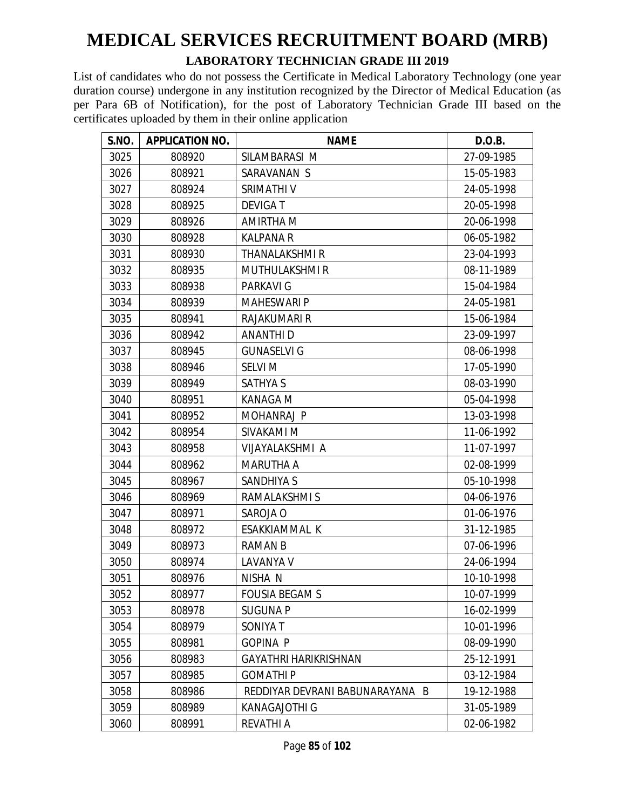#### **LABORATORY TECHNICIAN GRADE III 2019**

| S.NO. | <b>APPLICATION NO.</b> | <b>NAME</b>                     | D.O.B.     |
|-------|------------------------|---------------------------------|------------|
| 3025  | 808920                 | SILAMBARASI M                   | 27-09-1985 |
| 3026  | 808921                 | SARAVANAN S                     | 15-05-1983 |
| 3027  | 808924                 | SRIMATHI V                      | 24-05-1998 |
| 3028  | 808925                 | <b>DEVIGAT</b>                  | 20-05-1998 |
| 3029  | 808926                 | AMIRTHA M                       | 20-06-1998 |
| 3030  | 808928                 | <b>KALPANA R</b>                | 06-05-1982 |
| 3031  | 808930                 | <b>THANALAKSHMI R</b>           | 23-04-1993 |
| 3032  | 808935                 | <b>MUTHULAKSHMIR</b>            | 08-11-1989 |
| 3033  | 808938                 | <b>PARKAVI G</b>                | 15-04-1984 |
| 3034  | 808939                 | <b>MAHESWARI P</b>              | 24-05-1981 |
| 3035  | 808941                 | RAJAKUMARI R                    | 15-06-1984 |
| 3036  | 808942                 | <b>ANANTHID</b>                 | 23-09-1997 |
| 3037  | 808945                 | <b>GUNASELVI G</b>              | 08-06-1998 |
| 3038  | 808946                 | <b>SELVI M</b>                  | 17-05-1990 |
| 3039  | 808949                 | <b>SATHYA S</b>                 | 08-03-1990 |
| 3040  | 808951                 | <b>KANAGA M</b>                 | 05-04-1998 |
| 3041  | 808952                 | MOHANRAJ P                      | 13-03-1998 |
| 3042  | 808954                 | SIVAKAMI M                      | 11-06-1992 |
| 3043  | 808958                 | VIJAYALAKSHMI A                 | 11-07-1997 |
| 3044  | 808962                 | <b>MARUTHA A</b>                | 02-08-1999 |
| 3045  | 808967                 | <b>SANDHIYA S</b>               | 05-10-1998 |
| 3046  | 808969                 | RAMALAKSHMI S                   | 04-06-1976 |
| 3047  | 808971                 | SAROJA O                        | 01-06-1976 |
| 3048  | 808972                 | ESAKKIAMMAL K                   | 31-12-1985 |
| 3049  | 808973                 | <b>RAMAN B</b>                  | 07-06-1996 |
| 3050  | 808974                 | LAVANYA V                       | 24-06-1994 |
| 3051  | 808976                 | NISHA N                         | 10-10-1998 |
| 3052  | 808977                 | <b>FOUSIA BEGAMS</b>            | 10-07-1999 |
| 3053  | 808978                 | <b>SUGUNA P</b>                 | 16-02-1999 |
| 3054  | 808979                 | SONIYA T                        | 10-01-1996 |
| 3055  | 808981                 | <b>GOPINA P</b>                 | 08-09-1990 |
| 3056  | 808983                 | <b>GAYATHRI HARIKRISHNAN</b>    | 25-12-1991 |
| 3057  | 808985                 | <b>GOMATHIP</b>                 | 03-12-1984 |
| 3058  | 808986                 | REDDIYAR DEVRANI BABUNARAYANA B | 19-12-1988 |
| 3059  | 808989                 | KANAGAJOTHI G                   | 31-05-1989 |
| 3060  | 808991                 | REVATHI A                       | 02-06-1982 |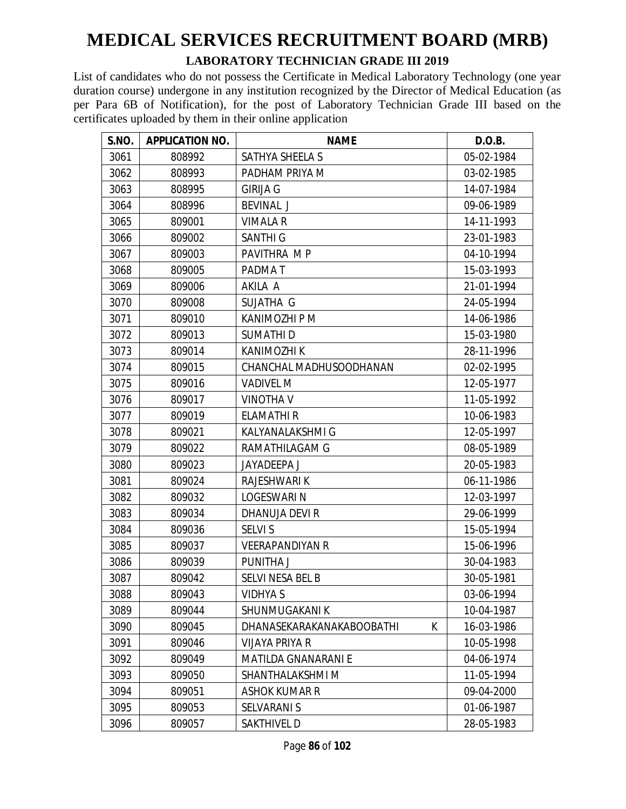#### **LABORATORY TECHNICIAN GRADE III 2019**

| S.NO. | <b>APPLICATION NO.</b> | <b>NAME</b>                    | D.O.B.     |
|-------|------------------------|--------------------------------|------------|
| 3061  | 808992                 | SATHYA SHEELA S                | 05-02-1984 |
| 3062  | 808993                 | PADHAM PRIYA M                 | 03-02-1985 |
| 3063  | 808995                 | <b>GIRIJA G</b>                | 14-07-1984 |
| 3064  | 808996                 | <b>BEVINAL J</b>               | 09-06-1989 |
| 3065  | 809001                 | <b>VIMALA R</b>                | 14-11-1993 |
| 3066  | 809002                 | <b>SANTHI G</b>                | 23-01-1983 |
| 3067  | 809003                 | PAVITHRA MP                    | 04-10-1994 |
| 3068  | 809005                 | PADMA T                        | 15-03-1993 |
| 3069  | 809006                 | AKILA A                        | 21-01-1994 |
| 3070  | 809008                 | SUJATHA G                      | 24-05-1994 |
| 3071  | 809010                 | KANIMOZHI P M                  | 14-06-1986 |
| 3072  | 809013                 | <b>SUMATHID</b>                | 15-03-1980 |
| 3073  | 809014                 | <b>KANIMOZHI K</b>             | 28-11-1996 |
| 3074  | 809015                 | CHANCHAL MADHUSOODHANAN        | 02-02-1995 |
| 3075  | 809016                 | <b>VADIVEL M</b>               | 12-05-1977 |
| 3076  | 809017                 | <b>VINOTHA V</b>               | 11-05-1992 |
| 3077  | 809019                 | ELAMATHI R                     | 10-06-1983 |
| 3078  | 809021                 | KALYANALAKSHMI G               | 12-05-1997 |
| 3079  | 809022                 | RAMATHILAGAM G                 | 08-05-1989 |
| 3080  | 809023                 | <b>JAYADEEPA J</b>             | 20-05-1983 |
| 3081  | 809024                 | RAJESHWARI K                   | 06-11-1986 |
| 3082  | 809032                 | <b>LOGESWARI N</b>             | 12-03-1997 |
| 3083  | 809034                 | DHANUJA DEVI R                 | 29-06-1999 |
| 3084  | 809036                 | <b>SELVI S</b>                 | 15-05-1994 |
| 3085  | 809037                 | <b>VEERAPANDIYAN R</b>         | 15-06-1996 |
| 3086  | 809039                 | PUNITHA J                      | 30-04-1983 |
| 3087  | 809042                 | SELVI NESA BEL B               | 30-05-1981 |
| 3088  | 809043                 | <b>VIDHYA S</b>                | 03-06-1994 |
| 3089  | 809044                 | SHUNMUGAKANI K                 | 10-04-1987 |
| 3090  | 809045                 | K<br>DHANASEKARAKANAKABOOBATHI | 16-03-1986 |
| 3091  | 809046                 | VIJAYA PRIYA R                 | 10-05-1998 |
| 3092  | 809049                 | <b>MATILDA GNANARANI E</b>     | 04-06-1974 |
| 3093  | 809050                 | SHANTHALAKSHMI M               | 11-05-1994 |
| 3094  | 809051                 | <b>ASHOK KUMAR R</b>           | 09-04-2000 |
| 3095  | 809053                 | <b>SELVARANI S</b>             | 01-06-1987 |
| 3096  | 809057                 | SAKTHIVEL D                    | 28-05-1983 |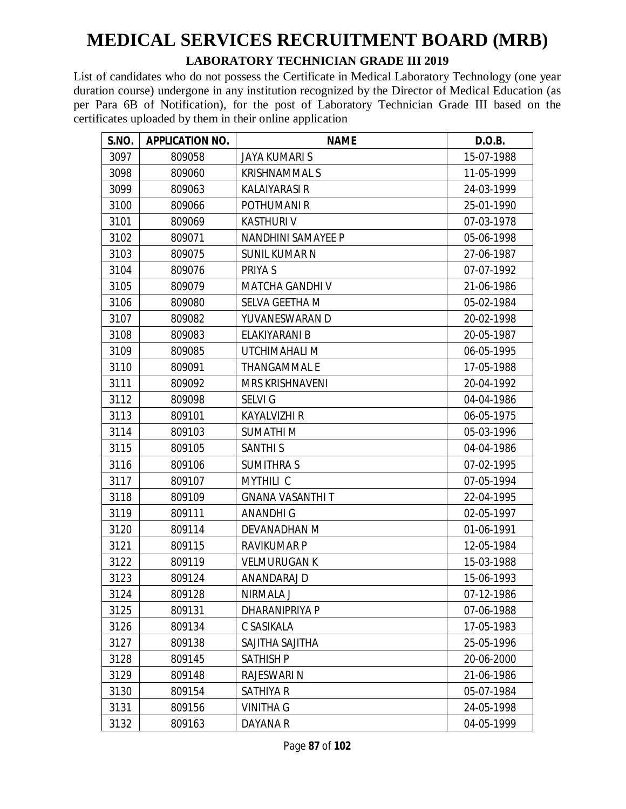#### **LABORATORY TECHNICIAN GRADE III 2019**

| <b>S.NO.</b> | <b>APPLICATION NO.</b> | <b>NAME</b>               | D.O.B.     |
|--------------|------------------------|---------------------------|------------|
| 3097         | 809058                 | <b>JAYA KUMARI S</b>      | 15-07-1988 |
| 3098         | 809060                 | <b>KRISHNAMMAL S</b>      | 11-05-1999 |
| 3099         | 809063                 | <b>KALAIYARASI R</b>      | 24-03-1999 |
| 3100         | 809066                 | POTHUMANI R               | 25-01-1990 |
| 3101         | 809069                 | <b>KASTHURIV</b>          | 07-03-1978 |
| 3102         | 809071                 | <b>NANDHINI SAMAYEE P</b> | 05-06-1998 |
| 3103         | 809075                 | <b>SUNIL KUMAR N</b>      | 27-06-1987 |
| 3104         | 809076                 | PRIYA S                   | 07-07-1992 |
| 3105         | 809079                 | <b>MATCHA GANDHIV</b>     | 21-06-1986 |
| 3106         | 809080                 | SELVA GEETHA M            | 05-02-1984 |
| 3107         | 809082                 | YUVANESWARAN D            | 20-02-1998 |
| 3108         | 809083                 | ELAKIYARANI B             | 20-05-1987 |
| 3109         | 809085                 | UTCHIMAHALI M             | 06-05-1995 |
| 3110         | 809091                 | <b>THANGAMMAL E</b>       | 17-05-1988 |
| 3111         | 809092                 | <b>MRS KRISHNAVENI</b>    | 20-04-1992 |
| 3112         | 809098                 | <b>SELVIG</b>             | 04-04-1986 |
| 3113         | 809101                 | <b>KAYALVIZHI R</b>       | 06-05-1975 |
| 3114         | 809103                 | <b>SUMATHIM</b>           | 05-03-1996 |
| 3115         | 809105                 | <b>SANTHI S</b>           | 04-04-1986 |
| 3116         | 809106                 | <b>SUMITHRA S</b>         | 07-02-1995 |
| 3117         | 809107                 | <b>MYTHILI C</b>          | 07-05-1994 |
| 3118         | 809109                 | <b>GNANA VASANTHI T</b>   | 22-04-1995 |
| 3119         | 809111                 | <b>ANANDHIG</b>           | 02-05-1997 |
| 3120         | 809114                 | DEVANADHAN M              | 01-06-1991 |
| 3121         | 809115                 | <b>RAVIKUMAR P</b>        | 12-05-1984 |
| 3122         | 809119                 | <b>VELMURUGAN K</b>       | 15-03-1988 |
| 3123         | 809124                 | ANANDARAJ D               | 15-06-1993 |
| 3124         | 809128                 | NIRMALA J                 | 07-12-1986 |
| 3125         | 809131                 | DHARANIPRIYA P            | 07-06-1988 |
| 3126         | 809134                 | C SASIKALA                | 17-05-1983 |
| 3127         | 809138                 | SAJITHA SAJITHA           | 25-05-1996 |
| 3128         | 809145                 | <b>SATHISH P</b>          | 20-06-2000 |
| 3129         | 809148                 | RAJESWARI N               | 21-06-1986 |
| 3130         | 809154                 | SATHIYA R                 | 05-07-1984 |
| 3131         | 809156                 | <b>VINITHA G</b>          | 24-05-1998 |
| 3132         | 809163                 | DAYANA R                  | 04-05-1999 |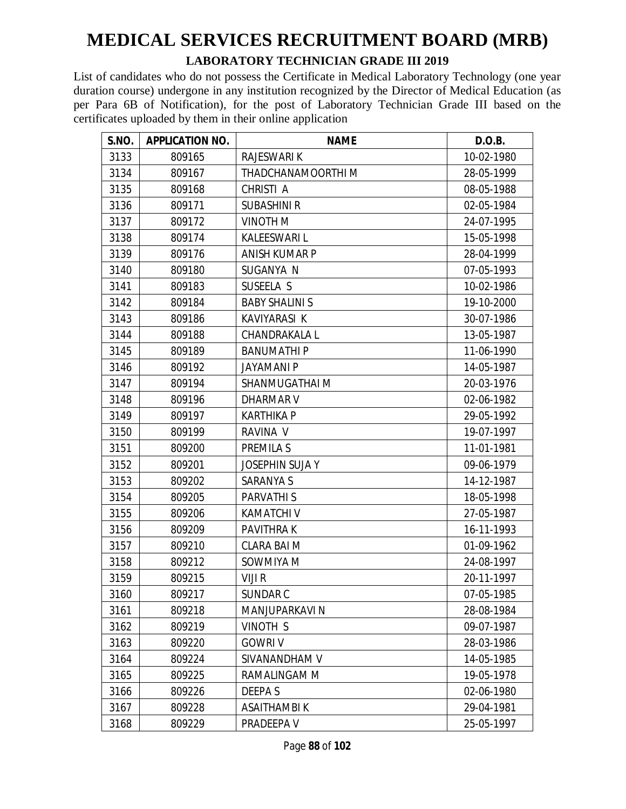#### **LABORATORY TECHNICIAN GRADE III 2019**

| S.NO. | <b>APPLICATION NO.</b> | <b>NAME</b>            | D.O.B.     |
|-------|------------------------|------------------------|------------|
| 3133  | 809165                 | RAJESWARI K            | 10-02-1980 |
| 3134  | 809167                 | THADCHANAMOORTHI M     | 28-05-1999 |
| 3135  | 809168                 | CHRISTI A              | 08-05-1988 |
| 3136  | 809171                 | <b>SUBASHINI R</b>     | 02-05-1984 |
| 3137  | 809172                 | VINOTH M               | 24-07-1995 |
| 3138  | 809174                 | <b>KALEESWARI L</b>    | 15-05-1998 |
| 3139  | 809176                 | <b>ANISH KUMAR P</b>   | 28-04-1999 |
| 3140  | 809180                 | SUGANYA N              | 07-05-1993 |
| 3141  | 809183                 | SUSEELA S              | 10-02-1986 |
| 3142  | 809184                 | <b>BABY SHALINI S</b>  | 19-10-2000 |
| 3143  | 809186                 | KAVIYARASI K           | 30-07-1986 |
| 3144  | 809188                 | CHANDRAKALA L          | 13-05-1987 |
| 3145  | 809189                 | <b>BANUMATHIP</b>      | 11-06-1990 |
| 3146  | 809192                 | <b>JAYAMANI P</b>      | 14-05-1987 |
| 3147  | 809194                 | SHANMUGATHAI M         | 20-03-1976 |
| 3148  | 809196                 | <b>DHARMAR V</b>       | 02-06-1982 |
| 3149  | 809197                 | <b>KARTHIKA P</b>      | 29-05-1992 |
| 3150  | 809199                 | RAVINA V               | 19-07-1997 |
| 3151  | 809200                 | <b>PREMILA S</b>       | 11-01-1981 |
| 3152  | 809201                 | <b>JOSEPHIN SUJA Y</b> | 09-06-1979 |
| 3153  | 809202                 | <b>SARANYA S</b>       | 14-12-1987 |
| 3154  | 809205                 | PARVATHI S             | 18-05-1998 |
| 3155  | 809206                 | <b>KAMATCHI V</b>      | 27-05-1987 |
| 3156  | 809209                 | <b>PAVITHRAK</b>       | 16-11-1993 |
| 3157  | 809210                 | <b>CLARA BAI M</b>     | 01-09-1962 |
| 3158  | 809212                 | SOWMIYA M              | 24-08-1997 |
| 3159  | 809215                 | VIJI R                 | 20-11-1997 |
| 3160  | 809217                 | SUNDAR C               | 07-05-1985 |
| 3161  | 809218                 | MANJUPARKAVI N         | 28-08-1984 |
| 3162  | 809219                 | VINOTH S               | 09-07-1987 |
| 3163  | 809220                 | <b>GOWRIV</b>          | 28-03-1986 |
| 3164  | 809224                 | SIVANANDHAM V          | 14-05-1985 |
| 3165  | 809225                 | RAMALINGAM M           | 19-05-1978 |
| 3166  | 809226                 | <b>DEEPAS</b>          | 02-06-1980 |
| 3167  | 809228                 | <b>ASAITHAMBIK</b>     | 29-04-1981 |
| 3168  | 809229                 | PRADEEPA V             | 25-05-1997 |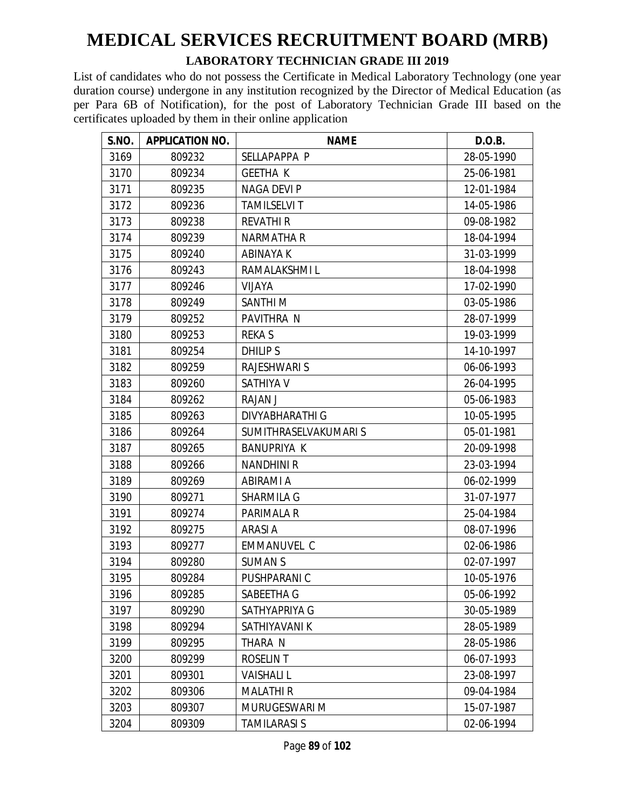#### **LABORATORY TECHNICIAN GRADE III 2019**

| <b>S.NO.</b> | <b>APPLICATION NO.</b> | <b>NAME</b>           | D.O.B.     |
|--------------|------------------------|-----------------------|------------|
| 3169         | 809232                 | SELLAPAPPA P          | 28-05-1990 |
| 3170         | 809234                 | <b>GEETHA K</b>       | 25-06-1981 |
| 3171         | 809235                 | <b>NAGA DEVI P</b>    | 12-01-1984 |
| 3172         | 809236                 | <b>TAMILSELVI T</b>   | 14-05-1986 |
| 3173         | 809238                 | <b>REVATHI R</b>      | 09-08-1982 |
| 3174         | 809239                 | <b>NARMATHA R</b>     | 18-04-1994 |
| 3175         | 809240                 | <b>ABINAYAK</b>       | 31-03-1999 |
| 3176         | 809243                 | RAMALAKSHMI L         | 18-04-1998 |
| 3177         | 809246                 | <b>VIJAYA</b>         | 17-02-1990 |
| 3178         | 809249                 | SANTHI <sub>M</sub>   | 03-05-1986 |
| 3179         | 809252                 | PAVITHRA N            | 28-07-1999 |
| 3180         | 809253                 | <b>REKAS</b>          | 19-03-1999 |
| 3181         | 809254                 | DHILIP S              | 14-10-1997 |
| 3182         | 809259                 | <b>RAJESHWARI S</b>   | 06-06-1993 |
| 3183         | 809260                 | <b>SATHIYA V</b>      | 26-04-1995 |
| 3184         | 809262                 | <b>RAJAN J</b>        | 05-06-1983 |
| 3185         | 809263                 | DIVYABHARATHI G       | 10-05-1995 |
| 3186         | 809264                 | SUMITHRASELVAKUMARI S | 05-01-1981 |
| 3187         | 809265                 | <b>BANUPRIYA K</b>    | 20-09-1998 |
| 3188         | 809266                 | <b>NANDHINI R</b>     | 23-03-1994 |
| 3189         | 809269                 | <b>ABIRAMI A</b>      | 06-02-1999 |
| 3190         | 809271                 | SHARMILA G            | 31-07-1977 |
| 3191         | 809274                 | PARIMALA R            | 25-04-1984 |
| 3192         | 809275                 | <b>ARASIA</b>         | 08-07-1996 |
| 3193         | 809277                 | <b>EMMANUVEL C</b>    | 02-06-1986 |
| 3194         | 809280                 | <b>SUMANS</b>         | 02-07-1997 |
| 3195         | 809284                 | PUSHPARANI C          | 10-05-1976 |
| 3196         | 809285                 | SABEETHA G            | 05-06-1992 |
| 3197         | 809290                 | SATHYAPRIYA G         | 30-05-1989 |
| 3198         | 809294                 | SATHIYAVANI K         | 28-05-1989 |
| 3199         | 809295                 | THARA N               | 28-05-1986 |
| 3200         | 809299                 | <b>ROSELIN T</b>      | 06-07-1993 |
| 3201         | 809301                 | <b>VAISHALIL</b>      | 23-08-1997 |
| 3202         | 809306                 | <b>MALATHIR</b>       | 09-04-1984 |
| 3203         | 809307                 | MURUGESWARI M         | 15-07-1987 |
| 3204         | 809309                 | <b>TAMILARASI S</b>   | 02-06-1994 |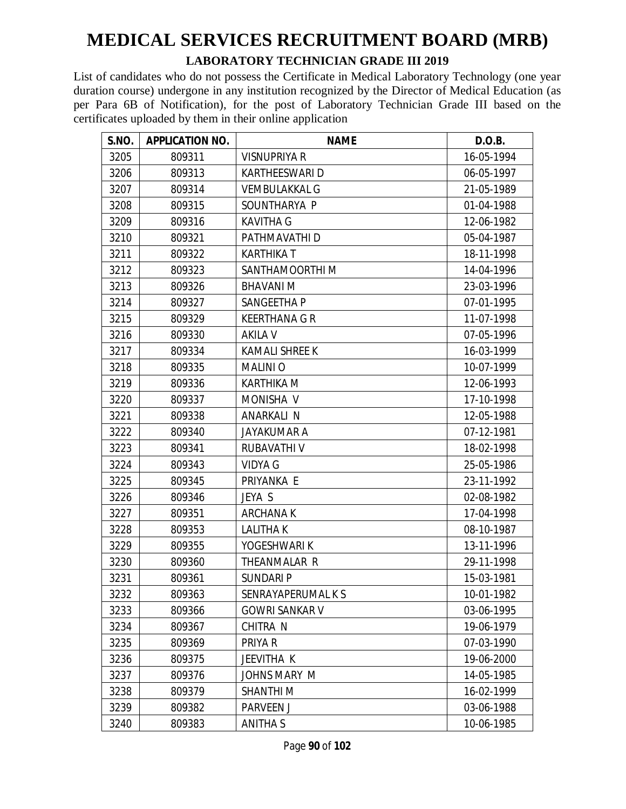#### **LABORATORY TECHNICIAN GRADE III 2019**

| S.NO. | <b>APPLICATION NO.</b> | <b>NAME</b>           | D.O.B.     |
|-------|------------------------|-----------------------|------------|
| 3205  | 809311                 | VISNUPRIYA R          | 16-05-1994 |
| 3206  | 809313                 | <b>KARTHEESWARI D</b> | 06-05-1997 |
| 3207  | 809314                 | <b>VEMBULAKKAL G</b>  | 21-05-1989 |
| 3208  | 809315                 | SOUNTHARYA P          | 01-04-1988 |
| 3209  | 809316                 | <b>KAVITHA G</b>      | 12-06-1982 |
| 3210  | 809321                 | PATHMAVATHI D         | 05-04-1987 |
| 3211  | 809322                 | <b>KARTHIKAT</b>      | 18-11-1998 |
| 3212  | 809323                 | SANTHAMOORTHI M       | 14-04-1996 |
| 3213  | 809326                 | <b>BHAVANIM</b>       | 23-03-1996 |
| 3214  | 809327                 | SANGEETHA P           | 07-01-1995 |
| 3215  | 809329                 | <b>KEERTHANA G R</b>  | 11-07-1998 |
| 3216  | 809330                 | <b>AKILA V</b>        | 07-05-1996 |
| 3217  | 809334                 | <b>KAMALI SHREE K</b> | 16-03-1999 |
| 3218  | 809335                 | <b>MALINIO</b>        | 10-07-1999 |
| 3219  | 809336                 | <b>KARTHIKA M</b>     | 12-06-1993 |
| 3220  | 809337                 | MONISHA V             | 17-10-1998 |
| 3221  | 809338                 | ANARKALI N            | 12-05-1988 |
| 3222  | 809340                 | <b>JAYAKUMAR A</b>    | 07-12-1981 |
| 3223  | 809341                 | RUBAVATHI V           | 18-02-1998 |
| 3224  | 809343                 | <b>VIDYA G</b>        | 25-05-1986 |
| 3225  | 809345                 | PRIYANKA E            | 23-11-1992 |
| 3226  | 809346                 | JEYA S                | 02-08-1982 |
| 3227  | 809351                 | <b>ARCHANAK</b>       | 17-04-1998 |
| 3228  | 809353                 | <b>LALITHAK</b>       | 08-10-1987 |
| 3229  | 809355                 | YOGESHWARI K          | 13-11-1996 |
| 3230  | 809360                 | THEANMALAR R          | 29-11-1998 |
| 3231  | 809361                 | <b>SUNDARI P</b>      | 15-03-1981 |
| 3232  | 809363                 | SENRAYAPERUMAL K S    | 10-01-1982 |
| 3233  | 809366                 | <b>GOWRI SANKAR V</b> | 03-06-1995 |
| 3234  | 809367                 | CHITRA N              | 19-06-1979 |
| 3235  | 809369                 | PRIYA R               | 07-03-1990 |
| 3236  | 809375                 | JEEVITHA K            | 19-06-2000 |
| 3237  | 809376                 | JOHNS MARY M          | 14-05-1985 |
| 3238  | 809379                 | <b>SHANTHIM</b>       | 16-02-1999 |
| 3239  | 809382                 | <b>PARVEEN J</b>      | 03-06-1988 |
| 3240  | 809383                 | ANITHA S              | 10-06-1985 |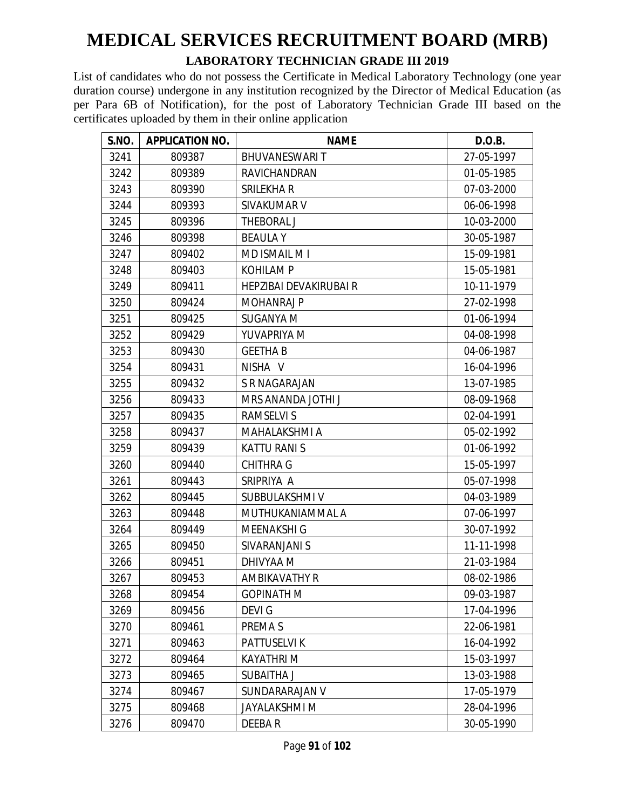#### **LABORATORY TECHNICIAN GRADE III 2019**

| S.NO. | <b>APPLICATION NO.</b> | <b>NAME</b>            | D.O.B.     |
|-------|------------------------|------------------------|------------|
| 3241  | 809387                 | <b>BHUVANESWARIT</b>   | 27-05-1997 |
| 3242  | 809389                 | <b>RAVICHANDRAN</b>    | 01-05-1985 |
| 3243  | 809390                 | SRILEKHA R             | 07-03-2000 |
| 3244  | 809393                 | SIVAKUMAR V            | 06-06-1998 |
| 3245  | 809396                 | THEBORAL J             | 10-03-2000 |
| 3246  | 809398                 | <b>BEAULAY</b>         | 30-05-1987 |
| 3247  | 809402                 | MD ISMAIL M I          | 15-09-1981 |
| 3248  | 809403                 | <b>KOHILAM P</b>       | 15-05-1981 |
| 3249  | 809411                 | HEPZIBAI DEVAKIRUBAI R | 10-11-1979 |
| 3250  | 809424                 | <b>MOHANRAJ P</b>      | 27-02-1998 |
| 3251  | 809425                 | <b>SUGANYA M</b>       | 01-06-1994 |
| 3252  | 809429                 | YUVAPRIYA M            | 04-08-1998 |
| 3253  | 809430                 | <b>GEETHA B</b>        | 04-06-1987 |
| 3254  | 809431                 | NISHA V                | 16-04-1996 |
| 3255  | 809432                 | S R NAGARAJAN          | 13-07-1985 |
| 3256  | 809433                 | MRS ANANDA JOTHI J     | 08-09-1968 |
| 3257  | 809435                 | <b>RAMSELVIS</b>       | 02-04-1991 |
| 3258  | 809437                 | <b>MAHALAKSHMI A</b>   | 05-02-1992 |
| 3259  | 809439                 | <b>KATTU RANI S</b>    | 01-06-1992 |
| 3260  | 809440                 | <b>CHITHRA G</b>       | 15-05-1997 |
| 3261  | 809443                 | SRIPRIYA A             | 05-07-1998 |
| 3262  | 809445                 | SUBBULAKSHMI V         | 04-03-1989 |
| 3263  | 809448                 | MUTHUKANIAMMAL A       | 07-06-1997 |
| 3264  | 809449                 | <b>MEENAKSHI G</b>     | 30-07-1992 |
| 3265  | 809450                 | SIVARANJANI S          | 11-11-1998 |
| 3266  | 809451                 | DHIVYAA M              | 21-03-1984 |
| 3267  | 809453                 | AMBIKAVATHY R          | 08-02-1986 |
| 3268  | 809454                 | <b>GOPINATH M</b>      | 09-03-1987 |
| 3269  | 809456                 | <b>DEVIG</b>           | 17-04-1996 |
| 3270  | 809461                 | PREMA S                | 22-06-1981 |
| 3271  | 809463                 | PATTUSELVI K           | 16-04-1992 |
| 3272  | 809464                 | <b>KAYATHRI M</b>      | 15-03-1997 |
| 3273  | 809465                 | SUBAITHA J             | 13-03-1988 |
| 3274  | 809467                 | SUNDARARAJAN V         | 17-05-1979 |
| 3275  | 809468                 | <b>JAYALAKSHMI M</b>   | 28-04-1996 |
| 3276  | 809470                 | DEEBA R                | 30-05-1990 |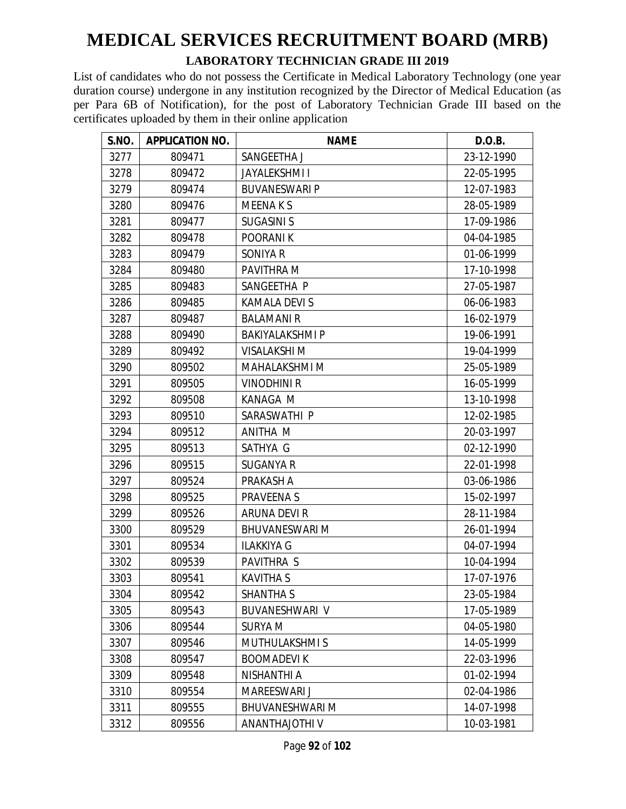#### **LABORATORY TECHNICIAN GRADE III 2019**

| S.NO. | <b>APPLICATION NO.</b> | <b>NAME</b>            | D.O.B.     |
|-------|------------------------|------------------------|------------|
| 3277  | 809471                 | SANGEETHA J            | 23-12-1990 |
| 3278  | 809472                 | <b>JAYALEKSHMII</b>    | 22-05-1995 |
| 3279  | 809474                 | <b>BUVANESWARI P</b>   | 12-07-1983 |
| 3280  | 809476                 | <b>MEENAKS</b>         | 28-05-1989 |
| 3281  | 809477                 | <b>SUGASINI S</b>      | 17-09-1986 |
| 3282  | 809478                 | <b>POORANIK</b>        | 04-04-1985 |
| 3283  | 809479                 | SONIYA R               | 01-06-1999 |
| 3284  | 809480                 | PAVITHRA M             | 17-10-1998 |
| 3285  | 809483                 | SANGEETHA P            | 27-05-1987 |
| 3286  | 809485                 | KAMALA DEVI S          | 06-06-1983 |
| 3287  | 809487                 | <b>BALAMANI R</b>      | 16-02-1979 |
| 3288  | 809490                 | <b>BAKIYALAKSHMI P</b> | 19-06-1991 |
| 3289  | 809492                 | <b>VISALAKSHI M</b>    | 19-04-1999 |
| 3290  | 809502                 | MAHALAKSHMI M          | 25-05-1989 |
| 3291  | 809505                 | <b>VINODHINI R</b>     | 16-05-1999 |
| 3292  | 809508                 | <b>KANAGA M</b>        | 13-10-1998 |
| 3293  | 809510                 | SARASWATHI P           | 12-02-1985 |
| 3294  | 809512                 | ANITHA M               | 20-03-1997 |
| 3295  | 809513                 | SATHYA G               | 02-12-1990 |
| 3296  | 809515                 | <b>SUGANYA R</b>       | 22-01-1998 |
| 3297  | 809524                 | PRAKASH A              | 03-06-1986 |
| 3298  | 809525                 | PRAVEENA S             | 15-02-1997 |
| 3299  | 809526                 | ARUNA DEVI R           | 28-11-1984 |
| 3300  | 809529                 | <b>BHUVANESWARI M</b>  | 26-01-1994 |
| 3301  | 809534                 | <b>ILAKKIYA G</b>      | 04-07-1994 |
| 3302  | 809539                 | PAVITHRA S             | 10-04-1994 |
| 3303  | 809541                 | <b>KAVITHA S</b>       | 17-07-1976 |
| 3304  | 809542                 | <b>SHANTHA S</b>       | 23-05-1984 |
| 3305  | 809543                 | BUVANESHWARI V         | 17-05-1989 |
| 3306  | 809544                 | <b>SURYA M</b>         | 04-05-1980 |
| 3307  | 809546                 | <b>MUTHULAKSHMIS</b>   | 14-05-1999 |
| 3308  | 809547                 | <b>BOOMADEVIK</b>      | 22-03-1996 |
| 3309  | 809548                 | NISHANTHI A            | 01-02-1994 |
| 3310  | 809554                 | MAREESWARI J           | 02-04-1986 |
| 3311  | 809555                 | <b>BHUVANESHWARI M</b> | 14-07-1998 |
| 3312  | 809556                 | ANANTHAJOTHI V         | 10-03-1981 |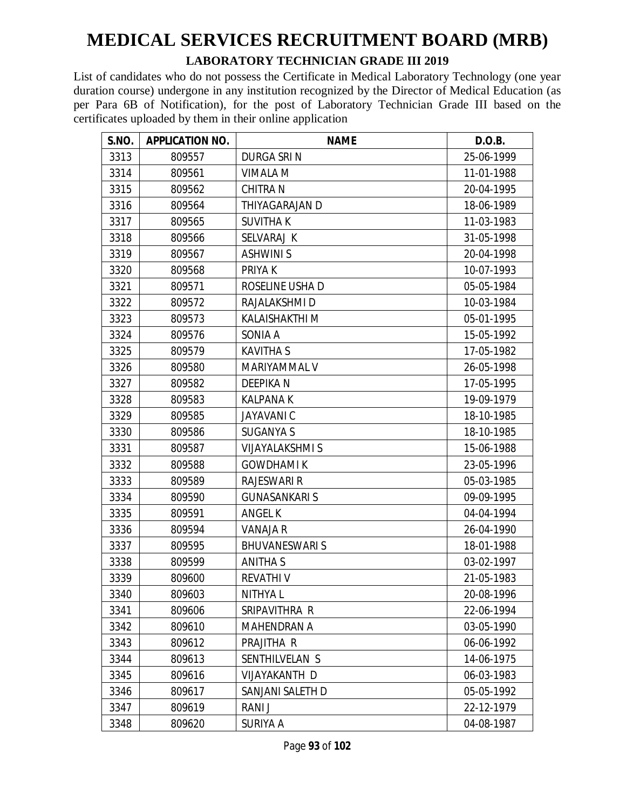#### **LABORATORY TECHNICIAN GRADE III 2019**

| S.NO. | <b>APPLICATION NO.</b> | <b>NAME</b>            | D.O.B.     |
|-------|------------------------|------------------------|------------|
| 3313  | 809557                 | <b>DURGA SRIN</b>      | 25-06-1999 |
| 3314  | 809561                 | <b>VIMALA M</b>        | 11-01-1988 |
| 3315  | 809562                 | <b>CHITRA N</b>        | 20-04-1995 |
| 3316  | 809564                 | THIYAGARAJAN D         | 18-06-1989 |
| 3317  | 809565                 | <b>SUVITHAK</b>        | 11-03-1983 |
| 3318  | 809566                 | SELVARAJ K             | 31-05-1998 |
| 3319  | 809567                 | <b>ASHWINIS</b>        | 20-04-1998 |
| 3320  | 809568                 | <b>PRIYAK</b>          | 10-07-1993 |
| 3321  | 809571                 | ROSELINE USHA D        | 05-05-1984 |
| 3322  | 809572                 | RAJALAKSHMI D          | 10-03-1984 |
| 3323  | 809573                 | KALAISHAKTHI M         | 05-01-1995 |
| 3324  | 809576                 | SONIA A                | 15-05-1992 |
| 3325  | 809579                 | <b>KAVITHA S</b>       | 17-05-1982 |
| 3326  | 809580                 | MARIYAMMAL V           | 26-05-1998 |
| 3327  | 809582                 | <b>DEEPIKAN</b>        | 17-05-1995 |
| 3328  | 809583                 | <b>KALPANA K</b>       | 19-09-1979 |
| 3329  | 809585                 | <b>JAYAVANIC</b>       | 18-10-1985 |
| 3330  | 809586                 | <b>SUGANYA S</b>       | 18-10-1985 |
| 3331  | 809587                 | <b>VIJAYALAKSHMI S</b> | 15-06-1988 |
| 3332  | 809588                 | <b>GOWDHAMI K</b>      | 23-05-1996 |
| 3333  | 809589                 | <b>RAJESWARI R</b>     | 05-03-1985 |
| 3334  | 809590                 | <b>GUNASANKARIS</b>    | 09-09-1995 |
| 3335  | 809591                 | <b>ANGEL K</b>         | 04-04-1994 |
| 3336  | 809594                 | <b>VANAJA R</b>        | 26-04-1990 |
| 3337  | 809595                 | <b>BHUVANESWARIS</b>   | 18-01-1988 |
| 3338  | 809599                 | <b>ANITHAS</b>         | 03-02-1997 |
| 3339  | 809600                 | <b>REVATHIV</b>        | 21-05-1983 |
| 3340  | 809603                 | <b>NITHYAL</b>         | 20-08-1996 |
| 3341  | 809606                 | SRIPAVITHRA R          | 22-06-1994 |
| 3342  | 809610                 | <b>MAHENDRAN A</b>     | 03-05-1990 |
| 3343  | 809612                 | PRAJITHA R             | 06-06-1992 |
| 3344  | 809613                 | SENTHILVELAN S         | 14-06-1975 |
| 3345  | 809616                 | VIJAYAKANTH D          | 06-03-1983 |
| 3346  | 809617                 | SANJANI SALETH D       | 05-05-1992 |
| 3347  | 809619                 | RANI J                 | 22-12-1979 |
| 3348  | 809620                 | SURIYA A               | 04-08-1987 |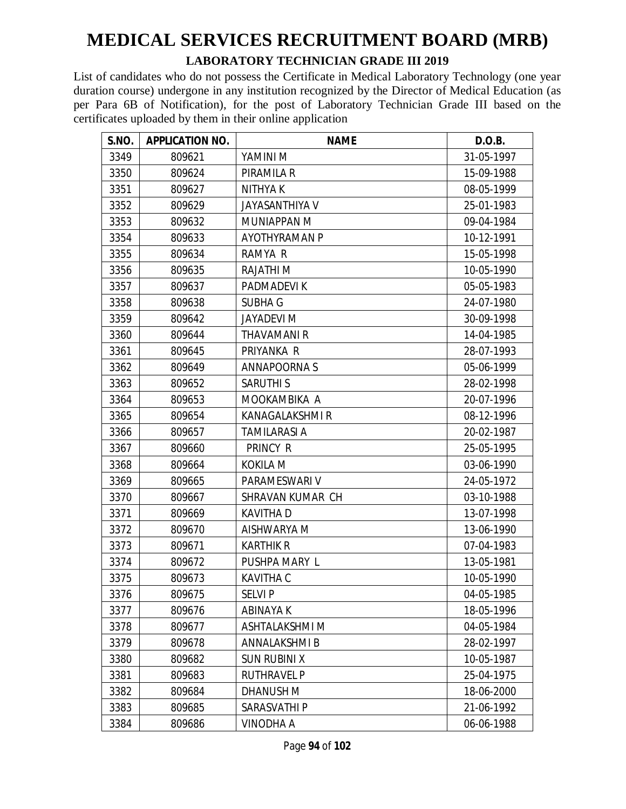#### **LABORATORY TECHNICIAN GRADE III 2019**

| S.NO. | <b>APPLICATION NO.</b> | <b>NAME</b>           | D.O.B.     |
|-------|------------------------|-----------------------|------------|
| 3349  | 809621                 | YAMINI M              | 31-05-1997 |
| 3350  | 809624                 | PIRAMILA R            | 15-09-1988 |
| 3351  | 809627                 | <b>NITHYAK</b>        | 08-05-1999 |
| 3352  | 809629                 | <b>JAYASANTHIYA V</b> | 25-01-1983 |
| 3353  | 809632                 | <b>MUNIAPPAN M</b>    | 09-04-1984 |
| 3354  | 809633                 | <b>AYOTHYRAMAN P</b>  | 10-12-1991 |
| 3355  | 809634                 | RAMYA R               | 15-05-1998 |
| 3356  | 809635                 | RAJATHI M             | 10-05-1990 |
| 3357  | 809637                 | PADMADEVI K           | 05-05-1983 |
| 3358  | 809638                 | <b>SUBHA G</b>        | 24-07-1980 |
| 3359  | 809642                 | <b>JAYADEVI M</b>     | 30-09-1998 |
| 3360  | 809644                 | <b>THAVAMANI R</b>    | 14-04-1985 |
| 3361  | 809645                 | PRIYANKA R            | 28-07-1993 |
| 3362  | 809649                 | <b>ANNAPOORNAS</b>    | 05-06-1999 |
| 3363  | 809652                 | <b>SARUTHIS</b>       | 28-02-1998 |
| 3364  | 809653                 | MOOKAMBIKA A          | 20-07-1996 |
| 3365  | 809654                 | KANAGALAKSHMI R       | 08-12-1996 |
| 3366  | 809657                 | <b>TAMILARASI A</b>   | 20-02-1987 |
| 3367  | 809660                 | PRINCY R              | 25-05-1995 |
| 3368  | 809664                 | <b>KOKILA M</b>       | 03-06-1990 |
| 3369  | 809665                 | PARAMESWARI V         | 24-05-1972 |
| 3370  | 809667                 | SHRAVAN KUMAR CH      | 03-10-1988 |
| 3371  | 809669                 | <b>KAVITHAD</b>       | 13-07-1998 |
| 3372  | 809670                 | AISHWARYA M           | 13-06-1990 |
| 3373  | 809671                 | <b>KARTHIK R</b>      | 07-04-1983 |
| 3374  | 809672                 | PUSHPA MARY L         | 13-05-1981 |
| 3375  | 809673                 | KAVITHA C             | 10-05-1990 |
| 3376  | 809675                 | <b>SELVI P</b>        | 04-05-1985 |
| 3377  | 809676                 | ABINAYA K             | 18-05-1996 |
| 3378  | 809677                 | ASHTALAKSHMI M        | 04-05-1984 |
| 3379  | 809678                 | ANNALAKSHMI B         | 28-02-1997 |
| 3380  | 809682                 | <b>SUN RUBINI X</b>   | 10-05-1987 |
| 3381  | 809683                 | <b>RUTHRAVEL P</b>    | 25-04-1975 |
| 3382  | 809684                 | DHANUSH M             | 18-06-2000 |
| 3383  | 809685                 | SARASVATHI P          | 21-06-1992 |
| 3384  | 809686                 | VINODHA A             | 06-06-1988 |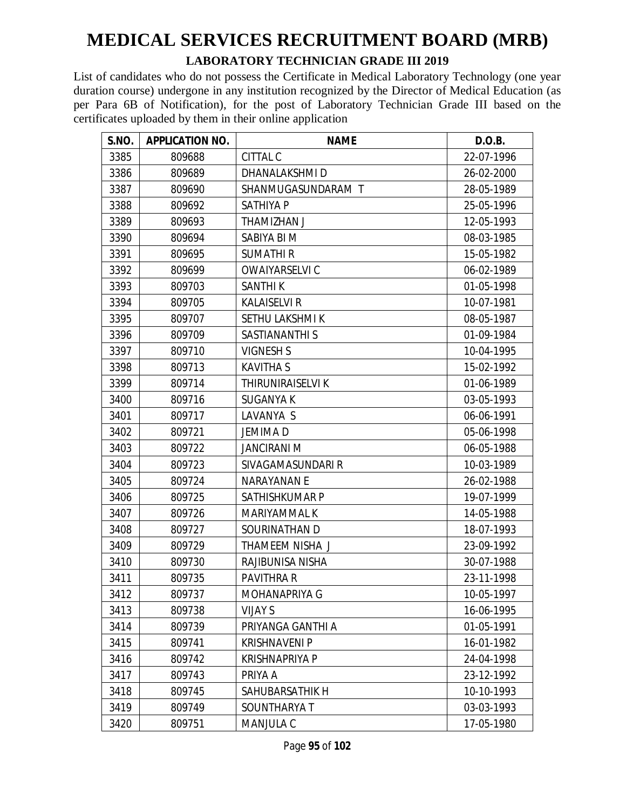#### **LABORATORY TECHNICIAN GRADE III 2019**

| S.NO. | <b>APPLICATION NO.</b> | <b>NAME</b>           | D.O.B.     |
|-------|------------------------|-----------------------|------------|
| 3385  | 809688                 | CITTAL C              | 22-07-1996 |
| 3386  | 809689                 | DHANALAKSHMI D        | 26-02-2000 |
| 3387  | 809690                 | SHANMUGASUNDARAM T    | 28-05-1989 |
| 3388  | 809692                 | <b>SATHIYA P</b>      | 25-05-1996 |
| 3389  | 809693                 | THAMIZHAN J           | 12-05-1993 |
| 3390  | 809694                 | SABIYA BI M           | 08-03-1985 |
| 3391  | 809695                 | <b>SUMATHIR</b>       | 15-05-1982 |
| 3392  | 809699                 | OWAIYARSELVI C        | 06-02-1989 |
| 3393  | 809703                 | <b>SANTHIK</b>        | 01-05-1998 |
| 3394  | 809705                 | <b>KALAISELVI R</b>   | 10-07-1981 |
| 3395  | 809707                 | SETHU LAKSHMI K       | 08-05-1987 |
| 3396  | 809709                 | SASTIANANTHI S        | 01-09-1984 |
| 3397  | 809710                 | <b>VIGNESH S</b>      | 10-04-1995 |
| 3398  | 809713                 | <b>KAVITHA S</b>      | 15-02-1992 |
| 3399  | 809714                 | THIRUNIRAISELVI K     | 01-06-1989 |
| 3400  | 809716                 | <b>SUGANYA K</b>      | 03-05-1993 |
| 3401  | 809717                 | LAVANYA S             | 06-06-1991 |
| 3402  | 809721                 | <b>JEMIMAD</b>        | 05-06-1998 |
| 3403  | 809722                 | <b>JANCIRANI M</b>    | 06-05-1988 |
| 3404  | 809723                 | SIVAGAMASUNDARI R     | 10-03-1989 |
| 3405  | 809724                 | <b>NARAYANAN E</b>    | 26-02-1988 |
| 3406  | 809725                 | SATHISHKUMAR P        | 19-07-1999 |
| 3407  | 809726                 | MARIYAMMAL K          | 14-05-1988 |
| 3408  | 809727                 | SOURINATHAN D         | 18-07-1993 |
| 3409  | 809729                 | THAMEEM NISHA J       | 23-09-1992 |
| 3410  | 809730                 | RAJIBUNISA NISHA      | 30-07-1988 |
| 3411  | 809735                 | <b>PAVITHRA R</b>     | 23-11-1998 |
| 3412  | 809737                 | MOHANAPRIYA G         | 10-05-1997 |
| 3413  | 809738                 | <b>VIJAY S</b>        | 16-06-1995 |
| 3414  | 809739                 | PRIYANGA GANTHI A     | 01-05-1991 |
| 3415  | 809741                 | <b>KRISHNAVENI P</b>  | 16-01-1982 |
| 3416  | 809742                 | <b>KRISHNAPRIYA P</b> | 24-04-1998 |
| 3417  | 809743                 | PRIYA A               | 23-12-1992 |
| 3418  | 809745                 | SAHUBARSATHIK H       | 10-10-1993 |
| 3419  | 809749                 | SOUNTHARYA T          | 03-03-1993 |
| 3420  | 809751                 | MANJULA C             | 17-05-1980 |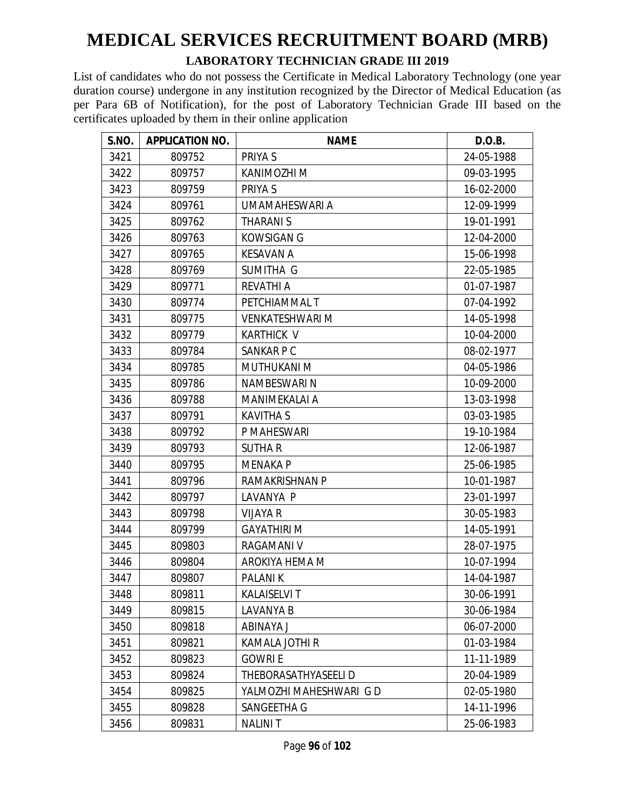#### **LABORATORY TECHNICIAN GRADE III 2019**

| S.NO. | <b>APPLICATION NO.</b> | <b>NAME</b>             | D.O.B.     |
|-------|------------------------|-------------------------|------------|
| 3421  | 809752                 | PRIYA S                 | 24-05-1988 |
| 3422  | 809757                 | KANIMOZHI M             | 09-03-1995 |
| 3423  | 809759                 | PRIYA S                 | 16-02-2000 |
| 3424  | 809761                 | UMAMAHESWARI A          | 12-09-1999 |
| 3425  | 809762                 | THARANI S               | 19-01-1991 |
| 3426  | 809763                 | <b>KOWSIGAN G</b>       | 12-04-2000 |
| 3427  | 809765                 | <b>KESAVAN A</b>        | 15-06-1998 |
| 3428  | 809769                 | SUMITHA G               | 22-05-1985 |
| 3429  | 809771                 | <b>REVATHI A</b>        | 01-07-1987 |
| 3430  | 809774                 | PETCHIAMMAL T           | 07-04-1992 |
| 3431  | 809775                 | <b>VENKATESHWARI M</b>  | 14-05-1998 |
| 3432  | 809779                 | <b>KARTHICK V</b>       | 10-04-2000 |
| 3433  | 809784                 | SANKAR P C              | 08-02-1977 |
| 3434  | 809785                 | <b>MUTHUKANI M</b>      | 04-05-1986 |
| 3435  | 809786                 | NAMBESWARI N            | 10-09-2000 |
| 3436  | 809788                 | <b>MANIMEKALAI A</b>    | 13-03-1998 |
| 3437  | 809791                 | <b>KAVITHA S</b>        | 03-03-1985 |
| 3438  | 809792                 | P MAHESWARI             | 19-10-1984 |
| 3439  | 809793                 | <b>SUTHAR</b>           | 12-06-1987 |
| 3440  | 809795                 | <b>MENAKA P</b>         | 25-06-1985 |
| 3441  | 809796                 | <b>RAMAKRISHNAN P</b>   | 10-01-1987 |
| 3442  | 809797                 | LAVANYA P               | 23-01-1997 |
| 3443  | 809798                 | <b>VIJAYA R</b>         | 30-05-1983 |
| 3444  | 809799                 | <b>GAYATHIRI M</b>      | 14-05-1991 |
| 3445  | 809803                 | <b>RAGAMANI V</b>       | 28-07-1975 |
| 3446  | 809804                 | AROKIYA HEMA M          | 10-07-1994 |
| 3447  | 809807                 | <b>PALANIK</b>          | 14-04-1987 |
| 3448  | 809811                 | KALAISELVI T            | 30-06-1991 |
| 3449  | 809815                 | LAVANYA B               | 30-06-1984 |
| 3450  | 809818                 | ABINAYA J               | 06-07-2000 |
| 3451  | 809821                 | KAMALA JOTHI R          | 01-03-1984 |
| 3452  | 809823                 | <b>GOWRIE</b>           | 11-11-1989 |
| 3453  | 809824                 | THEBORASATHYASEELI D    | 20-04-1989 |
| 3454  | 809825                 | YALMOZHI MAHESHWARI G D | 02-05-1980 |
| 3455  | 809828                 | SANGEETHA G             | 14-11-1996 |
| 3456  | 809831                 | <b>NALINIT</b>          | 25-06-1983 |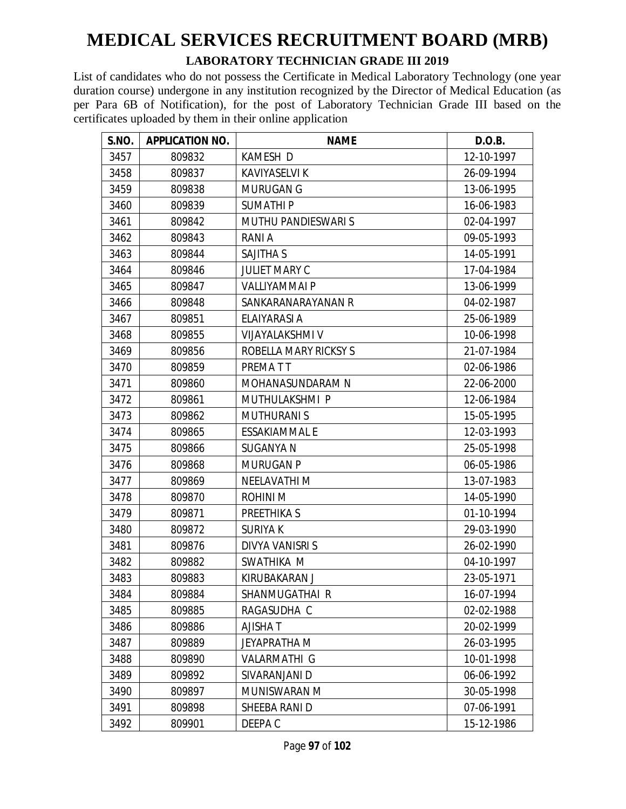#### **LABORATORY TECHNICIAN GRADE III 2019**

| S.NO. | <b>APPLICATION NO.</b> | <b>NAME</b>                | D.O.B.     |
|-------|------------------------|----------------------------|------------|
| 3457  | 809832                 | KAMESH D                   | 12-10-1997 |
| 3458  | 809837                 | <b>KAVIYASELVI K</b>       | 26-09-1994 |
| 3459  | 809838                 | <b>MURUGAN G</b>           | 13-06-1995 |
| 3460  | 809839                 | <b>SUMATHIP</b>            | 16-06-1983 |
| 3461  | 809842                 | <b>MUTHU PANDIESWARI S</b> | 02-04-1997 |
| 3462  | 809843                 | RANI A                     | 09-05-1993 |
| 3463  | 809844                 | <b>SAJITHA S</b>           | 14-05-1991 |
| 3464  | 809846                 | <b>JULIET MARY C</b>       | 17-04-1984 |
| 3465  | 809847                 | <b>VALLIYAMMAI P</b>       | 13-06-1999 |
| 3466  | 809848                 | SANKARANARAYANAN R         | 04-02-1987 |
| 3467  | 809851                 | ELAIYARASI A               | 25-06-1989 |
| 3468  | 809855                 | <b>VIJAYALAKSHMI V</b>     | 10-06-1998 |
| 3469  | 809856                 | ROBELLA MARY RICKSY S      | 21-07-1984 |
| 3470  | 809859                 | PREMATT                    | 02-06-1986 |
| 3471  | 809860                 | MOHANASUNDARAM N           | 22-06-2000 |
| 3472  | 809861                 | MUTHULAKSHMI P             | 12-06-1984 |
| 3473  | 809862                 | <b>MUTHURANI S</b>         | 15-05-1995 |
| 3474  | 809865                 | <b>ESSAKIAMMAL E</b>       | 12-03-1993 |
| 3475  | 809866                 | SUGANYA N                  | 25-05-1998 |
| 3476  | 809868                 | <b>MURUGAN P</b>           | 06-05-1986 |
| 3477  | 809869                 | NEELAVATHI M               | 13-07-1983 |
| 3478  | 809870                 | <b>ROHINI M</b>            | 14-05-1990 |
| 3479  | 809871                 | PREETHIKA S                | 01-10-1994 |
| 3480  | 809872                 | <b>SURIYAK</b>             | 29-03-1990 |
| 3481  | 809876                 | DIVYA VANISRI S            | 26-02-1990 |
| 3482  | 809882                 | SWATHIKA M                 | 04-10-1997 |
| 3483  | 809883                 | KIRUBAKARAN J              | 23-05-1971 |
| 3484  | 809884                 | SHANMUGATHAI R             | 16-07-1994 |
| 3485  | 809885                 | RAGASUDHA C                | 02-02-1988 |
| 3486  | 809886                 | AJISHA T                   | 20-02-1999 |
| 3487  | 809889                 | <b>JEYAPRATHA M</b>        | 26-03-1995 |
| 3488  | 809890                 | <b>VALARMATHI G</b>        | 10-01-1998 |
| 3489  | 809892                 | SIVARANJANI D              | 06-06-1992 |
| 3490  | 809897                 | MUNISWARAN M               | 30-05-1998 |
| 3491  | 809898                 | SHEEBA RANI D              | 07-06-1991 |
| 3492  | 809901                 | DEEPA C                    | 15-12-1986 |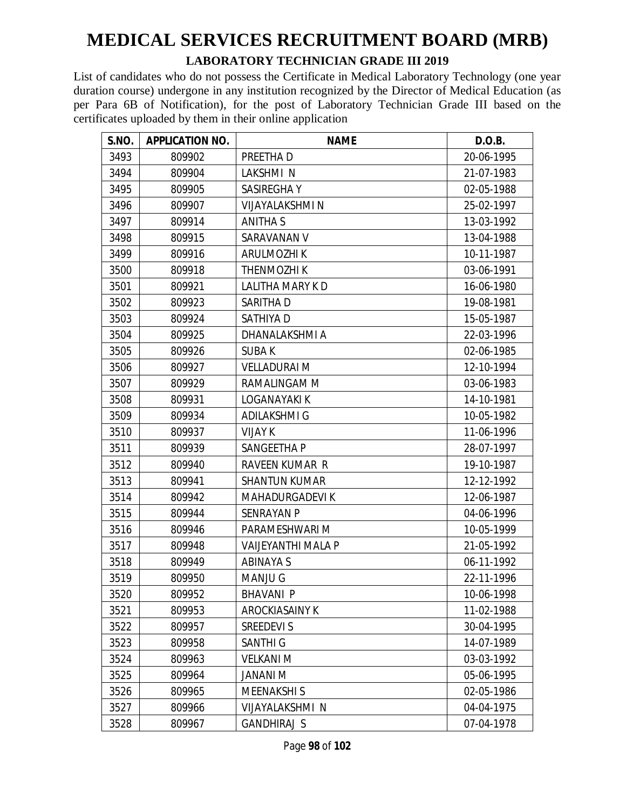#### **LABORATORY TECHNICIAN GRADE III 2019**

| S.NO. | <b>APPLICATION NO.</b> | <b>NAME</b>           | D.O.B.     |
|-------|------------------------|-----------------------|------------|
| 3493  | 809902                 | PREETHA D             | 20-06-1995 |
| 3494  | 809904                 | LAKSHMIN              | 21-07-1983 |
| 3495  | 809905                 | SASIREGHAY            | 02-05-1988 |
| 3496  | 809907                 | VIJAYALAKSHMI N       | 25-02-1997 |
| 3497  | 809914                 | <b>ANITHA S</b>       | 13-03-1992 |
| 3498  | 809915                 | SARAVANAN V           | 13-04-1988 |
| 3499  | 809916                 | <b>ARULMOZHIK</b>     | 10-11-1987 |
| 3500  | 809918                 | <b>THENMOZHIK</b>     | 03-06-1991 |
| 3501  | 809921                 | LALITHA MARY K D      | 16-06-1980 |
| 3502  | 809923                 | SARITHA D             | 19-08-1981 |
| 3503  | 809924                 | SATHIYA D             | 15-05-1987 |
| 3504  | 809925                 | DHANALAKSHMI A        | 22-03-1996 |
| 3505  | 809926                 | <b>SUBAK</b>          | 02-06-1985 |
| 3506  | 809927                 | <b>VELLADURAI M</b>   | 12-10-1994 |
| 3507  | 809929                 | RAMALINGAM M          | 03-06-1983 |
| 3508  | 809931                 | LOGANAYAKI K          | 14-10-1981 |
| 3509  | 809934                 | <b>ADILAKSHMI G</b>   | 10-05-1982 |
| 3510  | 809937                 | <b>VIJAY K</b>        | 11-06-1996 |
| 3511  | 809939                 | SANGEETHA P           | 28-07-1997 |
| 3512  | 809940                 | <b>RAVEEN KUMAR R</b> | 19-10-1987 |
| 3513  | 809941                 | <b>SHANTUN KUMAR</b>  | 12-12-1992 |
| 3514  | 809942                 | <b>MAHADURGADEVIK</b> | 12-06-1987 |
| 3515  | 809944                 | <b>SENRAYAN P</b>     | 04-06-1996 |
| 3516  | 809946                 | PARAMESHWARI M        | 10-05-1999 |
| 3517  | 809948                 | VAIJEYANTHI MALA P    | 21-05-1992 |
| 3518  | 809949                 | <b>ABINAYA S</b>      | 06-11-1992 |
| 3519  | 809950                 | <b>MANJU G</b>        | 22-11-1996 |
| 3520  | 809952                 | <b>BHAVANI P</b>      | 10-06-1998 |
| 3521  | 809953                 | AROCKIASAINY K        | 11-02-1988 |
| 3522  | 809957                 | <b>SREEDEVI S</b>     | 30-04-1995 |
| 3523  | 809958                 | <b>SANTHI G</b>       | 14-07-1989 |
| 3524  | 809963                 | <b>VELKANI M</b>      | 03-03-1992 |
| 3525  | 809964                 | M INANAL              | 05-06-1995 |
| 3526  | 809965                 | <b>MEENAKSHIS</b>     | 02-05-1986 |
| 3527  | 809966                 | VIJAYALAKSHMI N       | 04-04-1975 |
| 3528  | 809967                 | GANDHIRAJ S           | 07-04-1978 |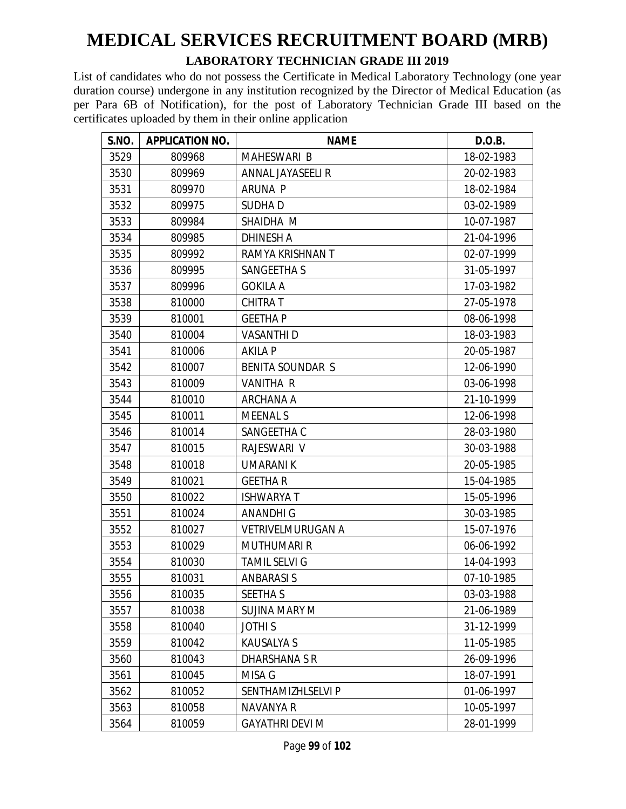#### **LABORATORY TECHNICIAN GRADE III 2019**

| <b>S.NO.</b> | <b>APPLICATION NO.</b> | <b>NAME</b>              | D.O.B.     |
|--------------|------------------------|--------------------------|------------|
| 3529         | 809968                 | MAHESWARI B              | 18-02-1983 |
| 3530         | 809969                 | <b>ANNAL JAYASEELI R</b> | 20-02-1983 |
| 3531         | 809970                 | <b>ARUNA P</b>           | 18-02-1984 |
| 3532         | 809975                 | SUDHA D                  | 03-02-1989 |
| 3533         | 809984                 | SHAIDHA M                | 10-07-1987 |
| 3534         | 809985                 | <b>DHINESH A</b>         | 21-04-1996 |
| 3535         | 809992                 | RAMYA KRISHNAN T         | 02-07-1999 |
| 3536         | 809995                 | SANGEETHA S              | 31-05-1997 |
| 3537         | 809996                 | <b>GOKILA A</b>          | 17-03-1982 |
| 3538         | 810000                 | <b>CHITRAT</b>           | 27-05-1978 |
| 3539         | 810001                 | <b>GEETHAP</b>           | 08-06-1998 |
| 3540         | 810004                 | <b>VASANTHI D</b>        | 18-03-1983 |
| 3541         | 810006                 | AKILA P                  | 20-05-1987 |
| 3542         | 810007                 | <b>BENITA SOUNDAR S</b>  | 12-06-1990 |
| 3543         | 810009                 | <b>VANITHA R</b>         | 03-06-1998 |
| 3544         | 810010                 | ARCHANA A                | 21-10-1999 |
| 3545         | 810011                 | <b>MEENAL S</b>          | 12-06-1998 |
| 3546         | 810014                 | SANGEETHA C              | 28-03-1980 |
| 3547         | 810015                 | RAJESWARI V              | 30-03-1988 |
| 3548         | 810018                 | <b>UMARANIK</b>          | 20-05-1985 |
| 3549         | 810021                 | <b>GEETHAR</b>           | 15-04-1985 |
| 3550         | 810022                 | <b>ISHWARYA T</b>        | 15-05-1996 |
| 3551         | 810024                 | <b>ANANDHIG</b>          | 30-03-1985 |
| 3552         | 810027                 | <b>VETRIVELMURUGAN A</b> | 15-07-1976 |
| 3553         | 810029                 | <b>MUTHUMARI R</b>       | 06-06-1992 |
| 3554         | 810030                 | <b>TAMIL SELVI G</b>     | 14-04-1993 |
| 3555         | 810031                 | <b>ANBARASIS</b>         | 07-10-1985 |
| 3556         | 810035                 | <b>SEETHA S</b>          | 03-03-1988 |
| 3557         | 810038                 | SUJINA MARY M            | 21-06-1989 |
| 3558         | 810040                 | <b>JOTHIS</b>            | 31-12-1999 |
| 3559         | 810042                 | <b>KAUSALYA S</b>        | 11-05-1985 |
| 3560         | 810043                 | DHARSHANA S R            | 26-09-1996 |
| 3561         | 810045                 | MISA G                   | 18-07-1991 |
| 3562         | 810052                 | SENTHAMIZHLSELVI P       | 01-06-1997 |
| 3563         | 810058                 | NAVANYA R                | 10-05-1997 |
| 3564         | 810059                 | <b>GAYATHRI DEVI M</b>   | 28-01-1999 |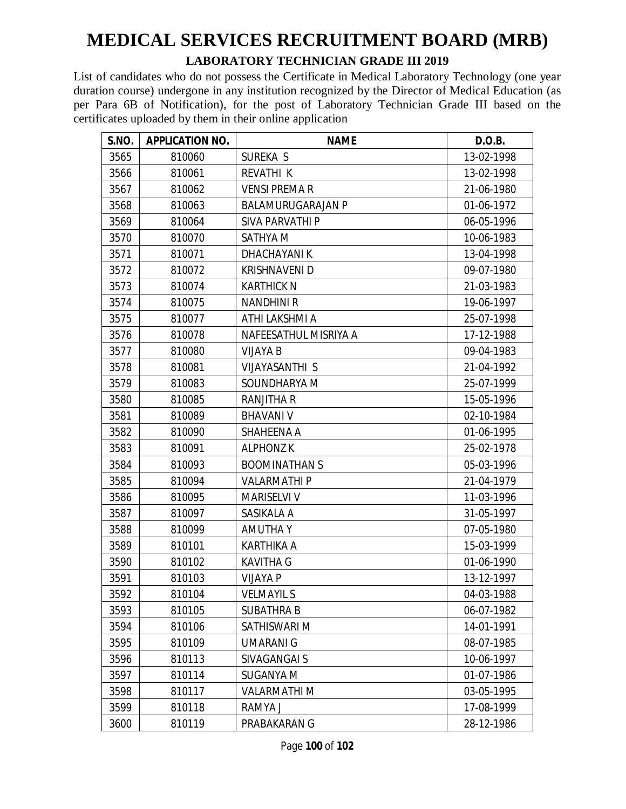#### **LABORATORY TECHNICIAN GRADE III 2019**

| S.NO. | <b>APPLICATION NO.</b> | <b>NAME</b>              | D.O.B.     |
|-------|------------------------|--------------------------|------------|
| 3565  | 810060                 | SUREKA S                 | 13-02-1998 |
| 3566  | 810061                 | <b>REVATHI K</b>         | 13-02-1998 |
| 3567  | 810062                 | <b>VENSI PREMA R</b>     | 21-06-1980 |
| 3568  | 810063                 | <b>BALAMURUGARAJAN P</b> | 01-06-1972 |
| 3569  | 810064                 | <b>SIVA PARVATHI P</b>   | 06-05-1996 |
| 3570  | 810070                 | SATHYA M                 | 10-06-1983 |
| 3571  | 810071                 | <b>DHACHAYANIK</b>       | 13-04-1998 |
| 3572  | 810072                 | <b>KRISHNAVENI D</b>     | 09-07-1980 |
| 3573  | 810074                 | <b>KARTHICK N</b>        | 21-03-1983 |
| 3574  | 810075                 | <b>NANDHINIR</b>         | 19-06-1997 |
| 3575  | 810077                 | ATHI LAKSHMI A           | 25-07-1998 |
| 3576  | 810078                 | NAFEESATHUL MISRIYA A    | 17-12-1988 |
| 3577  | 810080                 | <b>VIJAYA B</b>          | 09-04-1983 |
| 3578  | 810081                 | <b>VIJAYASANTHI S</b>    | 21-04-1992 |
| 3579  | 810083                 | SOUNDHARYA M             | 25-07-1999 |
| 3580  | 810085                 | <b>RANJITHA R</b>        | 15-05-1996 |
| 3581  | 810089                 | <b>BHAVANI V</b>         | 02-10-1984 |
| 3582  | 810090                 | SHAHEENA A               | 01-06-1995 |
| 3583  | 810091                 | <b>ALPHONZK</b>          | 25-02-1978 |
| 3584  | 810093                 | <b>BOOMINATHAN S</b>     | 05-03-1996 |
| 3585  | 810094                 | <b>VALARMATHIP</b>       | 21-04-1979 |
| 3586  | 810095                 | <b>MARISELVI V</b>       | 11-03-1996 |
| 3587  | 810097                 | SASIKALA A               | 31-05-1997 |
| 3588  | 810099                 | <b>AMUTHAY</b>           | 07-05-1980 |
| 3589  | 810101                 | KARTHIKA A               | 15-03-1999 |
| 3590  | 810102                 | <b>KAVITHA G</b>         | 01-06-1990 |
| 3591  | 810103                 | <b>VIJAYA P</b>          | 13-12-1997 |
| 3592  | 810104                 | <b>VELMAYIL S</b>        | 04-03-1988 |
| 3593  | 810105                 | <b>SUBATHRA B</b>        | 06-07-1982 |
| 3594  | 810106                 | SATHISWARI M             | 14-01-1991 |
| 3595  | 810109                 | <b>UMARANI G</b>         | 08-07-1985 |
| 3596  | 810113                 | SIVAGANGAI S             | 10-06-1997 |
| 3597  | 810114                 | <b>SUGANYA M</b>         | 01-07-1986 |
| 3598  | 810117                 | <b>VALARMATHI M</b>      | 03-05-1995 |
| 3599  | 810118                 | RAMYA J                  | 17-08-1999 |
| 3600  | 810119                 | PRABAKARAN G             | 28-12-1986 |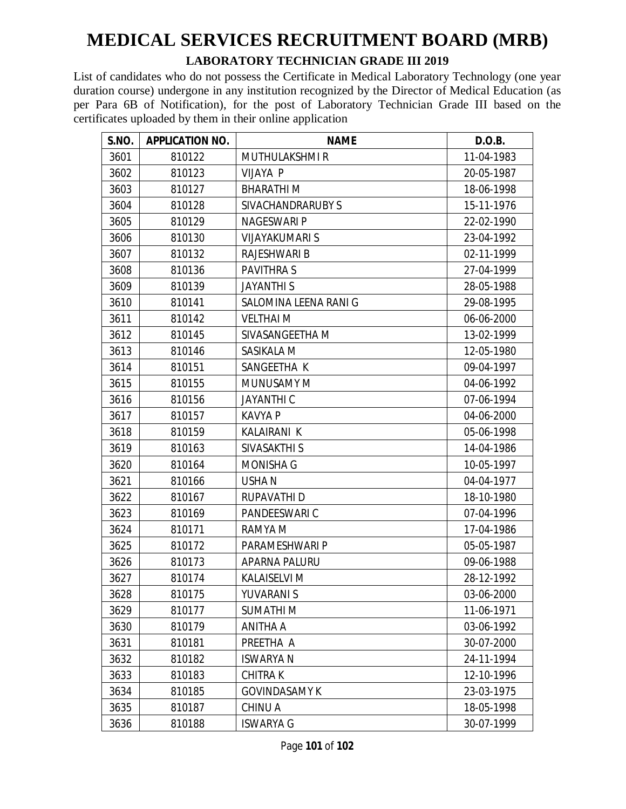#### **LABORATORY TECHNICIAN GRADE III 2019**

| S.NO. | <b>APPLICATION NO.</b> | <b>NAME</b>           | D.O.B.     |
|-------|------------------------|-----------------------|------------|
| 3601  | 810122                 | <b>MUTHULAKSHMIR</b>  | 11-04-1983 |
| 3602  | 810123                 | VIJAYA P              | 20-05-1987 |
| 3603  | 810127                 | <b>BHARATHIM</b>      | 18-06-1998 |
| 3604  | 810128                 | SIVACHANDRARUBY S     | 15-11-1976 |
| 3605  | 810129                 | NAGESWARI P           | 22-02-1990 |
| 3606  | 810130                 | <b>VIJAYAKUMARI S</b> | 23-04-1992 |
| 3607  | 810132                 | <b>RAJESHWARI B</b>   | 02-11-1999 |
| 3608  | 810136                 | <b>PAVITHRAS</b>      | 27-04-1999 |
| 3609  | 810139                 | <b>JAYANTHIS</b>      | 28-05-1988 |
| 3610  | 810141                 | SALOMINA LEENA RANI G | 29-08-1995 |
| 3611  | 810142                 | <b>VELTHAI M</b>      | 06-06-2000 |
| 3612  | 810145                 | SIVASANGEETHA M       | 13-02-1999 |
| 3613  | 810146                 | SASIKALA M            | 12-05-1980 |
| 3614  | 810151                 | SANGEETHA K           | 09-04-1997 |
| 3615  | 810155                 | <b>MUNUSAMY M</b>     | 04-06-1992 |
| 3616  | 810156                 | <b>JAYANTHI C</b>     | 07-06-1994 |
| 3617  | 810157                 | <b>KAVYA P</b>        | 04-06-2000 |
| 3618  | 810159                 | <b>KALAIRANI K</b>    | 05-06-1998 |
| 3619  | 810163                 | SIVASAKTHI S          | 14-04-1986 |
| 3620  | 810164                 | <b>MONISHA G</b>      | 10-05-1997 |
| 3621  | 810166                 | <b>USHAN</b>          | 04-04-1977 |
| 3622  | 810167                 | RUPAVATHI D           | 18-10-1980 |
| 3623  | 810169                 | PANDEESWARI C         | 07-04-1996 |
| 3624  | 810171                 | RAMYA M               | 17-04-1986 |
| 3625  | 810172                 | PARAMESHWARI P        | 05-05-1987 |
| 3626  | 810173                 | APARNA PALURU         | 09-06-1988 |
| 3627  | 810174                 | <b>KALAISELVI M</b>   | 28-12-1992 |
| 3628  | 810175                 | YUVARANI S            | 03-06-2000 |
| 3629  | 810177                 | <b>SUMATHIM</b>       | 11-06-1971 |
| 3630  | 810179                 | ANITHA A              | 03-06-1992 |
| 3631  | 810181                 | PREETHA A             | 30-07-2000 |
| 3632  | 810182                 | <b>ISWARYA N</b>      | 24-11-1994 |
| 3633  | 810183                 | CHITRA K              | 12-10-1996 |
| 3634  | 810185                 | <b>GOVINDASAMY K</b>  | 23-03-1975 |
| 3635  | 810187                 | CHINU A               | 18-05-1998 |
| 3636  | 810188                 | <b>ISWARYA G</b>      | 30-07-1999 |